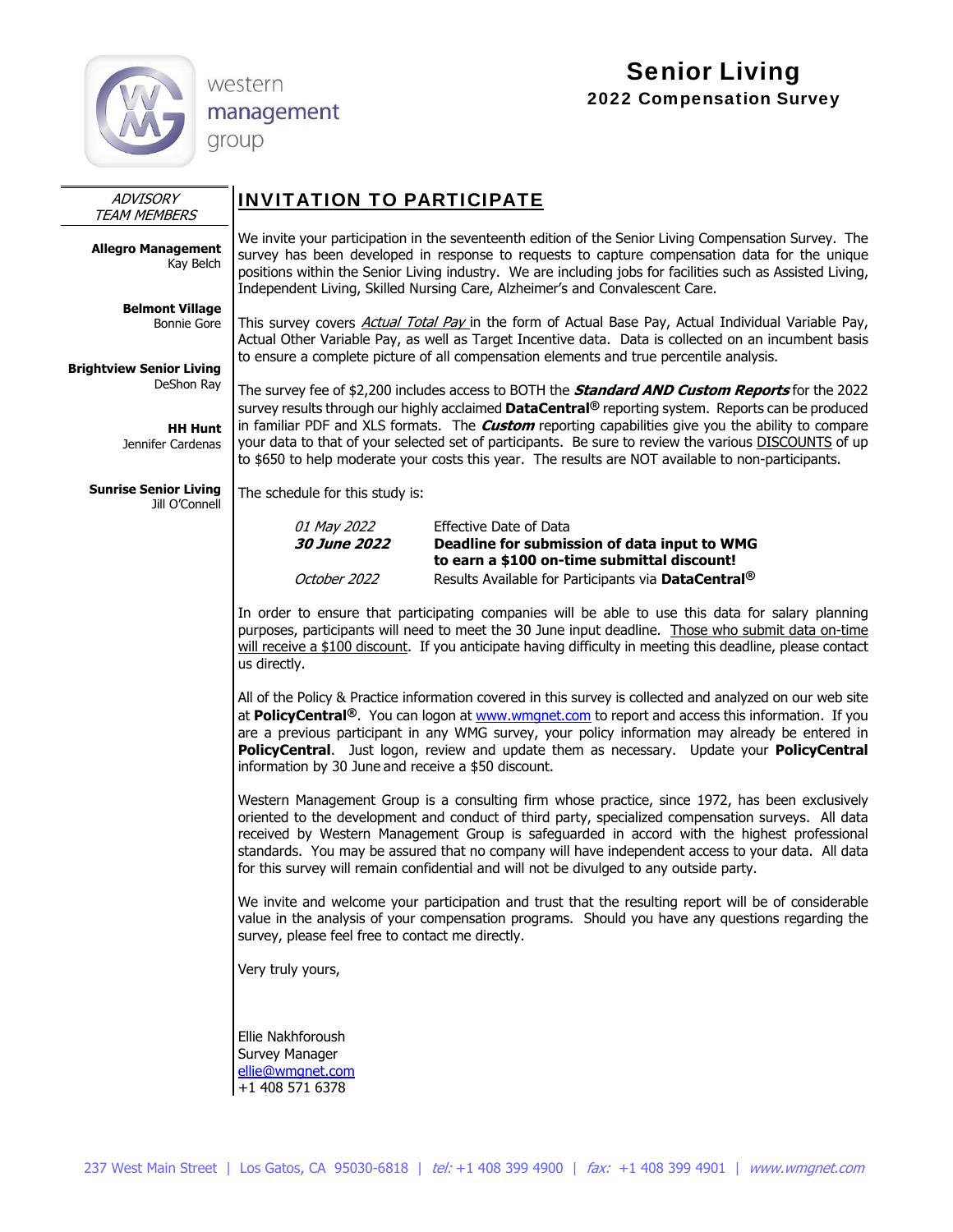

western

management group

# Senior Living 2022 Compensation Survey

| ADVISORY<br><b>TEAM MEMBERS</b>                | <b>INVITATION TO PARTICIPATE</b>                                                                                                                                                                                                                                                                                                                                                                                                                                                                    |                                                                                                                                                                                                                                                                                                                                                                                                                                            |  |  |  |  |  |
|------------------------------------------------|-----------------------------------------------------------------------------------------------------------------------------------------------------------------------------------------------------------------------------------------------------------------------------------------------------------------------------------------------------------------------------------------------------------------------------------------------------------------------------------------------------|--------------------------------------------------------------------------------------------------------------------------------------------------------------------------------------------------------------------------------------------------------------------------------------------------------------------------------------------------------------------------------------------------------------------------------------------|--|--|--|--|--|
| <b>Allegro Management</b><br>Kay Belch         | We invite your participation in the seventeenth edition of the Senior Living Compensation Survey. The<br>survey has been developed in response to requests to capture compensation data for the unique<br>positions within the Senior Living industry. We are including jobs for facilities such as Assisted Living,<br>Independent Living, Skilled Nursing Care, Alzheimer's and Convalescent Care.                                                                                                |                                                                                                                                                                                                                                                                                                                                                                                                                                            |  |  |  |  |  |
| <b>Belmont Village</b><br><b>Bonnie Gore</b>   |                                                                                                                                                                                                                                                                                                                                                                                                                                                                                                     | This survey covers Actual Total Pay in the form of Actual Base Pay, Actual Individual Variable Pay,<br>Actual Other Variable Pay, as well as Target Incentive data. Data is collected on an incumbent basis<br>to ensure a complete picture of all compensation elements and true percentile analysis.                                                                                                                                     |  |  |  |  |  |
| <b>Brightview Senior Living</b><br>DeShon Ray  |                                                                                                                                                                                                                                                                                                                                                                                                                                                                                                     | The survey fee of \$2,200 includes access to BOTH the <b>Standard AND Custom Reports</b> for the 2022                                                                                                                                                                                                                                                                                                                                      |  |  |  |  |  |
| <b>HH Hunt</b><br>Jennifer Cardenas            |                                                                                                                                                                                                                                                                                                                                                                                                                                                                                                     | survey results through our highly acclaimed DataCentral <sup>®</sup> reporting system. Reports can be produced<br>in familiar PDF and XLS formats. The <b>Custom</b> reporting capabilities give you the ability to compare<br>your data to that of your selected set of participants. Be sure to review the various DISCOUNTS of up<br>to \$650 to help moderate your costs this year. The results are NOT available to non-participants. |  |  |  |  |  |
| <b>Sunrise Senior Living</b><br>Jill O'Connell | The schedule for this study is:                                                                                                                                                                                                                                                                                                                                                                                                                                                                     |                                                                                                                                                                                                                                                                                                                                                                                                                                            |  |  |  |  |  |
|                                                | 01 May 2022<br>30 June 2022                                                                                                                                                                                                                                                                                                                                                                                                                                                                         | <b>Effective Date of Data</b><br>Deadline for submission of data input to WMG<br>to earn a \$100 on-time submittal discount!                                                                                                                                                                                                                                                                                                               |  |  |  |  |  |
|                                                | October 2022                                                                                                                                                                                                                                                                                                                                                                                                                                                                                        | Results Available for Participants via DataCentral <sup>®</sup>                                                                                                                                                                                                                                                                                                                                                                            |  |  |  |  |  |
|                                                | us directly.                                                                                                                                                                                                                                                                                                                                                                                                                                                                                        | In order to ensure that participating companies will be able to use this data for salary planning<br>purposes, participants will need to meet the 30 June input deadline. Those who submit data on-time<br>will receive a \$100 discount. If you anticipate having difficulty in meeting this deadline, please contact                                                                                                                     |  |  |  |  |  |
|                                                | All of the Policy & Practice information covered in this survey is collected and analyzed on our web site<br>at PolicyCentral®. You can logon at www.wmgnet.com to report and access this information. If you<br>are a previous participant in any WMG survey, your policy information may already be entered in<br>PolicyCentral. Just logon, review and update them as necessary. Update your PolicyCentral<br>information by 30 June and receive a \$50 discount.                                |                                                                                                                                                                                                                                                                                                                                                                                                                                            |  |  |  |  |  |
|                                                | Western Management Group is a consulting firm whose practice, since 1972, has been exclusively<br>oriented to the development and conduct of third party, specialized compensation surveys. All data<br>received by Western Management Group is safeguarded in accord with the highest professional<br>standards. You may be assured that no company will have independent access to your data. All data<br>for this survey will remain confidential and will not be divulged to any outside party. |                                                                                                                                                                                                                                                                                                                                                                                                                                            |  |  |  |  |  |
|                                                | We invite and welcome your participation and trust that the resulting report will be of considerable<br>value in the analysis of your compensation programs. Should you have any questions regarding the<br>survey, please feel free to contact me directly.                                                                                                                                                                                                                                        |                                                                                                                                                                                                                                                                                                                                                                                                                                            |  |  |  |  |  |
|                                                | Very truly yours,                                                                                                                                                                                                                                                                                                                                                                                                                                                                                   |                                                                                                                                                                                                                                                                                                                                                                                                                                            |  |  |  |  |  |
|                                                | Ellie Nakhforoush<br>Survey Manager<br>ellie@wmgnet.com<br>+1 408 571 6378                                                                                                                                                                                                                                                                                                                                                                                                                          |                                                                                                                                                                                                                                                                                                                                                                                                                                            |  |  |  |  |  |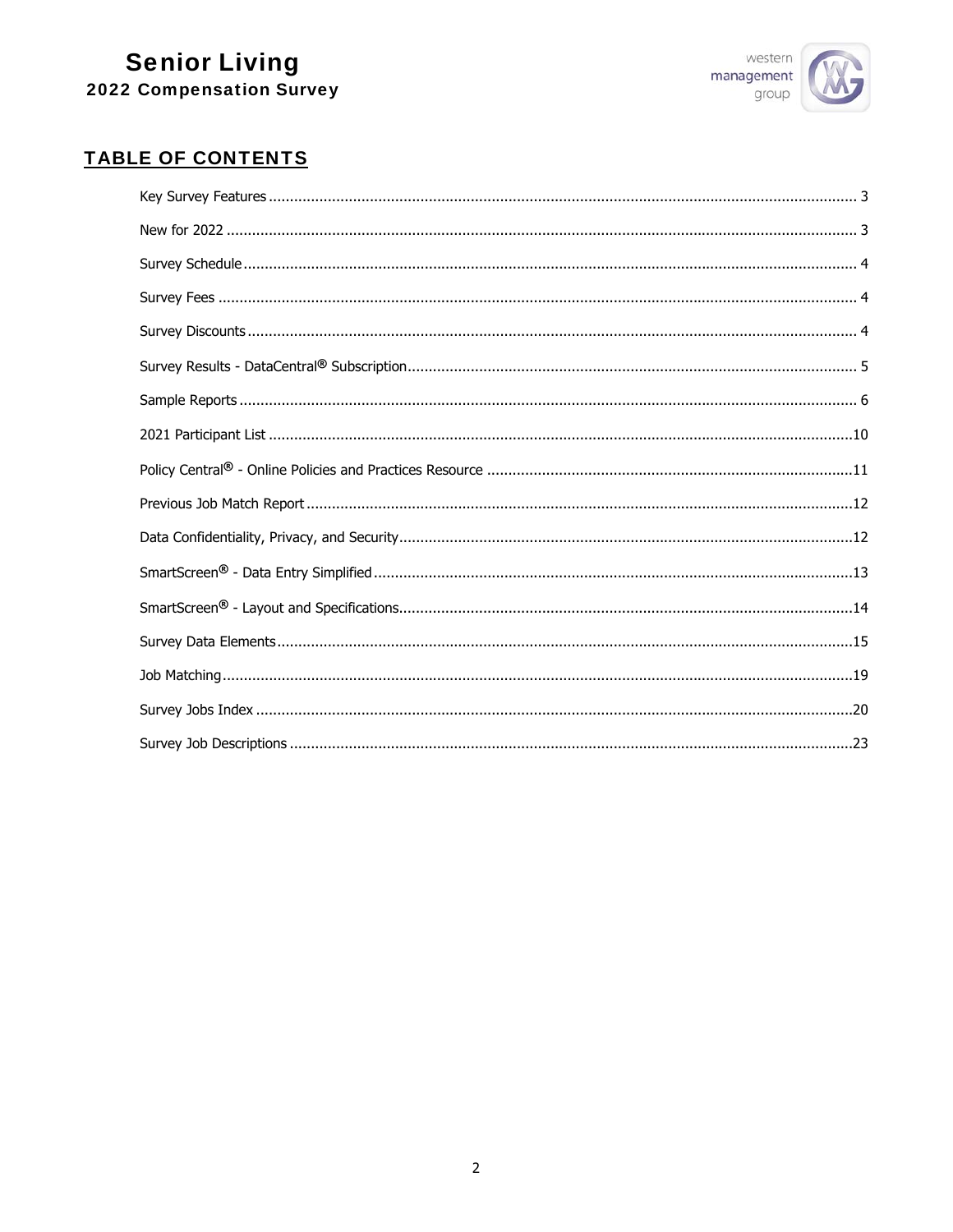

# **TABLE OF CONTENTS**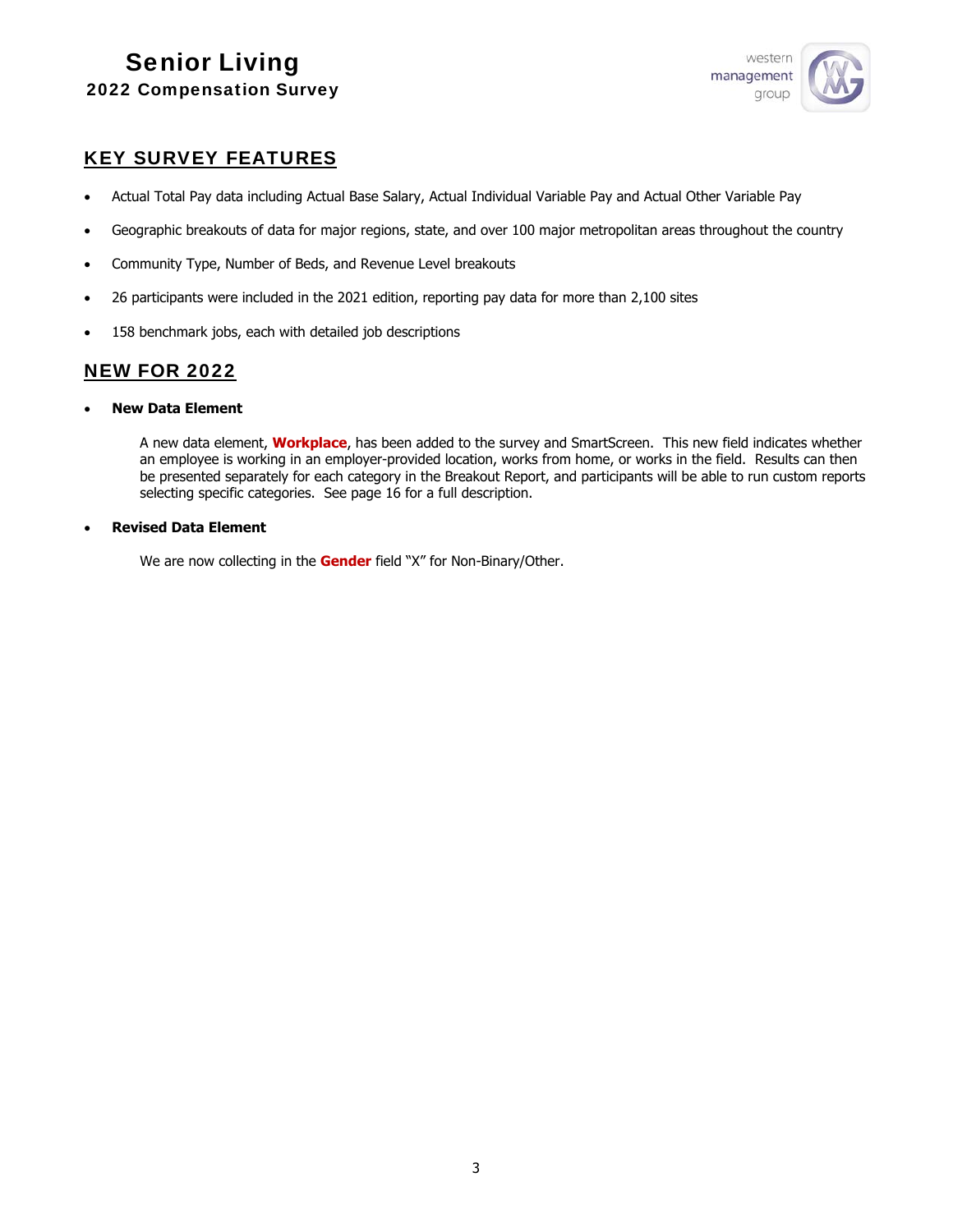

## KEY SURVEY FEATURES

- Actual Total Pay data including Actual Base Salary, Actual Individual Variable Pay and Actual Other Variable Pay
- Geographic breakouts of data for major regions, state, and over 100 major metropolitan areas throughout the country
- Community Type, Number of Beds, and Revenue Level breakouts
- 26 participants were included in the 2021 edition, reporting pay data for more than 2,100 sites
- 158 benchmark jobs, each with detailed job descriptions

## NEW FOR 2022

**New Data Element**

A new data element, **Workplace**, has been added to the survey and SmartScreen. This new field indicates whether an employee is working in an employer-provided location, works from home, or works in the field. Results can then be presented separately for each category in the Breakout Report, and participants will be able to run custom reports selecting specific categories. See page 16 for a full description.

## **Revised Data Element**

We are now collecting in the **Gender** field "X" for Non-Binary/Other.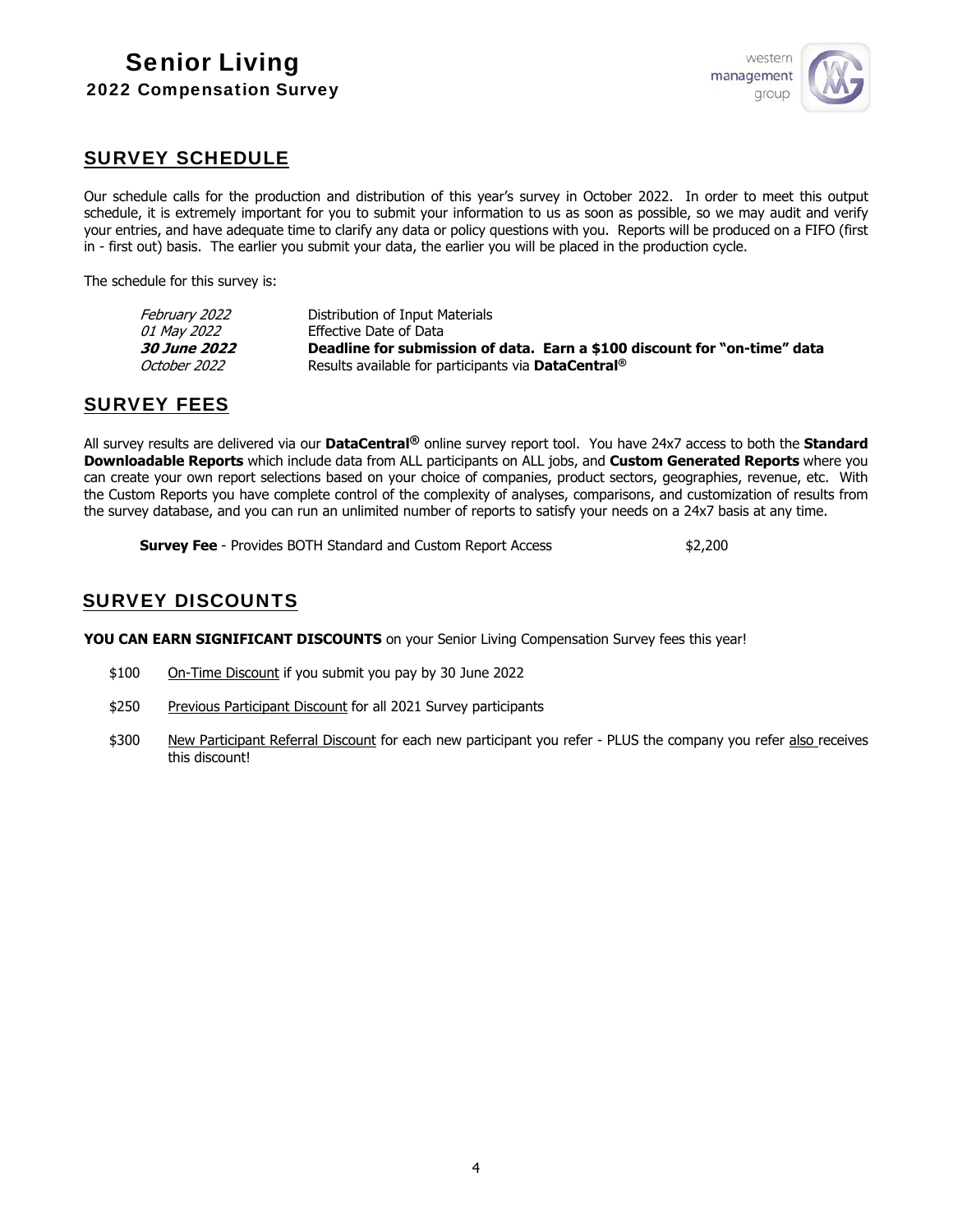

## SURVEY SCHEDULE

Our schedule calls for the production and distribution of this year's survey in October 2022. In order to meet this output schedule, it is extremely important for you to submit your information to us as soon as possible, so we may audit and verify your entries, and have adequate time to clarify any data or policy questions with you. Reports will be produced on a FIFO (first in - first out) basis. The earlier you submit your data, the earlier you will be placed in the production cycle.

The schedule for this survey is:

| February 2022              | Distribution of Input Materials                                           |
|----------------------------|---------------------------------------------------------------------------|
| <i>01 May 2022</i>         | Effective Date of Data                                                    |
| <i><b>30 June 2022</b></i> | Deadline for submission of data. Earn a \$100 discount for "on-time" data |
| October 2022               | Results available for participants via <b>DataCentral</b> <sup>®</sup>    |
|                            |                                                                           |

## SURVEY FEES

All survey results are delivered via our **DataCentral®** online survey report tool. You have 24x7 access to both the **Standard Downloadable Reports** which include data from ALL participants on ALL jobs, and **Custom Generated Reports** where you can create your own report selections based on your choice of companies, product sectors, geographies, revenue, etc. With the Custom Reports you have complete control of the complexity of analyses, comparisons, and customization of results from the survey database, and you can run an unlimited number of reports to satisfy your needs on a 24x7 basis at any time.

**Survey Fee** - Provides BOTH Standard and Custom Report Access \$2,200

## SURVEY DISCOUNTS

YOU CAN EARN SIGNIFICANT DISCOUNTS on your Senior Living Compensation Survey fees this year!

- \$100 On-Time Discount if you submit you pay by 30 June 2022
- \$250 Previous Participant Discount for all 2021 Survey participants
- \$300 New Participant Referral Discount for each new participant you refer PLUS the company you refer also receives this discount!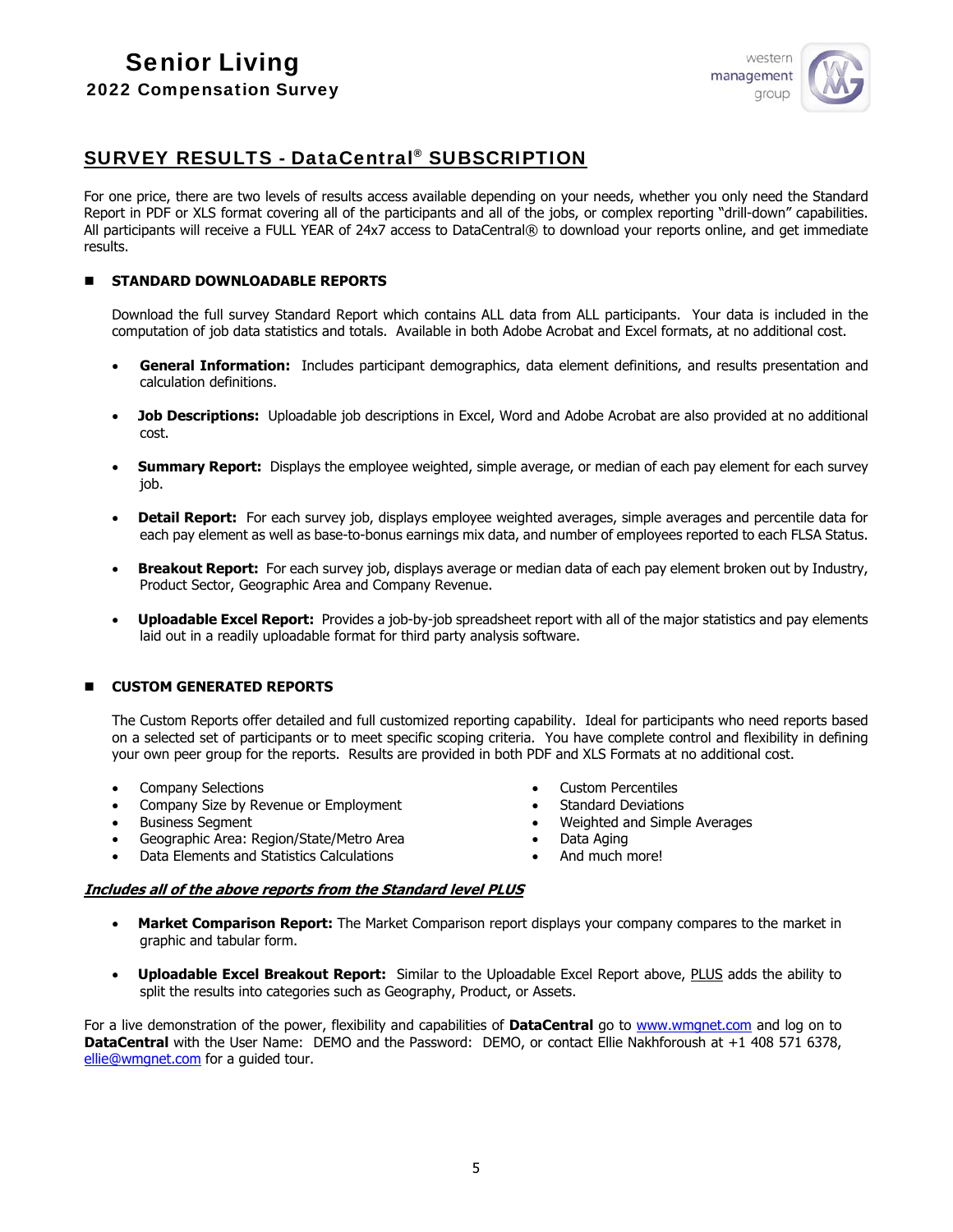

## SURVEY RESULTS - DataCentral® SUBSCRIPTION

For one price, there are two levels of results access available depending on your needs, whether you only need the Standard Report in PDF or XLS format covering all of the participants and all of the jobs, or complex reporting "drill-down" capabilities. All participants will receive a FULL YEAR of 24x7 access to DataCentral® to download your reports online, and get immediate results.

## **STANDARD DOWNLOADABLE REPORTS**

Download the full survey Standard Report which contains ALL data from ALL participants. Your data is included in the computation of job data statistics and totals. Available in both Adobe Acrobat and Excel formats, at no additional cost.

- **General Information:** Includes participant demographics, data element definitions, and results presentation and calculation definitions.
- **Job Descriptions:** Uploadable job descriptions in Excel, Word and Adobe Acrobat are also provided at no additional cost.
- **Summary Report:** Displays the employee weighted, simple average, or median of each pay element for each survey job.
- **Detail Report:** For each survey job, displays employee weighted averages, simple averages and percentile data for each pay element as well as base-to-bonus earnings mix data, and number of employees reported to each FLSA Status.
- **Breakout Report:** For each survey job, displays average or median data of each pay element broken out by Industry, Product Sector, Geographic Area and Company Revenue.
- **Uploadable Excel Report:** Provides a job-by-job spreadsheet report with all of the major statistics and pay elements laid out in a readily uploadable format for third party analysis software.

## **CUSTOM GENERATED REPORTS**

The Custom Reports offer detailed and full customized reporting capability. Ideal for participants who need reports based on a selected set of participants or to meet specific scoping criteria. You have complete control and flexibility in defining your own peer group for the reports. Results are provided in both PDF and XLS Formats at no additional cost.

- Company Selections
- Company Size by Revenue or Employment
- Business Segment
- Geographic Area: Region/State/Metro Area
- Data Elements and Statistics Calculations
- Custom Percentiles
- Standard Deviations
- Weighted and Simple Averages
- Data Aging
- And much more!

## **Includes all of the above reports from the Standard level PLUS**

- **Market Comparison Report:** The Market Comparison report displays your company compares to the market in graphic and tabular form.
- **Uploadable Excel Breakout Report:** Similar to the Uploadable Excel Report above, PLUS adds the ability to split the results into categories such as Geography, Product, or Assets.

For a live demonstration of the power, flexibility and capabilities of **DataCentral** go to www.wmgnet.com and log on to **DataCentral** with the User Name: DEMO and the Password: DEMO, or contact Ellie Nakhforoush at +1 408 571 6378, ellie@wmgnet.com for a guided tour.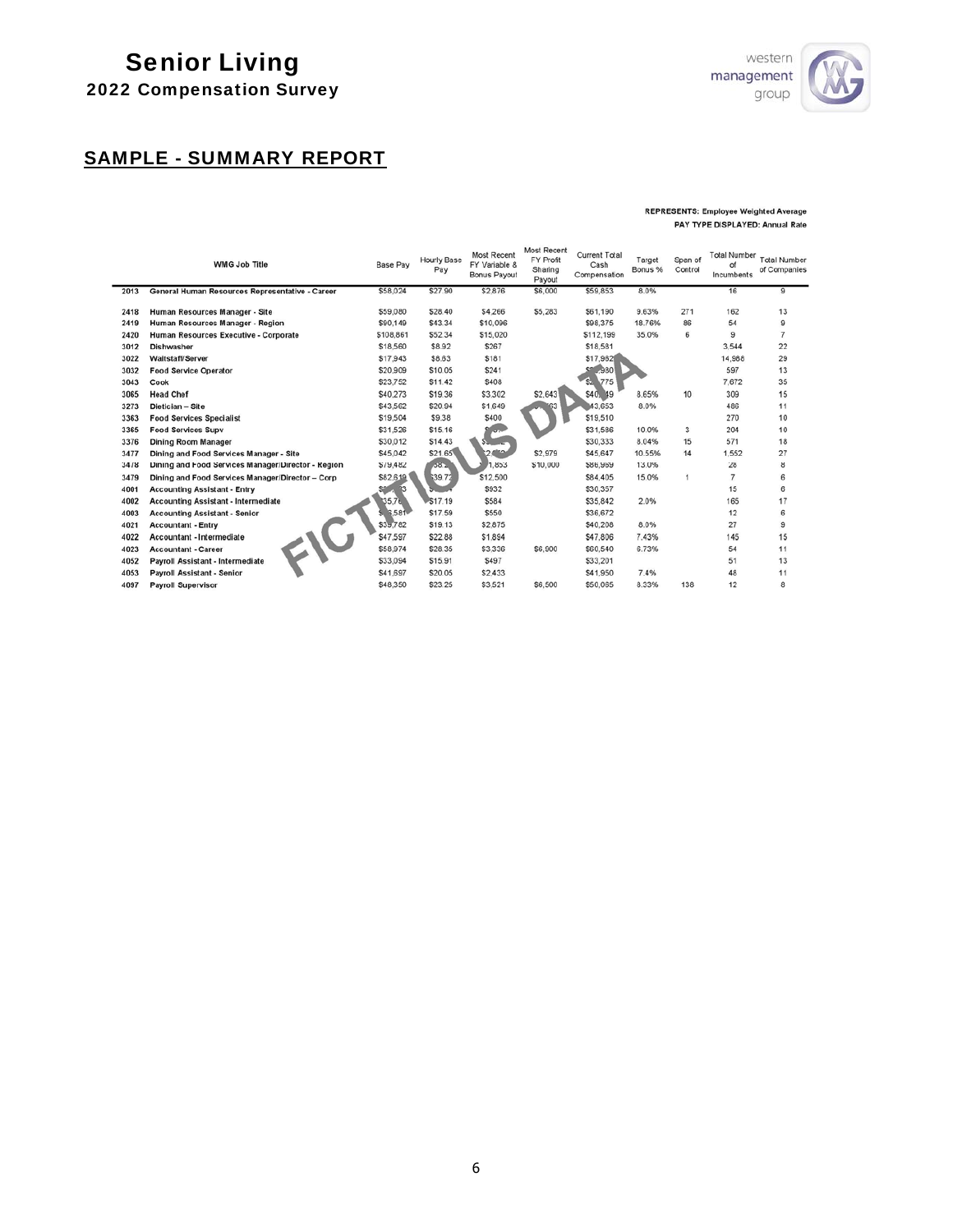# Senior Living



# 2022 Compensation Survey

# SAMPLE - SUMMARY REPORT

#### **REPRESENTS: Employee Weighted Average** PAY TYPE DISPLAYED: Annual Rate

|      | <b>WMG Job Title</b>                               | <b>Base Pay</b> | <b>Hourly Base</b><br>Pay | <b>Most Recent</b><br>FY Variable &<br>Bonus Payout | <b>Most Recent</b><br><b>FY Profit</b><br>Sharing<br>Payout | <b>Current Total</b><br>Cash<br>Compensation | Target<br>Bonus % | Span of<br>Control | <b>Total Number</b><br>оf<br><b>Incumbents</b> | <b>Total Number</b><br>of Companies |
|------|----------------------------------------------------|-----------------|---------------------------|-----------------------------------------------------|-------------------------------------------------------------|----------------------------------------------|-------------------|--------------------|------------------------------------------------|-------------------------------------|
| 2013 | General Human Resources Representative - Career    | \$58,024        | \$27.90                   | \$2,876                                             | \$6,000                                                     | \$59,853                                     | 8.0%              |                    | 16                                             | 9                                   |
| 2418 | Human Resources Manager - Site                     | \$59,080        | \$28.40                   | \$4,266                                             | \$5,283                                                     | \$61,190                                     | 9.63%             | 271                | 162                                            | 13                                  |
| 2419 | Human Resources Manager - Region                   | \$90,149        | \$43.34                   | \$10,096                                            |                                                             | \$98,375                                     | 18.76%            | 86                 | 54                                             | 9                                   |
| 2420 | Human Resources Executive - Corporate              | \$108,861       | \$52.34                   | \$15,020                                            |                                                             | \$112.199                                    | 35.0%             | 6                  | 9                                              | $\overline{7}$                      |
| 3012 | <b>Dishwasher</b>                                  | \$18,560        | \$8.92                    | \$267                                               |                                                             | \$18,581                                     |                   |                    | 3.544                                          | 22                                  |
| 3022 | Waitstaff/Server                                   | \$17,943        | \$8.63                    | \$181                                               |                                                             | \$17,962                                     |                   |                    | 14,988                                         | 29                                  |
| 3032 | <b>Food Service Operator</b>                       | \$20,909        | \$10.05                   | \$241                                               |                                                             | .980                                         |                   |                    | 597                                            | 13                                  |
| 3043 | Cook                                               | \$23,752        | \$11.42                   | \$408                                               |                                                             | 775<br>SΣ.                                   |                   |                    | 7.672                                          | 35                                  |
| 3065 | <b>Head Chef</b>                                   | \$40.273        | \$19.36                   | \$3.302                                             | \$2,643                                                     | \$40, 49                                     | 8.65%             | 10                 | 309                                            | 15                                  |
| 3273 | Dietician - Site                                   | \$43,562        | \$20.94                   | \$1,649                                             | 63                                                          | 43.653                                       | 8.0%              |                    | 486                                            | 11                                  |
| 3363 | <b>Food Services Specialist</b>                    | \$19,504        | \$9.38                    | \$400                                               |                                                             | \$19,510                                     |                   |                    | 270                                            | 10                                  |
| 3365 | <b>Food Services Supv</b>                          | \$31,526        | \$15.16                   | $\overline{u}$                                      |                                                             | \$31,586                                     | 10.0%             | 3                  | 204                                            | 10                                  |
| 3376 | <b>Dining Room Manager</b>                         | \$30,012        | \$14.43                   |                                                     |                                                             | \$30,333                                     | 8.04%             | 15                 | 571                                            | 18                                  |
| 3477 | Dining and Food Services Manager - Site            | \$45,042        | \$21.65                   | 2.1                                                 | \$2,979                                                     | \$45,647                                     | 10.55%            | 14                 | 1.552                                          | 27                                  |
| 3478 | Dining and Food Services Manager/Director - Region | \$79,482        | $-150 -$                  | .853                                                | \$10,000                                                    | \$86,969                                     | 13.0%             |                    | 28                                             | 8                                   |
| 3479 | Dining and Food Services Manager/Director - Corp   | \$82,619        | \$39.72                   | \$12,500                                            |                                                             | \$84,405                                     | 15.0%             | 1                  | 7                                              | 6                                   |
| 4001 | <b>Accounting Assistant - Entry</b>                | -33             |                           | \$932                                               |                                                             | \$30,357                                     |                   |                    | 15                                             | 6                                   |
| 4002 | <b>Accounting Assistant - Intermediate</b>         | 35.76           | \$17.19                   | \$584                                               |                                                             | \$35,842                                     | 2.0%              |                    | 165                                            | 17                                  |
| 4003 | <b>Accounting Assistant - Senior</b>               | 6,581           | \$17.59                   | \$550                                               |                                                             | \$36,672                                     |                   |                    | 12                                             | 6                                   |
| 4021 | <b>Accountant - Entry</b>                          | \$39.782        | \$19.13                   | \$2,875                                             |                                                             | \$40,208                                     | 8.0%              |                    | 27                                             | 9                                   |
| 4022 | Accountant - Intermediate                          | \$47.597        | \$22.88                   | \$1,894                                             |                                                             | \$47,806                                     | 7.43%             |                    | 145                                            | 15                                  |
| 4023 | <b>Accountant - Career</b>                         | \$58,974        | \$28.35                   | \$3,336                                             | \$6,900                                                     | \$60,540                                     | 6.73%             |                    | 54                                             | 11                                  |
| 4052 | Payroll Assistant - Intermediate                   | \$33.094        | \$15.91                   | \$497                                               |                                                             | \$33.201                                     |                   |                    | 51                                             | 13                                  |
| 4053 | <b>Payroll Assistant - Senior</b>                  | \$41,697        | \$20.05                   | \$2,433                                             |                                                             | \$41,950                                     | 7.4%              |                    | 48                                             | 11                                  |
| 4097 | <b>Payroll Supervisor</b>                          | \$48,350        | \$23.25                   | \$3,521                                             | \$6,500                                                     | \$50,065                                     | 8.33%             | 138                | 12                                             | 8                                   |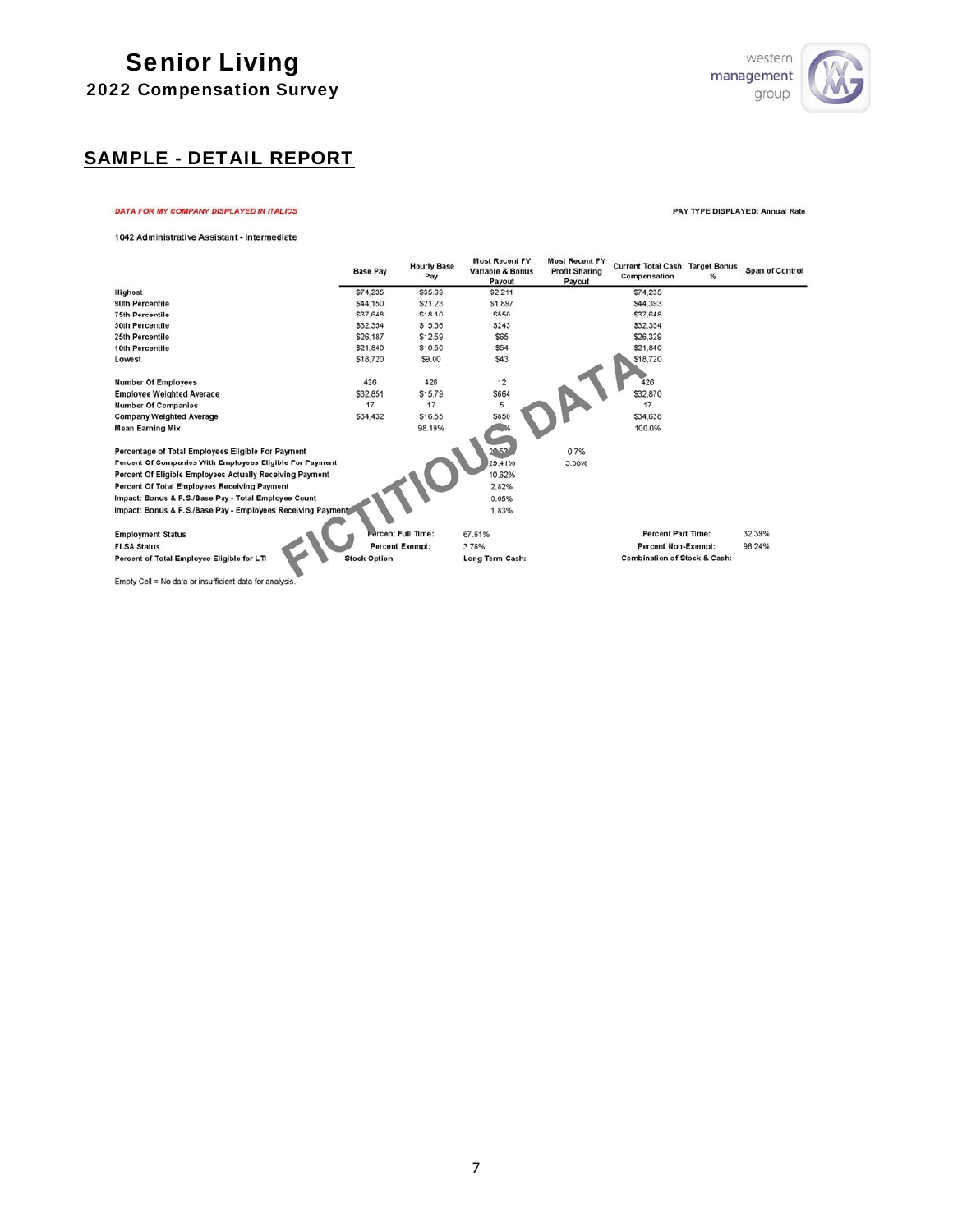

# SAMPLE - DETAIL REPORT

#### DATA FOR MY COMPANY DISPLAYED IN ITALICS

PAY TYPE DISPLAYED: Annual Rate

1042 Administrative Assistant - Intermediate

|                                                             | <b>Base Pay</b>      | <b>Hourly Base</b><br>Pay | <b>Most Recent FY</b><br>Variable & Bonus<br>Payout | <b>Most Recent FY</b><br><b>Profit Sharing</b><br>Payout | <b>Current Total Cash Target Bonus</b><br>Compensation | % | Span of Control |
|-------------------------------------------------------------|----------------------|---------------------------|-----------------------------------------------------|----------------------------------------------------------|--------------------------------------------------------|---|-----------------|
| <b>Highest</b>                                              | \$74.235             | \$35.69                   | \$2.211                                             |                                                          | \$74.235                                               |   |                 |
| 90th Percentile                                             | \$44,150             | \$21.23                   | \$1,897                                             |                                                          | \$44,393                                               |   |                 |
| <b>75th Percentile</b>                                      | \$37,648             | \$18.10                   | \$550                                               |                                                          | \$37,648                                               |   |                 |
| 50th Percentile                                             | \$32,354             | \$15.56                   | \$243                                               |                                                          | \$32,354                                               |   |                 |
| 25th Percentile                                             | \$26.187             | \$12.59                   | \$65                                                |                                                          | \$26,329                                               |   |                 |
| 10th Percentile                                             | \$21,840             | \$10.50                   | \$54                                                |                                                          | \$21,840                                               |   |                 |
| Lowest                                                      | \$18,720             | \$9.00                    | \$43                                                |                                                          | \$18,720                                               |   |                 |
| <b>Number Of Employees</b>                                  | 426                  | 426                       | 12                                                  |                                                          | 426                                                    |   |                 |
| <b>Employee Weighted Average</b>                            | \$32,851             | \$15.79                   | \$664                                               |                                                          | \$32,870                                               |   |                 |
| <b>Number Of Companies</b>                                  | 17                   | 17                        | 5                                                   |                                                          | 17                                                     |   |                 |
| <b>Company Weighted Average</b>                             | \$34.432             | \$16.55                   | \$850                                               |                                                          | \$34,638                                               |   |                 |
| <b>Mean Earning Mix</b>                                     |                      | 98.19%                    |                                                     |                                                          | 100.0%                                                 |   |                 |
|                                                             |                      |                           |                                                     |                                                          |                                                        |   |                 |
| Percentage of Total Employees Eligible For Payment          |                      |                           | 20.52                                               | 0.7%                                                     |                                                        |   |                 |
| Percent Of Companies With Employees Eligible For Payment    |                      |                           | 29.41%                                              | 5.88%                                                    |                                                        |   |                 |
| Percent Of Eligible Employees Actually Receiving Payment    |                      |                           | 10.62%                                              |                                                          |                                                        |   |                 |
| Percent Of Total Employees Receiving Payment                |                      |                           | 2.82%                                               |                                                          |                                                        |   |                 |
| Impact: Bonus & P.S./Base Pay - Total Employee Count        |                      |                           | 0.05%                                               |                                                          |                                                        |   |                 |
| Impact: Bonus & P.S./Base Pay - Employees Receiving Payment |                      |                           | 1.83%                                               |                                                          |                                                        |   |                 |
| <b>Employment Status</b>                                    |                      | Fercent Full Time:        | 67.61%                                              |                                                          | <b>Percent Part Time:</b>                              |   | 32.39%          |
| <b>FLSA Status</b>                                          |                      | <b>Percent Exempt:</b>    | 3.76%                                               |                                                          | <b>Percent Non-Exempt:</b>                             |   | 96.24%          |
| Percent of Total Employee Eligible for LTI                  | <b>Stock Option:</b> |                           | Long Term Cash:                                     |                                                          | <b>Combination of Stock &amp; Cash:</b>                |   |                 |

Empty Cell = No data or insufficient data for analysis.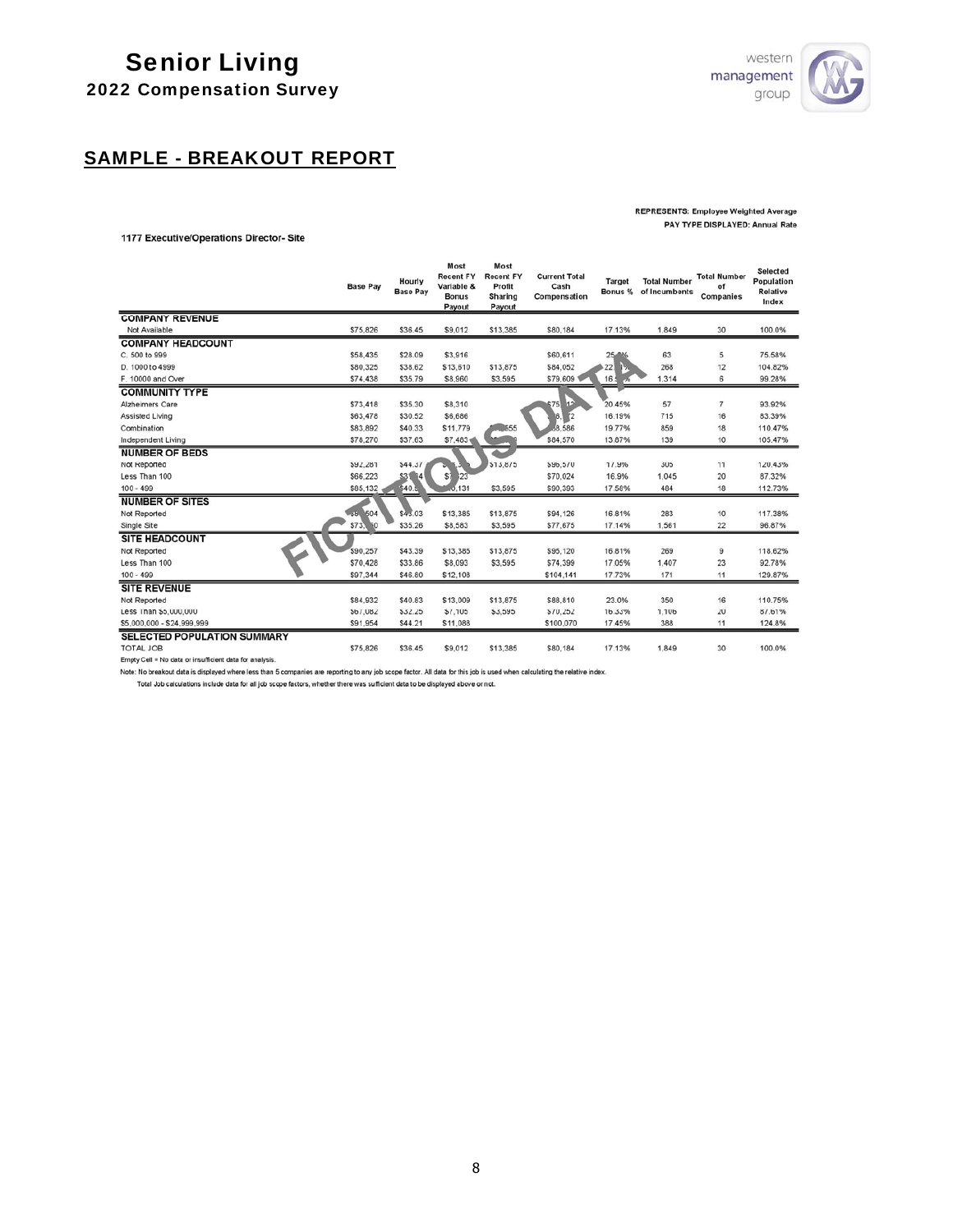

# SAMPLE - BREAKOUT REPORT

#### **REPRESENTS: Employee Weighted Average** PAY TYPE DISPLAYED: Annual Rate

#### 1177 Executive/Operations Director- Site

|                                                         | <b>Base Pav</b> | Hourly<br><b>Base Pay</b> | Most<br><b>Recent FY</b><br>Variable &<br><b>Bonus</b><br>Payout | Most<br><b>Recent FY</b><br>Profit<br>Sharing<br>Payout | <b>Current Total</b><br>Cash<br>Compensation | Target<br>Bonus % | <b>Total Number</b><br>of Incumbents | <b>Total Number</b><br>of<br>Companies | Selected<br>Population<br>Relative<br>Index |
|---------------------------------------------------------|-----------------|---------------------------|------------------------------------------------------------------|---------------------------------------------------------|----------------------------------------------|-------------------|--------------------------------------|----------------------------------------|---------------------------------------------|
| <b>COMPANY REVENUE</b>                                  |                 |                           |                                                                  |                                                         |                                              |                   |                                      |                                        |                                             |
| Not Available                                           | \$75,826        | \$36.45                   | \$9,012                                                          | \$13,385                                                | \$80,184                                     | 17.13%            | 1,849                                | 30                                     | 100.0%                                      |
| <b>COMPANY HEADCOUNT</b>                                |                 |                           |                                                                  |                                                         |                                              |                   |                                      |                                        |                                             |
| C. 500 to 999                                           | \$58,435        | \$28.09                   | \$3,916                                                          |                                                         | \$60,611                                     | $25 - 16$         | 63                                   | 5                                      | 75.58%                                      |
| D. 1000 to 4999                                         | \$80,325        | \$38.62                   | \$13,610                                                         | \$13,875                                                | \$84,052                                     | 22.               | 268                                  | 12                                     | 104.82%                                     |
| F. 10000 and Over                                       | \$74,438        | \$35.79                   | \$8,960                                                          | \$3,595                                                 | \$79,609                                     | 16.1<br>$-70$     | 1,314                                | 6                                      | 99.28%                                      |
| <b>COMMUNITY TYPE</b>                                   |                 |                           |                                                                  |                                                         |                                              |                   |                                      |                                        |                                             |
| Alzheimers Care                                         | \$73,418        | \$35.30                   | \$8,310                                                          |                                                         | 12<br>675                                    | 20.45%            | 57                                   | $\overline{7}$                         | 93.92%                                      |
| Assisted Living                                         | \$63,478        | \$30.52                   | \$6,686                                                          |                                                         | 6 <br>$^{\prime}$                            | 16.19%            | 715                                  | 16                                     | 83.39%                                      |
| Combination                                             | \$83,892        | \$40.33                   | \$11,779                                                         | .555                                                    | 58.586                                       | 19.77%            | 859                                  | 18                                     | 110.47%                                     |
| Independent Living                                      | \$78,270        | \$37.63                   | \$7,483                                                          |                                                         | \$84.570                                     | 13.87%            | 139                                  | 10                                     | 105.47%                                     |
| <b>NUMBER OF BEDS</b>                                   |                 |                           |                                                                  |                                                         |                                              |                   |                                      |                                        |                                             |
| Not Reported                                            | \$92,281        | \$44.37                   |                                                                  | \$13,875                                                | \$96,570                                     | 17.9%             | 305                                  | 11                                     | 120.43%                                     |
| Less Than 100                                           | \$66,223        | \$3<br>84                 | \$7<br>123                                                       |                                                         | \$70,024                                     | 16.9%             | 1,045                                | 20                                     | 87.32%                                      |
| $100 - 499$                                             | \$85,132.       | \$40.5                    | 0.131                                                            | \$3,595                                                 | \$90,393                                     | 17.58%            | 484                                  | 18                                     | 112.73%                                     |
| <b>NUMBER OF SITES</b>                                  |                 |                           |                                                                  |                                                         |                                              |                   |                                      |                                        |                                             |
| Not Reported                                            | $-35 - 504$     | \$43.03                   | \$13,385                                                         | \$13,875                                                | \$94,126                                     | 16.81%            | 283                                  | 10                                     | 117.38%                                     |
| Single Site                                             | \$73,50         | \$35.26                   | \$8,583                                                          | \$3,595                                                 | \$77.675                                     | 17.14%            | 1,561                                | 22                                     | 96.87%                                      |
| <b>SITE HEADCOUNT</b>                                   |                 |                           |                                                                  |                                                         |                                              |                   |                                      |                                        |                                             |
| Not Reported                                            | \$90,257        | \$43.39                   | \$13,385                                                         | \$13,875                                                | \$95,120                                     | 16.81%            | 269                                  | 9                                      | 118.62%                                     |
| Less Than 100                                           | \$70,428        | \$33.86                   | \$8,093                                                          | \$3,595                                                 | \$74,399                                     | 17.05%            | 1,407                                | 23                                     | 92.78%                                      |
| $100 - 499$                                             | \$97,344        | \$46.80                   | \$12,108                                                         |                                                         | \$104,141                                    | 17.73%            | 171                                  | 11                                     | 129.87%                                     |
| <b>SITE REVENUE</b>                                     |                 |                           |                                                                  |                                                         |                                              |                   |                                      |                                        |                                             |
| Not Reported                                            | \$84,932        | \$40.83                   | \$13,009                                                         | \$13,875                                                | \$88,810                                     | 23.0%             | 350                                  | 16                                     | 110.75%                                     |
| Less Than \$5,000,000                                   | \$67,082        | \$32.25                   | \$7,105                                                          | \$3,595                                                 | \$70,252                                     | 16.33%            | 1,106                                | 20                                     | 87.61%                                      |
| \$5,000,000 - \$24,999,999                              | \$91,954        | \$44.21                   | \$11,088                                                         |                                                         | \$100,070                                    | 17.45%            | 388                                  | 11                                     | 124.8%                                      |
| SELECTED POPULATION SUMMARY                             |                 |                           |                                                                  |                                                         |                                              |                   |                                      |                                        |                                             |
| <b>TOTAL JOB</b>                                        | \$75,826        | \$36.45                   | \$9.012                                                          | \$13,385                                                | \$80.184                                     | 17.13%            | 1,849                                | 30                                     | 100.0%                                      |
| Empty Cell = No data or insufficient data for analysis. |                 |                           |                                                                  |                                                         |                                              |                   |                                      |                                        |                                             |

Note: No breakout data is displayed where less than 5 companies are reporting to any job scope factor. All data for this job is used when calculating the relative index.

Total Job calculations include data for all job scope factors, whether there was sufficient data to be displayed above or not.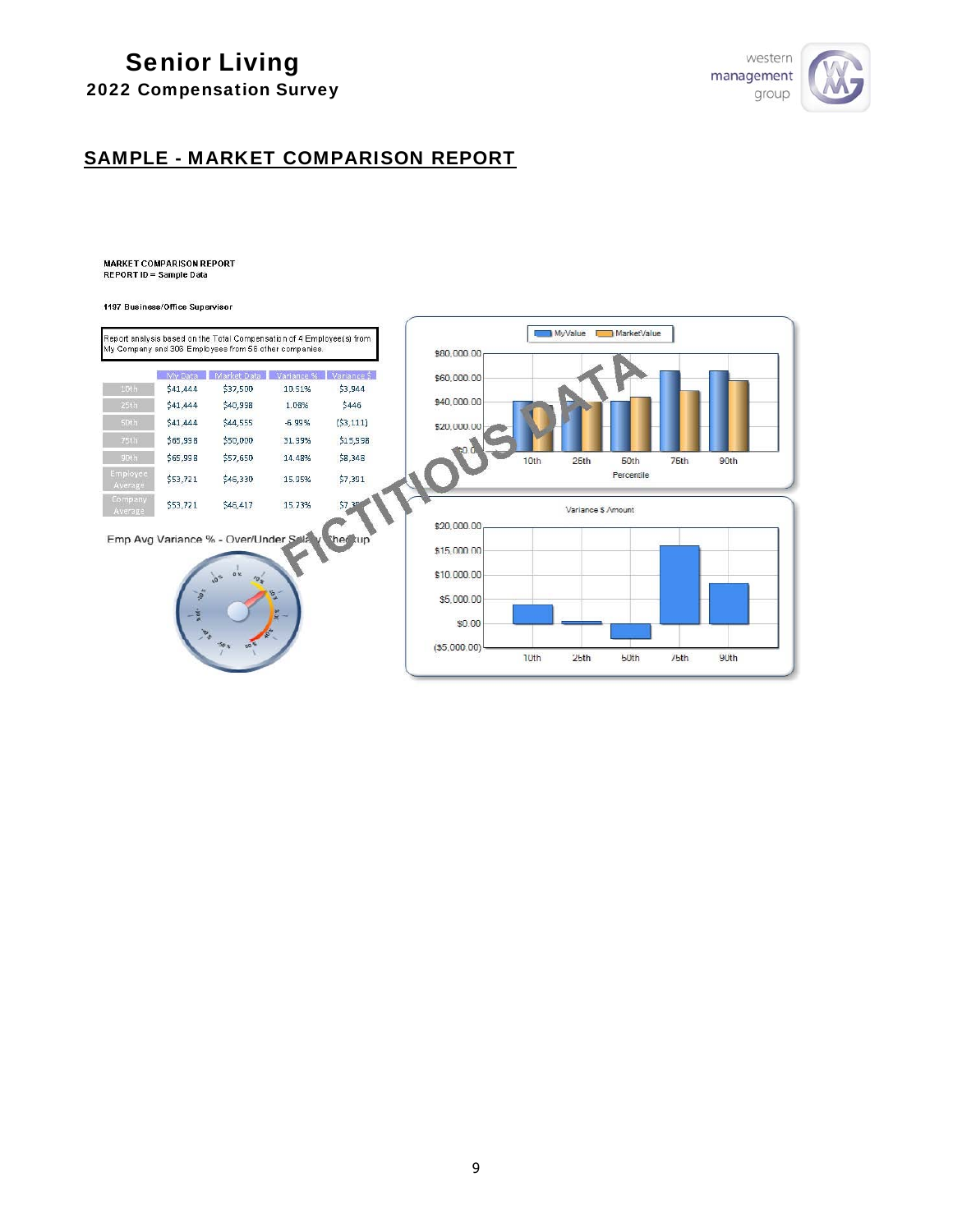# Senior Living



## 2022 Compensation Survey

## SAMPLE - MARKET COMPARISON REPORT

**MARKET COMPARISON REPORT** REPORT ID = Sample Data

1197 Business/Office Supervisor

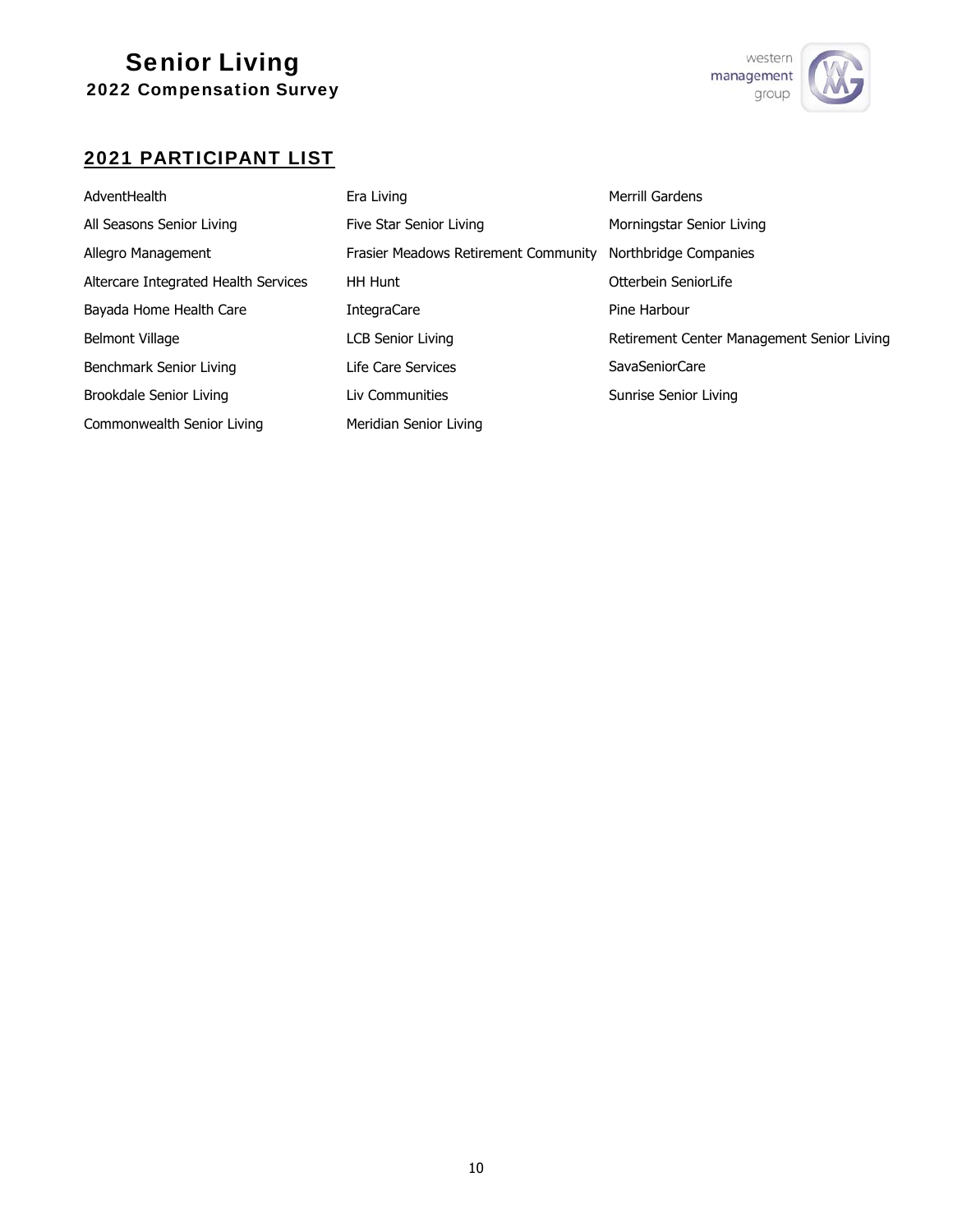

# 2021 PARTICIPANT LIST

| AdventHealth                         | Era Living                                  | Merrill Gardens                            |
|--------------------------------------|---------------------------------------------|--------------------------------------------|
| All Seasons Senior Living            | Five Star Senior Living                     | Morningstar Senior Living                  |
| Allegro Management                   | <b>Frasier Meadows Retirement Community</b> | Northbridge Companies                      |
| Altercare Integrated Health Services | <b>HH Hunt</b>                              | Otterbein SeniorLife                       |
| Bayada Home Health Care              | <b>IntegraCare</b>                          | Pine Harbour                               |
| <b>Belmont Village</b>               | LCB Senior Living                           | Retirement Center Management Senior Living |
| Benchmark Senior Living              | Life Care Services                          | SavaSeniorCare                             |
| Brookdale Senior Living              | Liv Communities                             | Sunrise Senior Living                      |
| Commonwealth Senior Living           | Meridian Senior Living                      |                                            |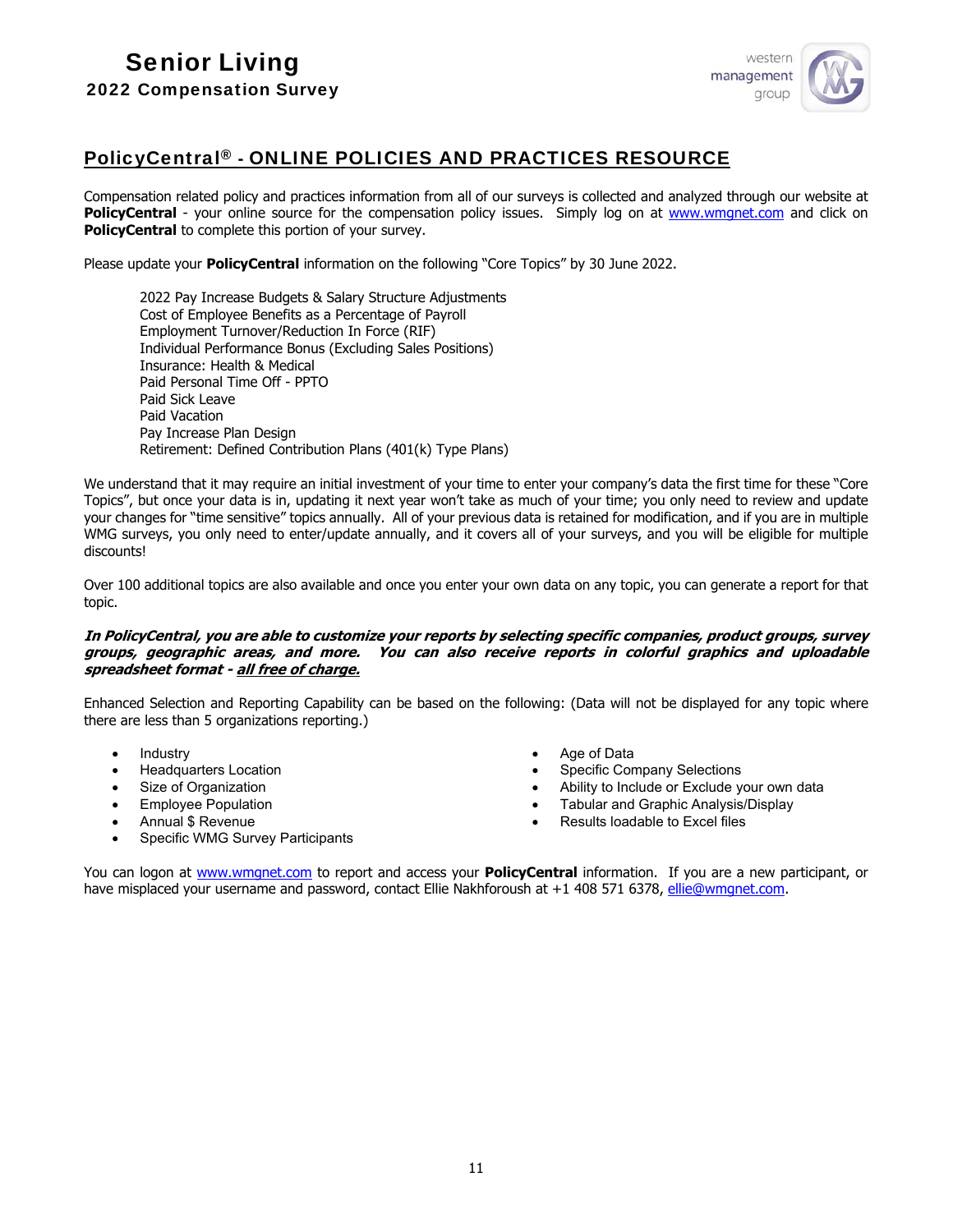

## PolicyCentral® - ONLINE POLICIES AND PRACTICES RESOURCE

Compensation related policy and practices information from all of our surveys is collected and analyzed through our website at **PolicyCentral** - your online source for the compensation policy issues. Simply log on at www.wmgnet.com and click on **PolicyCentral** to complete this portion of your survey.

Please update your **PolicyCentral** information on the following "Core Topics" by 30 June 2022.

2022 Pay Increase Budgets & Salary Structure Adjustments Cost of Employee Benefits as a Percentage of Payroll Employment Turnover/Reduction In Force (RIF) Individual Performance Bonus (Excluding Sales Positions) Insurance: Health & Medical Paid Personal Time Off - PPTO Paid Sick Leave Paid Vacation Pay Increase Plan Design Retirement: Defined Contribution Plans (401(k) Type Plans)

We understand that it may require an initial investment of your time to enter your company's data the first time for these "Core Topics", but once your data is in, updating it next year won't take as much of your time; you only need to review and update your changes for "time sensitive" topics annually. All of your previous data is retained for modification, and if you are in multiple WMG surveys, you only need to enter/update annually, and it covers all of your surveys, and you will be eligible for multiple discounts!

Over 100 additional topics are also available and once you enter your own data on any topic, you can generate a report for that topic.

#### **In PolicyCentral, you are able to customize your reports by selecting specific companies, product groups, survey groups, geographic areas, and more. You can also receive reports in colorful graphics and uploadable spreadsheet format - all free of charge.**

Enhanced Selection and Reporting Capability can be based on the following: (Data will not be displayed for any topic where there are less than 5 organizations reporting.)

- Industry
- Headquarters Location
- Size of Organization
- Employee Population
- Annual \$ Revenue
- Specific WMG Survey Participants
- Age of Data
- Specific Company Selections
- Ability to Include or Exclude your own data
- Tabular and Graphic Analysis/Display
- Results loadable to Excel files

You can logon at www.wmgnet.com to report and access your **PolicyCentral** information. If you are a new participant, or have misplaced your username and password, contact Ellie Nakhforoush at +1 408 571 6378, ellie@wmgnet.com.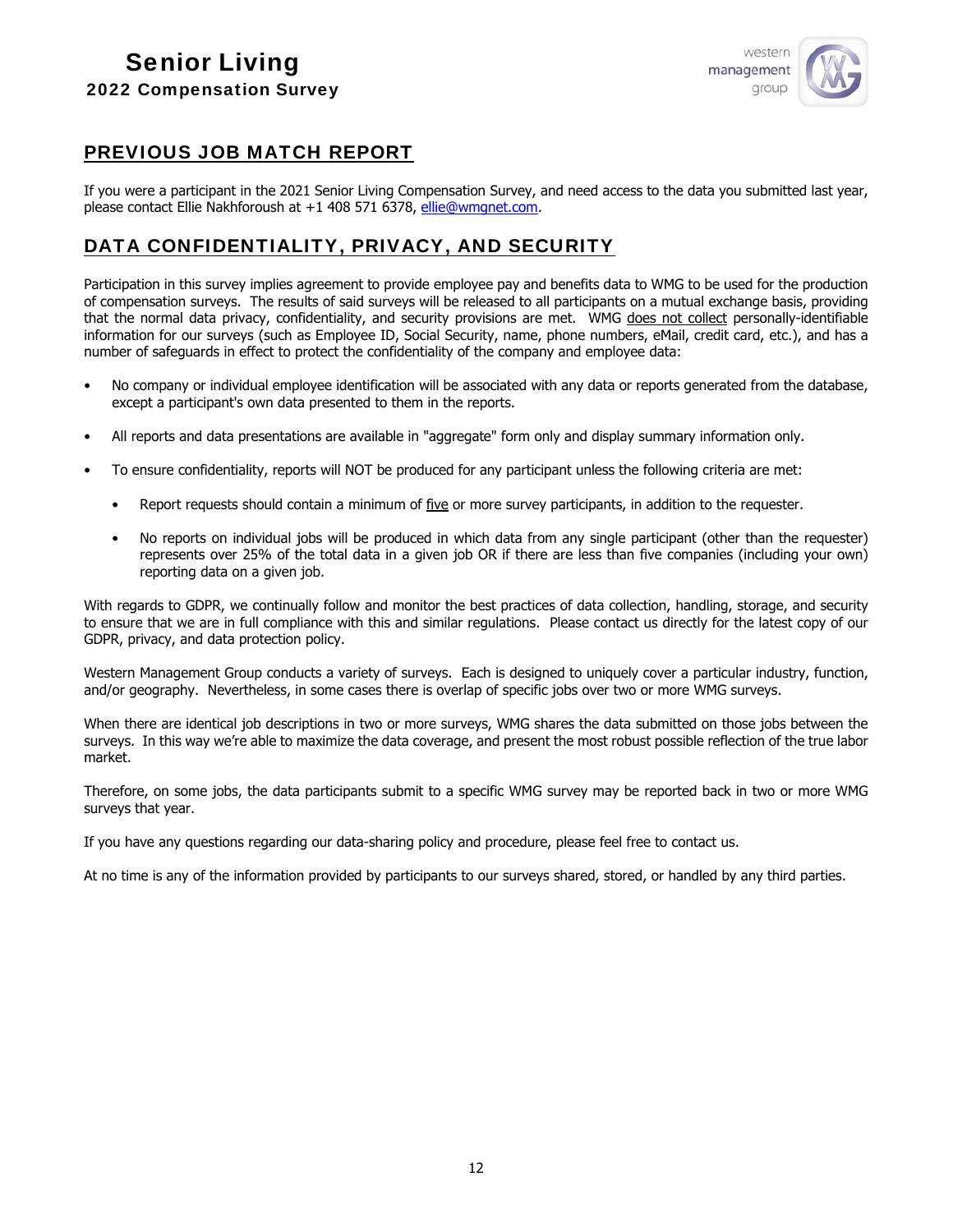

## PREVIOUS JOB MATCH REPORT

If you were a participant in the 2021 Senior Living Compensation Survey, and need access to the data you submitted last year, please contact Ellie Nakhforoush at +1 408 571 6378, [ellie@wmgnet.com.](mailto:ellie@wmgnet.com)

## DATA CONFIDENTIALITY, PRIVACY, AND SECURITY

Participation in this survey implies agreement to provide employee pay and benefits data to WMG to be used for the production of compensation surveys. The results of said surveys will be released to all participants on a mutual exchange basis, providing that the normal data privacy, confidentiality, and security provisions are met. WMG does not collect personally-identifiable information for our surveys (such as Employee ID, Social Security, name, phone numbers, eMail, credit card, etc.), and has a number of safeguards in effect to protect the confidentiality of the company and employee data:

- No company or individual employee identification will be associated with any data or reports generated from the database, except a participant's own data presented to them in the reports.
- All reports and data presentations are available in "aggregate" form only and display summary information only.
- To ensure confidentiality, reports will NOT be produced for any participant unless the following criteria are met:
	- Report requests should contain a minimum of five or more survey participants, in addition to the requester.
	- No reports on individual jobs will be produced in which data from any single participant (other than the requester) represents over 25% of the total data in a given job OR if there are less than five companies (including your own) reporting data on a given job.

With regards to GDPR, we continually follow and monitor the best practices of data collection, handling, storage, and security to ensure that we are in full compliance with this and similar regulations. Please contact us directly for the latest copy of our GDPR, privacy, and data protection policy.

Western Management Group conducts a variety of surveys. Each is designed to uniquely cover a particular industry, function, and/or geography. Nevertheless, in some cases there is overlap of specific jobs over two or more WMG surveys.

When there are identical job descriptions in two or more surveys, WMG shares the data submitted on those jobs between the surveys. In this way we're able to maximize the data coverage, and present the most robust possible reflection of the true labor market.

Therefore, on some jobs, the data participants submit to a specific WMG survey may be reported back in two or more WMG surveys that year.

If you have any questions regarding our data-sharing policy and procedure, please feel free to contact us.

At no time is any of the information provided by participants to our surveys shared, stored, or handled by any third parties.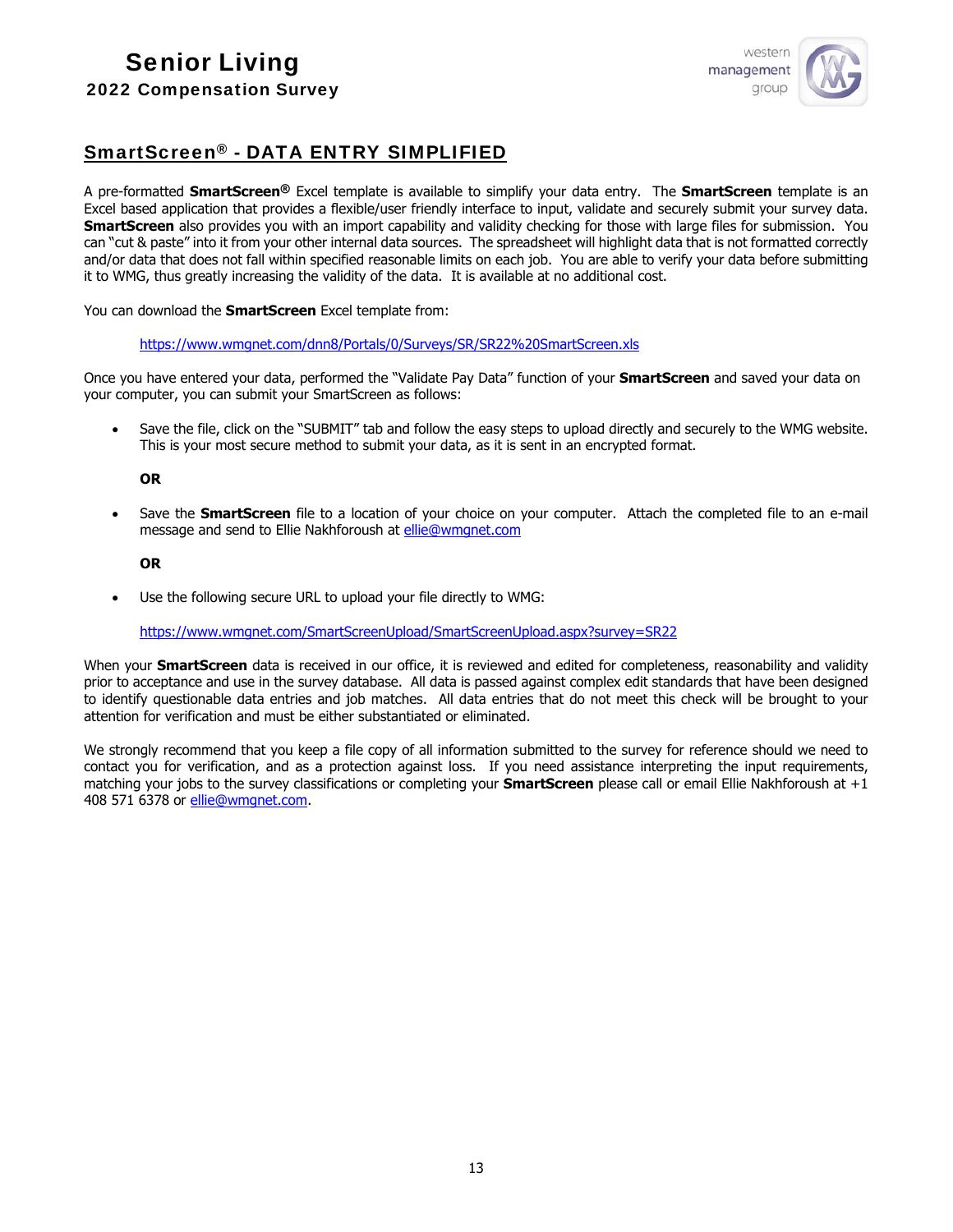

## SmartScreen® - DATA ENTRY SIMPLIFIED

A pre-formatted **SmartScreen®** Excel template is available to simplify your data entry. The **SmartScreen** template is an Excel based application that provides a flexible/user friendly interface to input, validate and securely submit your survey data. **SmartScreen** also provides you with an import capability and validity checking for those with large files for submission. You can "cut & paste" into it from your other internal data sources. The spreadsheet will highlight data that is not formatted correctly and/or data that does not fall within specified reasonable limits on each job. You are able to verify your data before submitting it to WMG, thus greatly increasing the validity of the data. It is available at no additional cost.

You can download the **SmartScreen** Excel template from:

[https://www.wmgnet.com/dnn8/Portals/0/Surveys/SR/SR22%20SmartScreen.xls](https://www.wmgnet.com/dnn8/Portals/0/Surveys/SR/SR20%20SmartScreen.xls)

Once you have entered your data, performed the "Validate Pay Data" function of your **SmartScreen** and saved your data on your computer, you can submit your SmartScreen as follows:

 Save the file, click on the "SUBMIT" tab and follow the easy steps to upload directly and securely to the WMG website. This is your most secure method to submit your data, as it is sent in an encrypted format.

#### **OR**

 Save the **SmartScreen** file to a location of your choice on your computer. Attach the completed file to an e-mail message and send to Ellie Nakhforoush at [ellie@wmgnet.com](mailto:ellie@wmgnet.com)

#### **OR**

Use the following secure URL to upload your file directly to WMG:

[https://www.wmgnet.com/SmartScreenUpload/SmartScreenUpload.aspx?survey=SR22](https://www.wmgnet.com/SmartScreenUpload/SmartScreenUpload.aspx?survey=SR20)

When your **SmartScreen** data is received in our office, it is reviewed and edited for completeness, reasonability and validity prior to acceptance and use in the survey database. All data is passed against complex edit standards that have been designed to identify questionable data entries and job matches. All data entries that do not meet this check will be brought to your attention for verification and must be either substantiated or eliminated.

We strongly recommend that you keep a file copy of all information submitted to the survey for reference should we need to contact you for verification, and as a protection against loss. If you need assistance interpreting the input requirements, matching your jobs to the survey classifications or completing your **SmartScreen** please call or email Ellie Nakhforoush at +1 408 571 6378 or [ellie@wmgnet.com.](mailto:ellie@wmgnet.com)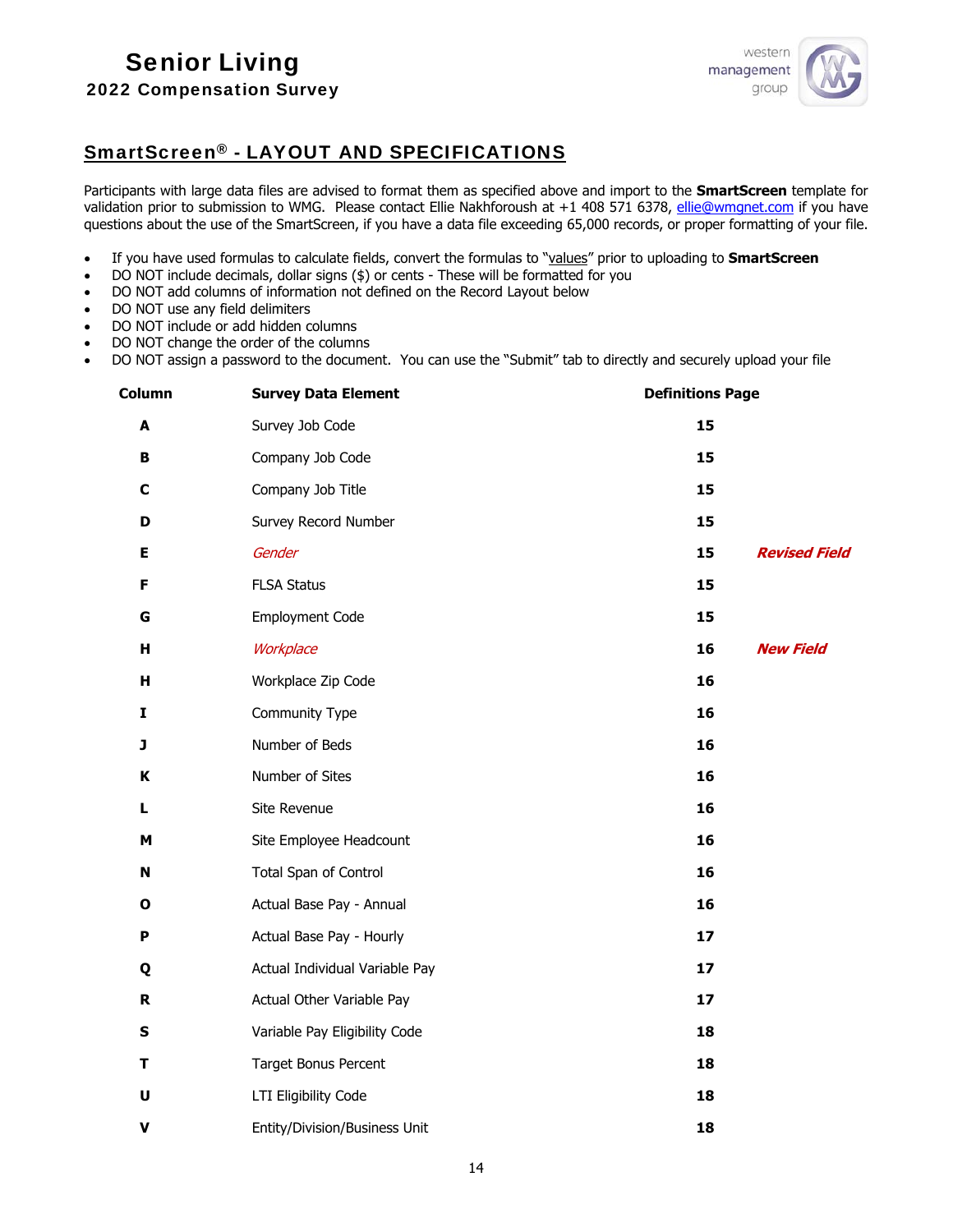

## SmartScreen® - LAYOUT AND SPECIFICATIONS

Participants with large data files are advised to format them as specified above and import to the **SmartScreen** template for validation prior to submission to WMG. Please contact Ellie Nakhforoush at +1 408 571 6378, [ellie@wmgnet.com](mailto:ellie@wmgnet.com) if you have questions about the use of the SmartScreen, if you have a data file exceeding 65,000 records, or proper formatting of your file.

- If you have used formulas to calculate fields, convert the formulas to "values" prior to uploading to **SmartScreen**
- DO NOT include decimals, dollar signs (\$) or cents These will be formatted for you
- DO NOT add columns of information not defined on the Record Layout below
- DO NOT use any field delimiters
- DO NOT include or add hidden columns
- DO NOT change the order of the columns
- DO NOT assign a password to the document. You can use the "Submit" tab to directly and securely upload your file

| Column             | <b>Survey Data Element</b>     | <b>Definitions Page</b>    |
|--------------------|--------------------------------|----------------------------|
| A                  | Survey Job Code                | 15                         |
| В                  | Company Job Code               | 15                         |
| $\mathbf c$        | Company Job Title              | 15                         |
| D                  | Survey Record Number           | 15                         |
| E                  | Gender                         | <b>Revised Field</b><br>15 |
| F                  | <b>FLSA Status</b>             | 15                         |
| G                  | <b>Employment Code</b>         | 15                         |
| H                  | Workplace                      | 16<br><b>New Field</b>     |
| н                  | Workplace Zip Code             | 16                         |
| I                  | Community Type                 | 16                         |
| J                  | Number of Beds                 | 16                         |
| K                  | Number of Sites                | 16                         |
| L                  | Site Revenue                   | 16                         |
| M                  | Site Employee Headcount        | 16                         |
| N                  | Total Span of Control          | 16                         |
| O                  | Actual Base Pay - Annual       | 16                         |
| P                  | Actual Base Pay - Hourly       | 17                         |
| Q                  | Actual Individual Variable Pay | 17                         |
| $\mathbf R$        | Actual Other Variable Pay      | 17                         |
| ${\sf s}$          | Variable Pay Eligibility Code  | 18                         |
| Т                  | <b>Target Bonus Percent</b>    | 18                         |
| $\pmb{\pmb{\cup}}$ | LTI Eligibility Code           | 18                         |
| $\pmb{\mathsf{V}}$ | Entity/Division/Business Unit  | 18                         |
|                    |                                |                            |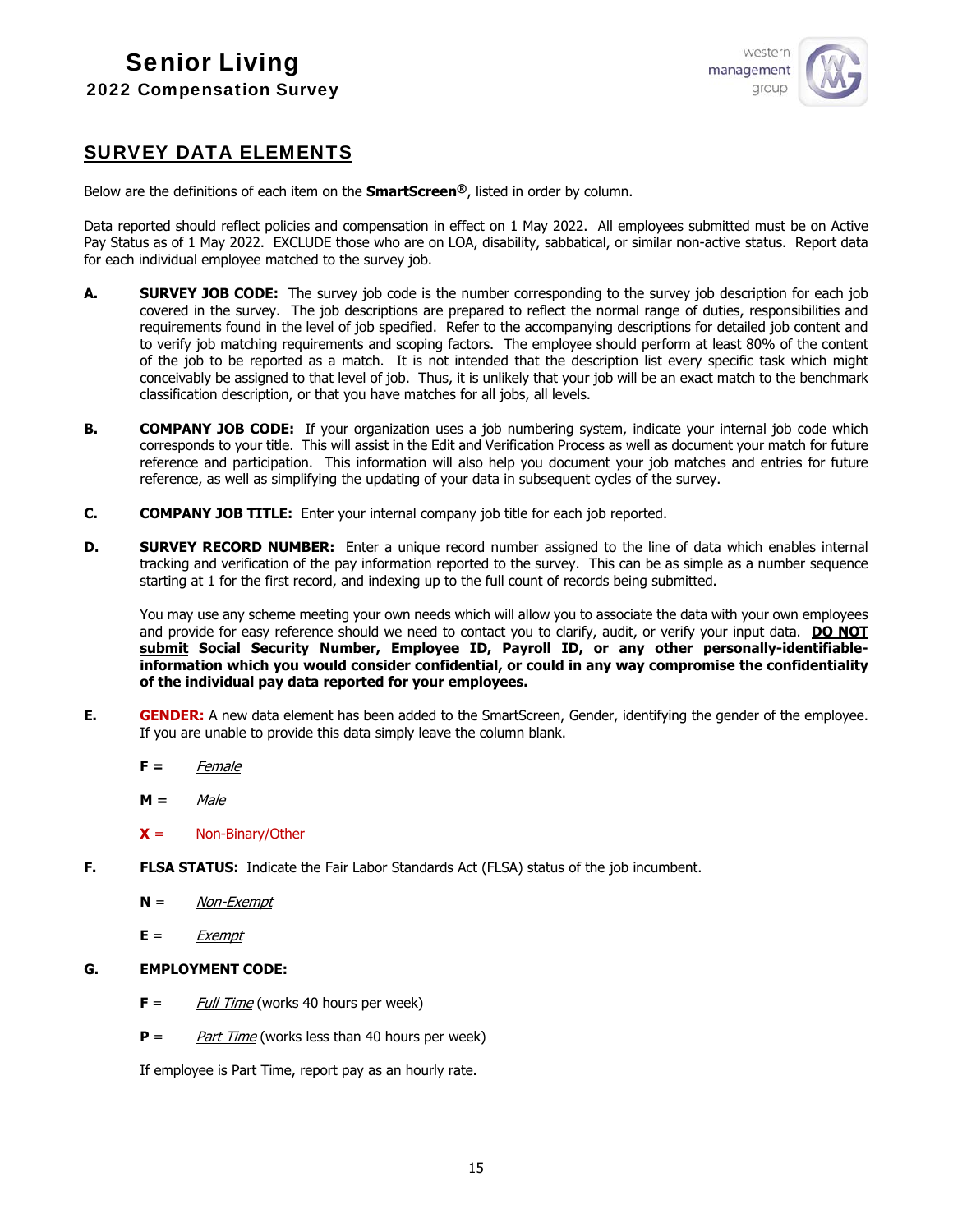

## SURVEY DATA ELEMENTS

Below are the definitions of each item on the **SmartScreen®**, listed in order by column.

Data reported should reflect policies and compensation in effect on 1 May 2022. All employees submitted must be on Active Pay Status as of 1 May 2022. EXCLUDE those who are on LOA, disability, sabbatical, or similar non-active status. Report data for each individual employee matched to the survey job.

- **A. SURVEY JOB CODE:** The survey job code is the number corresponding to the survey job description for each job covered in the survey. The job descriptions are prepared to reflect the normal range of duties, responsibilities and requirements found in the level of job specified. Refer to the accompanying descriptions for detailed job content and to verify job matching requirements and scoping factors. The employee should perform at least 80% of the content of the job to be reported as a match. It is not intended that the description list every specific task which might conceivably be assigned to that level of job. Thus, it is unlikely that your job will be an exact match to the benchmark classification description, or that you have matches for all jobs, all levels.
- **B. COMPANY JOB CODE:** If your organization uses a job numbering system, indicate your internal job code which corresponds to your title. This will assist in the Edit and Verification Process as well as document your match for future reference and participation. This information will also help you document your job matches and entries for future reference, as well as simplifying the updating of your data in subsequent cycles of the survey.
- **C. COMPANY JOB TITLE:** Enter your internal company job title for each job reported.
- **D. SURVEY RECORD NUMBER:** Enter a unique record number assigned to the line of data which enables internal tracking and verification of the pay information reported to the survey. This can be as simple as a number sequence starting at 1 for the first record, and indexing up to the full count of records being submitted.

You may use any scheme meeting your own needs which will allow you to associate the data with your own employees and provide for easy reference should we need to contact you to clarify, audit, or verify your input data. **DO NOT submit Social Security Number, Employee ID, Payroll ID, or any other personally-identifiableinformation which you would consider confidential, or could in any way compromise the confidentiality of the individual pay data reported for your employees.** 

- **E. GENDER:** A new data element has been added to the SmartScreen, Gender, identifying the gender of the employee. If you are unable to provide this data simply leave the column blank.
	- **F =** Female
	- **M =** Male
	- **X** = Non-Binary/Other
- **F. FLSA STATUS:** Indicate the Fair Labor Standards Act (FLSA) status of the job incumbent.
	- **N** = Non-Exempt
	- $E = Exempt$

#### **G. EMPLOYMENT CODE:**

- **F** = *Full Time* (works 40 hours per week)
- **P** = Part Time (works less than 40 hours per week)

If employee is Part Time, report pay as an hourly rate.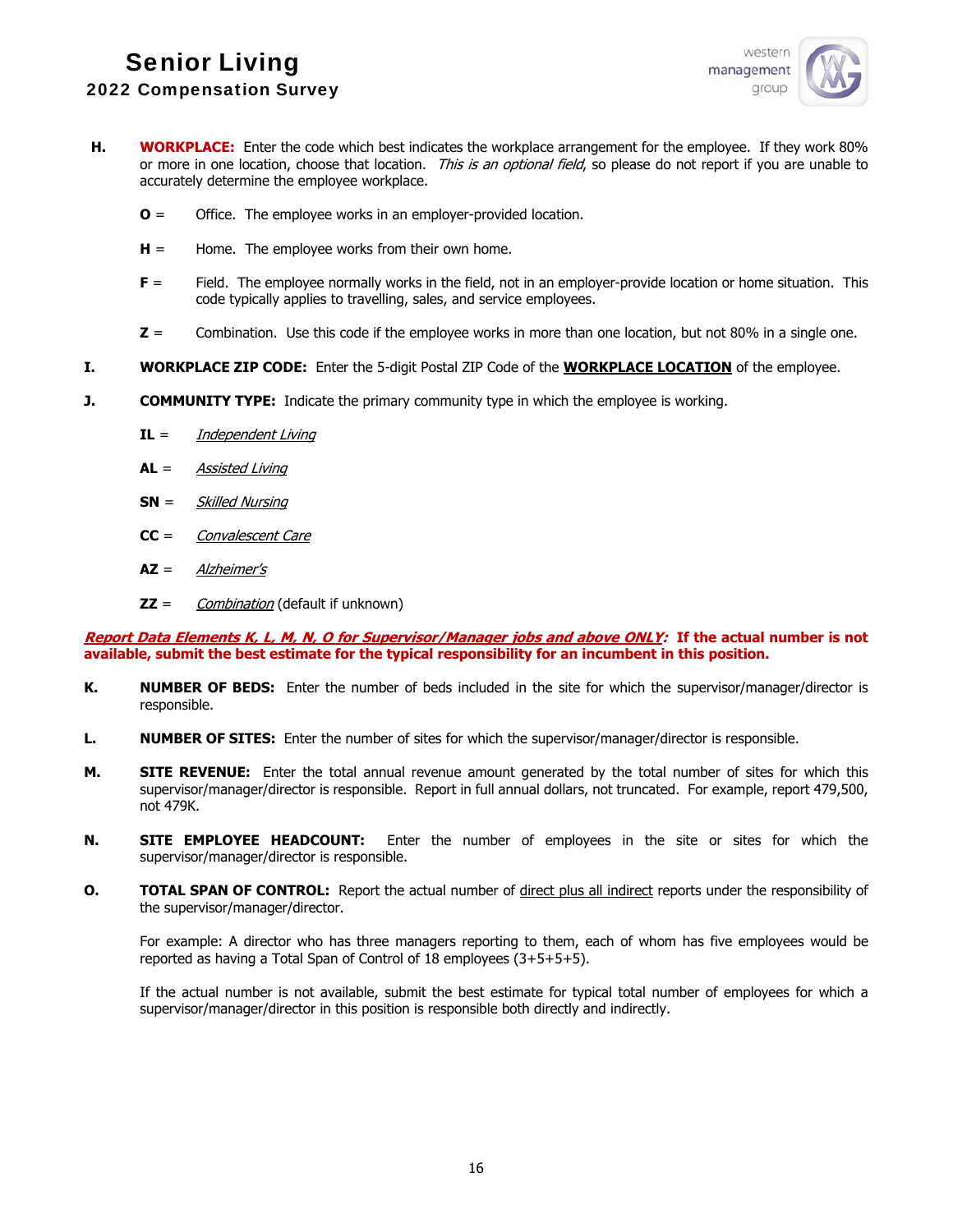

- **H. WORKPLACE:** Enter the code which best indicates the workplace arrangement for the employee. If they work 80% or more in one location, choose that location. This is an optional field, so please do not report if you are unable to accurately determine the employee workplace.
	- **O** = Office. The employee works in an employer-provided location.
	- **H** = Home. The employee works from their own home.
	- **F** = Field. The employee normally works in the field, not in an employer-provide location or home situation. This code typically applies to travelling, sales, and service employees.
	- **Z** = Combination. Use this code if the employee works in more than one location, but not 80% in a single one.
- **I. WORKPLACE ZIP CODE:** Enter the 5-digit Postal ZIP Code of the **WORKPLACE LOCATION** of the employee.
- **J. COMMUNITY TYPE:** Indicate the primary community type in which the employee is working.
	- **IL** = Independent Living
	- **AL** = Assisted Living
	- **SN** = Skilled Nursing
	- **CC** = Convalescent Care
	- **AZ** = Alzheimer's
	- **ZZ** = Combination (default if unknown)

**Report Data Elements K, L, M, N, O for Supervisor/Manager jobs and above ONLY: If the actual number is not available, submit the best estimate for the typical responsibility for an incumbent in this position.** 

- **K. NUMBER OF BEDS:** Enter the number of beds included in the site for which the supervisor/manager/director is responsible.
- **L. NUMBER OF SITES:** Enter the number of sites for which the supervisor/manager/director is responsible.
- **M. SITE REVENUE:** Enter the total annual revenue amount generated by the total number of sites for which this supervisor/manager/director is responsible. Report in full annual dollars, not truncated. For example, report 479,500, not 479K.
- **N. SITE EMPLOYEE HEADCOUNT:** Enter the number of employees in the site or sites for which the supervisor/manager/director is responsible.
- **O. TOTAL SPAN OF CONTROL:** Report the actual number of direct plus all indirect reports under the responsibility of the supervisor/manager/director.

For example: A director who has three managers reporting to them, each of whom has five employees would be reported as having a Total Span of Control of 18 employees (3+5+5+5).

If the actual number is not available, submit the best estimate for typical total number of employees for which a supervisor/manager/director in this position is responsible both directly and indirectly.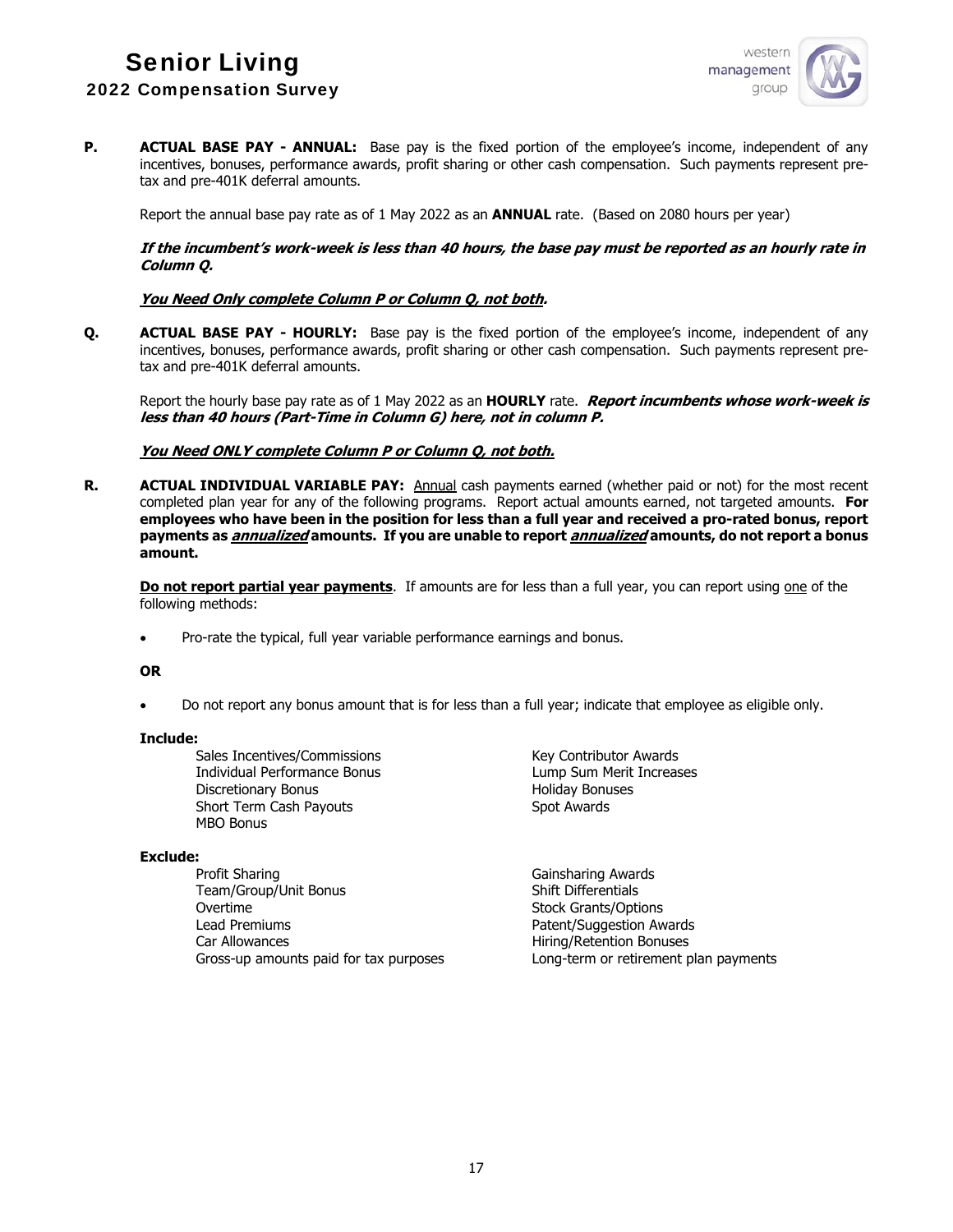

**P. ACTUAL BASE PAY - ANNUAL:** Base pay is the fixed portion of the employee's income, independent of any incentives, bonuses, performance awards, profit sharing or other cash compensation. Such payments represent pretax and pre-401K deferral amounts.

Report the annual base pay rate as of 1 May 2022 as an **ANNUAL** rate. (Based on 2080 hours per year)

#### **If the incumbent's work-week is less than 40 hours, the base pay must be reported as an hourly rate in Column Q.**

## **You Need Only complete Column P or Column Q, not both.**

**Q. ACTUAL BASE PAY - HOURLY:** Base pay is the fixed portion of the employee's income, independent of any incentives, bonuses, performance awards, profit sharing or other cash compensation. Such payments represent pretax and pre-401K deferral amounts.

Report the hourly base pay rate as of 1 May 2022 as an **HOURLY** rate. **Report incumbents whose work-week is less than 40 hours (Part-Time in Column G) here, not in column P.** 

#### **You Need ONLY complete Column P or Column Q, not both.**

**R. ACTUAL INDIVIDUAL VARIABLE PAY:** Annual cash payments earned (whether paid or not) for the most recent completed plan year for any of the following programs. Report actual amounts earned, not targeted amounts. **For employees who have been in the position for less than a full year and received a pro-rated bonus, report payments as annualized amounts. If you are unable to report annualized amounts, do not report a bonus amount.** 

**Do not report partial year payments**. If amounts are for less than a full year, you can report using one of the following methods:

• Pro-rate the typical, full year variable performance earnings and bonus.

#### **OR**

Do not report any bonus amount that is for less than a full year; indicate that employee as eligible only.

#### **Include:**

Sales Incentives/Commissions and the Key Contributor Awards Individual Performance Bonus Lump Sum Merit Increases Discretionary Bonus **Exercise Services** Holiday Bonuses Short Term Cash Payouts Short Term Cash Payouts MBO Bonus

#### **Exclude:**

Profit Sharing **Gainsharing Awards** Team/Group/Unit Bonus Shift Differentials Overtime Stock Grants/Options Lead Premiums **Patent/Suggestion Awards** Car Allowances **Allowances Hiring/Retention Bonuses** Gross-up amounts paid for tax purposes Long-term or retirement plan payments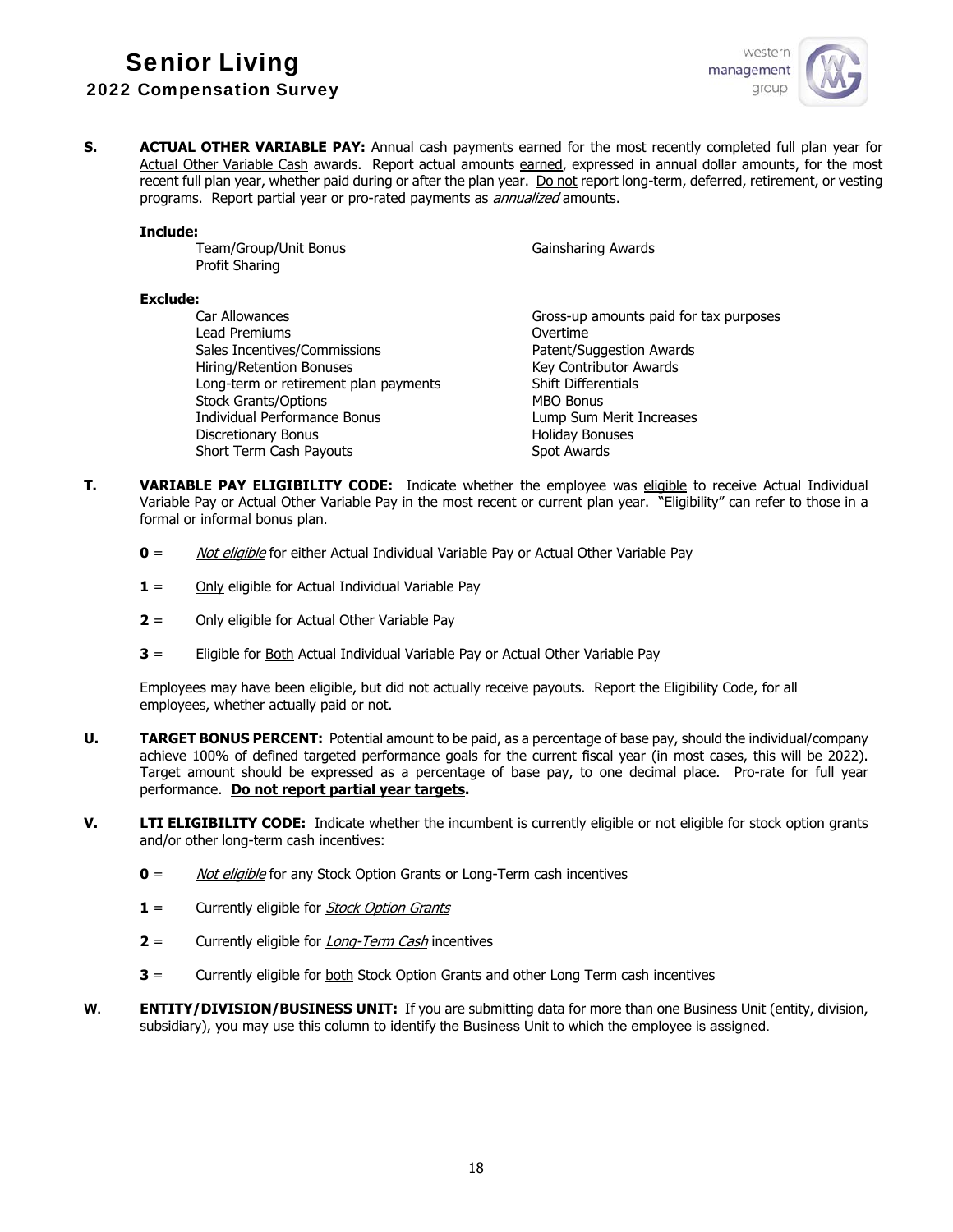

**S. ACTUAL OTHER VARIABLE PAY:** Annual cash payments earned for the most recently completed full plan year for Actual Other Variable Cash awards. Report actual amounts earned, expressed in annual dollar amounts, for the most recent full plan year, whether paid during or after the plan year. Do not report long-term, deferred, retirement, or vesting programs. Report partial year or pro-rated payments as *annualized* amounts.

#### **Include:**

Team/Group/Unit Bonus Gainsharing Awards Profit Sharing

#### **Exclude:**

Lead Premiums Overtime Sales Incentives/Commissions and the Patent/Suggestion Awards<br>
Hiring/Retention Bonuses<br>
Rev Contributor Awards Hiring/Retention Bonuses Long-term or retirement plan payments Shift Differentials Stock Grants/Options MBO Bonus Individual Performance Bonus Lump Sum Merit Increases Discretionary Bonus **Material Contract Entity Provident** Holiday Bonuses Short Term Cash Payouts Spot Awards

Car Allowances Gross-up amounts paid for tax purposes

- **T. VARIABLE PAY ELIGIBILITY CODE:** Indicate whether the employee was eligible to receive Actual Individual Variable Pay or Actual Other Variable Pay in the most recent or current plan year. "Eligibility" can refer to those in a formal or informal bonus plan.
	- **0** = Not eligible for either Actual Individual Variable Pay or Actual Other Variable Pay
	- **1** = Only eligible for Actual Individual Variable Pay
	- **2** = Only eligible for Actual Other Variable Pay
	- **3** = Eligible for Both Actual Individual Variable Pay or Actual Other Variable Pay

Employees may have been eligible, but did not actually receive payouts. Report the Eligibility Code, for all employees, whether actually paid or not.

- **U. TARGET BONUS PERCENT:** Potential amount to be paid, as a percentage of base pay, should the individual/company achieve 100% of defined targeted performance goals for the current fiscal year (in most cases, this will be 2022). Target amount should be expressed as a percentage of base pay, to one decimal place. Pro-rate for full year performance. **Do not report partial year targets.**
- **V. LTI ELIGIBILITY CODE:** Indicate whether the incumbent is currently eligible or not eligible for stock option grants and/or other long-term cash incentives:
	- **0** = Not eligible for any Stock Option Grants or Long-Term cash incentives
	- **1** = Currently eligible for *Stock Option Grants*
	- **2** = Currently eligible for *Long-Term Cash* incentives
	- **3** = Currently eligible for both Stock Option Grants and other Long Term cash incentives
- **W. ENTITY/DIVISION/BUSINESS UNIT:** If you are submitting data for more than one Business Unit (entity, division, subsidiary), you may use this column to identify the Business Unit to which the employee is assigned.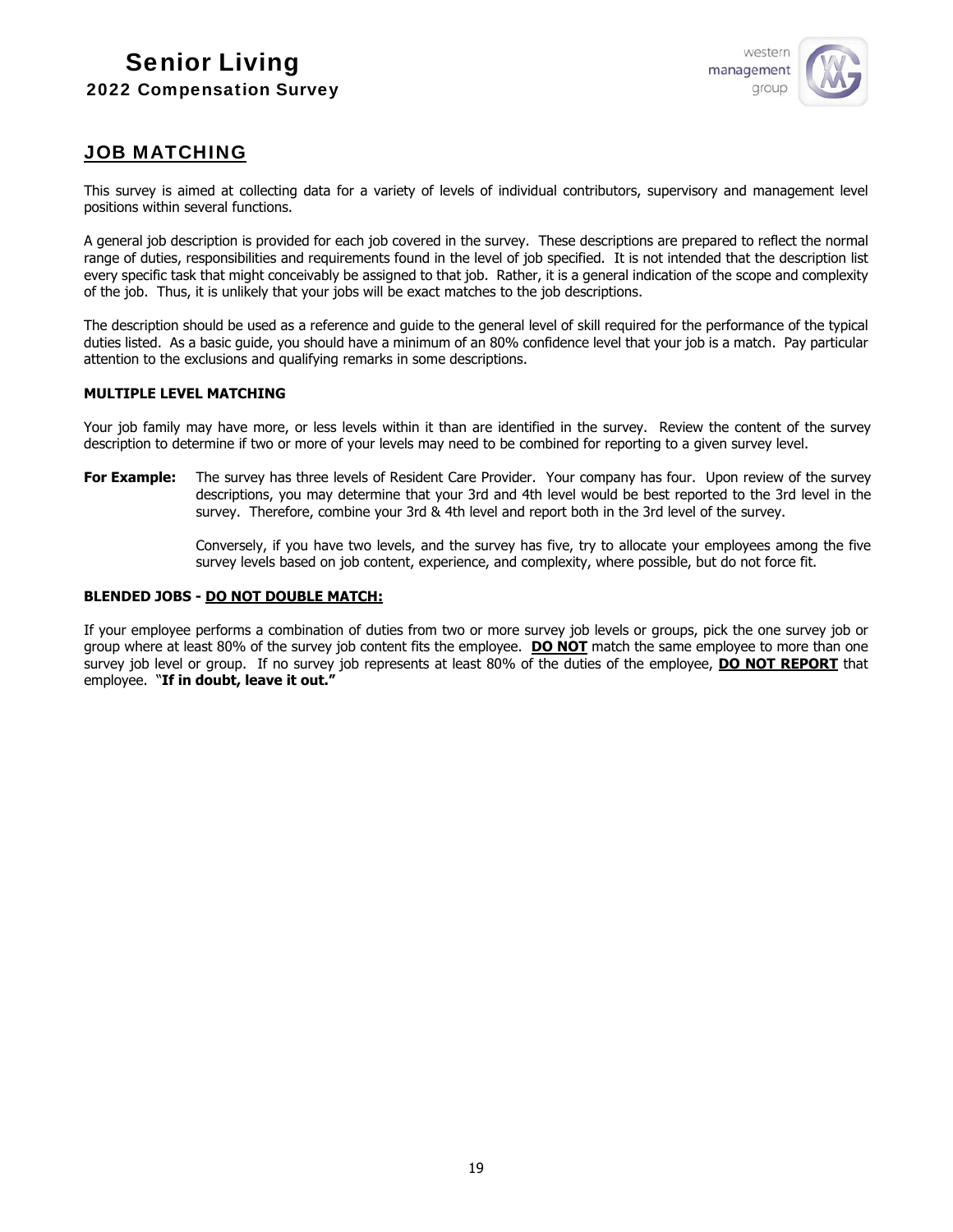

## JOB MATCHING

This survey is aimed at collecting data for a variety of levels of individual contributors, supervisory and management level positions within several functions.

A general job description is provided for each job covered in the survey. These descriptions are prepared to reflect the normal range of duties, responsibilities and requirements found in the level of job specified. It is not intended that the description list every specific task that might conceivably be assigned to that job. Rather, it is a general indication of the scope and complexity of the job. Thus, it is unlikely that your jobs will be exact matches to the job descriptions.

The description should be used as a reference and guide to the general level of skill required for the performance of the typical duties listed. As a basic guide, you should have a minimum of an 80% confidence level that your job is a match. Pay particular attention to the exclusions and qualifying remarks in some descriptions.

## **MULTIPLE LEVEL MATCHING**

Your job family may have more, or less levels within it than are identified in the survey. Review the content of the survey description to determine if two or more of your levels may need to be combined for reporting to a given survey level.

For Example: The survey has three levels of Resident Care Provider. Your company has four. Upon review of the survey descriptions, you may determine that your 3rd and 4th level would be best reported to the 3rd level in the survey. Therefore, combine your 3rd & 4th level and report both in the 3rd level of the survey.

> Conversely, if you have two levels, and the survey has five, try to allocate your employees among the five survey levels based on job content, experience, and complexity, where possible, but do not force fit.

#### **BLENDED JOBS - DO NOT DOUBLE MATCH:**

If your employee performs a combination of duties from two or more survey job levels or groups, pick the one survey job or group where at least 80% of the survey job content fits the employee. **DO NOT** match the same employee to more than one survey job level or group. If no survey job represents at least 80% of the duties of the employee, **DO NOT REPORT** that employee. "**If in doubt, leave it out."**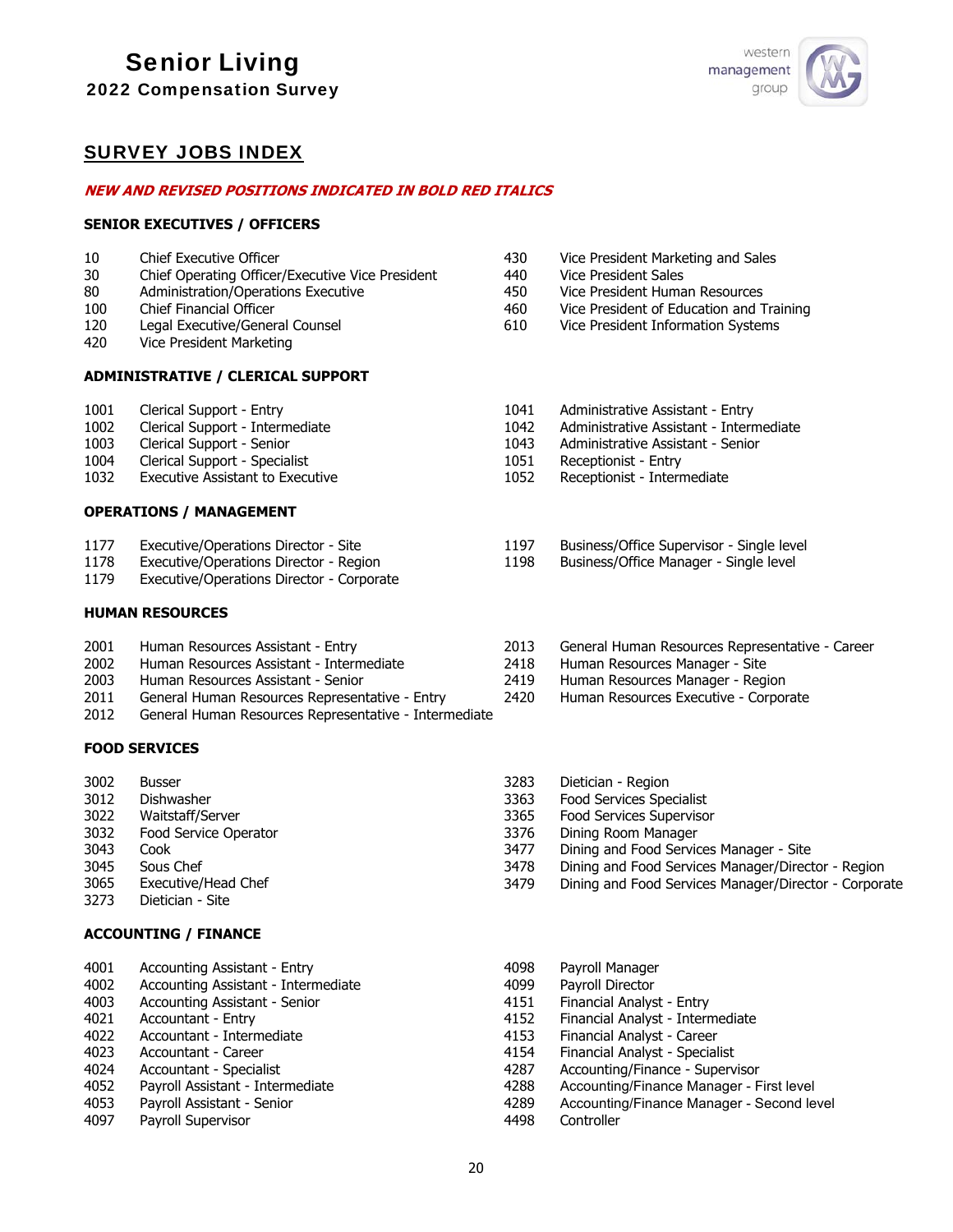# Senior Living

2022 Compensation Survey



## SURVEY JOBS INDEX

#### **NEW AND REVISED POSITIONS INDICATED IN BOLD RED ITALICS**

#### **SENIOR EXECUTIVES / OFFICERS**

- 10 Chief Executive Officer
- 30 Chief Operating Officer/Executive Vice President
- 80 Administration/Operations Executive
- 100 Chief Financial Officer
- 120 Legal Executive/General Counsel
- 420 Vice President Marketing

## **ADMINISTRATIVE / CLERICAL SUPPORT**

- 1001 Clerical Support Entry
- 1002 Clerical Support Intermediate
- 1003 Clerical Support Senior<br>1004 Clerical Support Special
- Clerical Support Specialist
- 1032 Executive Assistant to Executive

#### **OPERATIONS / MANAGEMENT**

- 1177 Executive/Operations Director Site
- 1178 Executive/Operations Director Region
- 1179 Executive/Operations Director Corporate

#### **HUMAN RESOURCES**

- 2001 Human Resources Assistant Entry
- 2002 Human Resources Assistant Intermediate
- 2003 Human Resources Assistant Senior
- 2011 General Human Resources Representative Entry
- 2012 General Human Resources Representative Intermediate

#### **FOOD SERVICES**

- 3002 Busser
- 3012 Dishwasher
- 3022 Waitstaff/Server
- 3032 Food Service Operator
- 3043 Cook
- 3045 Sous Chef
- 3065 Executive/Head Chef
- 3273 Dietician Site

## **ACCOUNTING / FINANCE**

- 4001 Accounting Assistant Entry
- 4002 Accounting Assistant Intermediate
- 4003 Accounting Assistant Senior 4021 Accountant - Entry
- 4022 Accountant Intermediate
- 4023 Accountant Career
- 4024 Accountant Specialist
- 4052 Payroll Assistant Intermediate
- 4053 Payroll Assistant Senior
- 4097 Payroll Supervisor
- 430 Vice President Marketing and Sales
- 440 Vice President Sales
- 450 Vice President Human Resources
- 460 Vice President of Education and Training
- 610 Vice President Information Systems
- 1041 Administrative Assistant Entry
- 1042 Administrative Assistant Intermediate
- 1043 Administrative Assistant Senior
- 1051 Receptionist Entry
- 1052 Receptionist Intermediate
- 1197 Business/Office Supervisor Single level
- 1198 Business/Office Manager Single level
- 2013 General Human Resources Representative Career
- 2418 Human Resources Manager Site
- 2419 Human Resources Manager Region
- 2420 Human Resources Executive Corporate
- 3283 Dietician Region
- 3363 Food Services Specialist
- 3365 Food Services Supervisor
	- 3376 Dining Room Manager
	- 3477 Dining and Food Services Manager Site
	- 3478 Dining and Food Services Manager/Director Region
- 3479 Dining and Food Services Manager/Director Corporate
- 4098 Payroll Manager 4099 Payroll Director 4151 Financial Analyst - Entry 4152 Financial Analyst - Intermediate 4153 Financial Analyst - Career 4154 Financial Analyst - Specialist 4287 Accounting/Finance - Supervisor<br>4288 Accounting/Finance Manager - F Accounting/Finance Manager - First level 4289 Accounting/Finance Manager - Second level 4498 Controller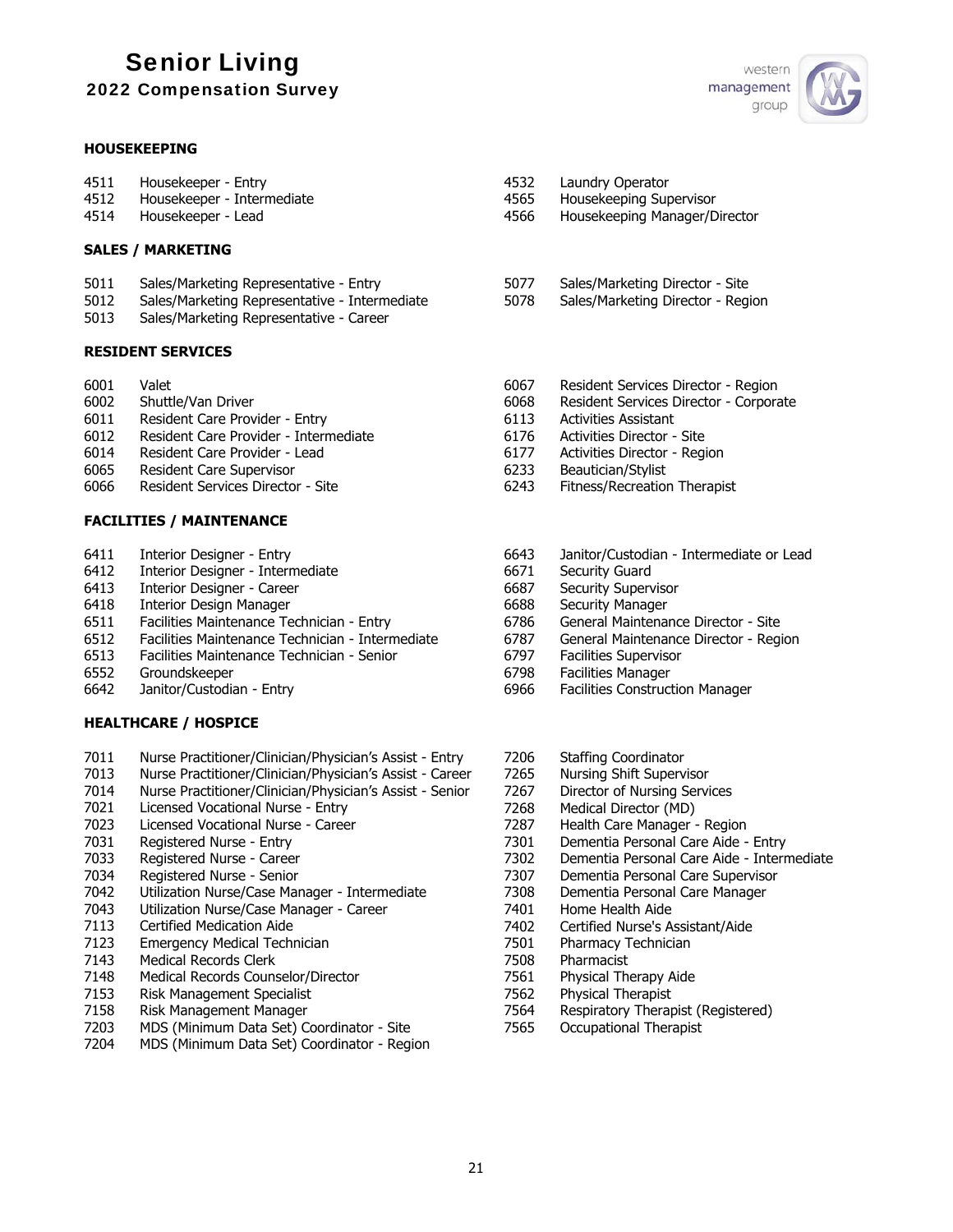# Senior Living

| <b>2022 Compensation Survey</b> |  |
|---------------------------------|--|
|---------------------------------|--|

## **HOUSEKEEPING**

| 4511 | Housekeeper - Entry        |
|------|----------------------------|
| 4512 | Housekeeper - Intermediate |
| 4514 | Housekeeper - Lead         |

- **SALES / MARKETING**
- 5011 Sales/Marketing Representative Entry
- 5012 Sales/Marketing Representative Intermediate
- 5013 Sales/Marketing Representative Career

## **RESIDENT SERVICES**

6001 Valet

- 6002 Shuttle/Van Driver
- 6011 Resident Care Provider Entry
- 6012 Resident Care Provider Intermediate
- 6014 Resident Care Provider Lead
- 6065 Resident Care Supervisor
- 6066 Resident Services Director Site

## **FACILITIES / MAINTENANCE**

- 6411 Interior Designer Entry
- 6412 Interior Designer Intermediate
- 6413 Interior Designer Career
- 6418 Interior Design Manager
- 6511 Facilities Maintenance Technician Entry
- 6512 Facilities Maintenance Technician Intermediate 6513 Facilities Maintenance Technician - Senior
- 6552 Groundskeeper
- 6642 Janitor/Custodian Entry

## **HEALTHCARE / HOSPICE**

- 7011 Nurse Practitioner/Clinician/Physician's Assist Entry
- 7013 Nurse Practitioner/Clinician/Physician's Assist Career
- Nurse Practitioner/Clinician/Physician's Assist Senior
- 7021 Licensed Vocational Nurse Entry
- 7023 Licensed Vocational Nurse Career
- 7031 Registered Nurse Entry
- 7033 Registered Nurse Career
- 7034 Registered Nurse Senior
- 7042 Utilization Nurse/Case Manager Intermediate
- 7043 Utilization Nurse/Case Manager Career
- 7113 Certified Medication Aide
- 7123 Emergency Medical Technician
- 7143 Medical Records Clerk
- 7148 Medical Records Counselor/Director
- 7153 Risk Management Specialist
- 7158 Risk Management Manager
- 7203 MDS (Minimum Data Set) Coordinator Site
- 7204 MDS (Minimum Data Set) Coordinator Region



- 4532 Laundry Operator
- 4565 Housekeeping Supervisor
- 4566 Housekeeping Manager/Director
- 5077 Sales/Marketing Director Site
- 5078 Sales/Marketing Director Region
- 6067 Resident Services Director Region
- 6068 Resident Services Director Corporate
- 6113 Activities Assistant
- 6176 Activities Director Site
- 6177 Activities Director Region
- 6233 Beautician/Stylist
- 6243 Fitness/Recreation Therapist
- 6643 Janitor/Custodian Intermediate or Lead
- 6671 Security Guard
- 6687 Security Supervisor
- 6688 Security Manager
- 6786 General Maintenance Director Site
- 6787 General Maintenance Director Region
- 6797 Facilities Supervisor
- 6798 Facilities Manager
- 6966 Facilities Construction Manager
- 7206 Staffing Coordinator
- 7265 Nursing Shift Supervisor
- 7267 Director of Nursing Services
- 7268 Medical Director (MD)
- 7287 Health Care Manager Region
- 7301 Dementia Personal Care Aide Entry
- 7302 Dementia Personal Care Aide Intermediate
- 7307 Dementia Personal Care Supervisor
- 7308 Dementia Personal Care Manager
- 7401 Home Health Aide
- 7402 Certified Nurse's Assistant/Aide
- 7501 Pharmacy Technician
- 7508 Pharmacist
- 7561 Physical Therapy Aide
- 7562 Physical Therapist
- 7564 Respiratory Therapist (Registered)
- 7565 Occupational Therapist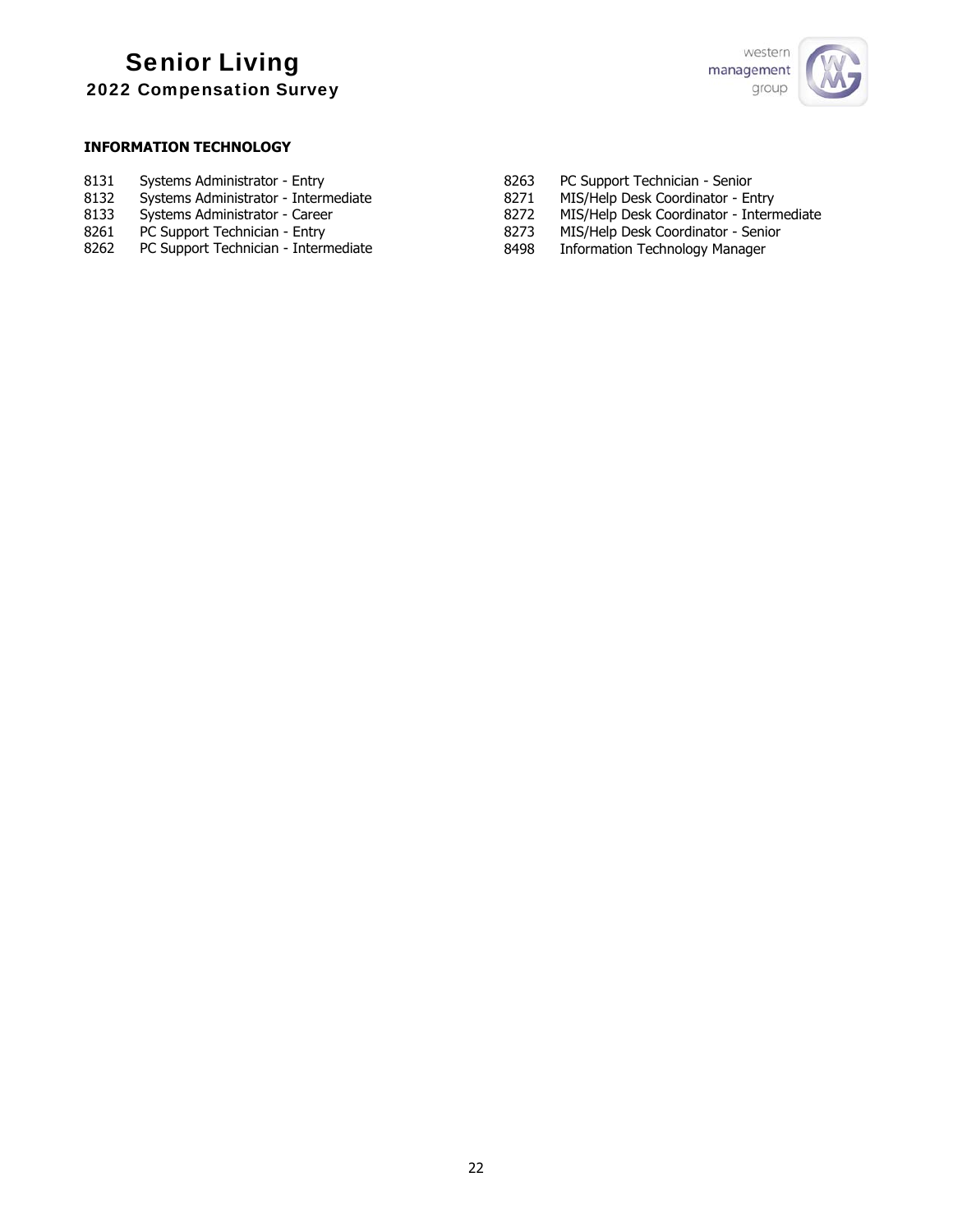

## **INFORMATION TECHNOLOGY**

| 8131 | Systems Administrator - Entry |  |
|------|-------------------------------|--|
|------|-------------------------------|--|

- 8132 Systems Administrator Intermediate<br>8133 Systems Administrator Career
- 8133 Systems Administrator Career<br>8261 PC Support Technician Entry
- 8261 PC Support Technician Entry<br>8262 PC Support Technician Intern
- PC Support Technician Intermediate
- 8263 PC Support Technician Senior
- 8271 MIS/Help Desk Coordinator Entry<br>8272 MIS/Help Desk Coordinator Intern
- 8272 MIS/Help Desk Coordinator Intermediate<br>8273 MIS/Help Desk Coordinator Senior
- 8273 MIS/Help Desk Coordinator Senior<br>8498 Information Technology Manager
- Information Technology Manager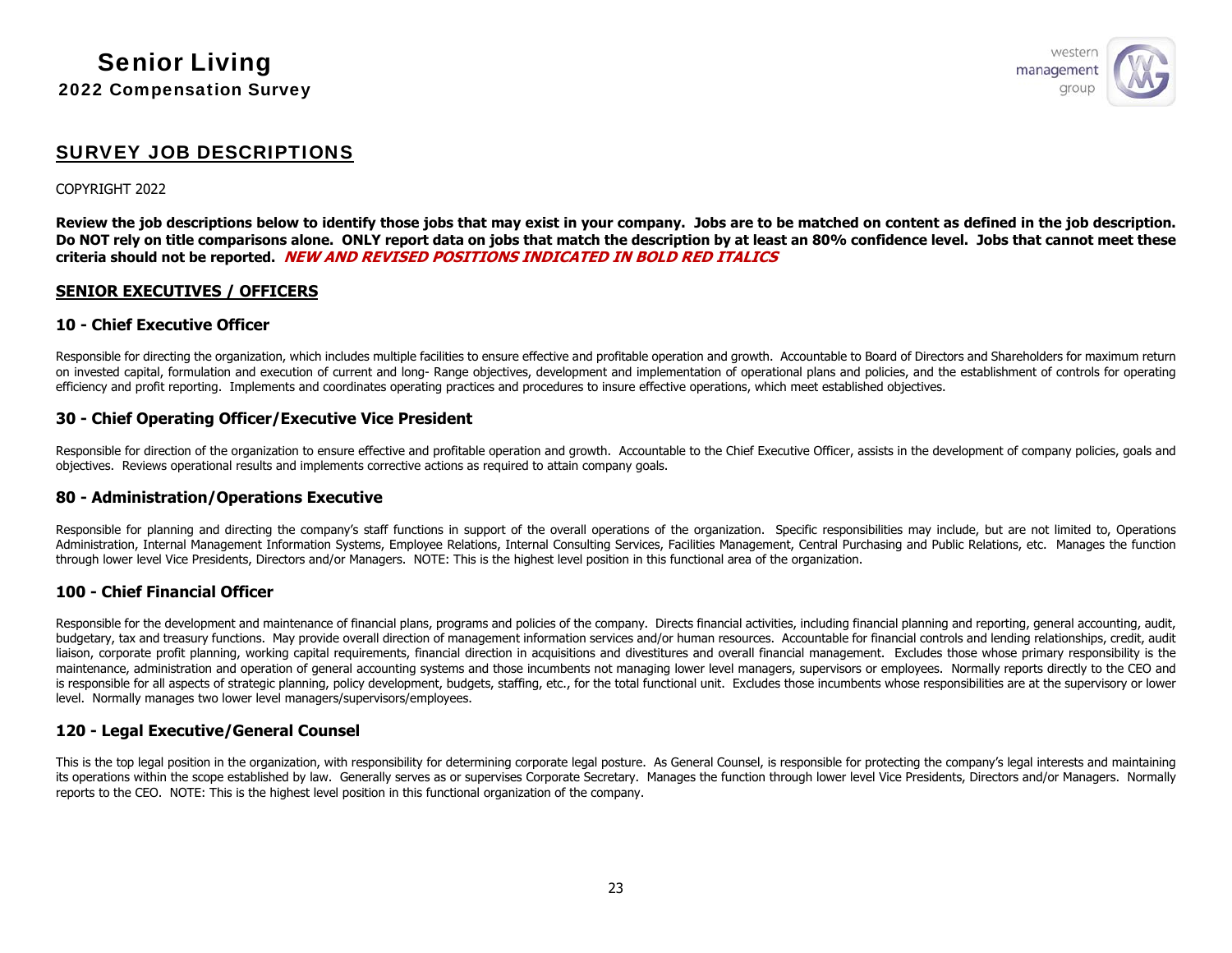

## SURVEY JOB DESCRIPTIONS

#### COPYRIGHT 2022

**Review the job descriptions below to identify those jobs that may exist in your company. Jobs are to be matched on content as defined in the job description. Do NOT rely on title comparisons alone. ONLY report data on jobs that match the description by at least an 80% confidence level. Jobs that cannot meet these criteria should not be reported. NEW AND REVISED POSITIONS INDICATED IN BOLD RED ITALICS**

## **SENIOR EXECUTIVES / OFFICERS**

#### **10 - Chief Executive Officer**

Responsible for directing the organization, which includes multiple facilities to ensure effective and profitable operation and growth. Accountable to Board of Directors and Shareholders for maximum return on invested capital, formulation and execution of current and long- Range objectives, development and implementation of operational plans and policies, and the establishment of controls for operating efficiency and profit reporting. Implements and coordinates operating practices and procedures to insure effective operations, which meet established objectives.

## **30 - Chief Operating Officer/Executive Vice President**

Responsible for direction of the organization to ensure effective and profitable operation and growth. Accountable to the Chief Executive Officer, assists in the development of company policies, goals and objectives. Reviews operational results and implements corrective actions as required to attain company goals.

#### **80 - Administration/Operations Executive**

Responsible for planning and directing the company's staff functions in support of the overall operations of the organization. Specific responsibilities may include, but are not limited to, Operations Administration, Internal Management Information Systems, Employee Relations, Internal Consulting Services, Facilities Management, Central Purchasing and Public Relations, etc. Manages the function through lower level Vice Presidents, Directors and/or Managers. NOTE: This is the highest level position in this functional area of the organization.

#### **100 - Chief Financial Officer**

Responsible for the development and maintenance of financial plans, programs and policies of the company. Directs financial activities, including financial planning and reporting, general accounting, audit, budgetary, tax and treasury functions. May provide overall direction of management information services and/or human resources. Accountable for financial controls and lending relationships, credit, audit liaison, corporate profit planning, working capital requirements, financial direction in acquisitions and divestitures and overall financial management. Excludes those whose primary responsibility is the maintenance, administration and operation of general accounting systems and those incumbents not managing lower level managers, supervisors or employees. Normally reports directly to the CEO and is responsible for all aspects of strategic planning, policy development, budgets, staffing, etc., for the total functional unit. Excludes those incumbents whose responsibilities are at the supervisory or lower level. Normally manages two lower level managers/supervisors/employees.

## **120 - Legal Executive/General Counsel**

This is the top legal position in the organization, with responsibility for determining corporate legal posture. As General Counsel, is responsible for protecting the company's legal interests and maintaining its operations within the scope established by law. Generally serves as or supervises Corporate Secretary. Manages the function through lower level Vice Presidents, Directors and/or Managers. Normally reports to the CEO. NOTE: This is the highest level position in this functional organization of the company.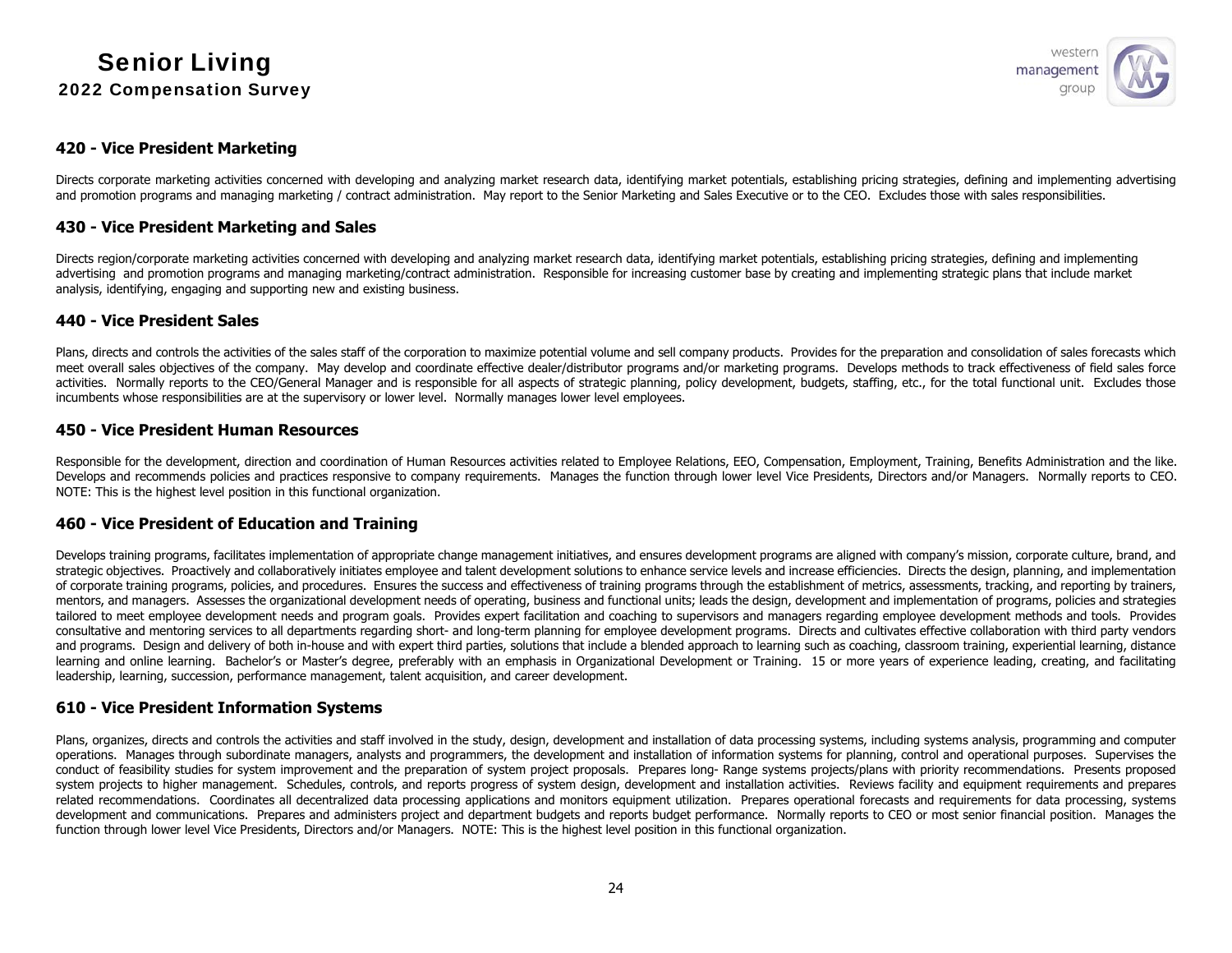

## **420 - Vice President Marketing**

Directs corporate marketing activities concerned with developing and analyzing market research data, identifying market potentials, establishing pricing strategies, defining and implementing advertising and promotion programs and managing marketing / contract administration. May report to the Senior Marketing and Sales Executive or to the CEO. Excludes those with sales responsibilities.

## **430 - Vice President Marketing and Sales**

Directs region/corporate marketing activities concerned with developing and analyzing market research data, identifying market potentials, establishing pricing strategies, defining and implementing advertising and promotion programs and managing marketing/contract administration. Responsible for increasing customer base by creating and implementing strategic plans that include market analysis, identifying, engaging and supporting new and existing business.

#### **440 - Vice President Sales**

Plans, directs and controls the activities of the sales staff of the corporation to maximize potential volume and sell company products. Provides for the preparation and consolidation of sales forecasts which meet overall sales objectives of the company. May develop and coordinate effective dealer/distributor programs and/or marketing programs. Develops methods to track effectiveness of field sales force activities. Normally reports to the CEO/General Manager and is responsible for all aspects of strategic planning, policy development, budgets, staffing, etc., for the total functional unit. Excludes those incumbents whose responsibilities are at the supervisory or lower level. Normally manages lower level employees.

#### **450 - Vice President Human Resources**

Responsible for the development, direction and coordination of Human Resources activities related to Employee Relations, EEO, Compensation, Employment, Training, Benefits Administration and the like. Develops and recommends policies and practices responsive to company requirements. Manages the function through lower level Vice Presidents, Directors and/or Managers. Normally reports to CEO. NOTE: This is the highest level position in this functional organization.

## **460 - Vice President of Education and Training**

Develops training programs, facilitates implementation of appropriate change management initiatives, and ensures development programs are aligned with company's mission, corporate culture, brand, and strategic objectives. Proactively and collaboratively initiates employee and talent development solutions to enhance service levels and increase efficiencies. Directs the design, planning, and implementation of corporate training programs, policies, and procedures. Ensures the success and effectiveness of training programs through the establishment of metrics, assessments, tracking, and reporting by trainers, mentors, and managers. Assesses the organizational development needs of operating, business and functional units; leads the design, development and implementation of programs, policies and strategies tailored to meet employee development needs and program goals. Provides expert facilitation and coaching to supervisors and managers regarding employee development methods and tools. Provides consultative and mentoring services to all departments regarding short- and long-term planning for employee development programs. Directs and cultivates effective collaboration with third party vendors and programs. Design and delivery of both in-house and with expert third parties, solutions that include a blended approach to learning such as coaching, classroom training, experiential learning, distance learning and online learning. Bachelor's or Master's degree, preferably with an emphasis in Organizational Development or Training. 15 or more years of experience leading, creating, and facilitating leadership, learning, succession, performance management, talent acquisition, and career development.

## **610 - Vice President Information Systems**

Plans, organizes, directs and controls the activities and staff involved in the study, design, development and installation of data processing systems, including systems analysis, programming and computer operations. Manages through subordinate managers, analysts and programmers, the development and installation of information systems for planning, control and operational purposes. Supervises the conduct of feasibility studies for system improvement and the preparation of system project proposals. Prepares long- Range systems projects/plans with priority recommendations. Presents proposed system projects to higher management. Schedules, controls, and reports progress of system design, development and installation activities. Reviews facility and equipment requirements and prepares related recommendations. Coordinates all decentralized data processing applications and monitors equipment utilization. Prepares operational forecasts and requirements for data processing, systems development and communications. Prepares and administers project and department budgets and reports budget performance. Normally reports to CEO or most senior financial position. Manages the function through lower level Vice Presidents, Directors and/or Managers. NOTE: This is the highest level position in this functional organization.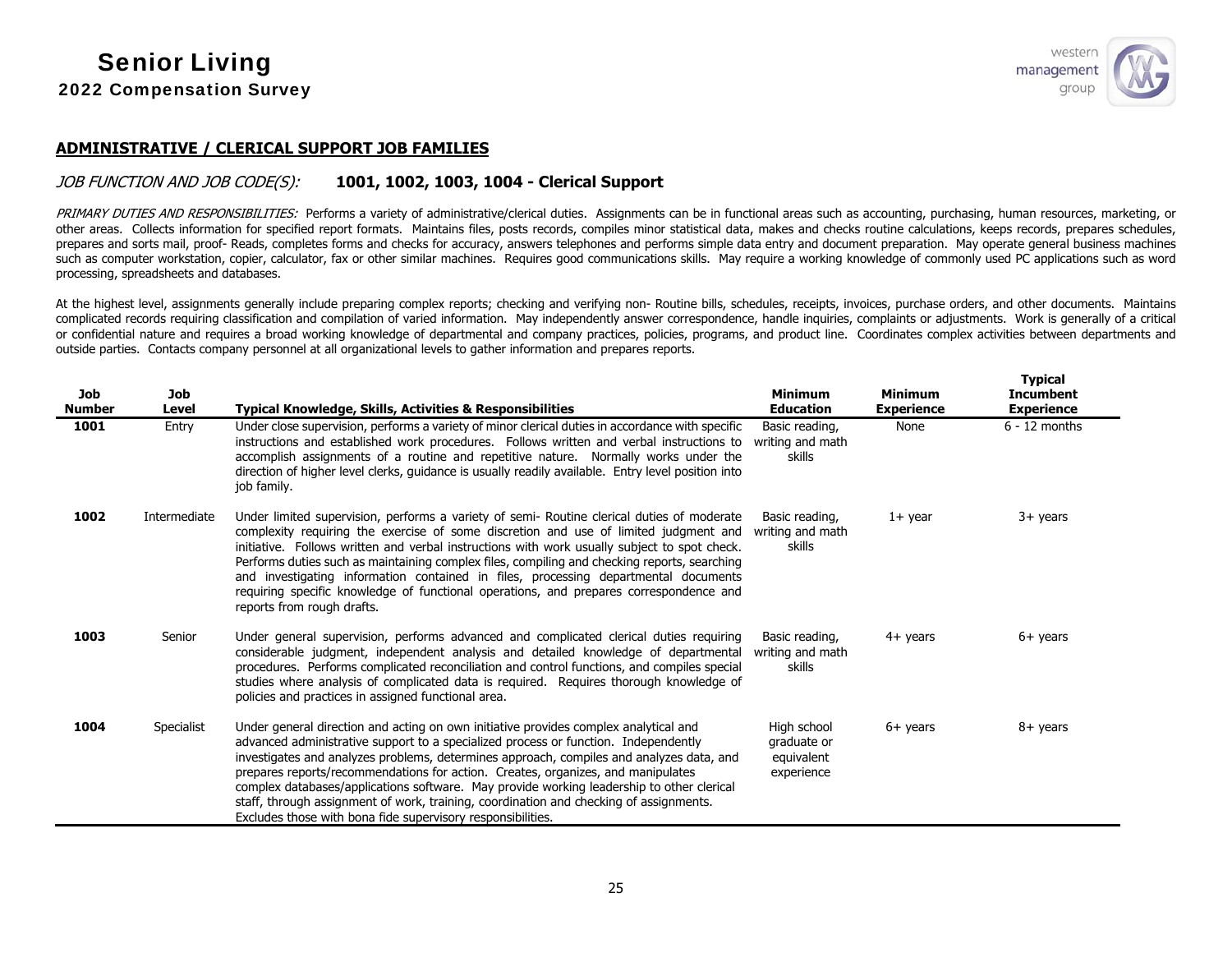

#### **ADMINISTRATIVE / CLERICAL SUPPORT JOB FAMILIES**

## JOB FUNCTION AND JOB CODE(S): **1001, 1002, 1003, 1004 - Clerical Support**

PRIMARY DUTIES AND RESPONSIBILITIES: Performs a variety of administrative/clerical duties. Assignments can be in functional areas such as accounting, purchasing, human resources, marketing, or other areas. Collects information for specified report formats. Maintains files, posts records, compiles minor statistical data, makes and checks routine calculations, keeps records, prepares schedules, prepares and sorts mail, proof- Reads, completes forms and checks for accuracy, answers telephones and performs simple data entry and document preparation. May operate general business machines such as computer workstation, copier, calculator, fax or other similar machines. Requires good communications skills. May require a working knowledge of commonly used PC applications such as word processing, spreadsheets and databases.

At the highest level, assignments generally include preparing complex reports; checking and verifying non- Routine bills, schedules, receipts, invoices, purchase orders, and other documents. Maintains complicated records requiring classification and compilation of varied information. May independently answer correspondence, handle inquiries, complaints or adjustments. Work is generally of a critical or confidential nature and requires a broad working knowledge of departmental and company practices, policies, programs, and product line. Coordinates complex activities between departments and outside parties. Contacts company personnel at all organizational levels to gather information and prepares reports.

| <b>Job</b><br><b>Number</b> | <b>Job</b><br>Level | <b>Typical Knowledge, Skills, Activities &amp; Responsibilities</b>                                                                                                                                                                                                                                                                                                                                                                                                                                                                                                                                               | <b>Minimum</b><br><b>Education</b>                     | <b>Minimum</b><br><b>Experience</b> | <b>Typical</b><br><b>Incumbent</b><br><b>Experience</b> |
|-----------------------------|---------------------|-------------------------------------------------------------------------------------------------------------------------------------------------------------------------------------------------------------------------------------------------------------------------------------------------------------------------------------------------------------------------------------------------------------------------------------------------------------------------------------------------------------------------------------------------------------------------------------------------------------------|--------------------------------------------------------|-------------------------------------|---------------------------------------------------------|
| 1001                        | Entry               | Under close supervision, performs a variety of minor clerical duties in accordance with specific<br>instructions and established work procedures. Follows written and verbal instructions to<br>accomplish assignments of a routine and repetitive nature. Normally works under the<br>direction of higher level clerks, quidance is usually readily available. Entry level position into<br>job family.                                                                                                                                                                                                          | Basic reading,<br>writing and math<br>skills           | None                                | $6 - 12$ months                                         |
| 1002                        | Intermediate        | Under limited supervision, performs a variety of semi- Routine clerical duties of moderate<br>complexity requiring the exercise of some discretion and use of limited judgment and<br>initiative. Follows written and verbal instructions with work usually subject to spot check.<br>Performs duties such as maintaining complex files, compiling and checking reports, searching<br>and investigating information contained in files, processing departmental documents<br>requiring specific knowledge of functional operations, and prepares correspondence and<br>reports from rough drafts.                 | Basic reading,<br>writing and math<br>skills           | $1+$ year                           | $3+$ years                                              |
| 1003                        | Senior              | Under general supervision, performs advanced and complicated clerical duties requiring<br>considerable judgment, independent analysis and detailed knowledge of departmental<br>procedures. Performs complicated reconciliation and control functions, and compiles special<br>studies where analysis of complicated data is required. Requires thorough knowledge of<br>policies and practices in assigned functional area.                                                                                                                                                                                      | Basic reading,<br>writing and math<br>skills           | $4+$ years                          | $6+$ years                                              |
| 1004                        | Specialist          | Under general direction and acting on own initiative provides complex analytical and<br>advanced administrative support to a specialized process or function. Independently<br>investigates and analyzes problems, determines approach, compiles and analyzes data, and<br>prepares reports/recommendations for action. Creates, organizes, and manipulates<br>complex databases/applications software. May provide working leadership to other clerical<br>staff, through assignment of work, training, coordination and checking of assignments.<br>Excludes those with bona fide supervisory responsibilities. | High school<br>graduate or<br>equivalent<br>experience | $6+$ years                          | $8+$ years                                              |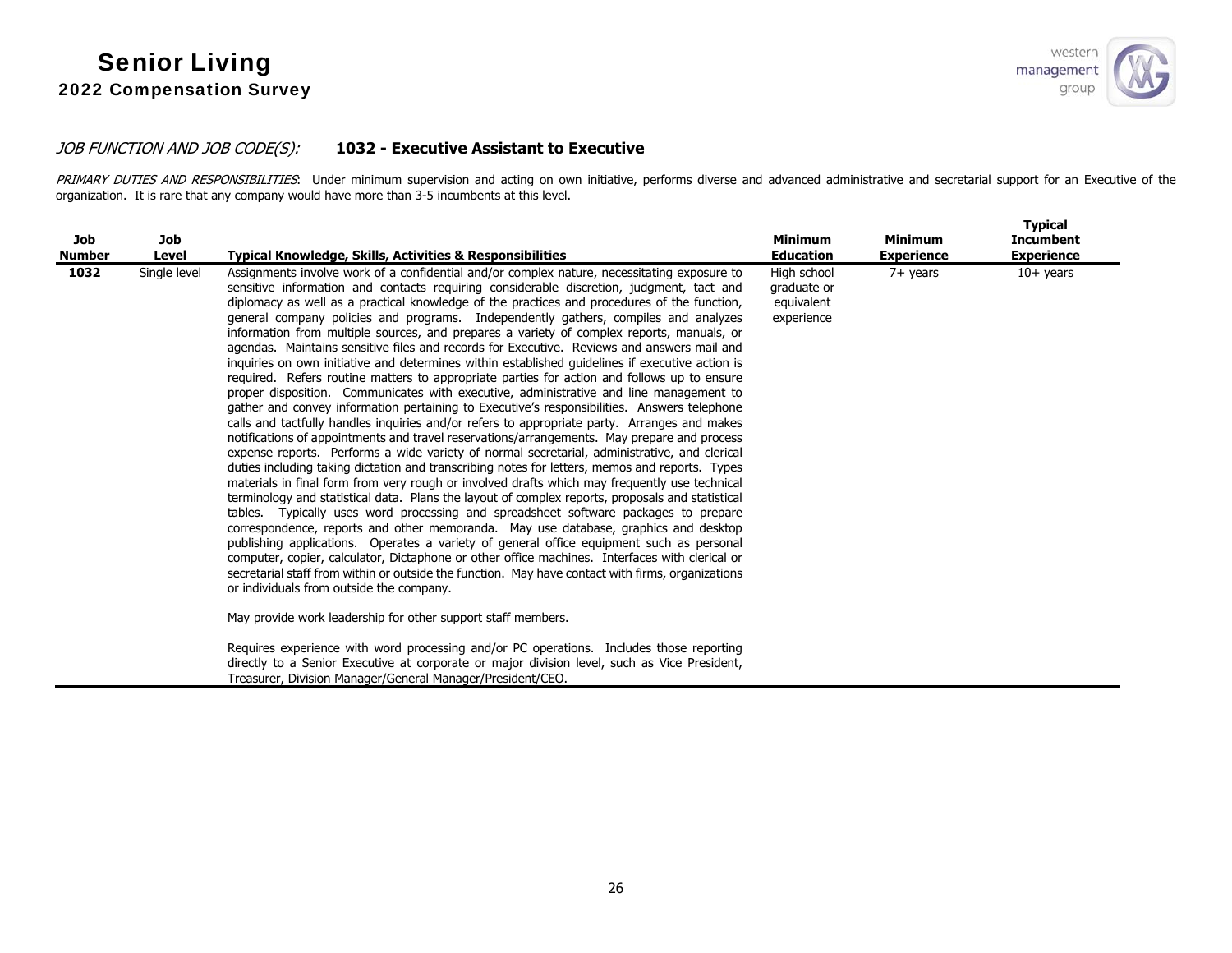

## JOB FUNCTION AND JOB CODE(S): **1032 - Executive Assistant to Executive**

PRIMARY DUTIES AND RESPONSIBILITIES: Under minimum supervision and acting on own initiative, performs diverse and advanced administrative and secretarial support for an Executive of the organization. It is rare that any company would have more than 3-5 incumbents at this level.

| Job<br><b>Number</b> | Job<br>Level | <b>Typical Knowledge, Skills, Activities &amp; Responsibilities</b>                                                                                                                                                                                                                                                                                                                                                                                                                                                                                                                                                                                                                                                                                                                                                                                                                                                                                                                                                                                                                                                                                                                                                                                                                                                                                                                                                                                                                                                                                                                                                                                                                                                                                                                                                                                                                                                                                                                                                                                                                                    | <b>Minimum</b><br><b>Education</b>                     | <b>Minimum</b><br><b>Experience</b> | <b>Typical</b><br><b>Incumbent</b><br><b>Experience</b> |
|----------------------|--------------|--------------------------------------------------------------------------------------------------------------------------------------------------------------------------------------------------------------------------------------------------------------------------------------------------------------------------------------------------------------------------------------------------------------------------------------------------------------------------------------------------------------------------------------------------------------------------------------------------------------------------------------------------------------------------------------------------------------------------------------------------------------------------------------------------------------------------------------------------------------------------------------------------------------------------------------------------------------------------------------------------------------------------------------------------------------------------------------------------------------------------------------------------------------------------------------------------------------------------------------------------------------------------------------------------------------------------------------------------------------------------------------------------------------------------------------------------------------------------------------------------------------------------------------------------------------------------------------------------------------------------------------------------------------------------------------------------------------------------------------------------------------------------------------------------------------------------------------------------------------------------------------------------------------------------------------------------------------------------------------------------------------------------------------------------------------------------------------------------------|--------------------------------------------------------|-------------------------------------|---------------------------------------------------------|
| 1032                 | Single level | Assignments involve work of a confidential and/or complex nature, necessitating exposure to<br>sensitive information and contacts requiring considerable discretion, judgment, tact and<br>diplomacy as well as a practical knowledge of the practices and procedures of the function,<br>general company policies and programs. Independently gathers, compiles and analyzes<br>information from multiple sources, and prepares a variety of complex reports, manuals, or<br>agendas. Maintains sensitive files and records for Executive. Reviews and answers mail and<br>inquiries on own initiative and determines within established quidelines if executive action is<br>required. Refers routine matters to appropriate parties for action and follows up to ensure<br>proper disposition. Communicates with executive, administrative and line management to<br>gather and convey information pertaining to Executive's responsibilities. Answers telephone<br>calls and tactfully handles inquiries and/or refers to appropriate party. Arranges and makes<br>notifications of appointments and travel reservations/arrangements. May prepare and process<br>expense reports. Performs a wide variety of normal secretarial, administrative, and clerical<br>duties including taking dictation and transcribing notes for letters, memos and reports. Types<br>materials in final form from very rough or involved drafts which may frequently use technical<br>terminology and statistical data. Plans the layout of complex reports, proposals and statistical<br>tables. Typically uses word processing and spreadsheet software packages to prepare<br>correspondence, reports and other memoranda. May use database, graphics and desktop<br>publishing applications. Operates a variety of general office equipment such as personal<br>computer, copier, calculator, Dictaphone or other office machines. Interfaces with clerical or<br>secretarial staff from within or outside the function. May have contact with firms, organizations<br>or individuals from outside the company. | High school<br>graduate or<br>equivalent<br>experience | $7+$ years                          | $10+$ years                                             |
|                      |              | May provide work leadership for other support staff members.<br>Requires experience with word processing and/or PC operations. Includes those reporting                                                                                                                                                                                                                                                                                                                                                                                                                                                                                                                                                                                                                                                                                                                                                                                                                                                                                                                                                                                                                                                                                                                                                                                                                                                                                                                                                                                                                                                                                                                                                                                                                                                                                                                                                                                                                                                                                                                                                |                                                        |                                     |                                                         |
|                      |              | directly to a Senior Executive at corporate or major division level, such as Vice President,<br>Treasurer, Division Manager/General Manager/President/CEO.                                                                                                                                                                                                                                                                                                                                                                                                                                                                                                                                                                                                                                                                                                                                                                                                                                                                                                                                                                                                                                                                                                                                                                                                                                                                                                                                                                                                                                                                                                                                                                                                                                                                                                                                                                                                                                                                                                                                             |                                                        |                                     |                                                         |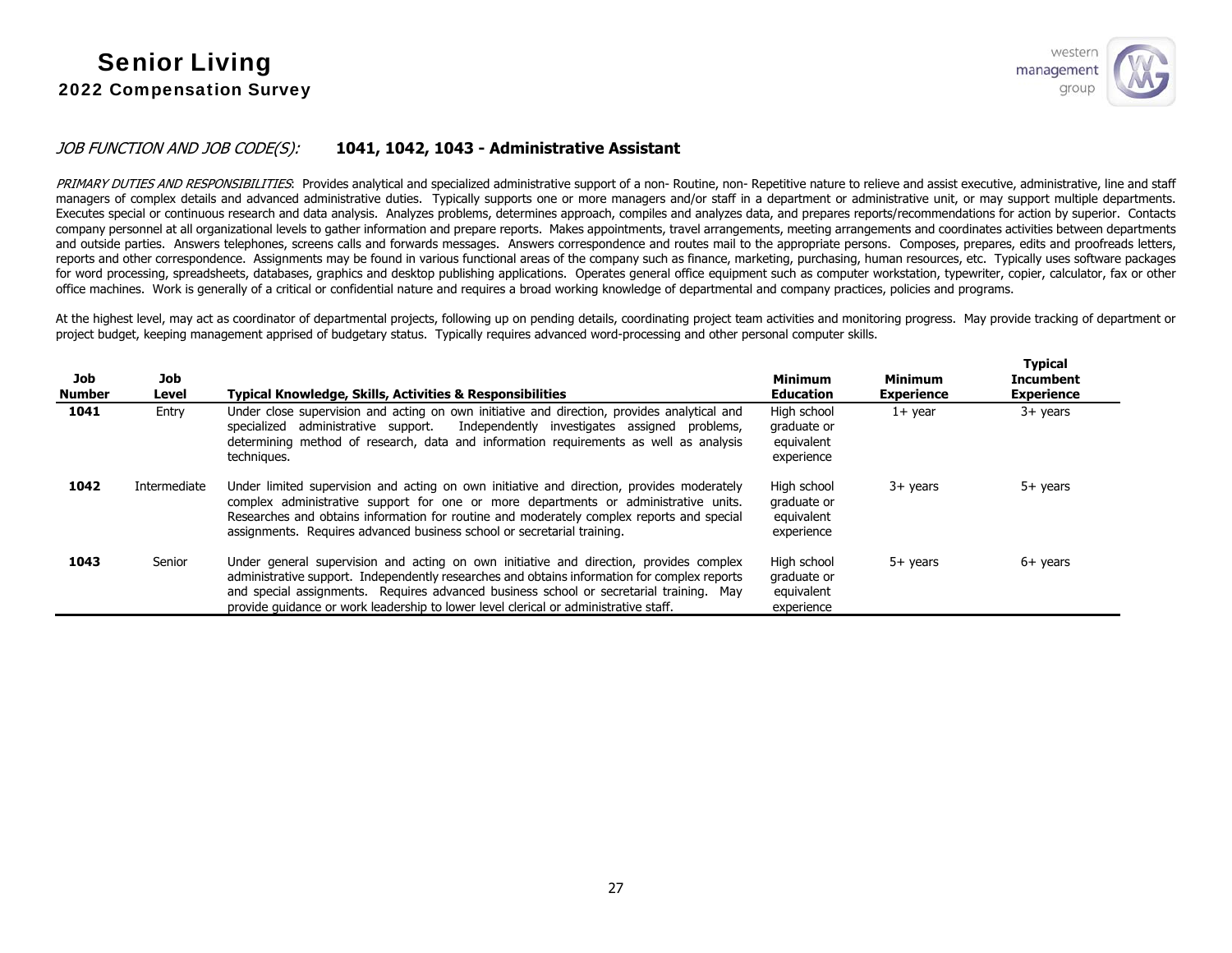**Typical** 

## JOB FUNCTION AND JOB CODE(S): **1041, 1042, 1043 - Administrative Assistant**

PRIMARY DUTIES AND RESPONSIBILITIES: Provides analytical and specialized administrative support of a non- Routine, non- Repetitive nature to relieve and assist executive, administrative, line and staff managers of complex details and advanced administrative duties. Typically supports one or more managers and/or staff in a department or administrative unit, or may support multiple departments. Executes special or continuous research and data analysis. Analyzes problems, determines approach, compiles and analyzes data, and prepares reports/recommendations for action by superior. Contacts company personnel at all organizational levels to gather information and prepare reports. Makes appointments, travel arrangements, meeting arrangements and coordinates activities between departments and outside parties. Answers telephones, screens calls and forwards messages. Answers correspondence and routes mail to the appropriate persons. Composes, prepares, edits and proofreads letters, reports and other correspondence. Assignments may be found in various functional areas of the company such as finance, marketing, purchasing, human resources, etc. Typically uses software packages for word processing, spreadsheets, databases, graphics and desktop publishing applications. Operates general office equipment such as computer workstation, typewriter, copier, calculator, fax or other office machines. Work is generally of a critical or confidential nature and requires a broad working knowledge of departmental and company practices, policies and programs.

At the highest level, may act as coordinator of departmental projects, following up on pending details, coordinating project team activities and monitoring progress. May provide tracking of department or project budget, keeping management apprised of budgetary status. Typically requires advanced word-processing and other personal computer skills.

| Job<br><b>Number</b> | Job<br>Level | <b>Typical Knowledge, Skills, Activities &amp; Responsibilities</b>                                                                                                                                                                                                                                                                                                       | <b>Minimum</b><br><b>Education</b>                     | <b>Minimum</b><br><b>Experience</b> | турісан<br><b>Incumbent</b><br><b>Experience</b> |
|----------------------|--------------|---------------------------------------------------------------------------------------------------------------------------------------------------------------------------------------------------------------------------------------------------------------------------------------------------------------------------------------------------------------------------|--------------------------------------------------------|-------------------------------------|--------------------------------------------------|
| 1041                 | Entry        | Under close supervision and acting on own initiative and direction, provides analytical and<br>administrative support.<br>Independently investigates assigned problems,<br>specialized<br>determining method of research, data and information requirements as well as analysis<br>techniques.                                                                            | High school<br>graduate or<br>equivalent<br>experience | $1+$ vear                           | $3+$ years                                       |
| 1042                 | Intermediate | Under limited supervision and acting on own initiative and direction, provides moderately<br>complex administrative support for one or more departments or administrative units.<br>Researches and obtains information for routine and moderately complex reports and special<br>assignments. Requires advanced business school or secretarial training.                  | High school<br>graduate or<br>equivalent<br>experience | 3+ years                            | $5+$ years                                       |
| 1043                 | Senior       | Under general supervision and acting on own initiative and direction, provides complex<br>administrative support. Independently researches and obtains information for complex reports<br>and special assignments. Requires advanced business school or secretarial training. May<br>provide quidance or work leadership to lower level clerical or administrative staff. | High school<br>graduate or<br>equivalent<br>experience | 5+ years                            | $6+$ years                                       |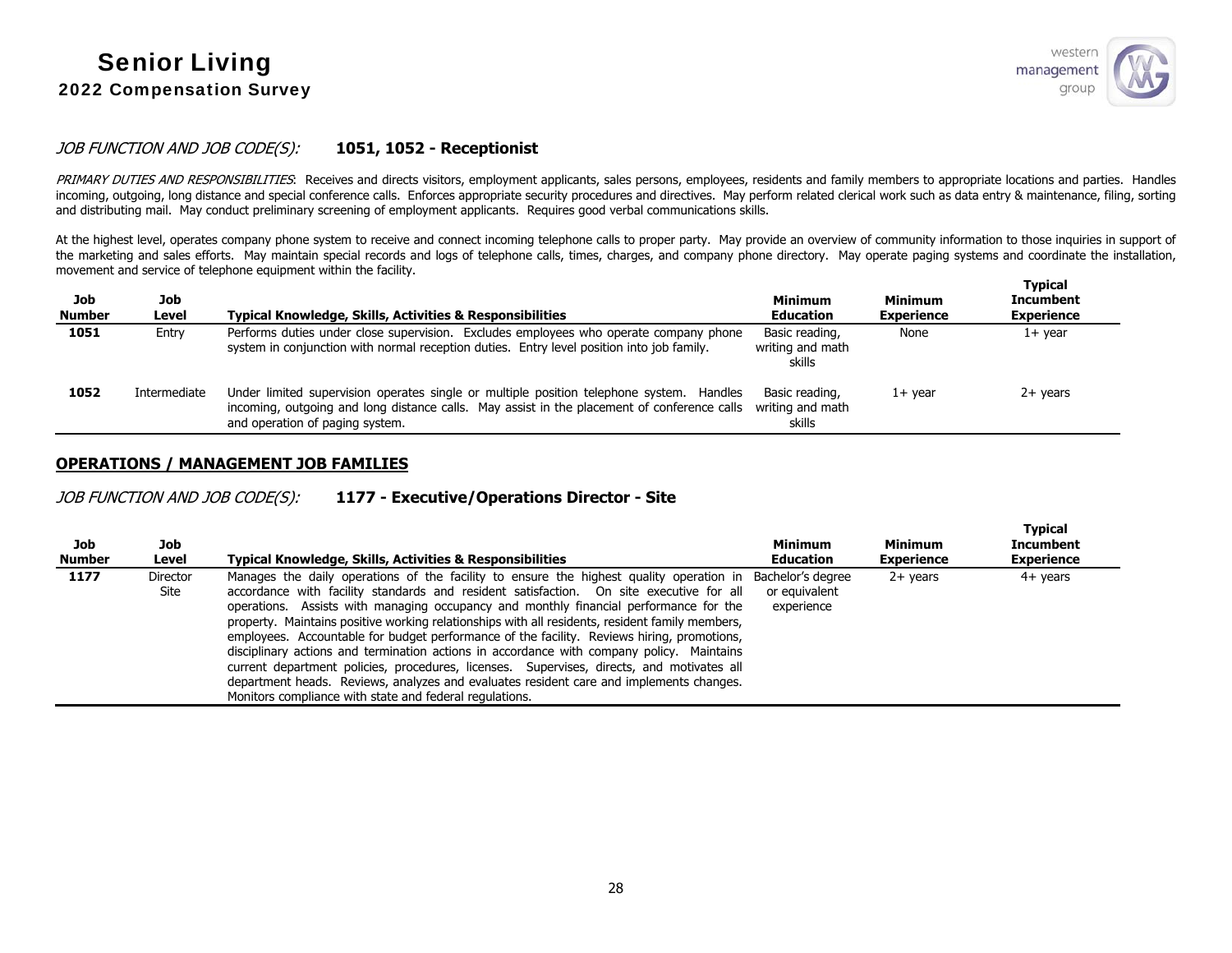

## JOB FUNCTION AND JOB CODE(S): **1051, 1052 - Receptionist**

PRIMARY DUTIES AND RESPONSIBILITIES: Receives and directs visitors, employment applicants, sales persons, employees, residents and family members to appropriate locations and parties. Handles incoming, outgoing, long distance and special conference calls. Enforces appropriate security procedures and directives. May perform related clerical work such as data entry & maintenance, filing, sorting and distributing mail. May conduct preliminary screening of employment applicants. Requires good verbal communications skills.

At the highest level, operates company phone system to receive and connect incoming telephone calls to proper party. May provide an overview of community information to those inquiries in support of the marketing and sales efforts. May maintain special records and logs of telephone calls, times, charges, and company phone directory. May operate paging systems and coordinate the installation, movement and service of telephone equipment within the facility. **Typical** 

| Job<br><b>Number</b> | Job<br>Level | <b>Typical Knowledge, Skills, Activities &amp; Responsibilities</b>                                                                                                                                                                         | <b>Minimum</b><br><b>Education</b>           | <b>Minimum</b><br><b>Experience</b> | i vbical<br><b>Incumbent</b><br><b>Experience</b> |
|----------------------|--------------|---------------------------------------------------------------------------------------------------------------------------------------------------------------------------------------------------------------------------------------------|----------------------------------------------|-------------------------------------|---------------------------------------------------|
| 1051                 | Entry        | Performs duties under close supervision. Excludes employees who operate company phone<br>system in conjunction with normal reception duties. Entry level position into job family.                                                          | Basic reading,<br>writing and math<br>skills | None                                | $1+$ year                                         |
| 1052                 | Intermediate | Under limited supervision operates single or multiple position telephone system. Handles<br>incoming, outgoing and long distance calls. May assist in the placement of conference calls writing and math<br>and operation of paging system. | Basic reading,<br>skills                     | $1+$ vear                           | 2+ years                                          |

#### **OPERATIONS / MANAGEMENT JOB FAMILIES**

JOB FUNCTION AND JOB CODE(S): **1177 - Executive/Operations Director - Site** 

| Job<br><b>Number</b> | Job<br>Level            | Typical Knowledge, Skills, Activities & Responsibilities                                                                                                                                                                                                                                                                                                                                                                                                                                                                                                                                                                                                                                                                                                                                                                     | <b>Minimum</b><br><b>Education</b>               | <b>Minimum</b><br><b>Experience</b> | <b>Typical</b><br><b>Incumbent</b><br><b>Experience</b> |
|----------------------|-------------------------|------------------------------------------------------------------------------------------------------------------------------------------------------------------------------------------------------------------------------------------------------------------------------------------------------------------------------------------------------------------------------------------------------------------------------------------------------------------------------------------------------------------------------------------------------------------------------------------------------------------------------------------------------------------------------------------------------------------------------------------------------------------------------------------------------------------------------|--------------------------------------------------|-------------------------------------|---------------------------------------------------------|
| 1177                 | <b>Director</b><br>Site | Manages the daily operations of the facility to ensure the highest quality operation in<br>accordance with facility standards and resident satisfaction. On site executive for all<br>operations. Assists with managing occupancy and monthly financial performance for the<br>property. Maintains positive working relationships with all residents, resident family members,<br>employees. Accountable for budget performance of the facility. Reviews hiring, promotions,<br>disciplinary actions and termination actions in accordance with company policy. Maintains<br>current department policies, procedures, licenses. Supervises, directs, and motivates all<br>department heads. Reviews, analyzes and evaluates resident care and implements changes.<br>Monitors compliance with state and federal regulations. | Bachelor's degree<br>or equivalent<br>experience | $2+$ years                          | 4+ years                                                |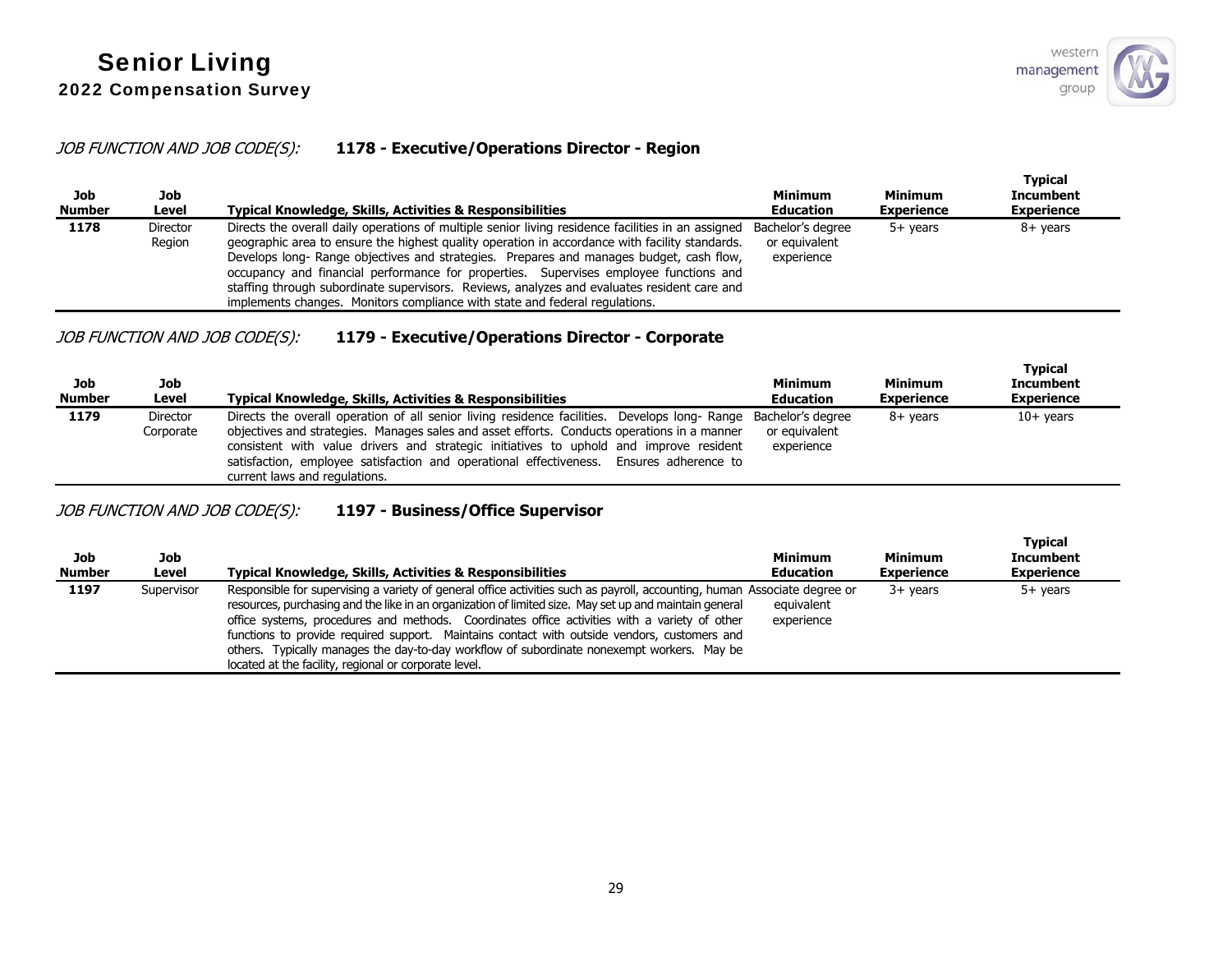## JOB FUNCTION AND JOB CODE(S): **1178 - Executive/Operations Director - Region**

| Job<br><b>Number</b> | Job<br>Level              | Typical Knowledge, Skills, Activities & Responsibilities                                                                                                                                                                                                                                                                                                                                                                                                                                                                                                               | Minimum<br><b>Education</b>                      | <b>Minimum</b><br><b>Experience</b> | <b>Typical</b><br>Incumbent<br><b>Experience</b> |
|----------------------|---------------------------|------------------------------------------------------------------------------------------------------------------------------------------------------------------------------------------------------------------------------------------------------------------------------------------------------------------------------------------------------------------------------------------------------------------------------------------------------------------------------------------------------------------------------------------------------------------------|--------------------------------------------------|-------------------------------------|--------------------------------------------------|
| 1178                 | <b>Director</b><br>Region | Directs the overall daily operations of multiple senior living residence facilities in an assigned<br>geographic area to ensure the highest quality operation in accordance with facility standards.<br>Develops long- Range objectives and strategies. Prepares and manages budget, cash flow,<br>occupancy and financial performance for properties. Supervises employee functions and<br>staffing through subordinate supervisors. Reviews, analyzes and evaluates resident care and<br>implements changes. Monitors compliance with state and federal regulations. | Bachelor's degree<br>or equivalent<br>experience | $5+$ vears                          | 8+ years                                         |

## JOB FUNCTION AND JOB CODE(S): **1179 - Executive/Operations Director - Corporate**

| <b>Job</b><br><b>Number</b> | Job<br>Level                 | <b>Typical Knowledge, Skills, Activities &amp; Responsibilities</b>                                                                                                                                                                                                                                                                                                                                                                  | <b>Minimum</b><br><b>Education</b> | <b>Minimum</b><br><b>Experience</b> | <b>Typical</b><br><b>Incumbent</b><br><b>Experience</b> |
|-----------------------------|------------------------------|--------------------------------------------------------------------------------------------------------------------------------------------------------------------------------------------------------------------------------------------------------------------------------------------------------------------------------------------------------------------------------------------------------------------------------------|------------------------------------|-------------------------------------|---------------------------------------------------------|
| 1179                        | <b>Director</b><br>Corporate | Directs the overall operation of all senior living residence facilities. Develops long- Range Bachelor's degree<br>objectives and strategies. Manages sales and asset efforts. Conducts operations in a manner<br>consistent with value drivers and strategic initiatives to uphold and improve resident<br>satisfaction, employee satisfaction and operational effectiveness. Ensures adherence to<br>current laws and regulations. | or equivalent<br>experience        | 8+ vears                            | $10+$ years                                             |

## JOB FUNCTION AND JOB CODE(S): **1197 - Business/Office Supervisor**

| Job<br><b>Number</b> | Job<br>Level | <b>Typical Knowledge, Skills, Activities &amp; Responsibilities</b>                                                                                                                                                                                                                                                                                                                                                                                                                                                                                                                         | Minimum<br><b>Education</b> | <b>Minimum</b><br><b>Experience</b> | <b>Typical</b><br>Incumbent<br><b>Experience</b> |
|----------------------|--------------|---------------------------------------------------------------------------------------------------------------------------------------------------------------------------------------------------------------------------------------------------------------------------------------------------------------------------------------------------------------------------------------------------------------------------------------------------------------------------------------------------------------------------------------------------------------------------------------------|-----------------------------|-------------------------------------|--------------------------------------------------|
| 1197                 | Supervisor   | Responsible for supervising a variety of general office activities such as payroll, accounting, human Associate degree or<br>resources, purchasing and the like in an organization of limited size. May set up and maintain general<br>office systems, procedures and methods. Coordinates office activities with a variety of other<br>functions to provide required support. Maintains contact with outside vendors, customers and<br>others. Typically manages the day-to-day workflow of subordinate nonexempt workers. May be<br>located at the facility, regional or corporate level. | equivalent<br>experience    | $3+$ vears                          | 5+ years                                         |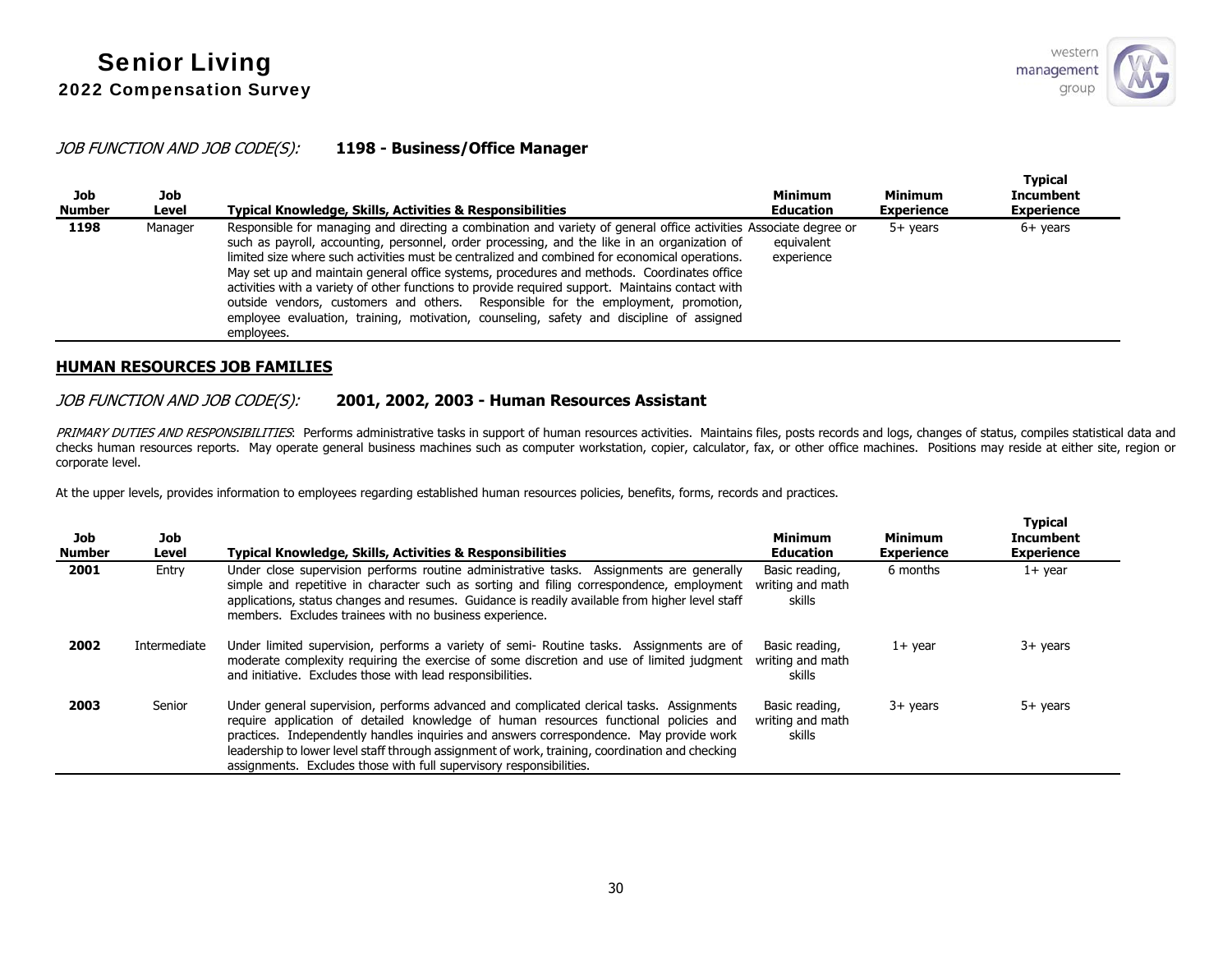**Typical** 

**Typical** 

## JOB FUNCTION AND JOB CODE(S): **1198 - Business/Office Manager**

| Job<br><b>Number</b> | Job<br>Level | <b>Typical Knowledge, Skills, Activities &amp; Responsibilities</b>                                                                                                                                                                                                                                                                                                                                                                                                                                                                                                                                                                                                                                                  | <b>Minimum</b><br><b>Education</b> | <b>Minimum</b><br><b>Experience</b> | i ypical<br>Incumbent<br><b>Experience</b> |
|----------------------|--------------|----------------------------------------------------------------------------------------------------------------------------------------------------------------------------------------------------------------------------------------------------------------------------------------------------------------------------------------------------------------------------------------------------------------------------------------------------------------------------------------------------------------------------------------------------------------------------------------------------------------------------------------------------------------------------------------------------------------------|------------------------------------|-------------------------------------|--------------------------------------------|
| 1198                 | Manager      | Responsible for managing and directing a combination and variety of general office activities Associate degree or<br>such as payroll, accounting, personnel, order processing, and the like in an organization of<br>limited size where such activities must be centralized and combined for economical operations.<br>May set up and maintain general office systems, procedures and methods. Coordinates office<br>activities with a variety of other functions to provide required support. Maintains contact with<br>outside vendors, customers and others. Responsible for the employment, promotion,<br>employee evaluation, training, motivation, counseling, safety and discipline of assigned<br>employees. | equivalent<br>experience           | 5+ vears                            | $6+$ years                                 |

## **HUMAN RESOURCES JOB FAMILIES**

## JOB FUNCTION AND JOB CODE(S): **2001, 2002, 2003 - Human Resources Assistant**

PRIMARY DUTIES AND RESPONSIBILITIES: Performs administrative tasks in support of human resources activities. Maintains files, posts records and logs, changes of status, compiles statistical data and checks human resources reports. May operate general business machines such as computer workstation, copier, calculator, fax, or other office machines. Positions may reside at either site, region or corporate level.

At the upper levels, provides information to employees regarding established human resources policies, benefits, forms, records and practices.

| Job<br><b>Number</b> | <b>Job</b><br>Level | <b>Typical Knowledge, Skills, Activities &amp; Responsibilities</b>                                                                                                                                                                                                                                                                                                                                                                                   | <b>Minimum</b><br><b>Education</b>           | <b>Minimum</b><br><b>Experience</b> | I ypical<br><b>Incumbent</b><br><b>Experience</b> |
|----------------------|---------------------|-------------------------------------------------------------------------------------------------------------------------------------------------------------------------------------------------------------------------------------------------------------------------------------------------------------------------------------------------------------------------------------------------------------------------------------------------------|----------------------------------------------|-------------------------------------|---------------------------------------------------|
| 2001                 | Entry               | Under close supervision performs routine administrative tasks. Assignments are generally<br>simple and repetitive in character such as sorting and filing correspondence, employment<br>applications, status changes and resumes. Guidance is readily available from higher level staff<br>members. Excludes trainees with no business experience.                                                                                                    | Basic reading,<br>writing and math<br>skills | 6 months                            | $1+$ year                                         |
| 2002                 | Intermediate        | Under limited supervision, performs a variety of semi- Routine tasks. Assignments are of<br>moderate complexity requiring the exercise of some discretion and use of limited judgment<br>and initiative. Excludes those with lead responsibilities.                                                                                                                                                                                                   | Basic reading,<br>writing and math<br>skills | $1+$ year                           | $3+$ years                                        |
| 2003                 | Senior              | Under general supervision, performs advanced and complicated clerical tasks. Assignments<br>require application of detailed knowledge of human resources functional policies and<br>practices. Independently handles inquiries and answers correspondence. May provide work<br>leadership to lower level staff through assignment of work, training, coordination and checking<br>assignments. Excludes those with full supervisory responsibilities. | Basic reading,<br>writing and math<br>skills | $3+$ years                          | $5+$ years                                        |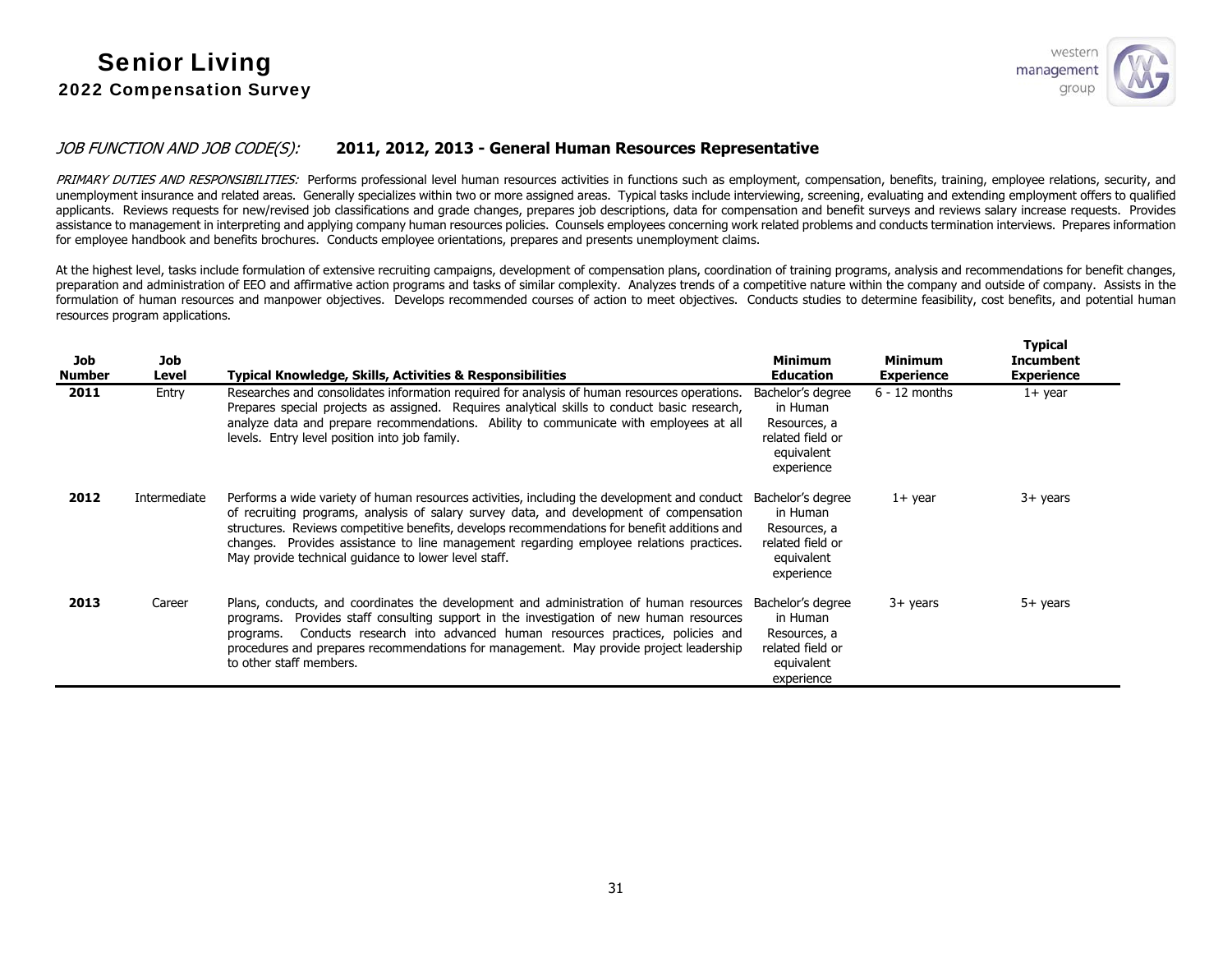

## JOB FUNCTION AND JOB CODE(S): **2011, 2012, 2013 - General Human Resources Representative**

PRIMARY DUTIES AND RESPONSIBILITIES: Performs professional level human resources activities in functions such as employment, compensation, benefits, training, employee relations, security, and unemployment insurance and related areas. Generally specializes within two or more assigned areas. Typical tasks include interviewing, screening, evaluating and extending employment offers to qualified applicants. Reviews requests for new/revised job classifications and grade changes, prepares job descriptions, data for compensation and benefit surveys and reviews salary increase requests. Provides assistance to management in interpreting and applying company human resources policies. Counsels employees concerning work related problems and conducts termination interviews. Prepares information for employee handbook and benefits brochures. Conducts employee orientations, prepares and presents unemployment claims.

At the highest level, tasks include formulation of extensive recruiting campaigns, development of compensation plans, coordination of training programs, analysis and recommendations for benefit changes, preparation and administration of EEO and affirmative action programs and tasks of similar complexity. Analyzes trends of a competitive nature within the company and outside of company. Assists in the formulation of human resources and manpower objectives. Develops recommended courses of action to meet objectives. Conducts studies to determine feasibility, cost benefits, and potential human resources program applications.

| Job<br>Number | Job<br>Level | Typical Knowledge, Skills, Activities & Responsibilities                                                                                                                                                                                                                                                                                                                                                                                   | <b>Minimum</b><br><b>Education</b>                                                            | <b>Minimum</b><br><b>Experience</b> | <b>Typical</b><br><b>Incumbent</b><br><b>Experience</b> |
|---------------|--------------|--------------------------------------------------------------------------------------------------------------------------------------------------------------------------------------------------------------------------------------------------------------------------------------------------------------------------------------------------------------------------------------------------------------------------------------------|-----------------------------------------------------------------------------------------------|-------------------------------------|---------------------------------------------------------|
| 2011          | Entry        | Researches and consolidates information required for analysis of human resources operations.<br>Prepares special projects as assigned. Requires analytical skills to conduct basic research,<br>analyze data and prepare recommendations. Ability to communicate with employees at all<br>levels. Entry level position into job family.                                                                                                    | Bachelor's degree<br>in Human<br>Resources, a<br>related field or<br>equivalent<br>experience | $6 - 12$ months                     | $1+$ year                                               |
| 2012          | Intermediate | Performs a wide variety of human resources activities, including the development and conduct<br>of recruiting programs, analysis of salary survey data, and development of compensation<br>structures. Reviews competitive benefits, develops recommendations for benefit additions and<br>changes. Provides assistance to line management regarding employee relations practices.<br>May provide technical guidance to lower level staff. | Bachelor's degree<br>in Human<br>Resources, a<br>related field or<br>equivalent<br>experience | 1+ year                             | 3+ years                                                |
| 2013          | Career       | Plans, conducts, and coordinates the development and administration of human resources<br>Provides staff consulting support in the investigation of new human resources<br>programs.<br>Conducts research into advanced human resources practices, policies and<br>programs.<br>procedures and prepares recommendations for management. May provide project leadership<br>to other staff members.                                          | Bachelor's degree<br>in Human<br>Resources, a<br>related field or<br>equivalent<br>experience | 3+ years                            | 5+ years                                                |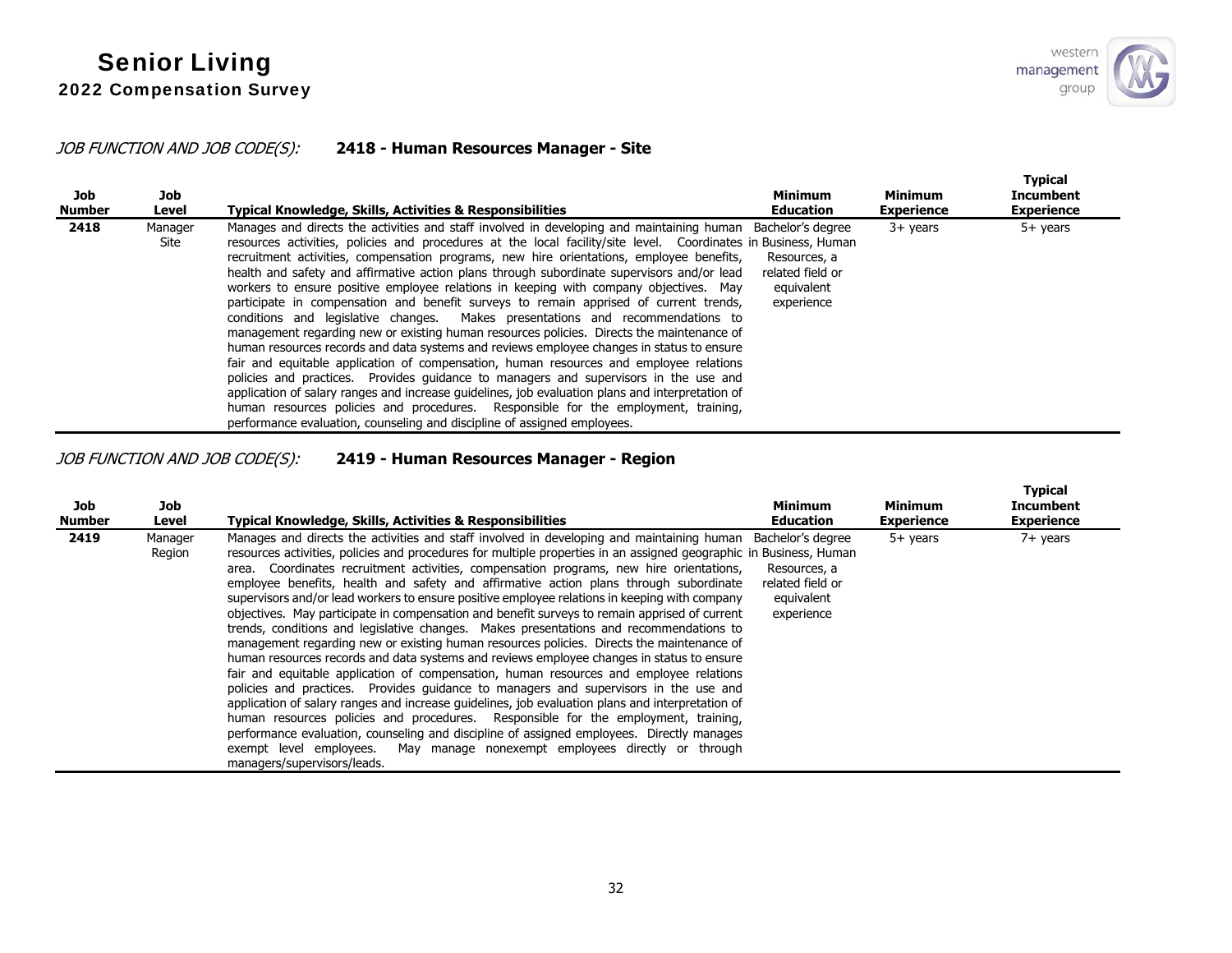## JOB FUNCTION AND JOB CODE(S): **2418 - Human Resources Manager - Site**

| Job<br>Number | Job<br>Level    | Typical Knowledge, Skills, Activities & Responsibilities                                                                                                                                                                                                                                                                                                                                                                                                                                                                                                                                                                                                                                                                                                                                                                                                                                                                                                                                                                                                                                                                                                                                                                                                                                                                    | <b>Minimum</b><br><b>Education</b>                                                | <b>Minimum</b><br><b>Experience</b> | <b>Typical</b><br><b>Incumbent</b><br><b>Experience</b> |
|---------------|-----------------|-----------------------------------------------------------------------------------------------------------------------------------------------------------------------------------------------------------------------------------------------------------------------------------------------------------------------------------------------------------------------------------------------------------------------------------------------------------------------------------------------------------------------------------------------------------------------------------------------------------------------------------------------------------------------------------------------------------------------------------------------------------------------------------------------------------------------------------------------------------------------------------------------------------------------------------------------------------------------------------------------------------------------------------------------------------------------------------------------------------------------------------------------------------------------------------------------------------------------------------------------------------------------------------------------------------------------------|-----------------------------------------------------------------------------------|-------------------------------------|---------------------------------------------------------|
| 2418          | Manager<br>Site | Manages and directs the activities and staff involved in developing and maintaining human<br>resources activities, policies and procedures at the local facility/site level. Coordinates in Business, Human<br>recruitment activities, compensation programs, new hire orientations, employee benefits,<br>health and safety and affirmative action plans through subordinate supervisors and/or lead<br>workers to ensure positive employee relations in keeping with company objectives. May<br>participate in compensation and benefit surveys to remain apprised of current trends,<br>conditions and legislative changes. Makes presentations and recommendations to<br>management regarding new or existing human resources policies. Directs the maintenance of<br>human resources records and data systems and reviews employee changes in status to ensure<br>fair and equitable application of compensation, human resources and employee relations<br>policies and practices. Provides quidance to managers and supervisors in the use and<br>application of salary ranges and increase guidelines, job evaluation plans and interpretation of<br>human resources policies and procedures. Responsible for the employment, training,<br>performance evaluation, counseling and discipline of assigned employees. | Bachelor's degree<br>Resources, a<br>related field or<br>equivalent<br>experience | $3+$ years                          | $5+$ years                                              |

JOB FUNCTION AND JOB CODE(S): **2419 - Human Resources Manager - Region**

| Job<br>Number | Job<br>Level      | <b>Typical Knowledge, Skills, Activities &amp; Responsibilities</b>                                                                                                                                                                                                                                                                                                                                                                                                                                                                                                                                                                                                                                                                                                                                                                                                                                                                                                                                                                                                                                                                                                                                                                                                                                                                                                                                                                                                                | <b>Minimum</b><br><b>Education</b>                                                | <b>Minimum</b><br><b>Experience</b> | <b>Typical</b><br><b>Incumbent</b><br><b>Experience</b> |
|---------------|-------------------|------------------------------------------------------------------------------------------------------------------------------------------------------------------------------------------------------------------------------------------------------------------------------------------------------------------------------------------------------------------------------------------------------------------------------------------------------------------------------------------------------------------------------------------------------------------------------------------------------------------------------------------------------------------------------------------------------------------------------------------------------------------------------------------------------------------------------------------------------------------------------------------------------------------------------------------------------------------------------------------------------------------------------------------------------------------------------------------------------------------------------------------------------------------------------------------------------------------------------------------------------------------------------------------------------------------------------------------------------------------------------------------------------------------------------------------------------------------------------------|-----------------------------------------------------------------------------------|-------------------------------------|---------------------------------------------------------|
| 2419          | Manager<br>Region | Manages and directs the activities and staff involved in developing and maintaining human<br>resources activities, policies and procedures for multiple properties in an assigned geographic in Business, Human<br>area. Coordinates recruitment activities, compensation programs, new hire orientations,<br>employee benefits, health and safety and affirmative action plans through subordinate<br>supervisors and/or lead workers to ensure positive employee relations in keeping with company<br>objectives. May participate in compensation and benefit surveys to remain apprised of current<br>trends, conditions and legislative changes. Makes presentations and recommendations to<br>management regarding new or existing human resources policies. Directs the maintenance of<br>human resources records and data systems and reviews employee changes in status to ensure<br>fair and equitable application of compensation, human resources and employee relations<br>policies and practices. Provides guidance to managers and supervisors in the use and<br>application of salary ranges and increase guidelines, job evaluation plans and interpretation of<br>human resources policies and procedures. Responsible for the employment, training,<br>performance evaluation, counseling and discipline of assigned employees. Directly manages<br>May manage nonexempt employees directly or through<br>exempt level employees.<br>managers/supervisors/leads. | Bachelor's degree<br>Resources, a<br>related field or<br>equivalent<br>experience | $5+$ years                          | 7+ years                                                |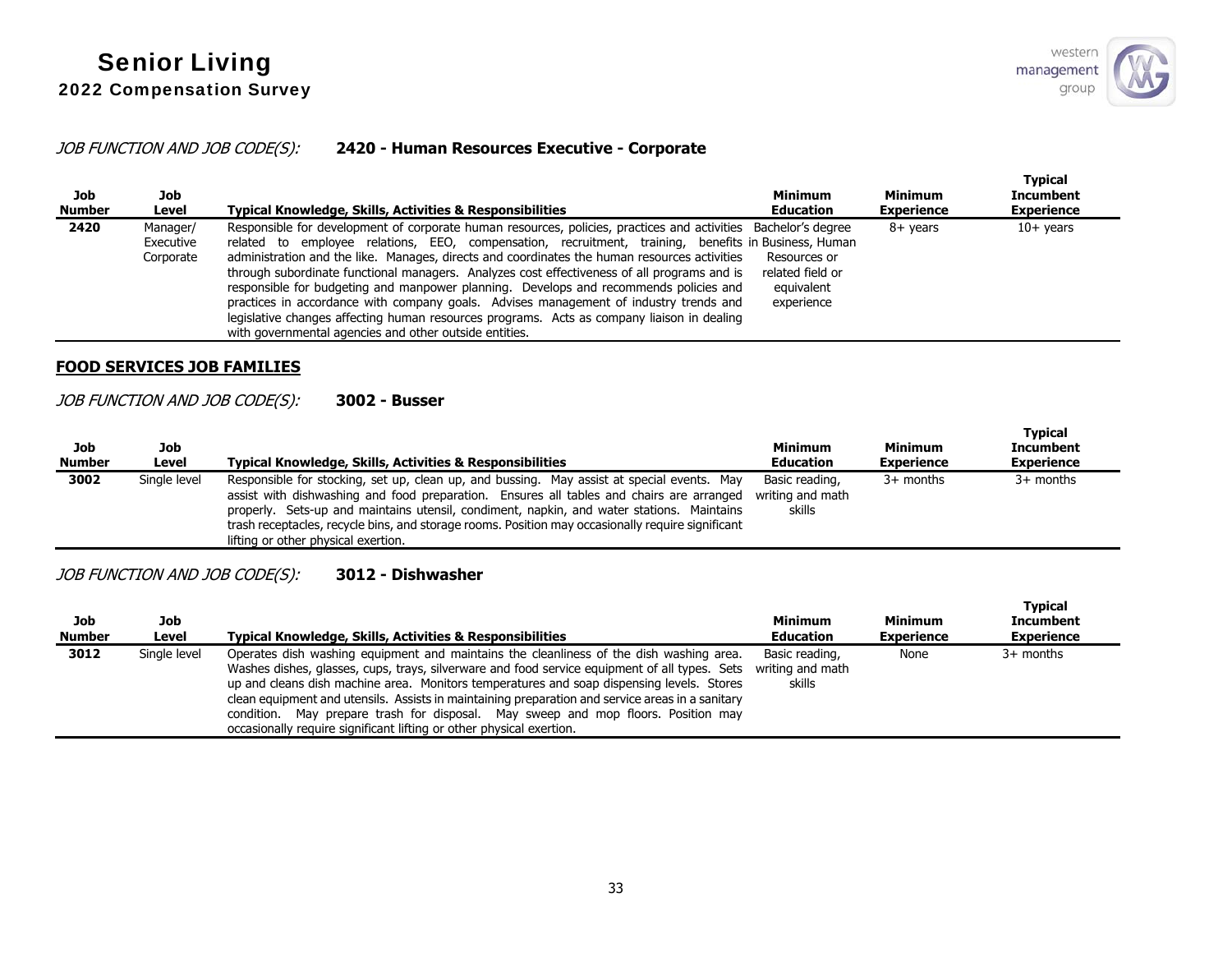## JOB FUNCTION AND JOB CODE(S): **2420 - Human Resources Executive - Corporate**

| Job<br><b>Number</b> | Job<br>Level                       | <b>Typical Knowledge, Skills, Activities &amp; Responsibilities</b>                                                                                                                                                                                                                                                                                                                                                                                                                                                                                                                                                                                                                                                                                             | <b>Minimum</b><br><b>Education</b>                           | Minimum<br><b>Experience</b> | Tvpical<br><b>Incumbent</b><br><b>Experience</b> |
|----------------------|------------------------------------|-----------------------------------------------------------------------------------------------------------------------------------------------------------------------------------------------------------------------------------------------------------------------------------------------------------------------------------------------------------------------------------------------------------------------------------------------------------------------------------------------------------------------------------------------------------------------------------------------------------------------------------------------------------------------------------------------------------------------------------------------------------------|--------------------------------------------------------------|------------------------------|--------------------------------------------------|
| 2420                 | Manager/<br>Executive<br>Corporate | Responsible for development of corporate human resources, policies, practices and activities Bachelor's degree<br>related to employee relations, EEO, compensation, recruitment, training, benefits in Business, Human<br>administration and the like. Manages, directs and coordinates the human resources activities<br>through subordinate functional managers. Analyzes cost effectiveness of all programs and is<br>responsible for budgeting and manpower planning. Develops and recommends policies and<br>practices in accordance with company goals. Advises management of industry trends and<br>legislative changes affecting human resources programs. Acts as company liaison in dealing<br>with governmental agencies and other outside entities. | Resources or<br>related field or<br>equivalent<br>experience | $8+$ vears                   | $10+$ years                                      |

#### **FOOD SERVICES JOB FAMILIES**

## JOB FUNCTION AND JOB CODE(S): **3002 - Busser**

| Job<br><b>Number</b> | Job<br>Level | <b>Typical Knowledge, Skills, Activities &amp; Responsibilities</b>                                                                                                                                                                                                                                                                                                                                                             | <b>Minimum</b><br><b>Education</b>           | Minimum<br><b>Experience</b> | <b>Typical</b><br><b>Incumbent</b><br><b>Experience</b> |
|----------------------|--------------|---------------------------------------------------------------------------------------------------------------------------------------------------------------------------------------------------------------------------------------------------------------------------------------------------------------------------------------------------------------------------------------------------------------------------------|----------------------------------------------|------------------------------|---------------------------------------------------------|
| 3002                 | Single level | Responsible for stocking, set up, clean up, and bussing. May assist at special events. May<br>assist with dishwashing and food preparation. Ensures all tables and chairs are arranged<br>properly. Sets-up and maintains utensil, condiment, napkin, and water stations. Maintains<br>trash receptacles, recycle bins, and storage rooms. Position may occasionally require significant<br>lifting or other physical exertion. | Basic reading,<br>writing and math<br>skills | $3+$ months                  | $3+$ months                                             |

## JOB FUNCTION AND JOB CODE(S): **3012 - Dishwasher**

| Job<br><b>Number</b> | Job<br>Level | <b>Typical Knowledge, Skills, Activities &amp; Responsibilities</b>                                                                                                                                                                                                                                                                                                                                                                                                                                                                                    | <b>Minimum</b><br><b>Education</b>           | Minimum<br><b>Experience</b> | <b>Typical</b><br><b>Incumbent</b><br><b>Experience</b> |
|----------------------|--------------|--------------------------------------------------------------------------------------------------------------------------------------------------------------------------------------------------------------------------------------------------------------------------------------------------------------------------------------------------------------------------------------------------------------------------------------------------------------------------------------------------------------------------------------------------------|----------------------------------------------|------------------------------|---------------------------------------------------------|
| 3012                 | Single level | Operates dish washing equipment and maintains the cleanliness of the dish washing area.<br>Washes dishes, glasses, cups, trays, silverware and food service equipment of all types. Sets<br>up and cleans dish machine area. Monitors temperatures and soap dispensing levels. Stores<br>clean equipment and utensils. Assists in maintaining preparation and service areas in a sanitary<br>condition. May prepare trash for disposal. May sweep and mop floors. Position may<br>occasionally require significant lifting or other physical exertion. | Basic reading,<br>writing and math<br>skills | None                         | $3+$ months                                             |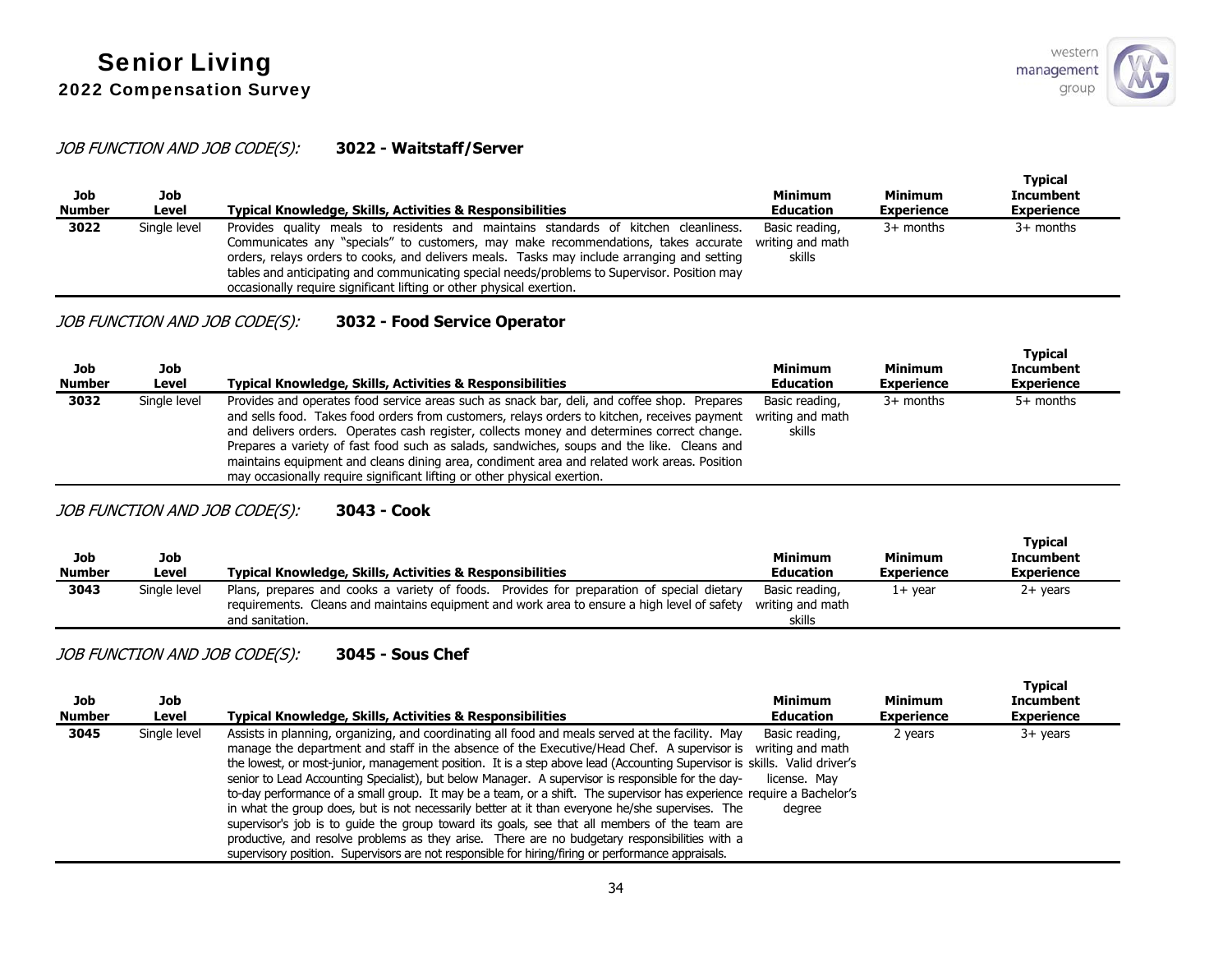## JOB FUNCTION AND JOB CODE(S): **3022 - Waitstaff/Server**

| Job<br><b>Number</b> | Job<br>Level | <b>Typical Knowledge, Skills, Activities &amp; Responsibilities</b>                                                                                                                                                                                                                                                                                                                                                                              | <b>Minimum</b><br><b>Education</b>           | <b>Minimum</b><br><b>Experience</b> | <b>Typical</b><br><b>Incumbent</b><br><b>Experience</b> |
|----------------------|--------------|--------------------------------------------------------------------------------------------------------------------------------------------------------------------------------------------------------------------------------------------------------------------------------------------------------------------------------------------------------------------------------------------------------------------------------------------------|----------------------------------------------|-------------------------------------|---------------------------------------------------------|
| 3022                 | Single level | Provides quality meals to residents and maintains standards of kitchen cleanliness.<br>Communicates any "specials" to customers, may make recommendations, takes accurate<br>orders, relays orders to cooks, and delivers meals. Tasks may include arranging and setting<br>tables and anticipating and communicating special needs/problems to Supervisor. Position may<br>occasionally require significant lifting or other physical exertion. | Basic reading,<br>writing and math<br>skills | $3+$ months                         | $3+$ months                                             |

## JOB FUNCTION AND JOB CODE(S): **3032 - Food Service Operator**

| Job<br><b>Number</b> | Job<br>Level | Typical Knowledge, Skills, Activities & Responsibilities                                                                                                                                                                                                                                                                                                                                                                                                                                                                                                           | <b>Minimum</b><br><b>Education</b>           | <b>Minimum</b><br><b>Experience</b> | <b>Typical</b><br>Incumbent<br><b>Experience</b> |
|----------------------|--------------|--------------------------------------------------------------------------------------------------------------------------------------------------------------------------------------------------------------------------------------------------------------------------------------------------------------------------------------------------------------------------------------------------------------------------------------------------------------------------------------------------------------------------------------------------------------------|----------------------------------------------|-------------------------------------|--------------------------------------------------|
| 3032                 | Single level | Provides and operates food service areas such as snack bar, deli, and coffee shop. Prepares<br>and sells food. Takes food orders from customers, relays orders to kitchen, receives payment<br>and delivers orders. Operates cash register, collects money and determines correct change.<br>Prepares a variety of fast food such as salads, sandwiches, soups and the like. Cleans and<br>maintains equipment and cleans dining area, condiment area and related work areas. Position<br>may occasionally require significant lifting or other physical exertion. | Basic reading,<br>writing and math<br>skills | $3+$ months                         | $5+$ months                                      |

## JOB FUNCTION AND JOB CODE(S): **3043 - Cook**

| Job<br><b>Number</b> | Job<br>Level | <b>Typical Knowledge, Skills, Activities &amp; Responsibilities</b>                                                                                                                                         | <b>Minimum</b><br><b>Education</b>           | <b>Minimum</b><br>Experience | <b>Typical</b><br>Incumbent<br><b>Experience</b> |
|----------------------|--------------|-------------------------------------------------------------------------------------------------------------------------------------------------------------------------------------------------------------|----------------------------------------------|------------------------------|--------------------------------------------------|
| 3043                 | Single level | Plans, prepares and cooks a variety of foods. Provides for preparation of special dietary<br>requirements. Cleans and maintains equipment and work area to ensure a high level of safety<br>and sanitation. | Basic reading,<br>writing and math<br>skills | 1+ vear                      | 2+ vears                                         |

## JOB FUNCTION AND JOB CODE(S): **3045 - Sous Chef**

| Job<br><b>Number</b> | Job<br>Level | Typical Knowledge, Skills, Activities & Responsibilities                                                                                                                                                                                                                                                                                                                                                                                                                                                                                                                                                                                                                                                                                                                                                                                                                                                                                                                | <b>Minimum</b><br><b>Education</b>                           | Minimum<br><b>Experience</b> | <b>Typical</b><br><b>Incumbent</b><br><b>Experience</b> |
|----------------------|--------------|-------------------------------------------------------------------------------------------------------------------------------------------------------------------------------------------------------------------------------------------------------------------------------------------------------------------------------------------------------------------------------------------------------------------------------------------------------------------------------------------------------------------------------------------------------------------------------------------------------------------------------------------------------------------------------------------------------------------------------------------------------------------------------------------------------------------------------------------------------------------------------------------------------------------------------------------------------------------------|--------------------------------------------------------------|------------------------------|---------------------------------------------------------|
| 3045                 | Single level | Assists in planning, organizing, and coordinating all food and meals served at the facility. May<br>manage the department and staff in the absence of the Executive/Head Chef. A supervisor is<br>the lowest, or most-junior, management position. It is a step above lead (Accounting Supervisor is skills. Valid driver's<br>senior to Lead Accounting Specialist), but below Manager. A supervisor is responsible for the day-<br>to-day performance of a small group. It may be a team, or a shift. The supervisor has experience require a Bachelor's<br>in what the group does, but is not necessarily better at it than everyone he/she supervises. The<br>supervisor's job is to quide the group toward its goals, see that all members of the team are<br>productive, and resolve problems as they arise. There are no budgetary responsibilities with a<br>supervisory position. Supervisors are not responsible for hiring/firing or performance appraisals. | Basic reading,<br>writing and math<br>license. Mav<br>dearee | 2 years                      | 3+ years                                                |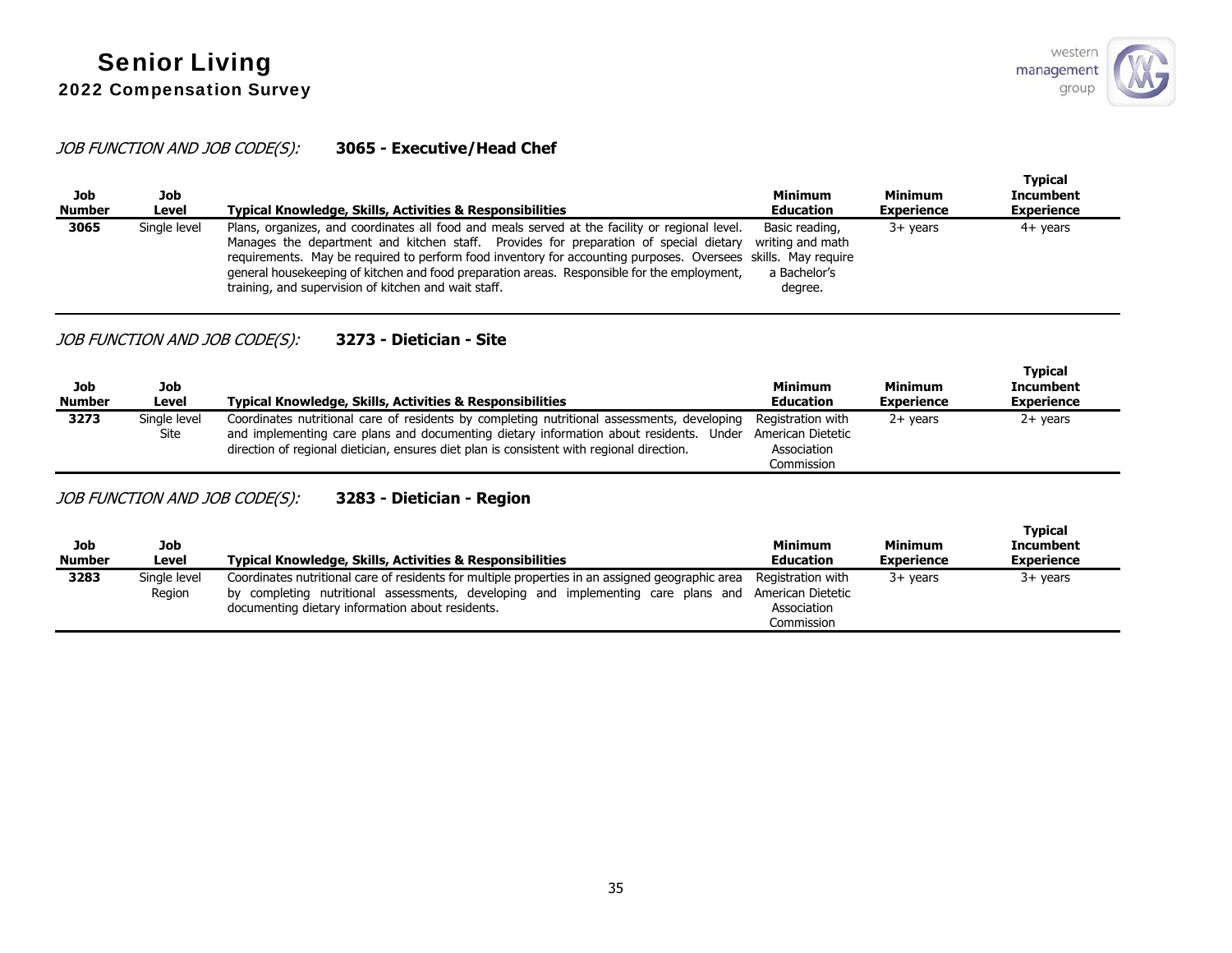## JOB FUNCTION AND JOB CODE(S): **3065 - Executive/Head Chef**

| Job<br><b>Number</b> | Job<br>Level | <b>Typical Knowledge, Skills, Activities &amp; Responsibilities</b>                                                                                                                                                                                                                                                                                                                                                                                             | Minimum<br><b>Education</b>                                   | <b>Minimum</b><br><b>Experience</b> | Typical<br><b>Incumbent</b><br><b>Experience</b> |
|----------------------|--------------|-----------------------------------------------------------------------------------------------------------------------------------------------------------------------------------------------------------------------------------------------------------------------------------------------------------------------------------------------------------------------------------------------------------------------------------------------------------------|---------------------------------------------------------------|-------------------------------------|--------------------------------------------------|
| 3065                 | Single level | Plans, organizes, and coordinates all food and meals served at the facility or regional level.<br>Manages the department and kitchen staff. Provides for preparation of special dietary<br>requirements. May be required to perform food inventory for accounting purposes. Oversees skills. May require<br>general housekeeping of kitchen and food preparation areas. Responsible for the employment,<br>training, and supervision of kitchen and wait staff. | Basic reading,<br>writing and math<br>a Bachelor's<br>degree. | $3+$ vears                          | $4+$ years                                       |

## JOB FUNCTION AND JOB CODE(S): **3273 - Dietician - Site**

| Job<br><b>Number</b> | Job<br>Level         | <b>Typical Knowledge, Skills, Activities &amp; Responsibilities</b>                                                                                                                                                                                                                | <b>Minimum</b><br><b>Education</b>                                  | Minimum<br><b>Experience</b> | <b>Typical</b><br><b>Incumbent</b><br><b>Experience</b> |
|----------------------|----------------------|------------------------------------------------------------------------------------------------------------------------------------------------------------------------------------------------------------------------------------------------------------------------------------|---------------------------------------------------------------------|------------------------------|---------------------------------------------------------|
| 3273                 | Single level<br>Site | Coordinates nutritional care of residents by completing nutritional assessments, developing<br>and implementing care plans and documenting dietary information about residents. Under<br>direction of regional dietician, ensures diet plan is consistent with regional direction. | Reaistration with<br>American Dietetic<br>Association<br>Commission | $2+$ vears                   | 2+ years                                                |

JOB FUNCTION AND JOB CODE(S): **3283 - Dietician - Region**

| Job<br><b>Number</b> | Job<br>Level           | Typical Knowledge, Skills, Activities & Responsibilities                                                                                                                                                                                                    | <b>Minimum</b><br><b>Education</b>             | Minimum<br><b>Experience</b> | <b>Typical</b><br><b>Incumbent</b><br><b>Experience</b> |
|----------------------|------------------------|-------------------------------------------------------------------------------------------------------------------------------------------------------------------------------------------------------------------------------------------------------------|------------------------------------------------|------------------------------|---------------------------------------------------------|
| 3283                 | Single level<br>Region | Coordinates nutritional care of residents for multiple properties in an assigned geographic area<br>by completing nutritional assessments, developing and implementing care plans and American Dietetic<br>documenting dietary information about residents. | Registration with<br>Association<br>Commission | $3+$ vears                   | $3+$ years                                              |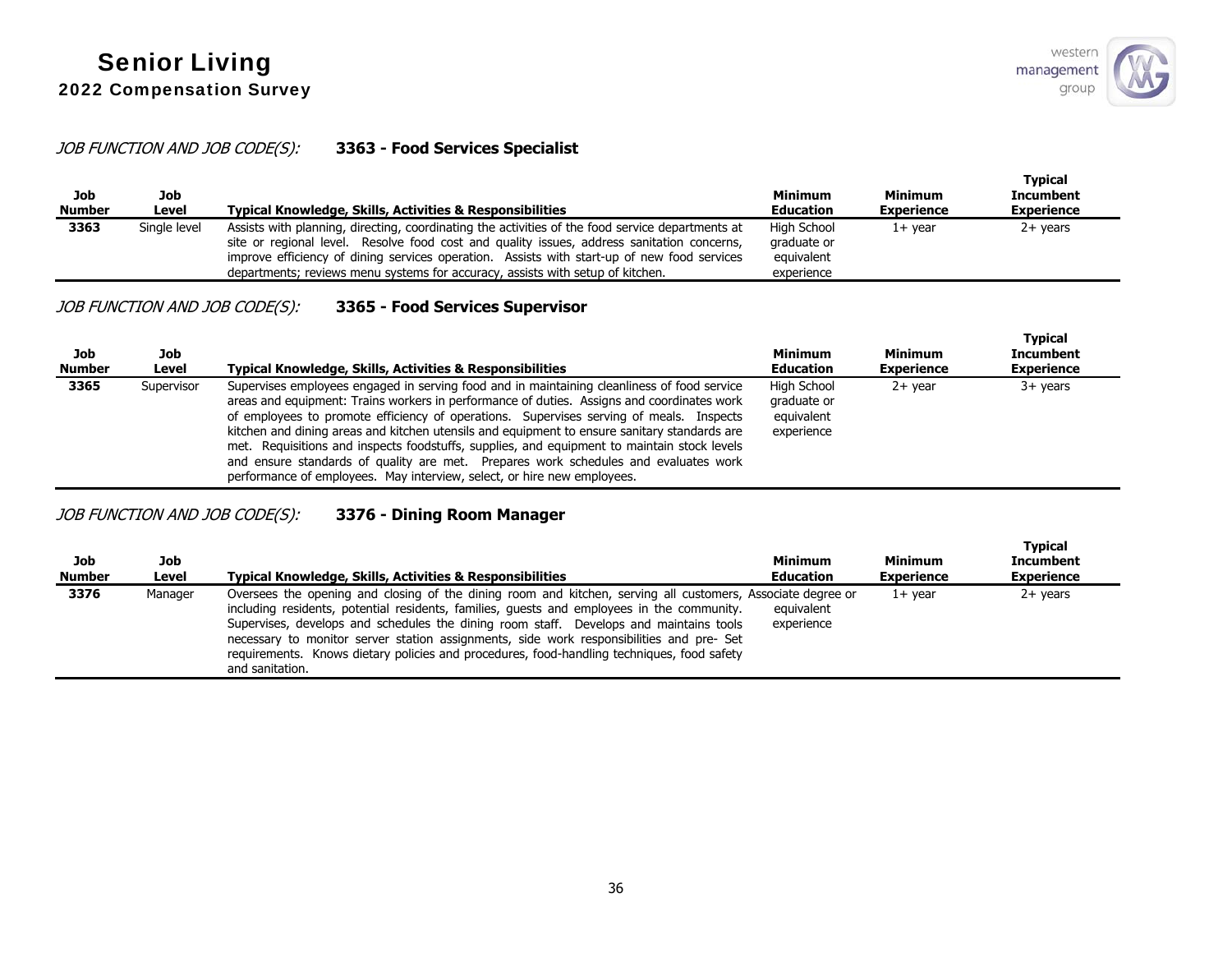## JOB FUNCTION AND JOB CODE(S): **3363 - Food Services Specialist**

| Job<br><b>Number</b> | Job<br>Level | <b>Typical Knowledge, Skills, Activities &amp; Responsibilities</b>                                                                                                                                                                                                                                                                                                             | <b>Minimum</b><br><b>Education</b>                     | <b>Minimum</b><br><b>Experience</b> | <b>Typical</b><br><b>Incumbent</b><br><b>Experience</b> |
|----------------------|--------------|---------------------------------------------------------------------------------------------------------------------------------------------------------------------------------------------------------------------------------------------------------------------------------------------------------------------------------------------------------------------------------|--------------------------------------------------------|-------------------------------------|---------------------------------------------------------|
| 3363                 | Single level | Assists with planning, directing, coordinating the activities of the food service departments at<br>site or regional level. Resolve food cost and quality issues, address sanitation concerns,<br>improve efficiency of dining services operation. Assists with start-up of new food services<br>departments; reviews menu systems for accuracy, assists with setup of kitchen. | High School<br>graduate or<br>equivalent<br>experience | 1+ vear                             | 2+ years                                                |

## JOB FUNCTION AND JOB CODE(S): **3365 - Food Services Supervisor**

| Job<br><b>Number</b> | Job<br>Level | <b>Typical Knowledge, Skills, Activities &amp; Responsibilities</b>                                                                                                                                                                                                                                                                                                                                                                                                                                                                                                                                                                                   | Minimum<br>Education                                   | <b>Minimum</b><br><b>Experience</b> | <b>Typical</b><br><b>Incumbent</b><br><b>Experience</b> |
|----------------------|--------------|-------------------------------------------------------------------------------------------------------------------------------------------------------------------------------------------------------------------------------------------------------------------------------------------------------------------------------------------------------------------------------------------------------------------------------------------------------------------------------------------------------------------------------------------------------------------------------------------------------------------------------------------------------|--------------------------------------------------------|-------------------------------------|---------------------------------------------------------|
| 3365                 | Supervisor   | Supervises employees engaged in serving food and in maintaining cleanliness of food service<br>areas and equipment: Trains workers in performance of duties. Assigns and coordinates work<br>of employees to promote efficiency of operations. Supervises serving of meals. Inspects<br>kitchen and dining areas and kitchen utensils and equipment to ensure sanitary standards are<br>met. Requisitions and inspects foodstuffs, supplies, and equipment to maintain stock levels<br>and ensure standards of quality are met. Prepares work schedules and evaluates work<br>performance of employees. May interview, select, or hire new employees. | High School<br>graduate or<br>equivalent<br>experience | $2+$ vear                           | $3+$ years                                              |

## JOB FUNCTION AND JOB CODE(S): **3376 - Dining Room Manager**

| Job<br><b>Number</b> | Job<br>Level | <b>Typical Knowledge, Skills, Activities &amp; Responsibilities</b>                                                                                                                                                                                                                                                                                                                                                                                                                                              | Minimum<br><b>Education</b> | <b>Minimum</b><br><b>Experience</b> | <b>Typical</b><br><b>Incumbent</b><br><b>Experience</b> |
|----------------------|--------------|------------------------------------------------------------------------------------------------------------------------------------------------------------------------------------------------------------------------------------------------------------------------------------------------------------------------------------------------------------------------------------------------------------------------------------------------------------------------------------------------------------------|-----------------------------|-------------------------------------|---------------------------------------------------------|
| 3376                 | Manager      | Oversees the opening and closing of the dining room and kitchen, serving all customers, Associate degree or<br>including residents, potential residents, families, quests and employees in the community.<br>Supervises, develops and schedules the dining room staff. Develops and maintains tools<br>necessary to monitor server station assignments, side work responsibilities and pre- Set<br>requirements. Knows dietary policies and procedures, food-handling techniques, food safety<br>and sanitation. | equivalent<br>experience    | $1+$ vear                           | $2+$ vears                                              |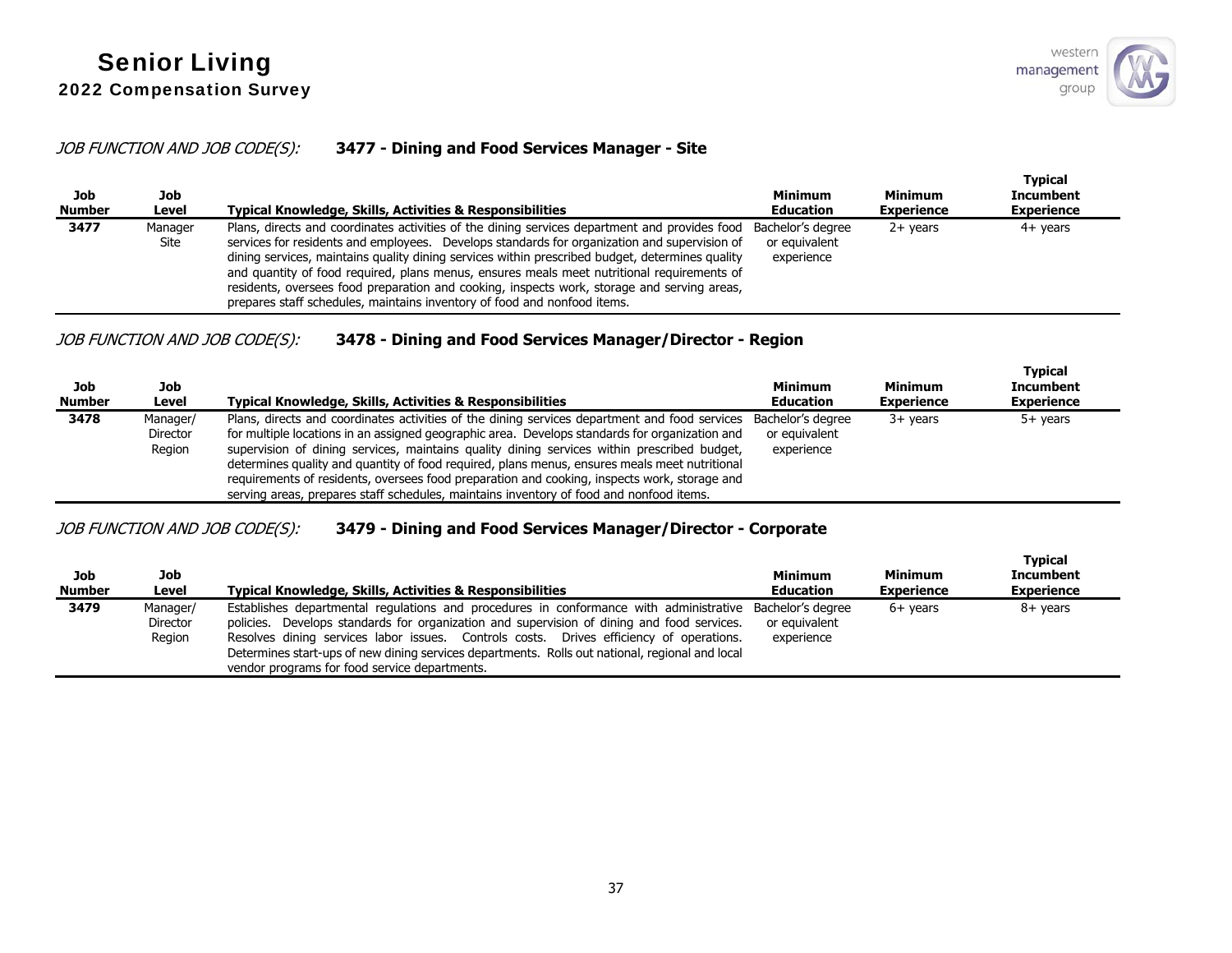### JOB FUNCTION AND JOB CODE(S): **3477 - Dining and Food Services Manager - Site**

| Job<br><b>Number</b> | Job<br>Level    | Typical Knowledge, Skills, Activities & Responsibilities                                                                                                                                                                                                                                                                                                                                                                                                                                                                                                                  | Minimum<br><b>Education</b>                      | Minimum<br><b>Experience</b> | <b>Typical</b><br>Incumbent<br><b>Experience</b> |
|----------------------|-----------------|---------------------------------------------------------------------------------------------------------------------------------------------------------------------------------------------------------------------------------------------------------------------------------------------------------------------------------------------------------------------------------------------------------------------------------------------------------------------------------------------------------------------------------------------------------------------------|--------------------------------------------------|------------------------------|--------------------------------------------------|
| 3477                 | Manager<br>Site | Plans, directs and coordinates activities of the dining services department and provides food<br>services for residents and employees. Develops standards for organization and supervision of<br>dining services, maintains quality dining services within prescribed budget, determines quality<br>and quantity of food required, plans menus, ensures meals meet nutritional requirements of<br>residents, oversees food preparation and cooking, inspects work, storage and serving areas,<br>prepares staff schedules, maintains inventory of food and nonfood items. | Bachelor's degree<br>or equivalent<br>experience | $2+$ years                   | 4+ years                                         |

## JOB FUNCTION AND JOB CODE(S): **3478 - Dining and Food Services Manager/Director - Region**

| Job<br><b>Number</b> | Job<br>Level                   | Typical Knowledge, Skills, Activities & Responsibilities                                                                                                                                                                                                                                                                                                                                                                                                                                                                                                                                   | <b>Minimum</b><br><b>Education</b>               | Minimum<br><b>Experience</b> | <b>Typical</b><br><b>Incumbent</b><br><b>Experience</b> |
|----------------------|--------------------------------|--------------------------------------------------------------------------------------------------------------------------------------------------------------------------------------------------------------------------------------------------------------------------------------------------------------------------------------------------------------------------------------------------------------------------------------------------------------------------------------------------------------------------------------------------------------------------------------------|--------------------------------------------------|------------------------------|---------------------------------------------------------|
| 3478                 | Manager/<br>Director<br>Region | Plans, directs and coordinates activities of the dining services department and food services<br>for multiple locations in an assigned geographic area. Develops standards for organization and<br>supervision of dining services, maintains quality dining services within prescribed budget,<br>determines quality and quantity of food required, plans menus, ensures meals meet nutritional<br>requirements of residents, oversees food preparation and cooking, inspects work, storage and<br>serving areas, prepares staff schedules, maintains inventory of food and nonfood items. | Bachelor's degree<br>or equivalent<br>experience | $3+$ vears                   | $5+$ vears                                              |

## JOB FUNCTION AND JOB CODE(S): **3479 - Dining and Food Services Manager/Director - Corporate**

| Job<br><b>Number</b> | Job<br>Level                   | <b>Typical Knowledge, Skills, Activities &amp; Responsibilities</b>                                                                                                                                                                                                                                                                                                                                                                                   | <b>Minimum</b><br><b>Education</b> | <b>Minimum</b><br><b>Experience</b> | <b>Typical</b><br><b>Incumbent</b><br><b>Experience</b> |
|----------------------|--------------------------------|-------------------------------------------------------------------------------------------------------------------------------------------------------------------------------------------------------------------------------------------------------------------------------------------------------------------------------------------------------------------------------------------------------------------------------------------------------|------------------------------------|-------------------------------------|---------------------------------------------------------|
| 3479                 | Manager/<br>Director<br>Region | Establishes departmental regulations and procedures in conformance with administrative Bachelor's degree<br>policies. Develops standards for organization and supervision of dining and food services.<br>Resolves dining services labor issues. Controls costs. Drives efficiency of operations.<br>Determines start-ups of new dining services departments. Rolls out national, regional and local<br>vendor programs for food service departments. | or equivalent<br>experience        | $6+$ vears                          | 8+ years                                                |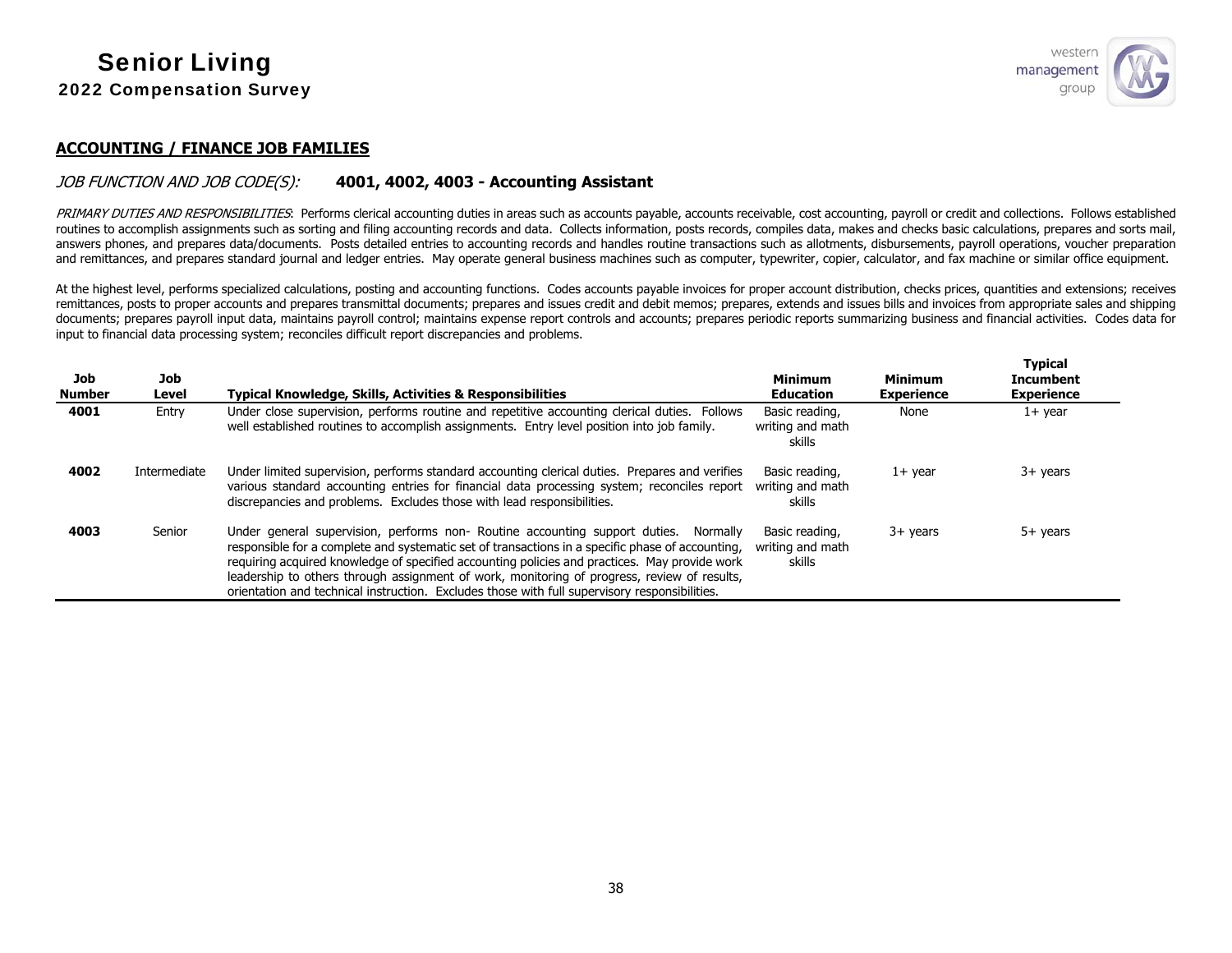

#### **ACCOUNTING / FINANCE JOB FAMILIES**

#### JOB FUNCTION AND JOB CODE(S): **4001, 4002, 4003 - Accounting Assistant**

PRIMARY DUTIES AND RESPONSIBILITIES: Performs clerical accounting duties in areas such as accounts payable, accounts receivable, cost accounting, payroll or credit and collections. Follows established routines to accomplish assignments such as sorting and filing accounting records and data. Collects information, posts records, compiles data, makes and checks basic calculations, prepares and sorts mail, answers phones, and prepares data/documents. Posts detailed entries to accounting records and handles routine transactions such as allotments, disbursements, payroll operations, voucher preparation and remittances, and prepares standard journal and ledger entries. May operate general business machines such as computer, typewriter, copier, calculator, and fax machine or similar office equipment.

At the highest level, performs specialized calculations, posting and accounting functions. Codes accounts payable invoices for proper account distribution, checks prices, quantities and extensions; receives remittances, posts to proper accounts and prepares transmittal documents; prepares and issues credit and debit memos; prepares, extends and issues bills and invoices from appropriate sales and shipping documents; prepares payroll input data, maintains payroll control; maintains expense report controls and accounts; prepares periodic reports summarizing business and financial activities. Codes data for input to financial data processing system; reconciles difficult report discrepancies and problems.

| Job<br><b>Number</b> | Job<br>Level | <b>Typical Knowledge, Skills, Activities &amp; Responsibilities</b>                                                                                                                                                                                                                                                                                                                                                                                                                       | <b>Minimum</b><br><b>Education</b>           | <b>Minimum</b><br><b>Experience</b> | <b>Typical</b><br><b>Incumbent</b><br><b>Experience</b> |
|----------------------|--------------|-------------------------------------------------------------------------------------------------------------------------------------------------------------------------------------------------------------------------------------------------------------------------------------------------------------------------------------------------------------------------------------------------------------------------------------------------------------------------------------------|----------------------------------------------|-------------------------------------|---------------------------------------------------------|
| 4001                 | Entry        | Under close supervision, performs routine and repetitive accounting clerical duties. Follows<br>well established routines to accomplish assignments. Entry level position into job family.                                                                                                                                                                                                                                                                                                | Basic reading,<br>writing and math<br>skills | None                                | $1+$ year                                               |
| 4002                 | Intermediate | Under limited supervision, performs standard accounting clerical duties. Prepares and verifies<br>various standard accounting entries for financial data processing system; reconciles report<br>discrepancies and problems. Excludes those with lead responsibilities.                                                                                                                                                                                                                   | Basic reading,<br>writing and math<br>skills | $1+$ year                           | $3+$ years                                              |
| 4003                 | Senior       | Under general supervision, performs non- Routine accounting support duties. Normally<br>responsible for a complete and systematic set of transactions in a specific phase of accounting,<br>requiring acquired knowledge of specified accounting policies and practices. May provide work<br>leadership to others through assignment of work, monitoring of progress, review of results,<br>orientation and technical instruction. Excludes those with full supervisory responsibilities. | Basic reading,<br>writing and math<br>skills | $3+$ years                          | $5+$ years                                              |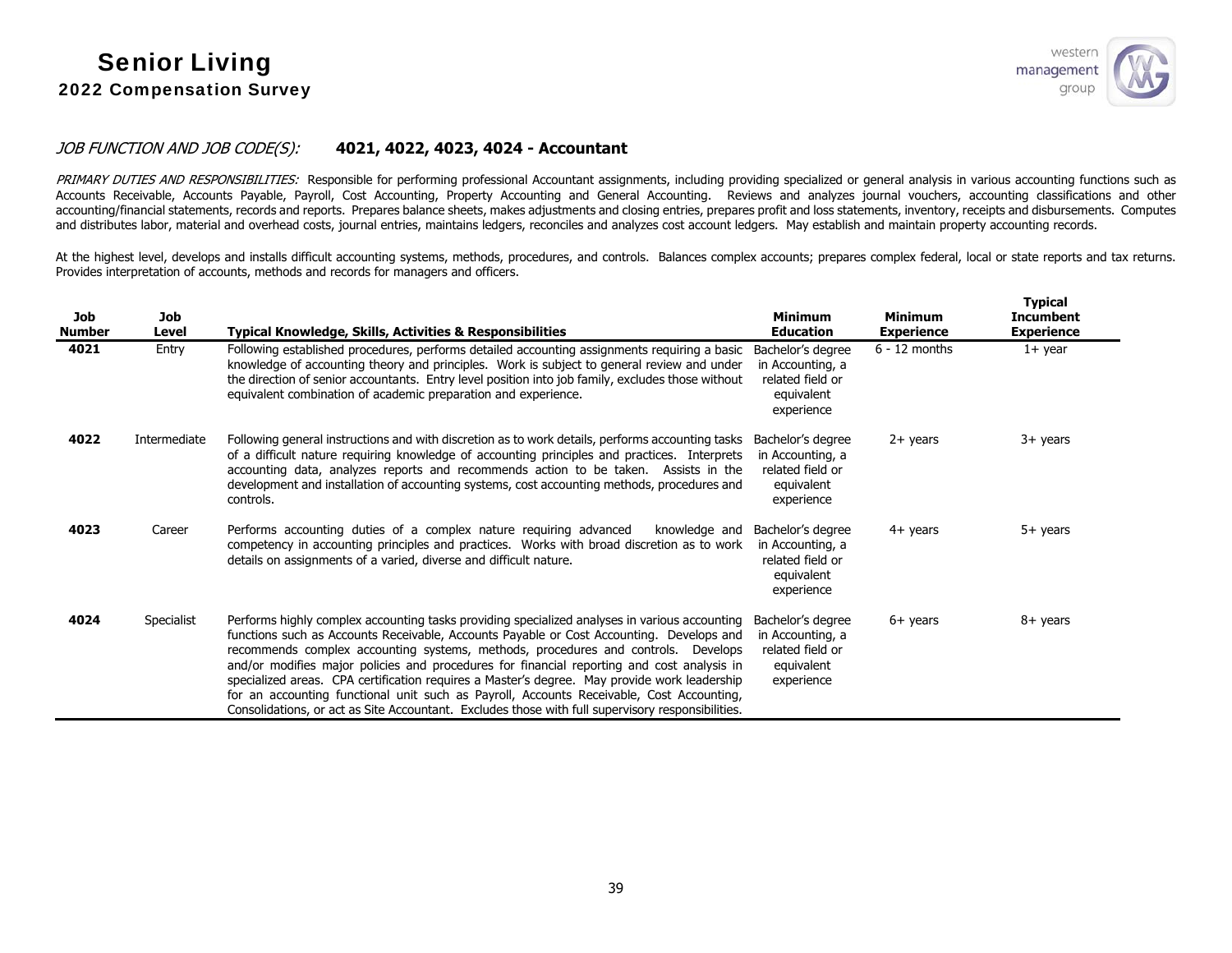

### JOB FUNCTION AND JOB CODE(S): **4021, 4022, 4023, 4024 - Accountant**

PRIMARY DUTIES AND RESPONSIBILITIES: Responsible for performing professional Accountant assignments, including providing specialized or general analysis in various accounting functions such as Accounts Receivable, Accounts Payable, Payroll, Cost Accounting, Property Accounting and General Accounting. Reviews and analyzes journal vouchers, accounting classifications and other accounting/financial statements, records and reports. Prepares balance sheets, makes adjustments and closing entries, prepares profit and loss statements, inventory, receipts and disbursements. Computes and distributes labor, material and overhead costs, journal entries, maintains ledgers, reconciles and analyzes cost account ledgers. May establish and maintain property accounting records.

At the highest level, develops and installs difficult accounting systems, methods, procedures, and controls. Balances complex accounts; prepares complex federal, local or state reports and tax returns. Provides interpretation of accounts, methods and records for managers and officers.

| <b>Job</b><br><b>Number</b> | Job<br>Level | Typical Knowledge, Skills, Activities & Responsibilities                                                                                                                                                                                                                                                                                                                                                                                                                                                                                                                                                                                                                      | <b>Minimum</b><br><b>Education</b>                                                    | <b>Minimum</b><br><b>Experience</b> | <b>Typical</b><br><b>Incumbent</b><br><b>Experience</b> |
|-----------------------------|--------------|-------------------------------------------------------------------------------------------------------------------------------------------------------------------------------------------------------------------------------------------------------------------------------------------------------------------------------------------------------------------------------------------------------------------------------------------------------------------------------------------------------------------------------------------------------------------------------------------------------------------------------------------------------------------------------|---------------------------------------------------------------------------------------|-------------------------------------|---------------------------------------------------------|
| 4021                        | Entry        | Following established procedures, performs detailed accounting assignments requiring a basic<br>knowledge of accounting theory and principles. Work is subject to general review and under<br>the direction of senior accountants. Entry level position into job family, excludes those without<br>equivalent combination of academic preparation and experience.                                                                                                                                                                                                                                                                                                             | Bachelor's degree<br>in Accounting, a<br>related field or<br>equivalent<br>experience | $6 - 12$ months                     | $1+$ year                                               |
| 4022                        | Intermediate | Following general instructions and with discretion as to work details, performs accounting tasks<br>of a difficult nature requiring knowledge of accounting principles and practices. Interprets<br>accounting data, analyzes reports and recommends action to be taken. Assists in the<br>development and installation of accounting systems, cost accounting methods, procedures and<br>controls.                                                                                                                                                                                                                                                                           | Bachelor's degree<br>in Accounting, a<br>related field or<br>equivalent<br>experience | $2+$ years                          | $3+$ years                                              |
| 4023                        | Career       | Performs accounting duties of a complex nature requiring advanced<br>knowledge and<br>competency in accounting principles and practices. Works with broad discretion as to work<br>details on assignments of a varied, diverse and difficult nature.                                                                                                                                                                                                                                                                                                                                                                                                                          | Bachelor's degree<br>in Accounting, a<br>related field or<br>equivalent<br>experience | $4+$ years                          | $5+$ years                                              |
| 4024                        | Specialist   | Performs highly complex accounting tasks providing specialized analyses in various accounting<br>functions such as Accounts Receivable, Accounts Payable or Cost Accounting. Develops and<br>recommends complex accounting systems, methods, procedures and controls. Develops<br>and/or modifies major policies and procedures for financial reporting and cost analysis in<br>specialized areas. CPA certification requires a Master's degree. May provide work leadership<br>for an accounting functional unit such as Payroll, Accounts Receivable, Cost Accounting,<br>Consolidations, or act as Site Accountant. Excludes those with full supervisory responsibilities. | Bachelor's degree<br>in Accounting, a<br>related field or<br>equivalent<br>experience | $6+$ years                          | 8+ years                                                |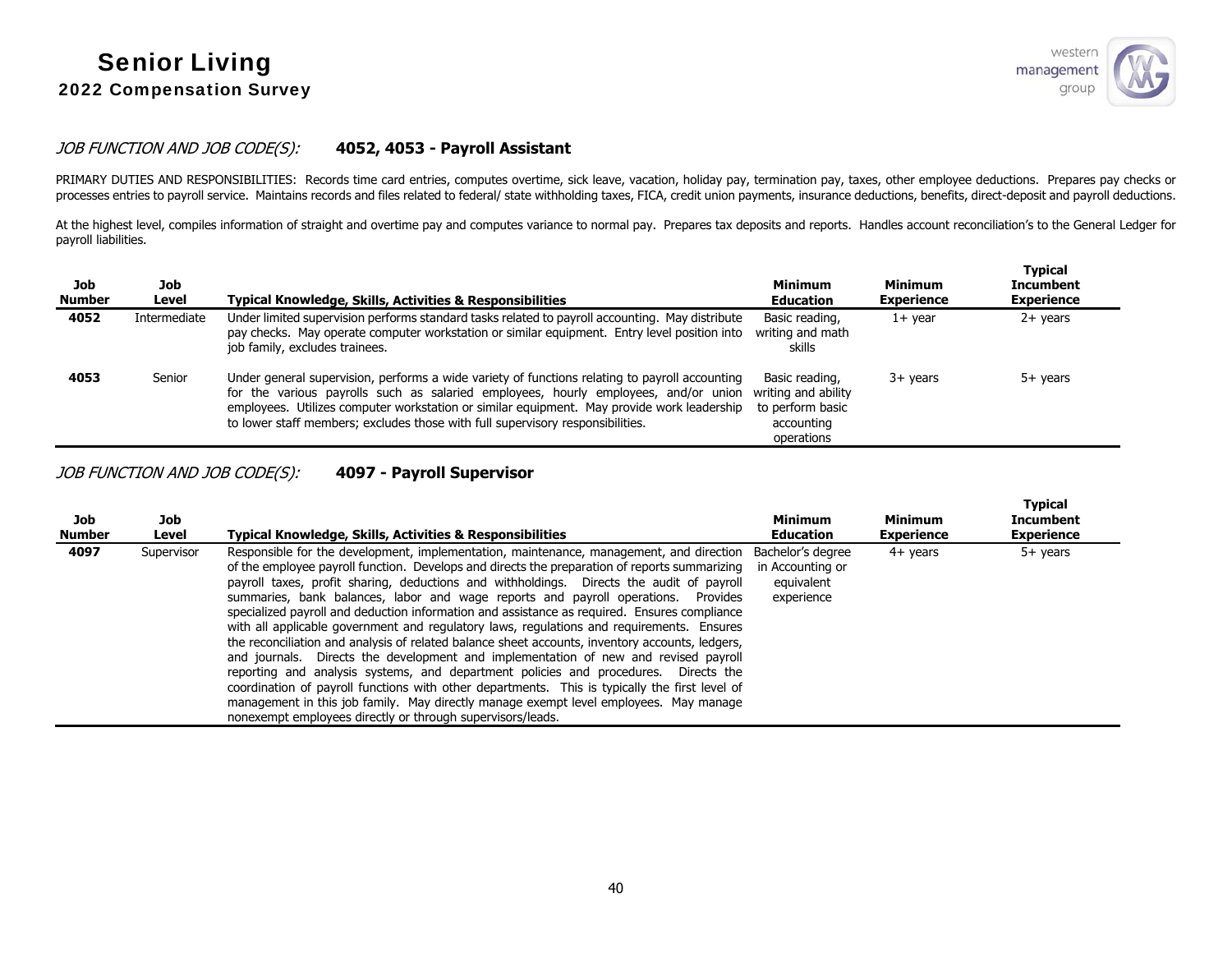

#### JOB FUNCTION AND JOB CODE(S): **4052, 4053 - Payroll Assistant**

PRIMARY DUTIES AND RESPONSIBILITIES: Records time card entries, computes overtime, sick leave, vacation, holiday pay, termination pay, taxes, other employee deductions. Prepares pay checks or processes entries to payroll service. Maintains records and files related to federal/ state withholding taxes, FICA, credit union payments, insurance deductions, benefits, direct-deposit and payroll deductions.

At the highest level, compiles information of straight and overtime pay and computes variance to normal pay. Prepares tax deposits and reports. Handles account reconciliation's to the General Ledger for payroll liabilities.

| Job<br><b>Number</b> | Job<br>Level | <b>Typical Knowledge, Skills, Activities &amp; Responsibilities</b>                                                                                                                                                                                                                                                                                                   | <b>Minimum</b><br><b>Education</b>                                                    | Minimum<br><b>Experience</b> | <b>Typical</b><br><b>Incumbent</b><br><b>Experience</b> |
|----------------------|--------------|-----------------------------------------------------------------------------------------------------------------------------------------------------------------------------------------------------------------------------------------------------------------------------------------------------------------------------------------------------------------------|---------------------------------------------------------------------------------------|------------------------------|---------------------------------------------------------|
| 4052                 | Intermediate | Under limited supervision performs standard tasks related to payroll accounting. May distribute<br>pay checks. May operate computer workstation or similar equipment. Entry level position into<br>job family, excludes trainees.                                                                                                                                     | Basic reading,<br>writing and math<br>skills                                          | $1+$ vear                    | $2+$ years                                              |
| 4053                 | Senior       | Under general supervision, performs a wide variety of functions relating to payroll accounting<br>for the various payrolls such as salaried employees, hourly employees, and/or union<br>employees. Utilizes computer workstation or similar equipment. May provide work leadership<br>to lower staff members; excludes those with full supervisory responsibilities. | Basic reading,<br>writing and ability<br>to perform basic<br>accounting<br>operations | $3+$ years                   | 5+ years                                                |

JOB FUNCTION AND JOB CODE(S): **4097 - Payroll Supervisor** 

| Job<br><b>Number</b> | Job<br>Level | <b>Typical Knowledge, Skills, Activities &amp; Responsibilities</b>                                                                                                                                                                                                                                                                                                                                                                                                                                                                                                                                                                                                                                                                                                                                                                                                                                                                                                                                                                                                                                              | Minimum<br><b>Education</b>                                       | <b>Minimum</b><br><b>Experience</b> | <b>Typical</b><br><b>Incumbent</b><br><b>Experience</b> |
|----------------------|--------------|------------------------------------------------------------------------------------------------------------------------------------------------------------------------------------------------------------------------------------------------------------------------------------------------------------------------------------------------------------------------------------------------------------------------------------------------------------------------------------------------------------------------------------------------------------------------------------------------------------------------------------------------------------------------------------------------------------------------------------------------------------------------------------------------------------------------------------------------------------------------------------------------------------------------------------------------------------------------------------------------------------------------------------------------------------------------------------------------------------------|-------------------------------------------------------------------|-------------------------------------|---------------------------------------------------------|
| 4097                 | Supervisor   | Responsible for the development, implementation, maintenance, management, and direction<br>of the employee payroll function. Develops and directs the preparation of reports summarizing<br>payroll taxes, profit sharing, deductions and withholdings. Directs the audit of payroll<br>summaries, bank balances, labor and wage reports and payroll operations. Provides<br>specialized payroll and deduction information and assistance as required. Ensures compliance<br>with all applicable government and regulatory laws, regulations and reguirements. Ensures<br>the reconciliation and analysis of related balance sheet accounts, inventory accounts, ledgers,<br>and journals. Directs the development and implementation of new and revised payroll<br>reporting and analysis systems, and department policies and procedures. Directs the<br>coordination of payroll functions with other departments. This is typically the first level of<br>management in this job family. May directly manage exempt level employees. May manage<br>nonexempt employees directly or through supervisors/leads. | Bachelor's degree<br>in Accounting or<br>equivalent<br>experience | $4+$ years                          | $5+$ years                                              |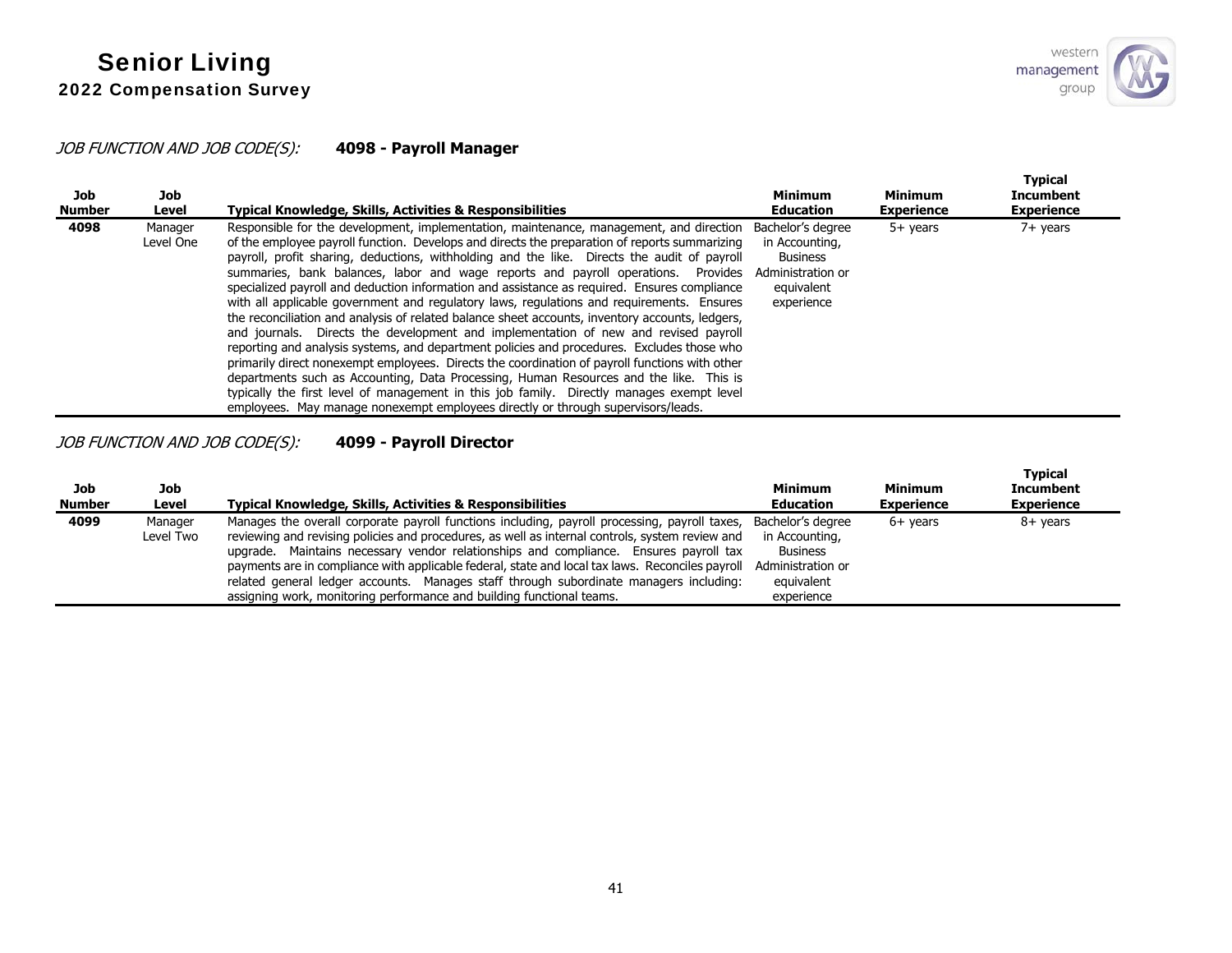# JOB FUNCTION AND JOB CODE(S): **4098 - Payroll Manager**

| Job<br><b>Number</b> | Job<br>Level         | Typical Knowledge, Skills, Activities & Responsibilities                                                                                                                                                                                                                                                                                                                                                                                                                                                                                                                                                                                                                                                                                                                                                                                                                                                                                                                                                                                                                                                                                                                                                                                       | <b>Minimum</b><br><b>Education</b>                                                                      | Minimum<br><b>Experience</b> | <b>Typical</b><br><b>Incumbent</b><br><b>Experience</b> |
|----------------------|----------------------|------------------------------------------------------------------------------------------------------------------------------------------------------------------------------------------------------------------------------------------------------------------------------------------------------------------------------------------------------------------------------------------------------------------------------------------------------------------------------------------------------------------------------------------------------------------------------------------------------------------------------------------------------------------------------------------------------------------------------------------------------------------------------------------------------------------------------------------------------------------------------------------------------------------------------------------------------------------------------------------------------------------------------------------------------------------------------------------------------------------------------------------------------------------------------------------------------------------------------------------------|---------------------------------------------------------------------------------------------------------|------------------------------|---------------------------------------------------------|
| 4098                 | Manager<br>Level One | Responsible for the development, implementation, maintenance, management, and direction<br>of the employee payroll function. Develops and directs the preparation of reports summarizing<br>payroll, profit sharing, deductions, withholding and the like. Directs the audit of payroll<br>summaries, bank balances, labor and wage reports and payroll operations. Provides<br>specialized payroll and deduction information and assistance as required. Ensures compliance<br>with all applicable government and regulatory laws, regulations and reguirements. Ensures<br>the reconciliation and analysis of related balance sheet accounts, inventory accounts, ledgers,<br>and journals. Directs the development and implementation of new and revised payroll<br>reporting and analysis systems, and department policies and procedures. Excludes those who<br>primarily direct nonexempt employees. Directs the coordination of payroll functions with other<br>departments such as Accounting, Data Processing, Human Resources and the like. This is<br>typically the first level of management in this job family. Directly manages exempt level<br>employees. May manage nonexempt employees directly or through supervisors/leads. | Bachelor's degree<br>in Accounting,<br><b>Business</b><br>Administration or<br>equivalent<br>experience | $5+$ years                   | $7+$ years                                              |

# JOB FUNCTION AND JOB CODE(S): **4099 - Payroll Director**

| Job<br><b>Number</b> | Job<br>Level         | <b>Typical Knowledge, Skills, Activities &amp; Responsibilities</b>                                                                                                                                                                                                                                                                                                                                                                                                                                                                                              | <b>Minimum</b><br><b>Education</b>                                                                      | <b>Minimum</b><br><b>Experience</b> | Typical<br><b>Incumbent</b><br><b>Experience</b> |
|----------------------|----------------------|------------------------------------------------------------------------------------------------------------------------------------------------------------------------------------------------------------------------------------------------------------------------------------------------------------------------------------------------------------------------------------------------------------------------------------------------------------------------------------------------------------------------------------------------------------------|---------------------------------------------------------------------------------------------------------|-------------------------------------|--------------------------------------------------|
| 4099                 | Manager<br>Level Two | Manages the overall corporate payroll functions including, payroll processing, payroll taxes,<br>reviewing and revising policies and procedures, as well as internal controls, system review and<br>upgrade. Maintains necessary vendor relationships and compliance. Ensures payroll tax<br>payments are in compliance with applicable federal, state and local tax laws. Reconciles payroll<br>related general ledger accounts. Manages staff through subordinate managers including:<br>assigning work, monitoring performance and building functional teams. | Bachelor's degree<br>in Accounting,<br><b>Business</b><br>Administration or<br>equivalent<br>experience | $6+$ years                          | 8+ years                                         |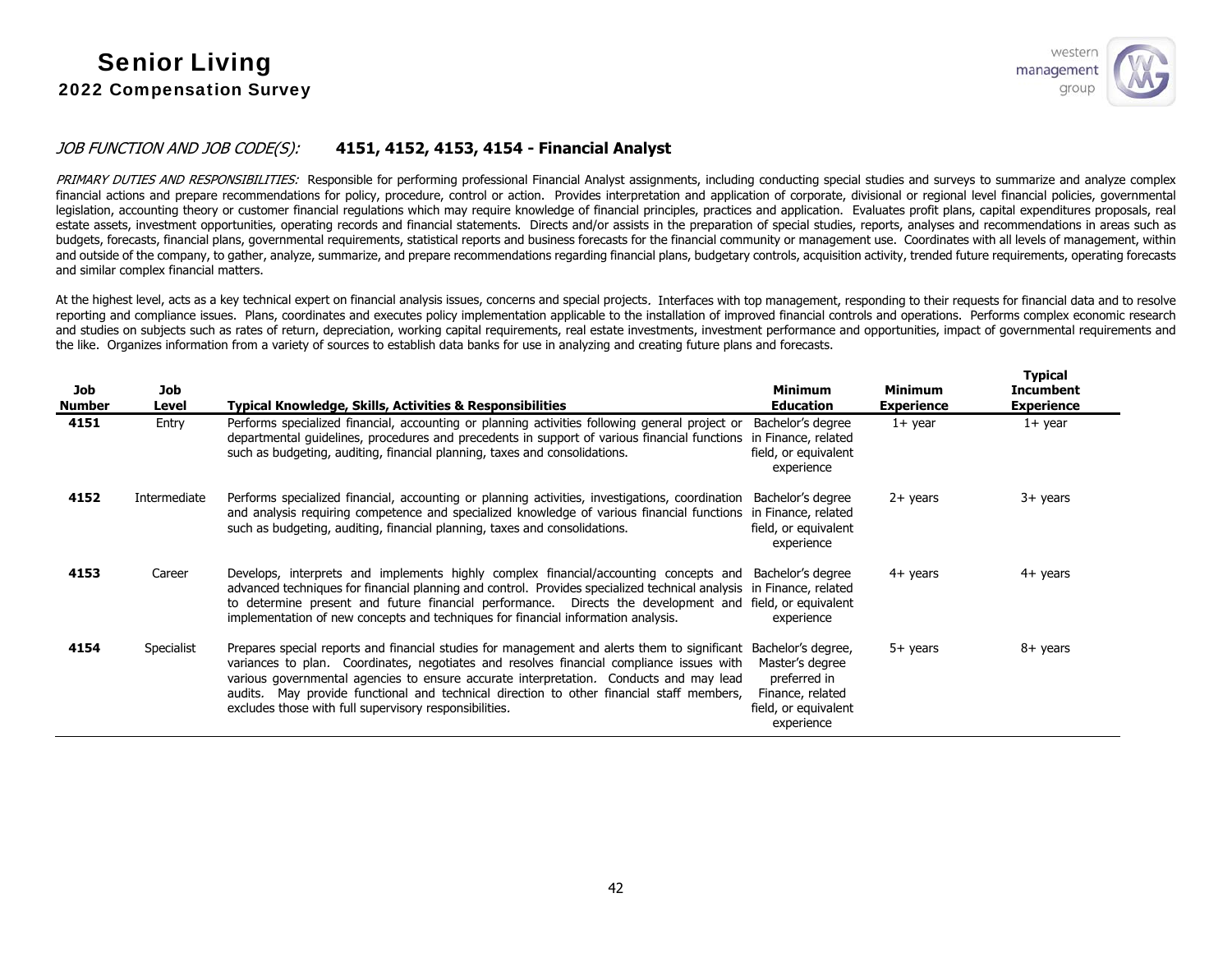### JOB FUNCTION AND JOB CODE(S): **4151, 4152, 4153, 4154 - Financial Analyst**

PRIMARY DUTIES AND RESPONSIBILITIES: Responsible for performing professional Financial Analyst assignments, including conducting special studies and surveys to summarize and analyze complex financial actions and prepare recommendations for policy, procedure, control or action. Provides interpretation and application of corporate, divisional or regional level financial policies, governmental legislation, accounting theory or customer financial regulations which may require knowledge of financial principles, practices and application. Evaluates profit plans, capital expenditures proposals, real estate assets, investment opportunities, operating records and financial statements. Directs and/or assists in the preparation of special studies, reports, analyses and recommendations in areas such as budgets, forecasts, financial plans, governmental requirements, statistical reports and business forecasts for the financial community or management use. Coordinates with all levels of management, within and outside of the company, to gather, analyze, summarize, and prepare recommendations regarding financial plans, budgetary controls, acquisition activity, trended future requirements, operating forecasts and similar complex financial matters.

At the highest level, acts as a key technical expert on financial analysis issues, concerns and special projects. Interfaces with top management, responding to their requests for financial data and to resolve reporting and compliance issues. Plans, coordinates and executes policy implementation applicable to the installation of improved financial controls and operations. Performs complex economic research and studies on subjects such as rates of return, depreciation, working capital requirements, real estate investments, investment performance and opportunities, impact of governmental requirements and the like. Organizes information from a variety of sources to establish data banks for use in analyzing and creating future plans and forecasts.

| Job<br>Number | Job<br>Level | <b>Typical Knowledge, Skills, Activities &amp; Responsibilities</b>                                                                                                                                                                                                                                                                                                                                                                      | <b>Minimum</b><br><b>Education</b>                                                                              | <b>Minimum</b><br><b>Experience</b> | <b>Typical</b><br><b>Incumbent</b><br><b>Experience</b> |
|---------------|--------------|------------------------------------------------------------------------------------------------------------------------------------------------------------------------------------------------------------------------------------------------------------------------------------------------------------------------------------------------------------------------------------------------------------------------------------------|-----------------------------------------------------------------------------------------------------------------|-------------------------------------|---------------------------------------------------------|
| 4151          | Entry        | Performs specialized financial, accounting or planning activities following general project or<br>departmental guidelines, procedures and precedents in support of various financial functions<br>such as budgeting, auditing, financial planning, taxes and consolidations.                                                                                                                                                             | Bachelor's degree<br>in Finance, related<br>field, or equivalent<br>experience                                  | $1+$ year                           | $1+$ year                                               |
| 4152          | Intermediate | Performs specialized financial, accounting or planning activities, investigations, coordination<br>and analysis requiring competence and specialized knowledge of various financial functions<br>such as budgeting, auditing, financial planning, taxes and consolidations.                                                                                                                                                              | Bachelor's degree<br>in Finance, related<br>field, or equivalent<br>experience                                  | $2+$ years                          | $3+$ years                                              |
| 4153          | Career       | Develops, interprets and implements highly complex financial/accounting concepts and<br>advanced techniques for financial planning and control. Provides specialized technical analysis in Finance, related<br>to determine present and future financial performance. Directs the development and field, or equivalent<br>implementation of new concepts and techniques for financial information analysis.                              | Bachelor's degree<br>experience                                                                                 | $4+$ years                          | $4+$ years                                              |
| 4154          | Specialist   | Prepares special reports and financial studies for management and alerts them to significant<br>variances to plan. Coordinates, negotiates and resolves financial compliance issues with<br>various governmental agencies to ensure accurate interpretation. Conducts and may lead<br>audits. May provide functional and technical direction to other financial staff members,<br>excludes those with full supervisory responsibilities. | Bachelor's degree,<br>Master's degree<br>preferred in<br>Finance, related<br>field, or equivalent<br>experience | 5+ years                            | 8+ years                                                |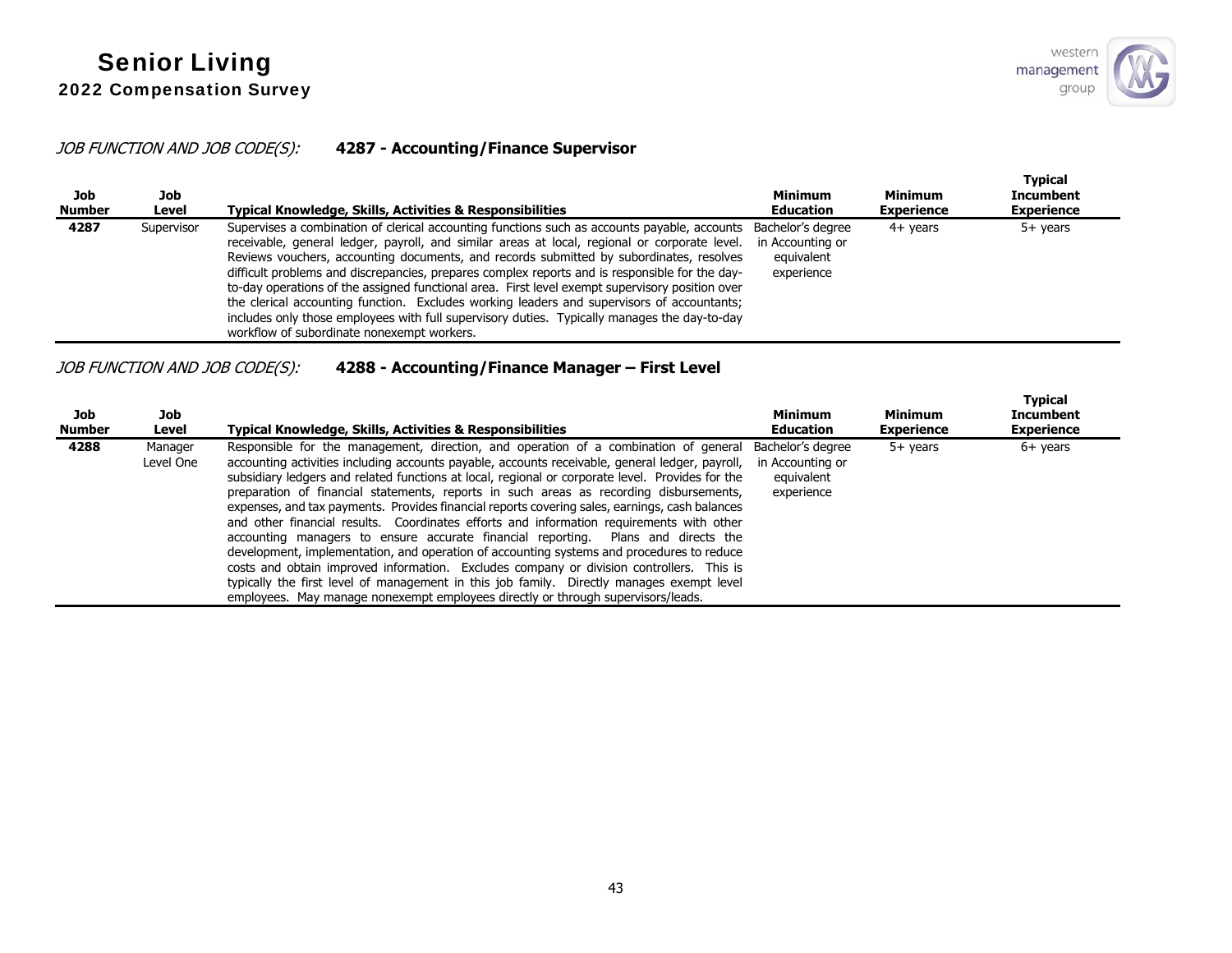# JOB FUNCTION AND JOB CODE(S): **4287 - Accounting/Finance Supervisor**

| Job<br><b>Number</b> | Job<br>Level | Typical Knowledge, Skills, Activities & Responsibilities                                                                                                                                                                                                                                                                                                                                                                                                                                                                                                                                                                                                                                                                                  | <b>Minimum</b><br><b>Education</b>                                | Minimum<br><b>Experience</b> | <b>Typical</b><br><b>Incumbent</b><br><b>Experience</b> |
|----------------------|--------------|-------------------------------------------------------------------------------------------------------------------------------------------------------------------------------------------------------------------------------------------------------------------------------------------------------------------------------------------------------------------------------------------------------------------------------------------------------------------------------------------------------------------------------------------------------------------------------------------------------------------------------------------------------------------------------------------------------------------------------------------|-------------------------------------------------------------------|------------------------------|---------------------------------------------------------|
| 4287                 | Supervisor   | Supervises a combination of clerical accounting functions such as accounts payable, accounts<br>receivable, general ledger, payroll, and similar areas at local, regional or corporate level.<br>Reviews vouchers, accounting documents, and records submitted by subordinates, resolves<br>difficult problems and discrepancies, prepares complex reports and is responsible for the day-<br>to-day operations of the assigned functional area. First level exempt supervisory position over<br>the clerical accounting function. Excludes working leaders and supervisors of accountants;<br>includes only those employees with full supervisory duties. Typically manages the day-to-day<br>workflow of subordinate nonexempt workers. | Bachelor's degree<br>in Accounting or<br>equivalent<br>experience | $4+$ vears                   | 5+ years                                                |

# JOB FUNCTION AND JOB CODE(S): **4288 - Accounting/Finance Manager – First Level**

| Job<br><b>Number</b> | Job<br>Level         | Typical Knowledge, Skills, Activities & Responsibilities                                                                                                                                                                                                                                                                                                                                                                                                                                                                                                                                                                                                                                                                                                                                                                                                                                                                                                                                                                                           | <b>Minimum</b><br><b>Education</b>                                | <b>Minimum</b><br><b>Experience</b> | <b>Typical</b><br><b>Incumbent</b><br><b>Experience</b> |
|----------------------|----------------------|----------------------------------------------------------------------------------------------------------------------------------------------------------------------------------------------------------------------------------------------------------------------------------------------------------------------------------------------------------------------------------------------------------------------------------------------------------------------------------------------------------------------------------------------------------------------------------------------------------------------------------------------------------------------------------------------------------------------------------------------------------------------------------------------------------------------------------------------------------------------------------------------------------------------------------------------------------------------------------------------------------------------------------------------------|-------------------------------------------------------------------|-------------------------------------|---------------------------------------------------------|
| 4288                 | Manager<br>Level One | Responsible for the management, direction, and operation of a combination of general<br>accounting activities including accounts payable, accounts receivable, general ledger, payroll,<br>subsidiary ledgers and related functions at local, regional or corporate level. Provides for the<br>preparation of financial statements, reports in such areas as recording disbursements,<br>expenses, and tax payments. Provides financial reports covering sales, earnings, cash balances<br>and other financial results. Coordinates efforts and information requirements with other<br>accounting managers to ensure accurate financial reporting. Plans and directs the<br>development, implementation, and operation of accounting systems and procedures to reduce<br>costs and obtain improved information. Excludes company or division controllers. This is<br>typically the first level of management in this job family. Directly manages exempt level<br>employees. May manage nonexempt employees directly or through supervisors/leads. | Bachelor's degree<br>in Accounting or<br>equivalent<br>experience | $5+$ years                          | $6+$ years                                              |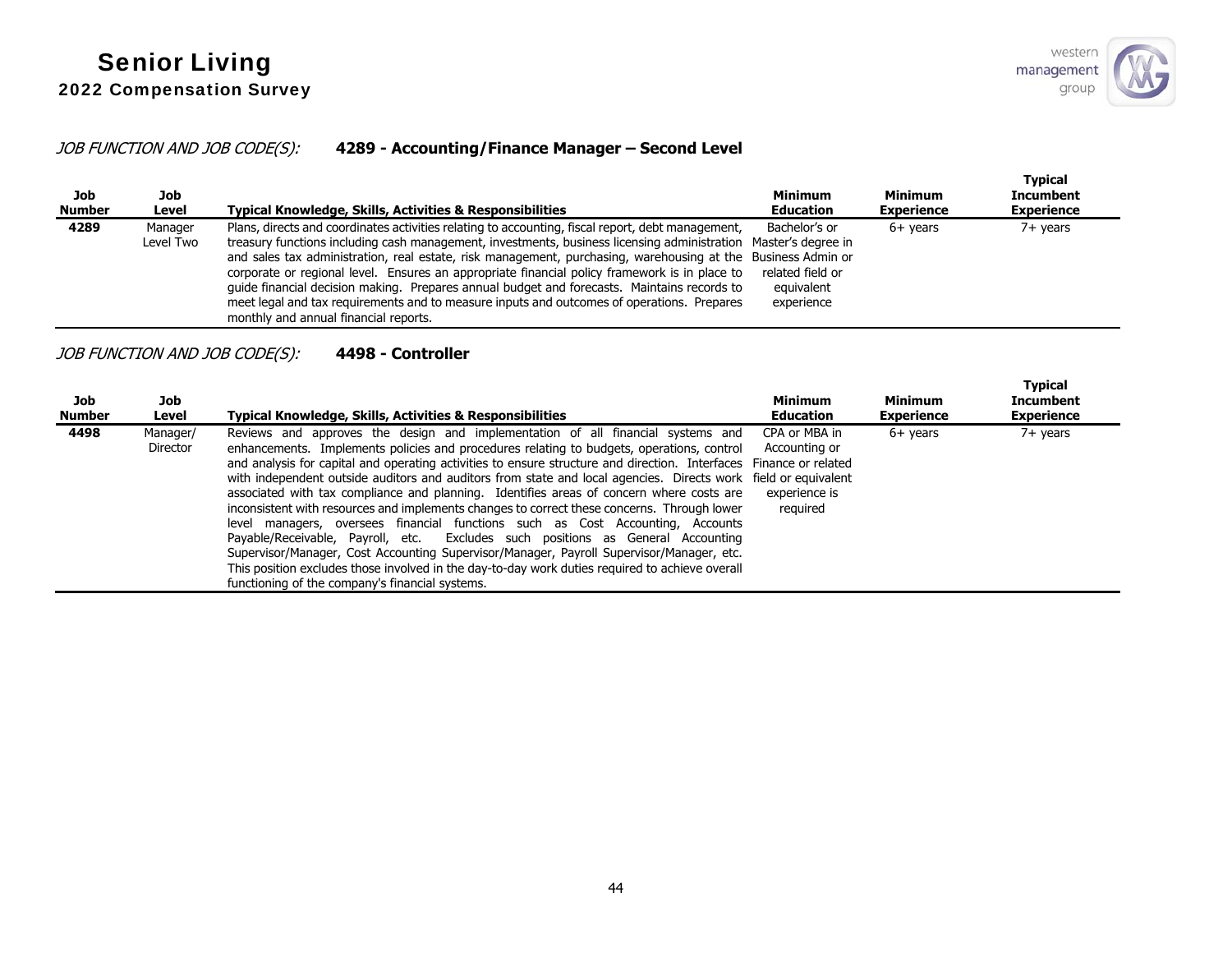## JOB FUNCTION AND JOB CODE(S): **4289 - Accounting/Finance Manager – Second Level**

| Job<br><b>Number</b> | Job<br>Level         | Typical Knowledge, Skills, Activities & Responsibilities                                                                                                                                                                                                                                                                                                                                                                                                                                                                                                                                                                                                                    | Minimum<br>Education                                          | <b>Minimum</b><br><b>Experience</b> | <b>Typical</b><br><b>Incumbent</b><br><b>Experience</b> |
|----------------------|----------------------|-----------------------------------------------------------------------------------------------------------------------------------------------------------------------------------------------------------------------------------------------------------------------------------------------------------------------------------------------------------------------------------------------------------------------------------------------------------------------------------------------------------------------------------------------------------------------------------------------------------------------------------------------------------------------------|---------------------------------------------------------------|-------------------------------------|---------------------------------------------------------|
| 4289                 | Manager<br>Level Two | Plans, directs and coordinates activities relating to accounting, fiscal report, debt management,<br>treasury functions including cash management, investments, business licensing administration Master's degree in<br>and sales tax administration, real estate, risk management, purchasing, warehousing at the Business Admin or<br>corporate or regional level. Ensures an appropriate financial policy framework is in place to<br>guide financial decision making. Prepares annual budget and forecasts. Maintains records to<br>meet legal and tax requirements and to measure inputs and outcomes of operations. Prepares<br>monthly and annual financial reports. | Bachelor's or<br>related field or<br>equivalent<br>experience | $6+$ vears                          | $7+$ years                                              |

## JOB FUNCTION AND JOB CODE(S): **4498 - Controller**

| Job<br><b>Number</b> | Job<br>Level         | <b>Typical Knowledge, Skills, Activities &amp; Responsibilities</b>                                                                                                                                                                                                                                                                                                                                                                                                                                                                                                                                                                                                                                                                                                                                                                                                                                                                                                                                                                       | <b>Minimum</b><br><b>Education</b>                          | Minimum<br><b>Experience</b> | <b>Typical</b><br>Incumbent<br><b>Experience</b> |
|----------------------|----------------------|-------------------------------------------------------------------------------------------------------------------------------------------------------------------------------------------------------------------------------------------------------------------------------------------------------------------------------------------------------------------------------------------------------------------------------------------------------------------------------------------------------------------------------------------------------------------------------------------------------------------------------------------------------------------------------------------------------------------------------------------------------------------------------------------------------------------------------------------------------------------------------------------------------------------------------------------------------------------------------------------------------------------------------------------|-------------------------------------------------------------|------------------------------|--------------------------------------------------|
| 4498                 | Manager/<br>Director | Reviews and approves the design and implementation of all financial systems and<br>enhancements. Implements policies and procedures relating to budgets, operations, control<br>and analysis for capital and operating activities to ensure structure and direction. Interfaces Finance or related<br>with independent outside auditors and auditors from state and local agencies. Directs work field or equivalent<br>associated with tax compliance and planning. Identifies areas of concern where costs are<br>inconsistent with resources and implements changes to correct these concerns. Through lower<br>managers, oversees financial functions such as Cost Accounting, Accounts<br>level<br>Payable/Receivable, Payroll, etc. Excludes such positions as General Accounting<br>Supervisor/Manager, Cost Accounting Supervisor/Manager, Payroll Supervisor/Manager, etc.<br>This position excludes those involved in the day-to-day work duties required to achieve overall<br>functioning of the company's financial systems. | CPA or MBA in<br>Accounting or<br>experience is<br>reguired | $6+$ years                   | $7+$ years                                       |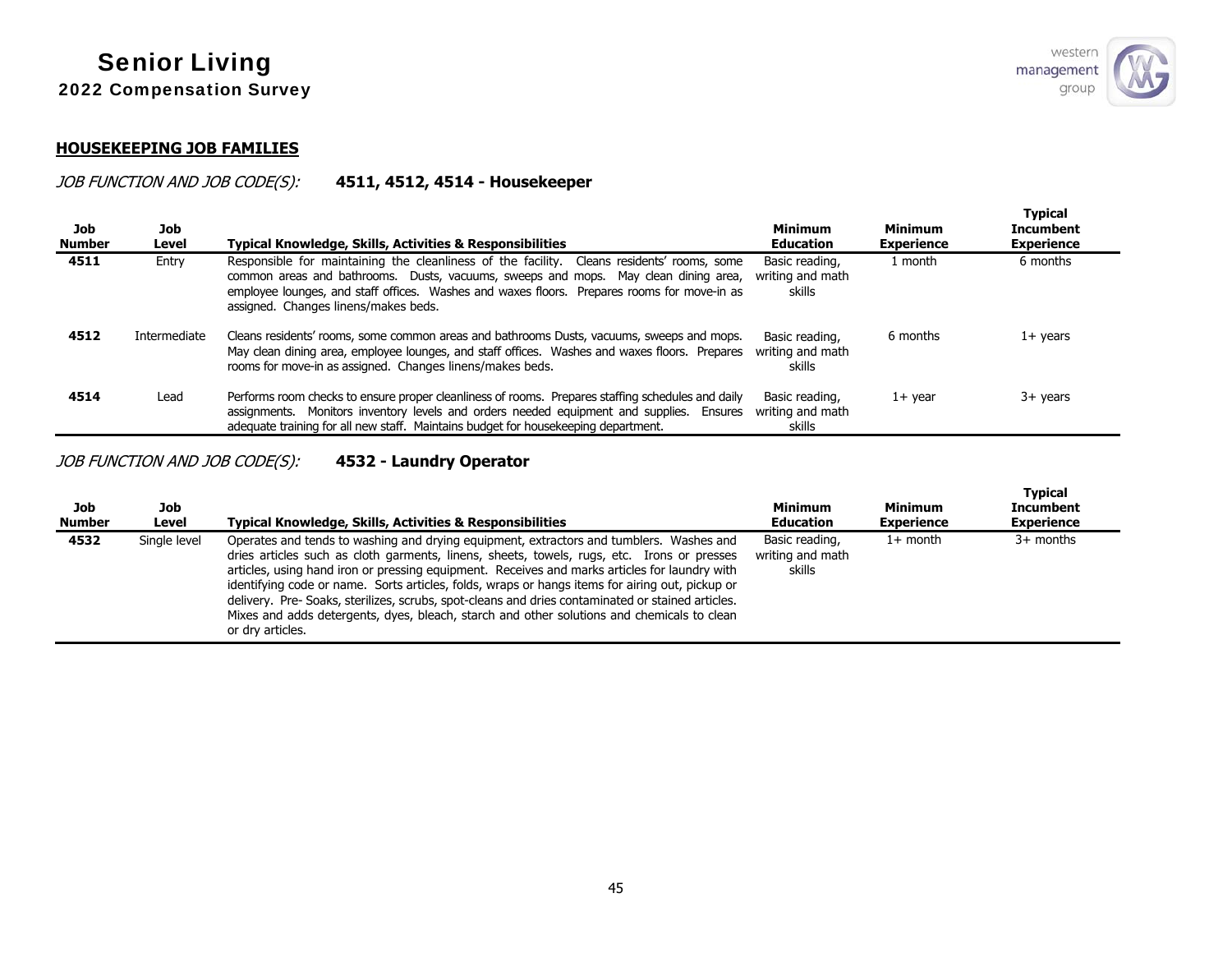#### **HOUSEKEEPING JOB FAMILIES**

### JOB FUNCTION AND JOB CODE(S): **4511, 4512, 4514 - Housekeeper**

| Job<br><b>Number</b> | Job<br>Level | Typical Knowledge, Skills, Activities & Responsibilities                                                                                                                                                                                                                                                                 | <b>Minimum</b><br><b>Education</b>           | <b>Minimum</b><br><b>Experience</b> | Typical<br>Incumbent<br><b>Experience</b> |
|----------------------|--------------|--------------------------------------------------------------------------------------------------------------------------------------------------------------------------------------------------------------------------------------------------------------------------------------------------------------------------|----------------------------------------------|-------------------------------------|-------------------------------------------|
| 4511                 | Entry        | Responsible for maintaining the cleanliness of the facility. Cleans residents' rooms, some<br>common areas and bathrooms. Dusts, vacuums, sweeps and mops. May clean dining area,<br>employee lounges, and staff offices. Washes and waxes floors. Prepares rooms for move-in as<br>assigned. Changes linens/makes beds. | Basic reading,<br>writing and math<br>skills | 1 month                             | 6 months                                  |
| 4512                 | Intermediate | Cleans residents' rooms, some common areas and bathrooms Dusts, vacuums, sweeps and mops.<br>May clean dining area, employee lounges, and staff offices. Washes and waxes floors. Prepares<br>rooms for move-in as assigned. Changes linens/makes beds.                                                                  | Basic reading,<br>writing and math<br>skills | 6 months                            | $1+$ years                                |
| 4514                 | Lead         | Performs room checks to ensure proper cleanliness of rooms. Prepares staffing schedules and daily<br>assignments. Monitors inventory levels and orders needed equipment and supplies. Ensures<br>adequate training for all new staff. Maintains budget for housekeeping department.                                      | Basic reading,<br>writing and math<br>skills | $1+$ vear                           | $3+$ years                                |

# JOB FUNCTION AND JOB CODE(S): **4532 - Laundry Operator**

| Job<br><b>Number</b> | Job<br>Level | <b>Typical Knowledge, Skills, Activities &amp; Responsibilities</b>                                                                                                                                                                                                                                                                                                                                                                                                                                                                                                                                              | <b>Minimum</b><br><b>Education</b>           | Minimum<br><b>Experience</b> | <b>Typical</b><br><b>Incumbent</b><br><b>Experience</b> |  |
|----------------------|--------------|------------------------------------------------------------------------------------------------------------------------------------------------------------------------------------------------------------------------------------------------------------------------------------------------------------------------------------------------------------------------------------------------------------------------------------------------------------------------------------------------------------------------------------------------------------------------------------------------------------------|----------------------------------------------|------------------------------|---------------------------------------------------------|--|
| 4532                 | Single level | Operates and tends to washing and drying equipment, extractors and tumblers. Washes and<br>dries articles such as cloth garments, linens, sheets, towels, rugs, etc. Irons or presses<br>articles, using hand iron or pressing equipment. Receives and marks articles for laundry with<br>identifying code or name. Sorts articles, folds, wraps or hangs items for airing out, pickup or<br>delivery. Pre- Soaks, sterilizes, scrubs, spot-cleans and dries contaminated or stained articles.<br>Mixes and adds detergents, dyes, bleach, starch and other solutions and chemicals to clean<br>or dry articles. | Basic reading,<br>writing and math<br>skills | $1+$ month                   | $3+$ months                                             |  |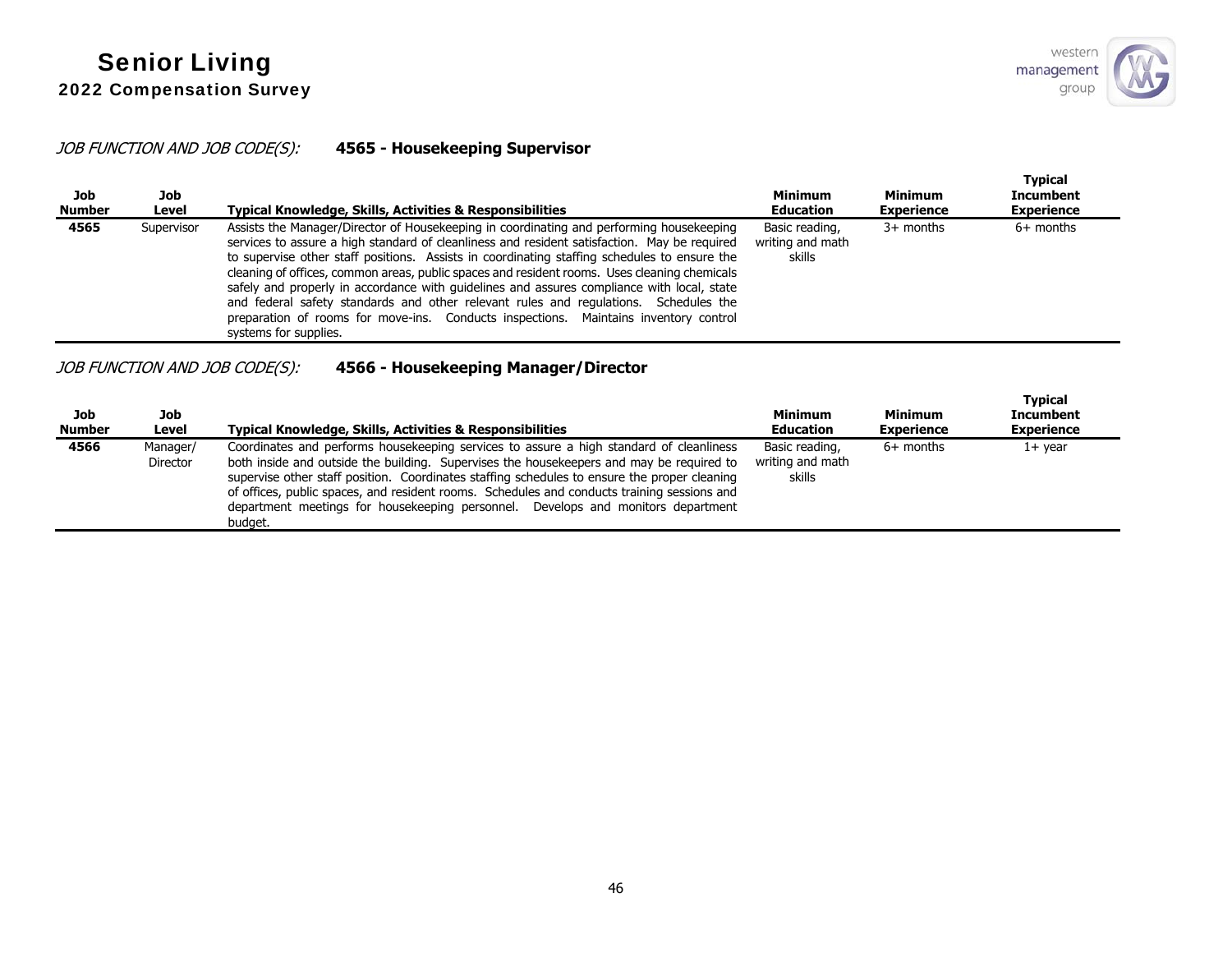## JOB FUNCTION AND JOB CODE(S): **4565 - Housekeeping Supervisor**

| Job<br><b>Number</b> | Job<br>Level | Typical Knowledge, Skills, Activities & Responsibilities                                                                                                                                                                                                                                                                                                                                                                                                                                                                                                                                                                                                                                        | <b>Minimum</b><br><b>Education</b>           | <b>Minimum</b><br><b>Experience</b> | <b>Typical</b><br><b>Incumbent</b><br><b>Experience</b> |
|----------------------|--------------|-------------------------------------------------------------------------------------------------------------------------------------------------------------------------------------------------------------------------------------------------------------------------------------------------------------------------------------------------------------------------------------------------------------------------------------------------------------------------------------------------------------------------------------------------------------------------------------------------------------------------------------------------------------------------------------------------|----------------------------------------------|-------------------------------------|---------------------------------------------------------|
| 4565                 | Supervisor   | Assists the Manager/Director of Housekeeping in coordinating and performing housekeeping<br>services to assure a high standard of cleanliness and resident satisfaction. May be required<br>to supervise other staff positions. Assists in coordinating staffing schedules to ensure the<br>cleaning of offices, common areas, public spaces and resident rooms. Uses cleaning chemicals<br>safely and properly in accordance with guidelines and assures compliance with local, state<br>and federal safety standards and other relevant rules and regulations. Schedules the<br>preparation of rooms for move-ins. Conducts inspections. Maintains inventory control<br>systems for supplies. | Basic reading,<br>writing and math<br>skills | $3+$ months                         | $6+$ months                                             |

# JOB FUNCTION AND JOB CODE(S): **4566 - Housekeeping Manager/Director**

| Job<br><b>Number</b> | Job<br>Level                | Typical Knowledge, Skills, Activities & Responsibilities                                                                                                                                                                                                                                                                                                                                                                                                                          | <b>Minimum</b><br><b>Education</b>           | Minimum<br><b>Experience</b> | <b>Typical</b><br><b>Incumbent</b><br><b>Experience</b> |
|----------------------|-----------------------------|-----------------------------------------------------------------------------------------------------------------------------------------------------------------------------------------------------------------------------------------------------------------------------------------------------------------------------------------------------------------------------------------------------------------------------------------------------------------------------------|----------------------------------------------|------------------------------|---------------------------------------------------------|
| 4566                 | Manager/<br><b>Director</b> | Coordinates and performs housekeeping services to assure a high standard of cleanliness<br>both inside and outside the building. Supervises the housekeepers and may be required to<br>supervise other staff position. Coordinates staffing schedules to ensure the proper cleaning<br>of offices, public spaces, and resident rooms. Schedules and conducts training sessions and<br>department meetings for housekeeping personnel. Develops and monitors department<br>budaet. | Basic reading,<br>writing and math<br>skills | $6+$ months                  | 1+ year                                                 |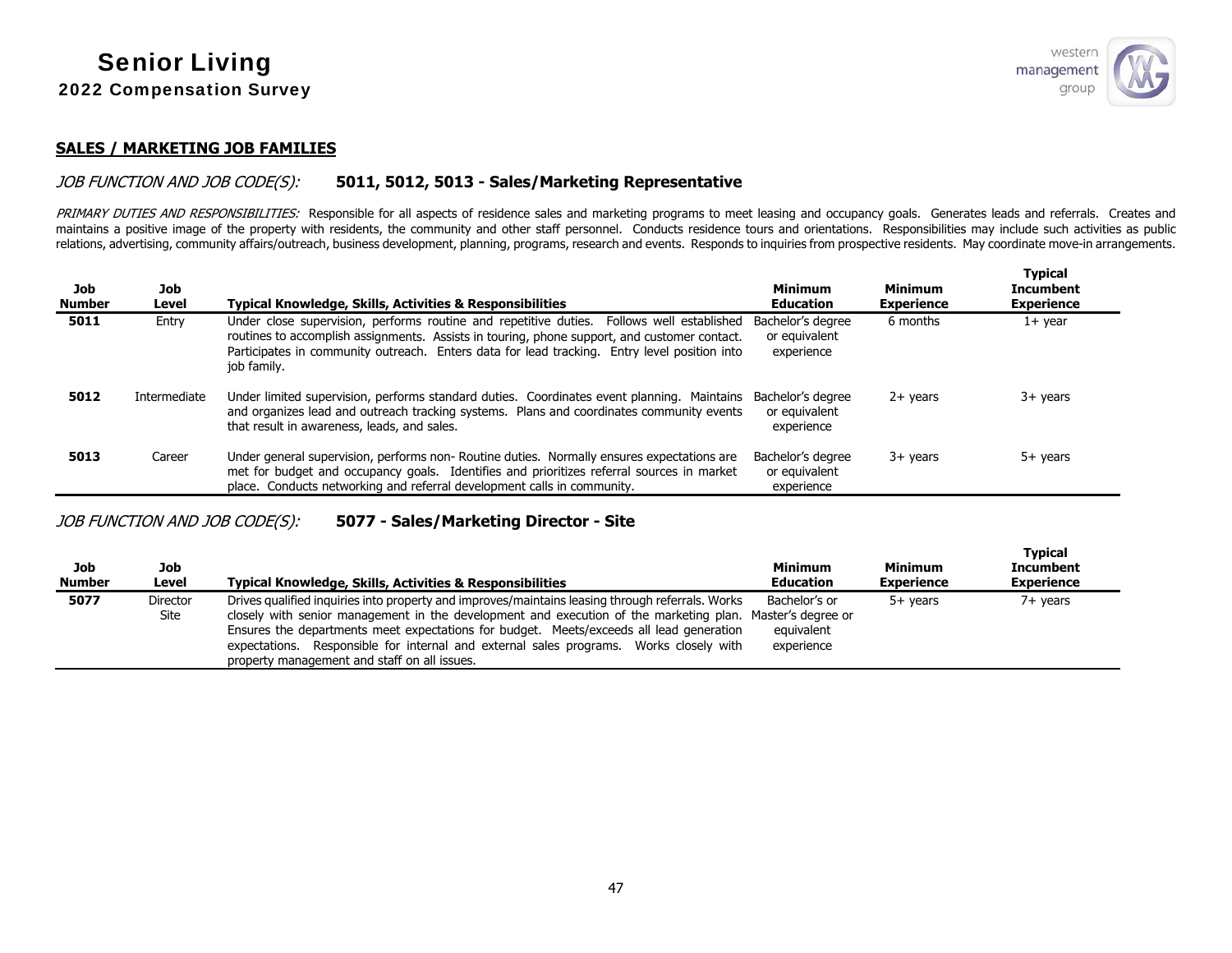**Typical** 

#### **SALES / MARKETING JOB FAMILIES**

#### JOB FUNCTION AND JOB CODE(S): **5011, 5012, 5013 - Sales/Marketing Representative**

PRIMARY DUTIES AND RESPONSIBILITIES: Responsible for all aspects of residence sales and marketing programs to meet leasing and occupancy goals. Generates leads and referrals. Creates and maintains a positive image of the property with residents, the community and other staff personnel. Conducts residence tours and orientations. Responsibilities may include such activities as public relations, advertising, community affairs/outreach, business development, planning, programs, research and events. Responds to inquiries from prospective residents. May coordinate move-in arrangements.

| Job<br><b>Number</b> | Job<br>Level | <b>Typical Knowledge, Skills, Activities &amp; Responsibilities</b>                                                                                                                                                                                                                                      | Minimum<br><b>Education</b>                      | <b>Minimum</b><br><b>Experience</b> | <b>Typical</b><br><b>Incumbent</b><br><b>Experience</b> |
|----------------------|--------------|----------------------------------------------------------------------------------------------------------------------------------------------------------------------------------------------------------------------------------------------------------------------------------------------------------|--------------------------------------------------|-------------------------------------|---------------------------------------------------------|
| 5011                 | Entry        | Under close supervision, performs routine and repetitive duties. Follows well established<br>routines to accomplish assignments. Assists in touring, phone support, and customer contact.<br>Participates in community outreach. Enters data for lead tracking. Entry level position into<br>job family. | Bachelor's degree<br>or equivalent<br>experience | 6 months                            | $1+$ year                                               |
| 5012                 | Intermediate | Under limited supervision, performs standard duties. Coordinates event planning. Maintains<br>and organizes lead and outreach tracking systems. Plans and coordinates community events<br>that result in awareness, leads, and sales.                                                                    | Bachelor's degree<br>or equivalent<br>experience | $2+$ years                          | $3+$ years                                              |
| 5013                 | Career       | Under general supervision, performs non-Routine duties. Normally ensures expectations are<br>met for budget and occupancy goals. Identifies and prioritizes referral sources in market<br>place. Conducts networking and referral development calls in community.                                        | Bachelor's degree<br>or equivalent<br>experience | $3+$ years                          | $5+$ years                                              |

### JOB FUNCTION AND JOB CODE(S): **5077 - Sales/Marketing Director - Site**

| Job<br><b>Number</b> | Job<br>Level            | <b>Typical Knowledge, Skills, Activities &amp; Responsibilities</b>                                                                                                                                                                                                                                                                                                                                                                                | <b>Minimum</b><br><b>Education</b>        | <b>Minimum</b><br><b>Experience</b> | i ypical<br><b>Incumbent</b><br><b>Experience</b> |
|----------------------|-------------------------|----------------------------------------------------------------------------------------------------------------------------------------------------------------------------------------------------------------------------------------------------------------------------------------------------------------------------------------------------------------------------------------------------------------------------------------------------|-------------------------------------------|-------------------------------------|---------------------------------------------------|
| 5077                 | <b>Director</b><br>Site | Drives qualified inquiries into property and improves/maintains leasing through referrals. Works<br>closely with senior management in the development and execution of the marketing plan. Master's degree or<br>Ensures the departments meet expectations for budget. Meets/exceeds all lead generation<br>expectations. Responsible for internal and external sales programs. Works closely with<br>property management and staff on all issues. | Bachelor's or<br>equivalent<br>experience | 5+ vears                            | $7+$ years                                        |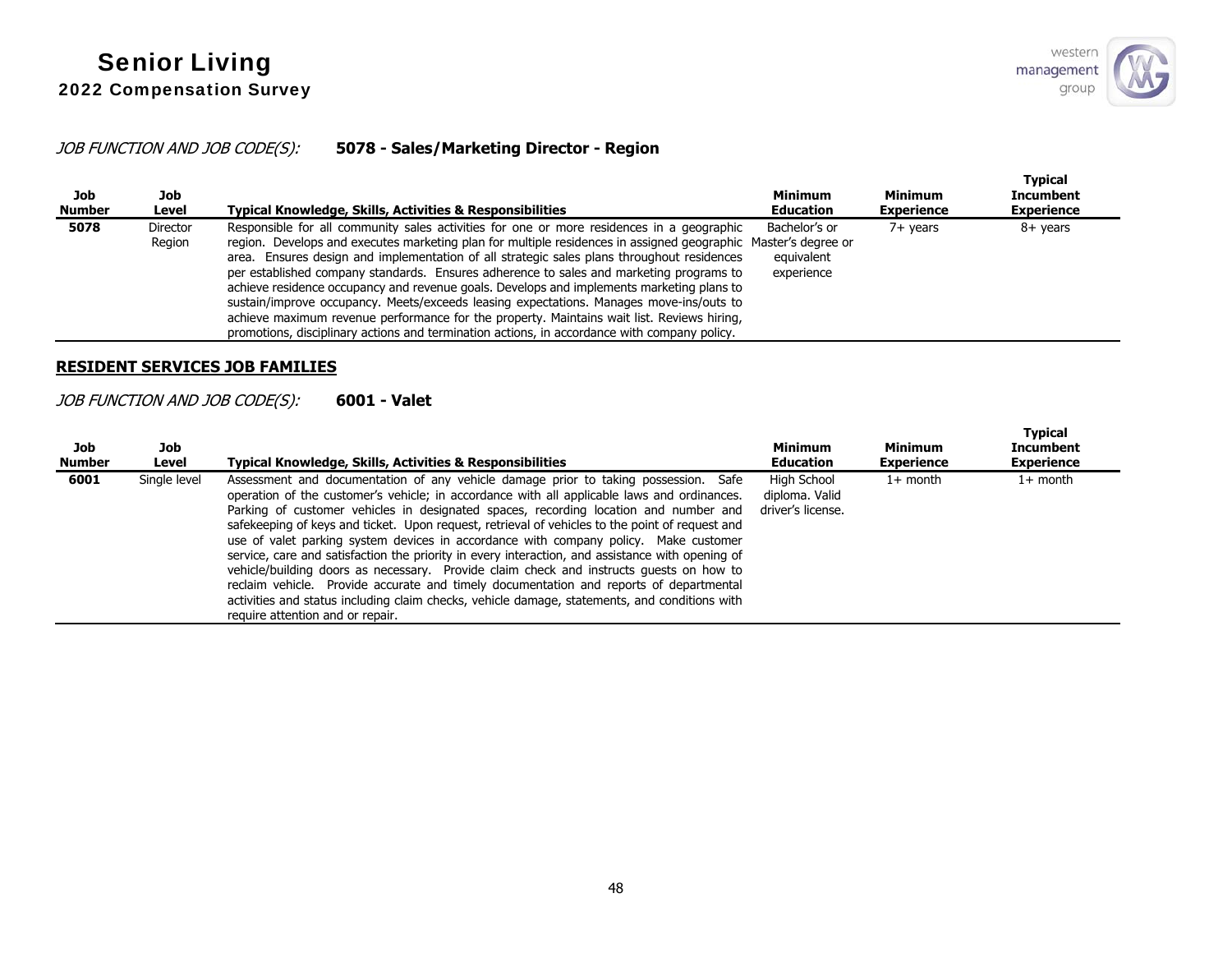## JOB FUNCTION AND JOB CODE(S): **5078 - Sales/Marketing Director - Region**

| Job<br><b>Number</b> | Job<br>Level              | <b>Typical Knowledge, Skills, Activities &amp; Responsibilities</b>                                                                                                                                                                                                                                                                                                                                                                                                                                                                                                                                                                                                                                                                                                                        | <b>Minimum</b><br><b>Education</b>        | <b>Minimum</b><br><b>Experience</b> | <b>Typical</b><br><b>Incumbent</b><br><b>Experience</b> |
|----------------------|---------------------------|--------------------------------------------------------------------------------------------------------------------------------------------------------------------------------------------------------------------------------------------------------------------------------------------------------------------------------------------------------------------------------------------------------------------------------------------------------------------------------------------------------------------------------------------------------------------------------------------------------------------------------------------------------------------------------------------------------------------------------------------------------------------------------------------|-------------------------------------------|-------------------------------------|---------------------------------------------------------|
| 5078                 | <b>Director</b><br>Region | Responsible for all community sales activities for one or more residences in a geographic<br>region. Develops and executes marketing plan for multiple residences in assigned geographic Master's degree or<br>area. Ensures design and implementation of all strategic sales plans throughout residences<br>per established company standards. Ensures adherence to sales and marketing programs to<br>achieve residence occupancy and revenue goals. Develops and implements marketing plans to<br>sustain/improve occupancy. Meets/exceeds leasing expectations. Manages move-ins/outs to<br>achieve maximum revenue performance for the property. Maintains wait list. Reviews hiring,<br>promotions, disciplinary actions and termination actions, in accordance with company policy. | Bachelor's or<br>equivalent<br>experience | $7+$ vears                          | 8+ years                                                |

#### **RESIDENT SERVICES JOB FAMILIES**

## JOB FUNCTION AND JOB CODE(S): **6001 - Valet**

| Job<br><b>Number</b> | Job<br>Level | Typical Knowledge, Skills, Activities & Responsibilities                                                                                                                                                                                                                                                                                                                                                                                                                                                                                                                                                                                                                                                                                                                                                                                                                                            | Minimum<br><b>Education</b>                        | <b>Minimum</b><br><b>Experience</b> | <b>Typical</b><br><b>Incumbent</b><br><b>Experience</b> |
|----------------------|--------------|-----------------------------------------------------------------------------------------------------------------------------------------------------------------------------------------------------------------------------------------------------------------------------------------------------------------------------------------------------------------------------------------------------------------------------------------------------------------------------------------------------------------------------------------------------------------------------------------------------------------------------------------------------------------------------------------------------------------------------------------------------------------------------------------------------------------------------------------------------------------------------------------------------|----------------------------------------------------|-------------------------------------|---------------------------------------------------------|
| 6001                 | Single level | Assessment and documentation of any vehicle damage prior to taking possession. Safe<br>operation of the customer's vehicle; in accordance with all applicable laws and ordinances.<br>Parking of customer vehicles in designated spaces, recording location and number and<br>safekeeping of keys and ticket. Upon request, retrieval of vehicles to the point of request and<br>use of valet parking system devices in accordance with company policy. Make customer<br>service, care and satisfaction the priority in every interaction, and assistance with opening of<br>vehicle/building doors as necessary. Provide claim check and instructs quests on how to<br>reclaim vehicle. Provide accurate and timely documentation and reports of departmental<br>activities and status including claim checks, vehicle damage, statements, and conditions with<br>require attention and or repair. | High School<br>diploma. Valid<br>driver's license. | $1+$ month                          | $1+$ month                                              |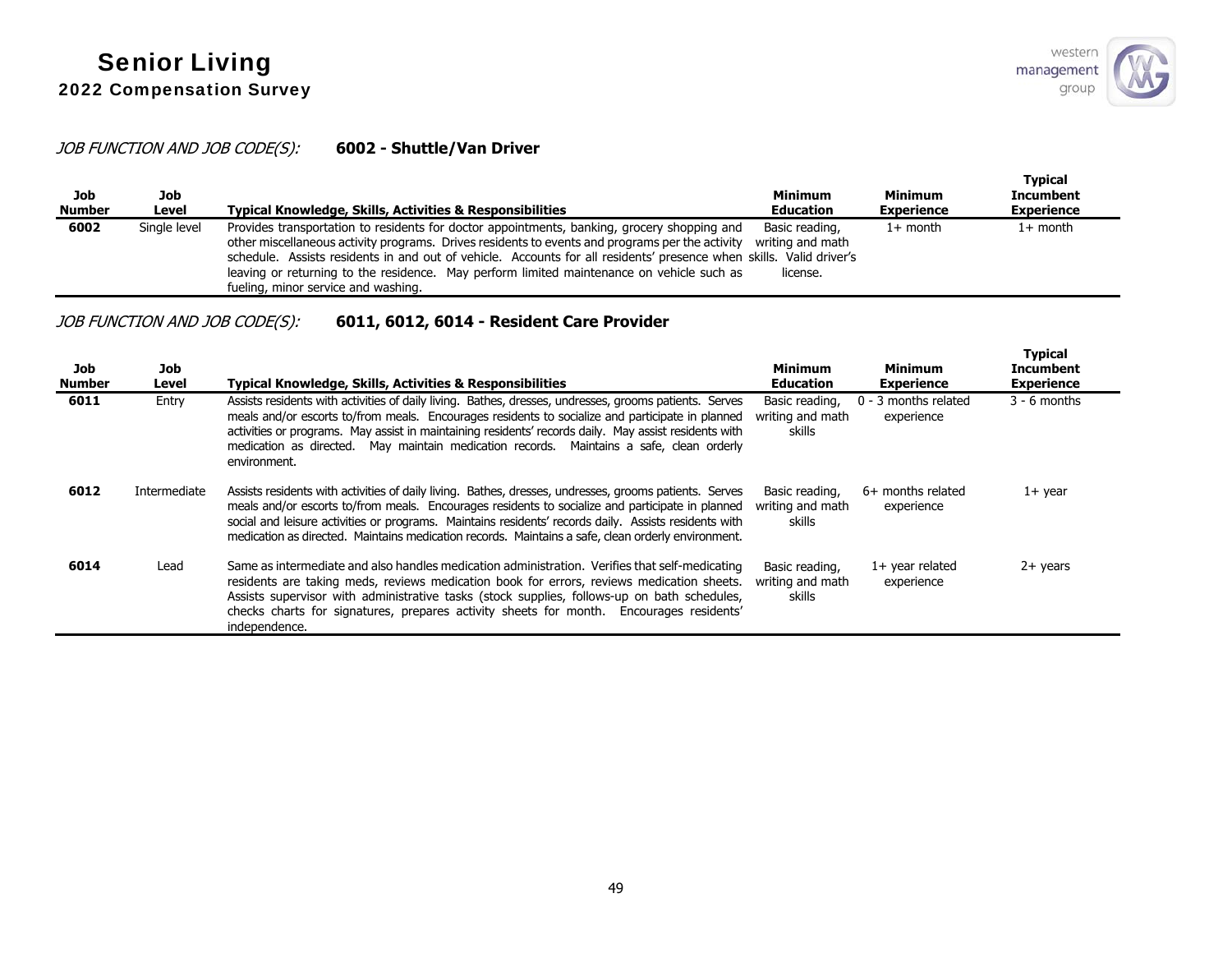## JOB FUNCTION AND JOB CODE(S): **6002 - Shuttle/Van Driver**

| Job<br><b>Number</b> | Job<br>Level | Typical Knowledge, Skills, Activities & Responsibilities                                                                                                                                                                                                                                                                                                                                                                                                  | Minimum<br><b>Education</b>                    | <b>Minimum</b><br><b>Experience</b> | <b>Typical</b><br><b>Incumbent</b><br><b>Experience</b> |
|----------------------|--------------|-----------------------------------------------------------------------------------------------------------------------------------------------------------------------------------------------------------------------------------------------------------------------------------------------------------------------------------------------------------------------------------------------------------------------------------------------------------|------------------------------------------------|-------------------------------------|---------------------------------------------------------|
| 6002                 | Single level | Provides transportation to residents for doctor appointments, banking, grocery shopping and<br>other miscellaneous activity programs. Drives residents to events and programs per the activity<br>schedule. Assists residents in and out of vehicle. Accounts for all residents' presence when skills. Valid driver's<br>leaving or returning to the residence. May perform limited maintenance on vehicle such as<br>fueling, minor service and washing. | Basic reading,<br>writing and math<br>license. | $1+$ month                          | 1+ month                                                |

# JOB FUNCTION AND JOB CODE(S): **6011, 6012, 6014 - Resident Care Provider**

| Job<br><b>Number</b> | Job<br>Level | <b>Typical Knowledge, Skills, Activities &amp; Responsibilities</b>                                                                                                                                                                                                                                                                                                                                                             | <b>Minimum</b><br><b>Education</b>           | <b>Minimum</b><br><b>Experience</b> | <b>Typical</b><br><b>Incumbent</b><br><b>Experience</b> |
|----------------------|--------------|---------------------------------------------------------------------------------------------------------------------------------------------------------------------------------------------------------------------------------------------------------------------------------------------------------------------------------------------------------------------------------------------------------------------------------|----------------------------------------------|-------------------------------------|---------------------------------------------------------|
| 6011                 | Entry        | Assists residents with activities of daily living. Bathes, dresses, undresses, grooms patients. Serves<br>meals and/or escorts to/from meals. Encourages residents to socialize and participate in planned<br>activities or programs. May assist in maintaining residents' records daily. May assist residents with<br>medication as directed. May maintain medication records. Maintains a safe, clean orderly<br>environment. | Basic reading.<br>writing and math<br>skills | 0 - 3 months related<br>experience  | $3 - 6$ months                                          |
| 6012                 | Intermediate | Assists residents with activities of daily living. Bathes, dresses, undresses, grooms patients. Serves<br>meals and/or escorts to/from meals. Encourages residents to socialize and participate in planned<br>social and leisure activities or programs. Maintains residents' records daily. Assists residents with<br>medication as directed. Maintains medication records. Maintains a safe, clean orderly environment.       | Basic reading.<br>writing and math<br>skills | 6+ months related<br>experience     | $1+$ year                                               |
| 6014                 | Lead         | Same as intermediate and also handles medication administration. Verifies that self-medicating<br>residents are taking meds, reviews medication book for errors, reviews medication sheets.<br>Assists supervisor with administrative tasks (stock supplies, follows-up on bath schedules,<br>checks charts for signatures, prepares activity sheets for month. Encourages residents'<br>independence.                          | Basic reading.<br>writing and math<br>skills | $1+$ year related<br>experience     | $2+$ years                                              |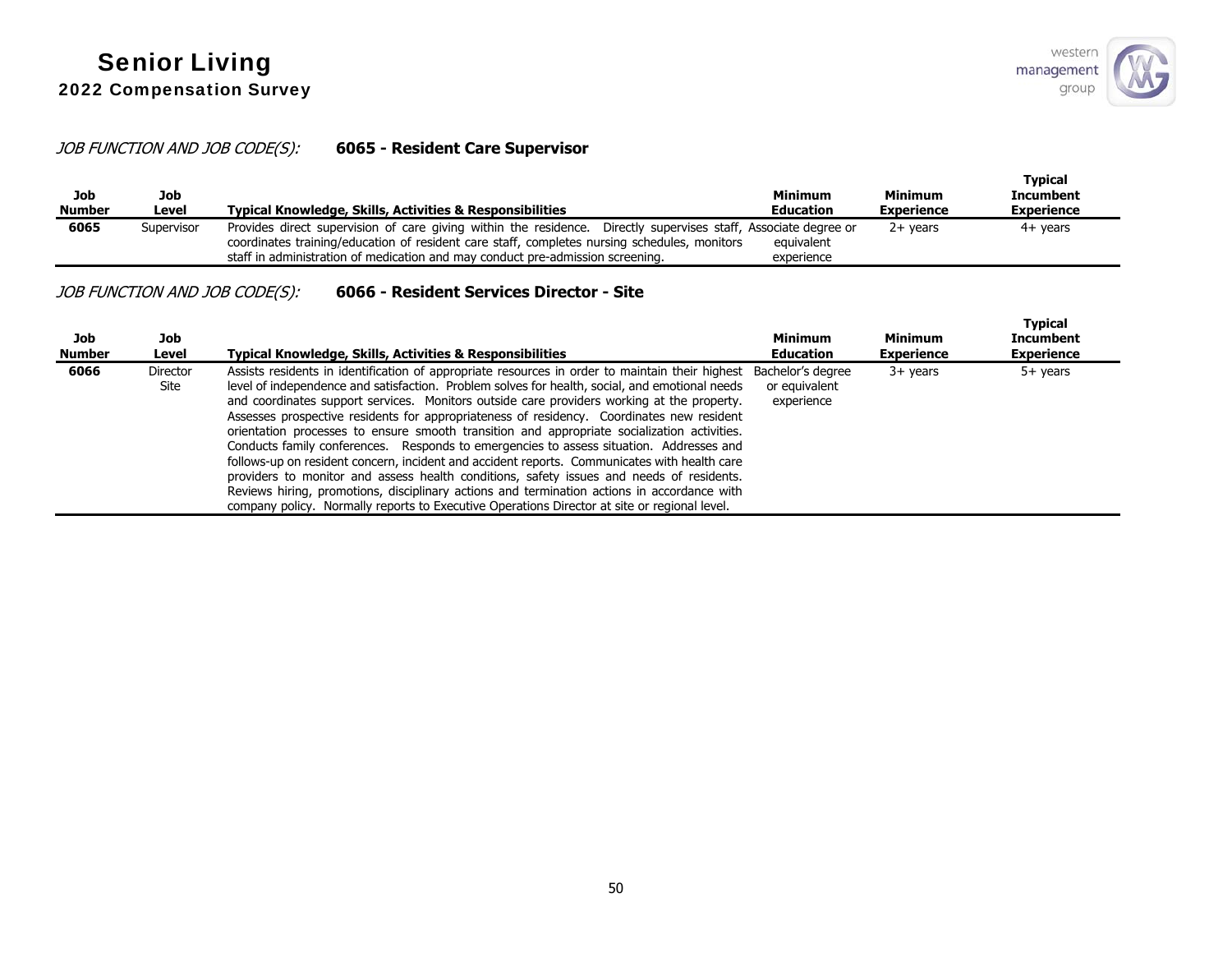# JOB FUNCTION AND JOB CODE(S): **6065 - Resident Care Supervisor**

| Job<br><b>Number</b> | Job<br>Level | <b>Typical Knowledge, Skills, Activities &amp; Responsibilities</b>                                                                                                                                                                                                                               | <b>Minimum</b><br><b>Education</b> | <b>Minimum</b><br><b>Experience</b> | <b>Typical</b><br><b>Incumbent</b><br><b>Experience</b> |
|----------------------|--------------|---------------------------------------------------------------------------------------------------------------------------------------------------------------------------------------------------------------------------------------------------------------------------------------------------|------------------------------------|-------------------------------------|---------------------------------------------------------|
| 6065                 | Supervisor   | Provides direct supervision of care giving within the residence. Directly supervises staff, Associate degree or<br>coordinates training/education of resident care staff, completes nursing schedules, monitors<br>staff in administration of medication and may conduct pre-admission screening. | equivalent<br>experience           | $2+$ vears                          | 4+ years                                                |

## JOB FUNCTION AND JOB CODE(S): **6066 - Resident Services Director - Site**

| Job<br><b>Number</b> | Job<br>Level            | Typical Knowledge, Skills, Activities & Responsibilities                                                                                                                                                                                                                                                                                                                                                                                                                                                                                                                                                                                                                                                                                                                                                                                                                                                                                                                                            | <b>Minimum</b><br><b>Education</b> | <b>Minimum</b><br><b>Experience</b> | Typical<br><b>Incumbent</b><br><b>Experience</b> |
|----------------------|-------------------------|-----------------------------------------------------------------------------------------------------------------------------------------------------------------------------------------------------------------------------------------------------------------------------------------------------------------------------------------------------------------------------------------------------------------------------------------------------------------------------------------------------------------------------------------------------------------------------------------------------------------------------------------------------------------------------------------------------------------------------------------------------------------------------------------------------------------------------------------------------------------------------------------------------------------------------------------------------------------------------------------------------|------------------------------------|-------------------------------------|--------------------------------------------------|
| 6066                 | <b>Director</b><br>Site | Assists residents in identification of appropriate resources in order to maintain their highest Bachelor's degree<br>level of independence and satisfaction. Problem solves for health, social, and emotional needs<br>and coordinates support services. Monitors outside care providers working at the property.<br>Assesses prospective residents for appropriateness of residency. Coordinates new resident<br>orientation processes to ensure smooth transition and appropriate socialization activities.<br>Conducts family conferences. Responds to emergencies to assess situation. Addresses and<br>follows-up on resident concern, incident and accident reports. Communicates with health care<br>providers to monitor and assess health conditions, safety issues and needs of residents.<br>Reviews hiring, promotions, disciplinary actions and termination actions in accordance with<br>company policy. Normally reports to Executive Operations Director at site or regional level. | or equivalent<br>experience        | $3+$ years                          | $5+$ years                                       |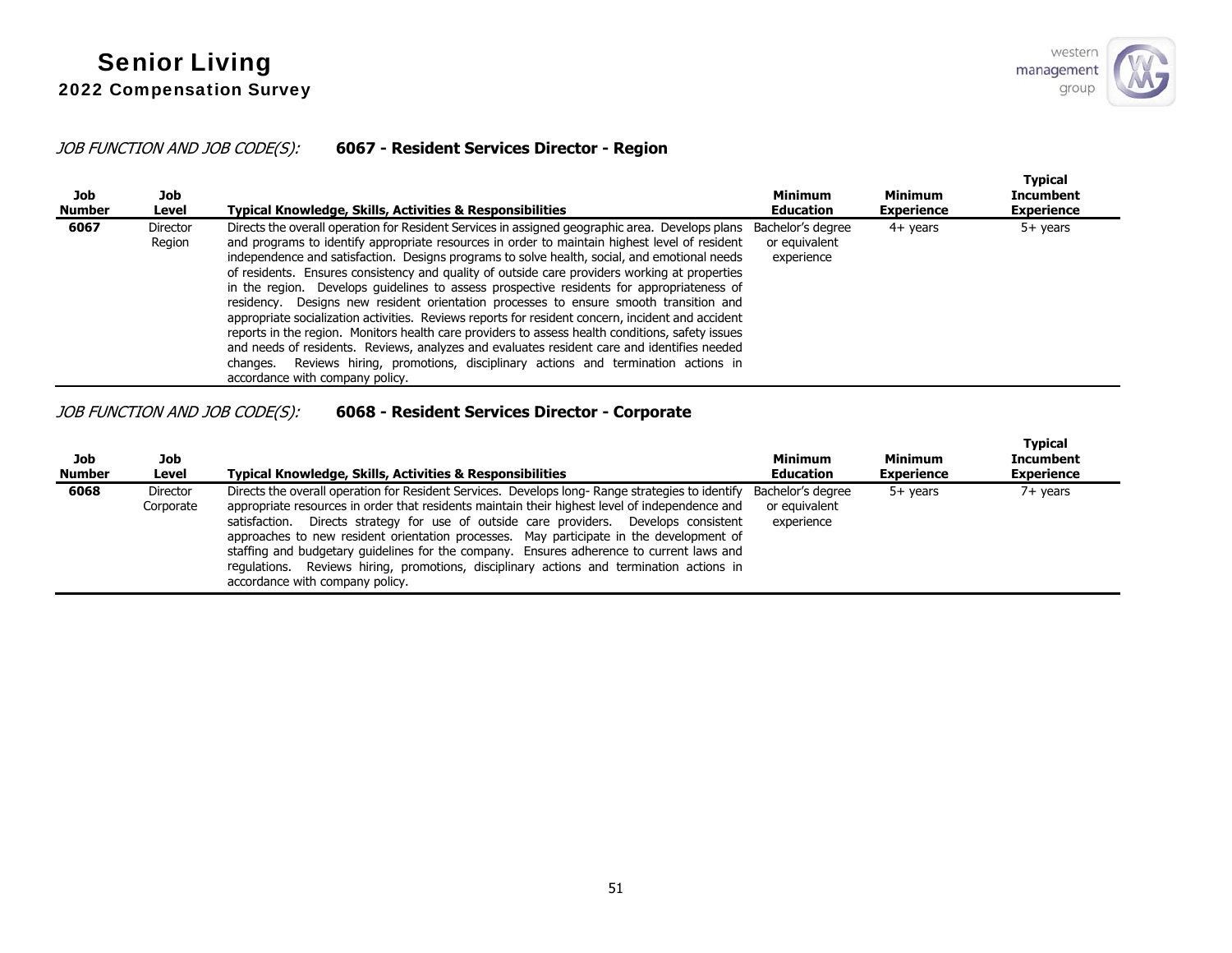## JOB FUNCTION AND JOB CODE(S): **6067 - Resident Services Director - Region**

| Job<br><b>Number</b> | Job<br>Level              | Typical Knowledge, Skills, Activities & Responsibilities                                                                                                                                                                                                                                                                                                                                                                                                                                                                                                                                                                                                                                                                                                                                                                                                                                                                                                                                                                                     | Minimum<br><b>Education</b> | <b>Minimum</b><br><b>Experience</b> | <b>Typical</b><br><b>Incumbent</b><br><b>Experience</b> |
|----------------------|---------------------------|----------------------------------------------------------------------------------------------------------------------------------------------------------------------------------------------------------------------------------------------------------------------------------------------------------------------------------------------------------------------------------------------------------------------------------------------------------------------------------------------------------------------------------------------------------------------------------------------------------------------------------------------------------------------------------------------------------------------------------------------------------------------------------------------------------------------------------------------------------------------------------------------------------------------------------------------------------------------------------------------------------------------------------------------|-----------------------------|-------------------------------------|---------------------------------------------------------|
| 6067                 | <b>Director</b><br>Region | Directs the overall operation for Resident Services in assigned geographic area. Develops plans Bachelor's degree<br>and programs to identify appropriate resources in order to maintain highest level of resident<br>independence and satisfaction. Designs programs to solve health, social, and emotional needs<br>of residents. Ensures consistency and quality of outside care providers working at properties<br>in the region. Develops guidelines to assess prospective residents for appropriateness of<br>residency. Designs new resident orientation processes to ensure smooth transition and<br>appropriate socialization activities. Reviews reports for resident concern, incident and accident<br>reports in the region. Monitors health care providers to assess health conditions, safety issues<br>and needs of residents. Reviews, analyzes and evaluates resident care and identifies needed<br>changes. Reviews hiring, promotions, disciplinary actions and termination actions in<br>accordance with company policy. | or equivalent<br>experience | $4+$ years                          | $5+$ years                                              |

## JOB FUNCTION AND JOB CODE(S): **6068 - Resident Services Director - Corporate**

| Job<br><b>Number</b> | Job<br>Level          | <b>Typical Knowledge, Skills, Activities &amp; Responsibilities</b>                                                                                                                                                                                                                                                                                                                                                                                                                                                                                                                                                     | <b>Minimum</b><br><b>Education</b>               | Minimum<br><b>Experience</b> | <b>Typical</b><br><b>Incumbent</b><br><b>Experience</b> |  |
|----------------------|-----------------------|-------------------------------------------------------------------------------------------------------------------------------------------------------------------------------------------------------------------------------------------------------------------------------------------------------------------------------------------------------------------------------------------------------------------------------------------------------------------------------------------------------------------------------------------------------------------------------------------------------------------------|--------------------------------------------------|------------------------------|---------------------------------------------------------|--|
| 6068                 | Director<br>Corporate | Directs the overall operation for Resident Services. Develops long- Range strategies to identify<br>appropriate resources in order that residents maintain their highest level of independence and<br>Directs strategy for use of outside care providers. Develops consistent<br>satisfaction.<br>approaches to new resident orientation processes. May participate in the development of<br>staffing and budgetary quidelines for the company. Ensures adherence to current laws and<br>Reviews hiring, promotions, disciplinary actions and termination actions in<br>regulations.<br>accordance with company policy. | Bachelor's degree<br>or equivalent<br>experience | 5+ vears                     | 7+ years                                                |  |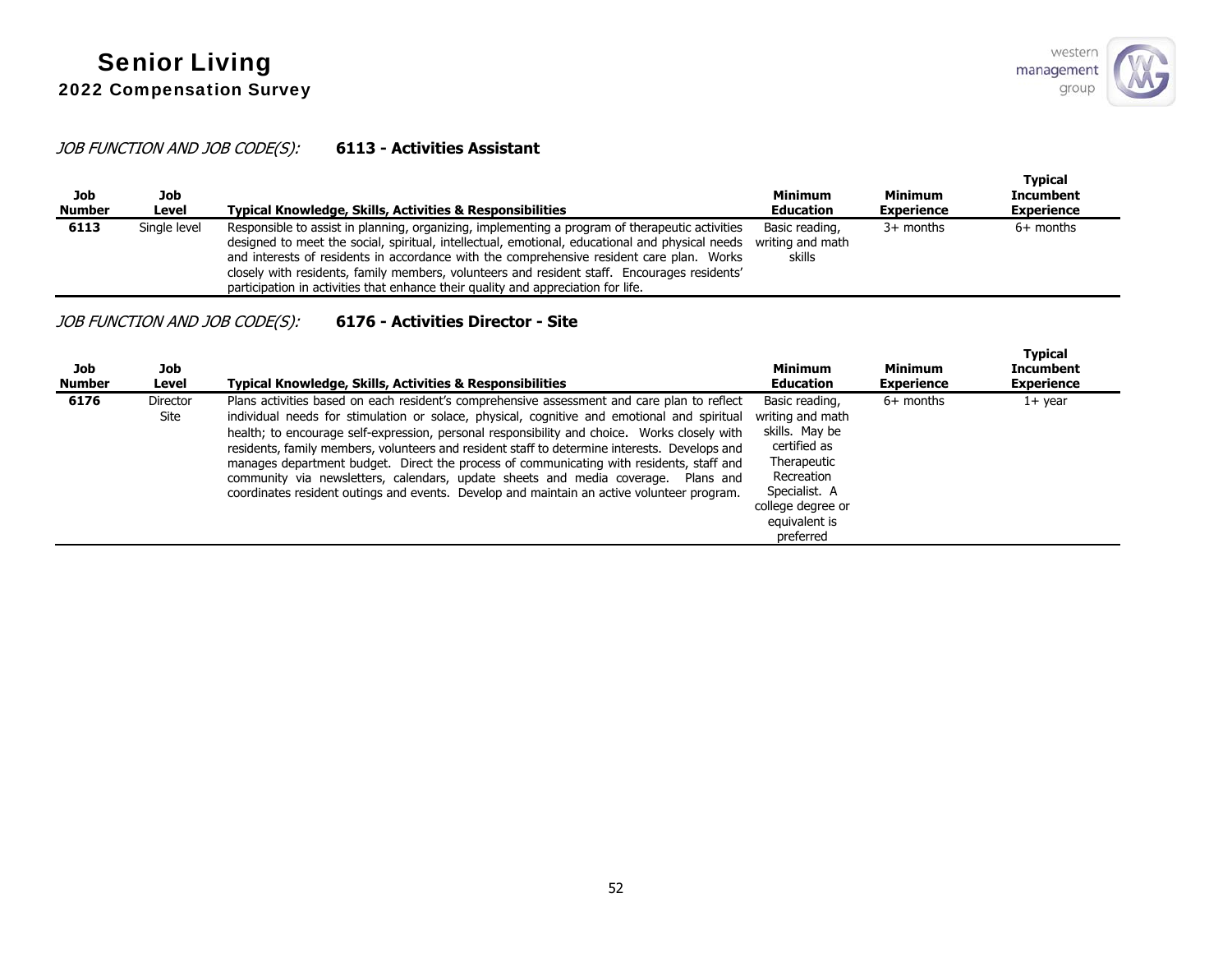## JOB FUNCTION AND JOB CODE(S): **6113 - Activities Assistant**

| Job<br><b>Number</b> | Job<br>Level | Typical Knowledge, Skills, Activities & Responsibilities                                                                                                                                                                                                                                                                                                                                                                                                                             | Minimum<br><b>Education</b>                  | Minimum<br><b>Experience</b> | <b>Typical</b><br><b>Incumbent</b><br><b>Experience</b> |
|----------------------|--------------|--------------------------------------------------------------------------------------------------------------------------------------------------------------------------------------------------------------------------------------------------------------------------------------------------------------------------------------------------------------------------------------------------------------------------------------------------------------------------------------|----------------------------------------------|------------------------------|---------------------------------------------------------|
| 6113                 | Single level | Responsible to assist in planning, organizing, implementing a program of therapeutic activities<br>designed to meet the social, spiritual, intellectual, emotional, educational and physical needs<br>and interests of residents in accordance with the comprehensive resident care plan. Works<br>closely with residents, family members, volunteers and resident staff. Encourages residents'<br>participation in activities that enhance their quality and appreciation for life. | Basic reading,<br>writing and math<br>skills | $3+$ months                  | $6+$ months                                             |

# JOB FUNCTION AND JOB CODE(S): **6176 - Activities Director - Site**

| Job<br><b>Number</b> | Job<br>Level     | <b>Typical Knowledge, Skills, Activities &amp; Responsibilities</b>                                                                                                                                                                                                                                                                                                                                                                                                                                                                                                                                                                                                        | Minimum<br><b>Education</b>                                                                                                                                           | Minimum<br><b>Experience</b> | <b>Typical</b><br>Incumbent<br><b>Experience</b> |
|----------------------|------------------|----------------------------------------------------------------------------------------------------------------------------------------------------------------------------------------------------------------------------------------------------------------------------------------------------------------------------------------------------------------------------------------------------------------------------------------------------------------------------------------------------------------------------------------------------------------------------------------------------------------------------------------------------------------------------|-----------------------------------------------------------------------------------------------------------------------------------------------------------------------|------------------------------|--------------------------------------------------|
| 6176                 | Director<br>Site | Plans activities based on each resident's comprehensive assessment and care plan to reflect<br>individual needs for stimulation or solace, physical, cognitive and emotional and spiritual<br>health; to encourage self-expression, personal responsibility and choice. Works closely with<br>residents, family members, volunteers and resident staff to determine interests. Develops and<br>manages department budget. Direct the process of communicating with residents, staff and<br>community via newsletters, calendars, update sheets and media coverage. Plans and<br>coordinates resident outings and events. Develop and maintain an active volunteer program. | Basic reading,<br>writing and math<br>skills. May be<br>certified as<br>Therapeutic<br>Recreation<br>Specialist. A<br>college degree or<br>equivalent is<br>preferred | $6+$ months                  | $1+$ year                                        |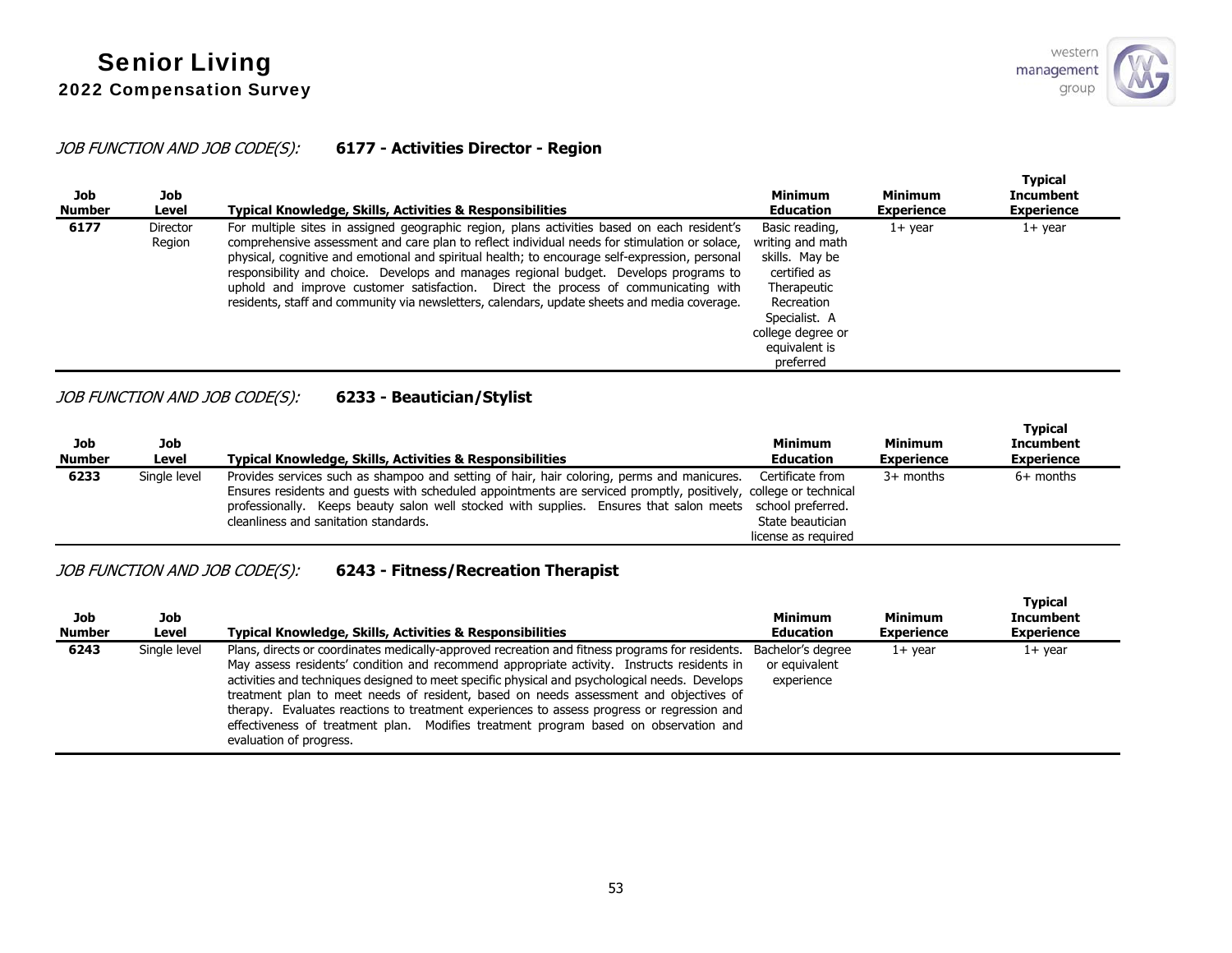## JOB FUNCTION AND JOB CODE(S): **6177 - Activities Director - Region**

| Job<br><b>Number</b> | Job<br>Level              | Typical Knowledge, Skills, Activities & Responsibilities                                                                                                                                                                                                                                                                                                                                                                                                                                                                                                                      | <b>Minimum</b><br><b>Education</b>                                                                                                                                    | <b>Minimum</b><br><b>Experience</b> | <b>Typical</b><br><b>Incumbent</b><br><b>Experience</b> |
|----------------------|---------------------------|-------------------------------------------------------------------------------------------------------------------------------------------------------------------------------------------------------------------------------------------------------------------------------------------------------------------------------------------------------------------------------------------------------------------------------------------------------------------------------------------------------------------------------------------------------------------------------|-----------------------------------------------------------------------------------------------------------------------------------------------------------------------|-------------------------------------|---------------------------------------------------------|
| 6177                 | <b>Director</b><br>Region | For multiple sites in assigned geographic region, plans activities based on each resident's<br>comprehensive assessment and care plan to reflect individual needs for stimulation or solace,<br>physical, cognitive and emotional and spiritual health; to encourage self-expression, personal<br>responsibility and choice. Develops and manages regional budget. Develops programs to<br>uphold and improve customer satisfaction. Direct the process of communicating with<br>residents, staff and community via newsletters, calendars, update sheets and media coverage. | Basic reading,<br>writing and math<br>skills. May be<br>certified as<br>Therapeutic<br>Recreation<br>Specialist. A<br>college degree or<br>equivalent is<br>preferred | $1+$ year                           | $1+$ year                                               |

# JOB FUNCTION AND JOB CODE(S): **6233 - Beautician/Stylist**

| Job<br>Number | Job<br>Level | Typical Knowledge, Skills, Activities & Responsibilities                                                                                                                                                                                                                                                                                                                              | <b>Minimum</b><br><b>Education</b> | <b>Minimum</b><br><b>Experience</b> | <b>Typical</b><br><b>Incumbent</b><br><b>Experience</b> |
|---------------|--------------|---------------------------------------------------------------------------------------------------------------------------------------------------------------------------------------------------------------------------------------------------------------------------------------------------------------------------------------------------------------------------------------|------------------------------------|-------------------------------------|---------------------------------------------------------|
| 6233          | Single level | Provides services such as shampoo and setting of hair, hair coloring, perms and manicures. Certificate from<br>Ensures residents and guests with scheduled appointments are serviced promptly, positively, college or technical<br>professionally. Keeps beauty salon well stocked with supplies. Ensures that salon meets school preferred.<br>cleanliness and sanitation standards. | State beautician                   | $3+$ months                         | $6+$ months                                             |
|               |              |                                                                                                                                                                                                                                                                                                                                                                                       | license as reguired                |                                     |                                                         |

# JOB FUNCTION AND JOB CODE(S): **6243 - Fitness/Recreation Therapist**

| Job<br><b>Number</b> | Job<br>Level | <b>Typical Knowledge, Skills, Activities &amp; Responsibilities</b>                                                                                                                                                                                                                                                                                                                                                                                                                                                                                                                                       | <b>Minimum</b><br><b>Education</b>               | Minimum<br><b>Experience</b> | <b>Typical</b><br><b>Incumbent</b><br><b>Experience</b> |
|----------------------|--------------|-----------------------------------------------------------------------------------------------------------------------------------------------------------------------------------------------------------------------------------------------------------------------------------------------------------------------------------------------------------------------------------------------------------------------------------------------------------------------------------------------------------------------------------------------------------------------------------------------------------|--------------------------------------------------|------------------------------|---------------------------------------------------------|
| 6243                 | Single level | Plans, directs or coordinates medically-approved recreation and fitness programs for residents.<br>May assess residents' condition and recommend appropriate activity. Instructs residents in<br>activities and techniques designed to meet specific physical and psychological needs. Develops<br>treatment plan to meet needs of resident, based on needs assessment and objectives of<br>therapy. Evaluates reactions to treatment experiences to assess progress or regression and<br>effectiveness of treatment plan. Modifies treatment program based on observation and<br>evaluation of progress. | Bachelor's degree<br>or equivalent<br>experience | $1+$ year                    | $1+$ year                                               |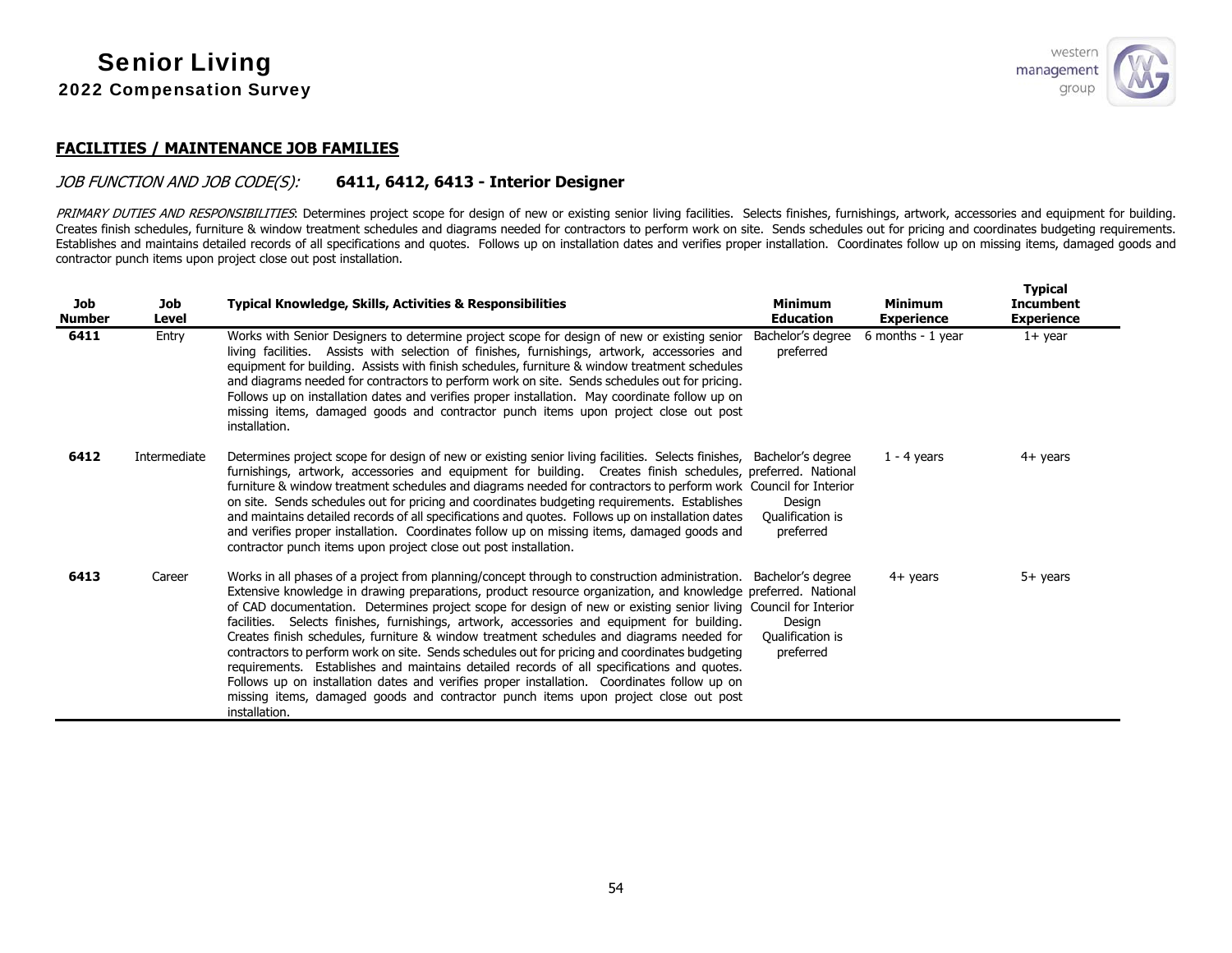

### **FACILITIES / MAINTENANCE JOB FAMILIES**

#### JOB FUNCTION AND JOB CODE(S): **6411, 6412, 6413 - Interior Designer**

PRIMARY DUTIES AND RESPONSIBILITIES: Determines project scope for design of new or existing senior living facilities. Selects finishes, furnishings, artwork, accessories and equipment for building. Creates finish schedules, furniture & window treatment schedules and diagrams needed for contractors to perform work on site. Sends schedules out for pricing and coordinates budgeting requirements. Establishes and maintains detailed records of all specifications and quotes. Follows up on installation dates and verifies proper installation. Coordinates follow up on missing items, damaged goods and contractor punch items upon project close out post installation.

| <b>Job</b><br><b>Number</b> | <b>Job</b><br>Level | <b>Typical Knowledge, Skills, Activities &amp; Responsibilities</b>                                                                                                                                                                                                                                                                                                                                                                                                                                                                                                                                                                                                                                                                                                                                                                                                                                                                  | <b>Minimum</b><br><b>Education</b>                           | <b>Minimum</b><br><b>Experience</b> | <b>Typical</b><br><b>Incumbent</b><br><b>Experience</b> |
|-----------------------------|---------------------|--------------------------------------------------------------------------------------------------------------------------------------------------------------------------------------------------------------------------------------------------------------------------------------------------------------------------------------------------------------------------------------------------------------------------------------------------------------------------------------------------------------------------------------------------------------------------------------------------------------------------------------------------------------------------------------------------------------------------------------------------------------------------------------------------------------------------------------------------------------------------------------------------------------------------------------|--------------------------------------------------------------|-------------------------------------|---------------------------------------------------------|
| 6411                        | Entry               | Works with Senior Designers to determine project scope for design of new or existing senior Bachelor's degree<br>living facilities. Assists with selection of finishes, furnishings, artwork, accessories and<br>equipment for building. Assists with finish schedules, furniture & window treatment schedules<br>and diagrams needed for contractors to perform work on site. Sends schedules out for pricing.<br>Follows up on installation dates and verifies proper installation. May coordinate follow up on<br>missing items, damaged goods and contractor punch items upon project close out post<br>installation.                                                                                                                                                                                                                                                                                                            | preferred                                                    | 6 months - 1 year                   | $1+$ year                                               |
| 6412                        | Intermediate        | Determines project scope for design of new or existing senior living facilities. Selects finishes, Bachelor's degree<br>furnishings, artwork, accessories and equipment for building. Creates finish schedules, preferred. National<br>furniture & window treatment schedules and diagrams needed for contractors to perform work Council for Interior<br>on site. Sends schedules out for pricing and coordinates budgeting requirements. Establishes<br>and maintains detailed records of all specifications and quotes. Follows up on installation dates<br>and verifies proper installation. Coordinates follow up on missing items, damaged goods and<br>contractor punch items upon project close out post installation.                                                                                                                                                                                                       | Design<br>Qualification is<br>preferred                      | $1 - 4$ years                       | 4+ years                                                |
| 6413                        | Career              | Works in all phases of a project from planning/concept through to construction administration.<br>Extensive knowledge in drawing preparations, product resource organization, and knowledge preferred. National<br>of CAD documentation. Determines project scope for design of new or existing senior living Council for Interior<br>facilities. Selects finishes, furnishings, artwork, accessories and equipment for building.<br>Creates finish schedules, furniture & window treatment schedules and diagrams needed for<br>contractors to perform work on site. Sends schedules out for pricing and coordinates budgeting<br>requirements. Establishes and maintains detailed records of all specifications and quotes.<br>Follows up on installation dates and verifies proper installation. Coordinates follow up on<br>missing items, damaged goods and contractor punch items upon project close out post<br>installation. | Bachelor's degree<br>Design<br>Qualification is<br>preferred | $4+$ years                          | $5+$ years                                              |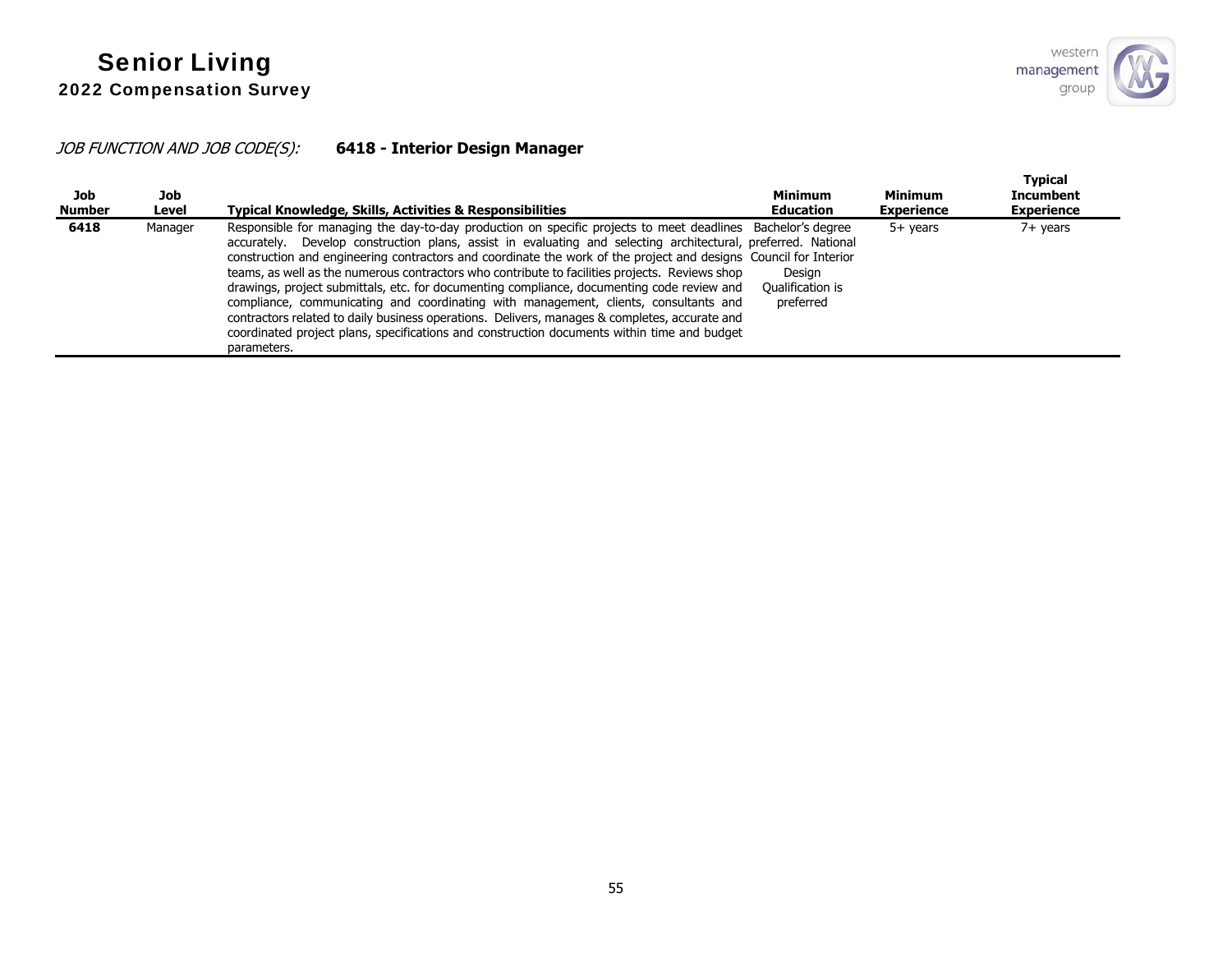# JOB FUNCTION AND JOB CODE(S): **6418 - Interior Design Manager**

| Job<br><b>Number</b> | Job<br>Level | Typical Knowledge, Skills, Activities & Responsibilities                                                                                                                                                                                                                                                                                                                                                                                                                                                                                                                                                                                                                                                                                                                                                                                                | <b>Minimum</b><br><b>Education</b>      | <b>Minimum</b><br><b>Experience</b> | <b>Typical</b><br>Incumbent<br><b>Experience</b> |
|----------------------|--------------|---------------------------------------------------------------------------------------------------------------------------------------------------------------------------------------------------------------------------------------------------------------------------------------------------------------------------------------------------------------------------------------------------------------------------------------------------------------------------------------------------------------------------------------------------------------------------------------------------------------------------------------------------------------------------------------------------------------------------------------------------------------------------------------------------------------------------------------------------------|-----------------------------------------|-------------------------------------|--------------------------------------------------|
| 6418                 | Manager      | Responsible for managing the day-to-day production on specific projects to meet deadlines Bachelor's degree<br>accurately. Develop construction plans, assist in evaluating and selecting architectural, preferred. National<br>construction and engineering contractors and coordinate the work of the project and designs Council for Interior<br>teams, as well as the numerous contractors who contribute to facilities projects. Reviews shop<br>drawings, project submittals, etc. for documenting compliance, documenting code review and<br>compliance, communicating and coordinating with management, clients, consultants and<br>contractors related to daily business operations. Delivers, manages & completes, accurate and<br>coordinated project plans, specifications and construction documents within time and budget<br>parameters. | Desian<br>Oualification is<br>preferred | $5+$ years                          | 7+ years                                         |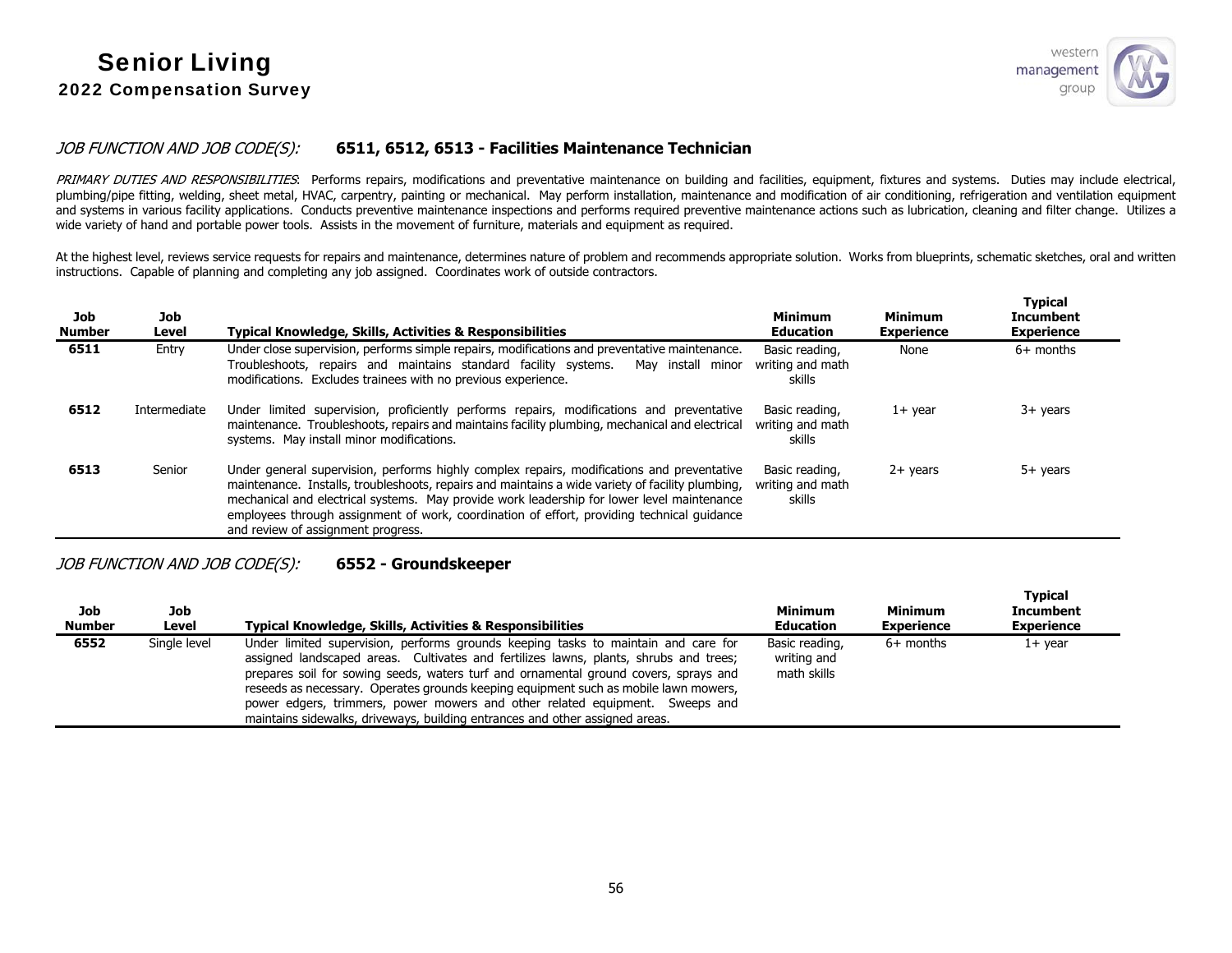

#### JOB FUNCTION AND JOB CODE(S): **6511, 6512, 6513 - Facilities Maintenance Technician**

PRIMARY DUTIES AND RESPONSIBILITIES: Performs repairs, modifications and preventative maintenance on building and facilities, equipment, fixtures and systems. Duties may include electrical, plumbing/pipe fitting, welding, sheet metal, HVAC, carpentry, painting or mechanical. May perform installation, maintenance and modification of air conditioning, refrigeration and ventilation equipment and systems in various facility applications. Conducts preventive maintenance inspections and performs required preventive maintenance actions such as lubrication, cleaning and filter change. Utilizes a wide variety of hand and portable power tools. Assists in the movement of furniture, materials and equipment as required.

At the highest level, reviews service requests for repairs and maintenance, determines nature of problem and recommends appropriate solution. Works from blueprints, schematic sketches, oral and written instructions. Capable of planning and completing any job assigned. Coordinates work of outside contractors.

| Job<br>Number | Job<br>Level | <b>Typical Knowledge, Skills, Activities &amp; Responsibilities</b>                                                                                                                                                                                                                                                                                                                                                              | <b>Minimum</b><br><b>Education</b>           | <b>Minimum</b><br><b>Experience</b> | <b>Typical</b><br><b>Incumbent</b><br><b>Experience</b> |
|---------------|--------------|----------------------------------------------------------------------------------------------------------------------------------------------------------------------------------------------------------------------------------------------------------------------------------------------------------------------------------------------------------------------------------------------------------------------------------|----------------------------------------------|-------------------------------------|---------------------------------------------------------|
| 6511          | Entry        | Under close supervision, performs simple repairs, modifications and preventative maintenance.<br>Troubleshoots, repairs and maintains standard facility systems.<br>May install minor<br>modifications. Excludes trainees with no previous experience.                                                                                                                                                                           | Basic reading,<br>writing and math<br>skills | None                                | $6+$ months                                             |
| 6512          | Intermediate | Under limited supervision, proficiently performs repairs, modifications and preventative<br>maintenance. Troubleshoots, repairs and maintains facility plumbing, mechanical and electrical<br>systems. May install minor modifications.                                                                                                                                                                                          | Basic reading,<br>writing and math<br>skills | $1+$ year                           | $3+$ years                                              |
| 6513          | Senior       | Under general supervision, performs highly complex repairs, modifications and preventative<br>maintenance. Installs, troubleshoots, repairs and maintains a wide variety of facility plumbing,<br>mechanical and electrical systems. May provide work leadership for lower level maintenance<br>employees through assignment of work, coordination of effort, providing technical guidance<br>and review of assignment progress. | Basic reading,<br>writing and math<br>skills | $2+$ years                          | $5+$ years                                              |

#### JOB FUNCTION AND JOB CODE(S): **6552 - Groundskeeper**

| Job<br><b>Number</b> | Job<br>Level | Typical Knowledge, Skills, Activities & Responsibilities                                                                                                                                                                                                                                                                                                                                                                                                                                                                    | Minimum<br><b>Education</b>                  | <b>Minimum</b><br><b>Experience</b> | <b>Typical</b><br><b>Incumbent</b><br><b>Experience</b> |
|----------------------|--------------|-----------------------------------------------------------------------------------------------------------------------------------------------------------------------------------------------------------------------------------------------------------------------------------------------------------------------------------------------------------------------------------------------------------------------------------------------------------------------------------------------------------------------------|----------------------------------------------|-------------------------------------|---------------------------------------------------------|
| 6552                 | Single level | Under limited supervision, performs grounds keeping tasks to maintain and care for<br>assigned landscaped areas. Cultivates and fertilizes lawns, plants, shrubs and trees;<br>prepares soil for sowing seeds, waters turf and ornamental ground covers, sprays and<br>reseeds as necessary. Operates grounds keeping equipment such as mobile lawn mowers,<br>power edgers, trimmers, power mowers and other related equipment. Sweeps and<br>maintains sidewalks, driveways, building entrances and other assigned areas. | Basic reading,<br>writing and<br>math skills | $6+$ months                         | $1+$ year                                               |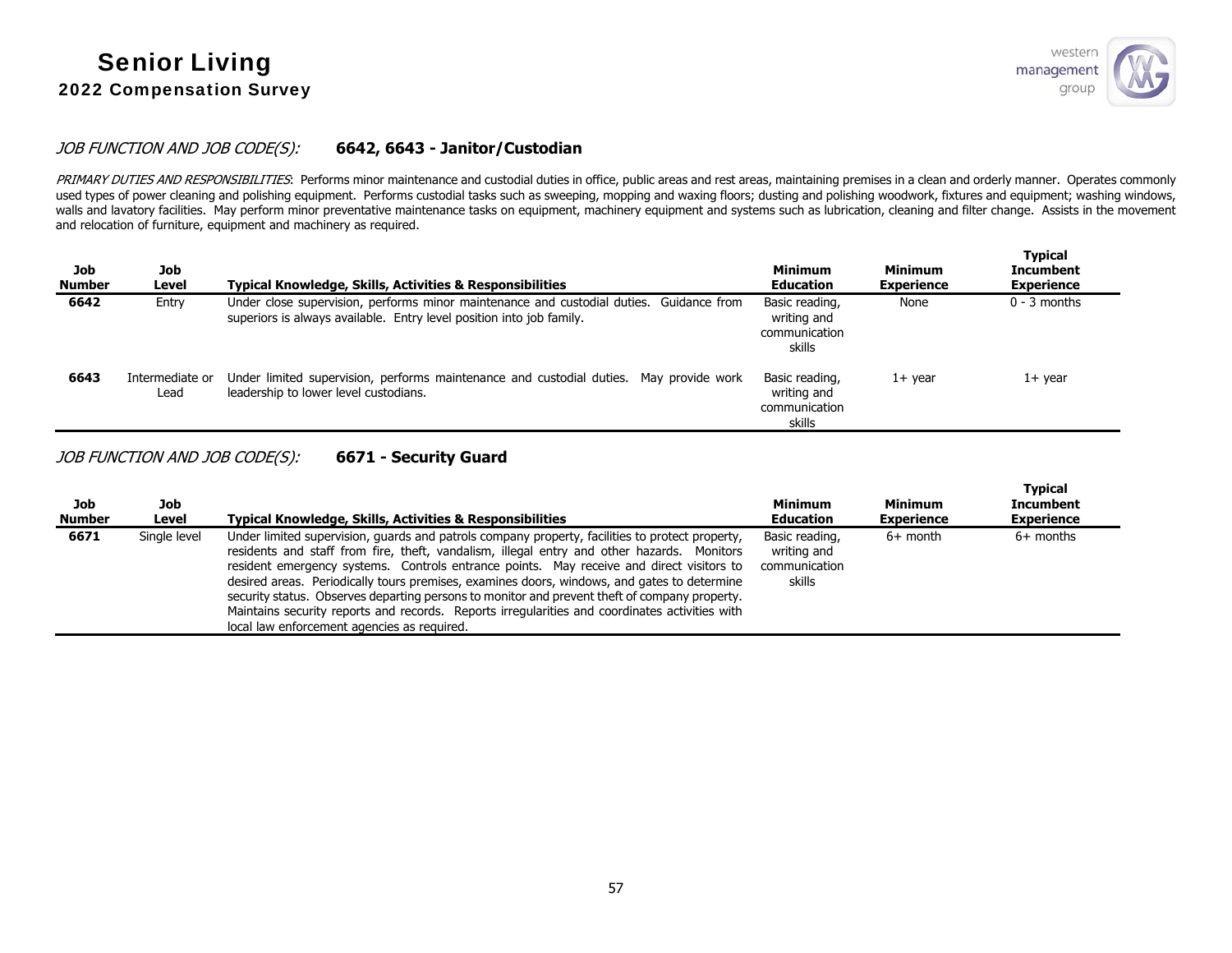

#### JOB FUNCTION AND JOB CODE(S): **6642, 6643 - Janitor/Custodian**

PRIMARY DUTIES AND RESPONSIBILITIES: Performs minor maintenance and custodial duties in office, public areas and rest areas, maintaining premises in a clean and orderly manner. Operates commonly used types of power cleaning and polishing equipment. Performs custodial tasks such as sweeping, mopping and waxing floors; dusting and polishing woodwork, fixtures and equipment; washing windows, walls and lavatory facilities. May perform minor preventative maintenance tasks on equipment, machinery equipment and systems such as lubrication, cleaning and filter change. Assists in the movement and relocation of furniture, equipment and machinery as required.

| Job<br><b>Number</b> | Job<br>Level            | <b>Typical Knowledge, Skills, Activities &amp; Responsibilities</b>                                                                                             | <b>Minimum</b><br><b>Education</b>                       | <b>Minimum</b><br><b>Experience</b> | <b>Typical</b><br><b>Incumbent</b><br><b>Experience</b> |
|----------------------|-------------------------|-----------------------------------------------------------------------------------------------------------------------------------------------------------------|----------------------------------------------------------|-------------------------------------|---------------------------------------------------------|
| 6642                 | Entry                   | Under close supervision, performs minor maintenance and custodial duties. Guidance from<br>superiors is always available. Entry level position into job family. | Basic reading,<br>writing and<br>communication<br>skills | None                                | $0 - 3$ months                                          |
| 6643                 | Intermediate or<br>Lead | Under limited supervision, performs maintenance and custodial duties. May provide work<br>leadership to lower level custodians.                                 | Basic reading,<br>writing and<br>communication<br>skills | $1+$ vear                           | 1+ year                                                 |

JOB FUNCTION AND JOB CODE(S): **6671 - Security Guard** 

| Job<br><b>Number</b> | Job<br>Level | <b>Typical Knowledge, Skills, Activities &amp; Responsibilities</b>                                                                                                                                                                                                                                                                                                                                                                                                                                                                                                                                                                        | <b>Minimum</b><br><b>Education</b>                       | Minimum<br><b>Experience</b> | <b>Typical</b><br><b>Incumbent</b><br><b>Experience</b> |
|----------------------|--------------|--------------------------------------------------------------------------------------------------------------------------------------------------------------------------------------------------------------------------------------------------------------------------------------------------------------------------------------------------------------------------------------------------------------------------------------------------------------------------------------------------------------------------------------------------------------------------------------------------------------------------------------------|----------------------------------------------------------|------------------------------|---------------------------------------------------------|
| 6671                 | Single level | Under limited supervision, guards and patrols company property, facilities to protect property,<br>residents and staff from fire, theft, vandalism, illegal entry and other hazards. Monitors<br>resident emergency systems. Controls entrance points. May receive and direct visitors to<br>desired areas. Periodically tours premises, examines doors, windows, and gates to determine<br>security status. Observes departing persons to monitor and prevent theft of company property.<br>Maintains security reports and records. Reports irregularities and coordinates activities with<br>local law enforcement agencies as required. | Basic reading,<br>writing and<br>communication<br>skills | $6+$ month                   | $6+$ months                                             |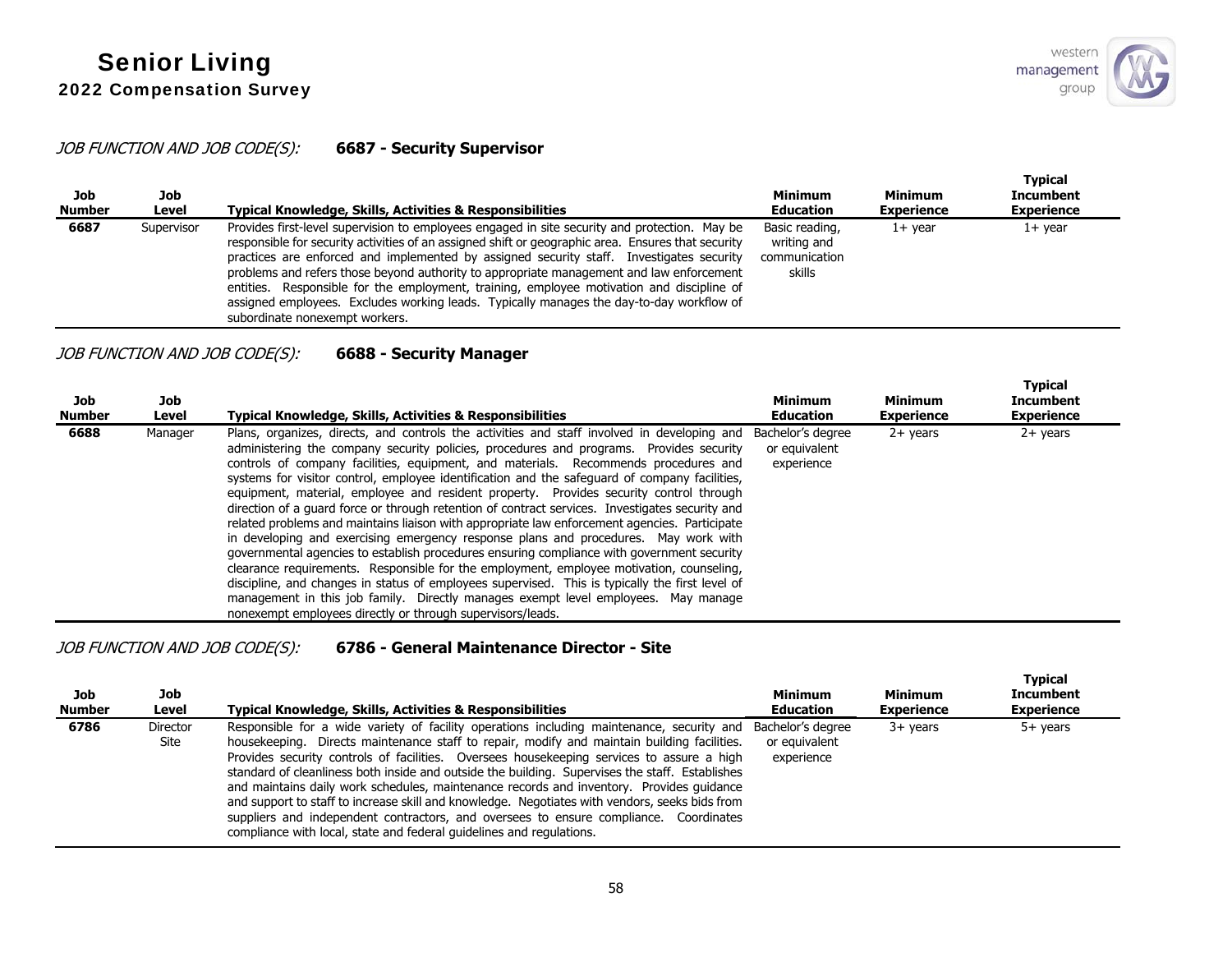**Typical** 

### JOB FUNCTION AND JOB CODE(S): **6687 - Security Supervisor**

| Job<br><b>Number</b> | Job<br>Level | Typical Knowledge, Skills, Activities & Responsibilities                                                                                                                                                                                                                                                                                                                                                                                                                                                                                                                                                               | <b>Minimum</b><br><b>Education</b>                       | <b>Minimum</b><br><b>Experience</b> | i ypical<br><b>Incumbent</b><br><b>Experience</b> |
|----------------------|--------------|------------------------------------------------------------------------------------------------------------------------------------------------------------------------------------------------------------------------------------------------------------------------------------------------------------------------------------------------------------------------------------------------------------------------------------------------------------------------------------------------------------------------------------------------------------------------------------------------------------------------|----------------------------------------------------------|-------------------------------------|---------------------------------------------------|
| 6687                 | Supervisor   | Provides first-level supervision to employees engaged in site security and protection. May be<br>responsible for security activities of an assigned shift or geographic area. Ensures that security<br>practices are enforced and implemented by assigned security staff. Investigates security<br>problems and refers those beyond authority to appropriate management and law enforcement<br>entities. Responsible for the employment, training, employee motivation and discipline of<br>assigned employees. Excludes working leads. Typically manages the day-to-day workflow of<br>subordinate nonexempt workers. | Basic reading,<br>writing and<br>communication<br>skills | $1+$ vear                           | $1+$ year                                         |

## JOB FUNCTION AND JOB CODE(S): **6688 - Security Manager**

| Job<br><b>Number</b> | Job<br>Level | <b>Typical Knowledge, Skills, Activities &amp; Responsibilities</b>                                                                                                                                                                                                                                                                                                                                                                                                                                                                                                                                                                                                                                                                                                                                                                                                                                                                                                                                                                                                                                                                                                                                                  | <b>Minimum</b><br><b>Education</b>               | Minimum<br><b>Experience</b> | <b>Typical</b><br><b>Incumbent</b><br><b>Experience</b> |
|----------------------|--------------|----------------------------------------------------------------------------------------------------------------------------------------------------------------------------------------------------------------------------------------------------------------------------------------------------------------------------------------------------------------------------------------------------------------------------------------------------------------------------------------------------------------------------------------------------------------------------------------------------------------------------------------------------------------------------------------------------------------------------------------------------------------------------------------------------------------------------------------------------------------------------------------------------------------------------------------------------------------------------------------------------------------------------------------------------------------------------------------------------------------------------------------------------------------------------------------------------------------------|--------------------------------------------------|------------------------------|---------------------------------------------------------|
| 6688                 | Manager      | Plans, organizes, directs, and controls the activities and staff involved in developing and<br>administering the company security policies, procedures and programs. Provides security<br>controls of company facilities, equipment, and materials. Recommends procedures and<br>systems for visitor control, employee identification and the safeguard of company facilities,<br>equipment, material, employee and resident property. Provides security control through<br>direction of a quard force or through retention of contract services. Investigates security and<br>related problems and maintains liaison with appropriate law enforcement agencies. Participate<br>in developing and exercising emergency response plans and procedures. May work with<br>governmental agencies to establish procedures ensuring compliance with government security<br>clearance requirements. Responsible for the employment, employee motivation, counseling,<br>discipline, and changes in status of employees supervised. This is typically the first level of<br>management in this job family. Directly manages exempt level employees. May manage<br>nonexempt employees directly or through supervisors/leads. | Bachelor's degree<br>or equivalent<br>experience | $2+$ years                   | $2+$ years                                              |

# JOB FUNCTION AND JOB CODE(S): **6786 - General Maintenance Director - Site**

| Job<br><b>Number</b> | Job<br>Level     | <b>Typical Knowledge, Skills, Activities &amp; Responsibilities</b>                                                                                                                                                                                                                                                                                                                                                                                                                                                                                                                                                                                                                                                                                                        | <b>Minimum</b><br><b>Education</b> | <b>Minimum</b><br><b>Experience</b> | <b>Typical</b><br><b>Incumbent</b><br><b>Experience</b> |
|----------------------|------------------|----------------------------------------------------------------------------------------------------------------------------------------------------------------------------------------------------------------------------------------------------------------------------------------------------------------------------------------------------------------------------------------------------------------------------------------------------------------------------------------------------------------------------------------------------------------------------------------------------------------------------------------------------------------------------------------------------------------------------------------------------------------------------|------------------------------------|-------------------------------------|---------------------------------------------------------|
| 6786                 | Director<br>Site | Responsible for a wide variety of facility operations including maintenance, security and Bachelor's degree<br>house keeping. Directs maintenance staff to repair, modify and maintain building facilities.<br>Provides security controls of facilities. Oversees housekeeping services to assure a high<br>standard of cleanliness both inside and outside the building. Supervises the staff. Establishes<br>and maintains daily work schedules, maintenance records and inventory. Provides quidance<br>and support to staff to increase skill and knowledge. Negotiates with vendors, seeks bids from<br>suppliers and independent contractors, and oversees to ensure compliance. Coordinates<br>compliance with local, state and federal quidelines and regulations. | or equivalent<br>experience        | $3+$ years                          | 5+ years                                                |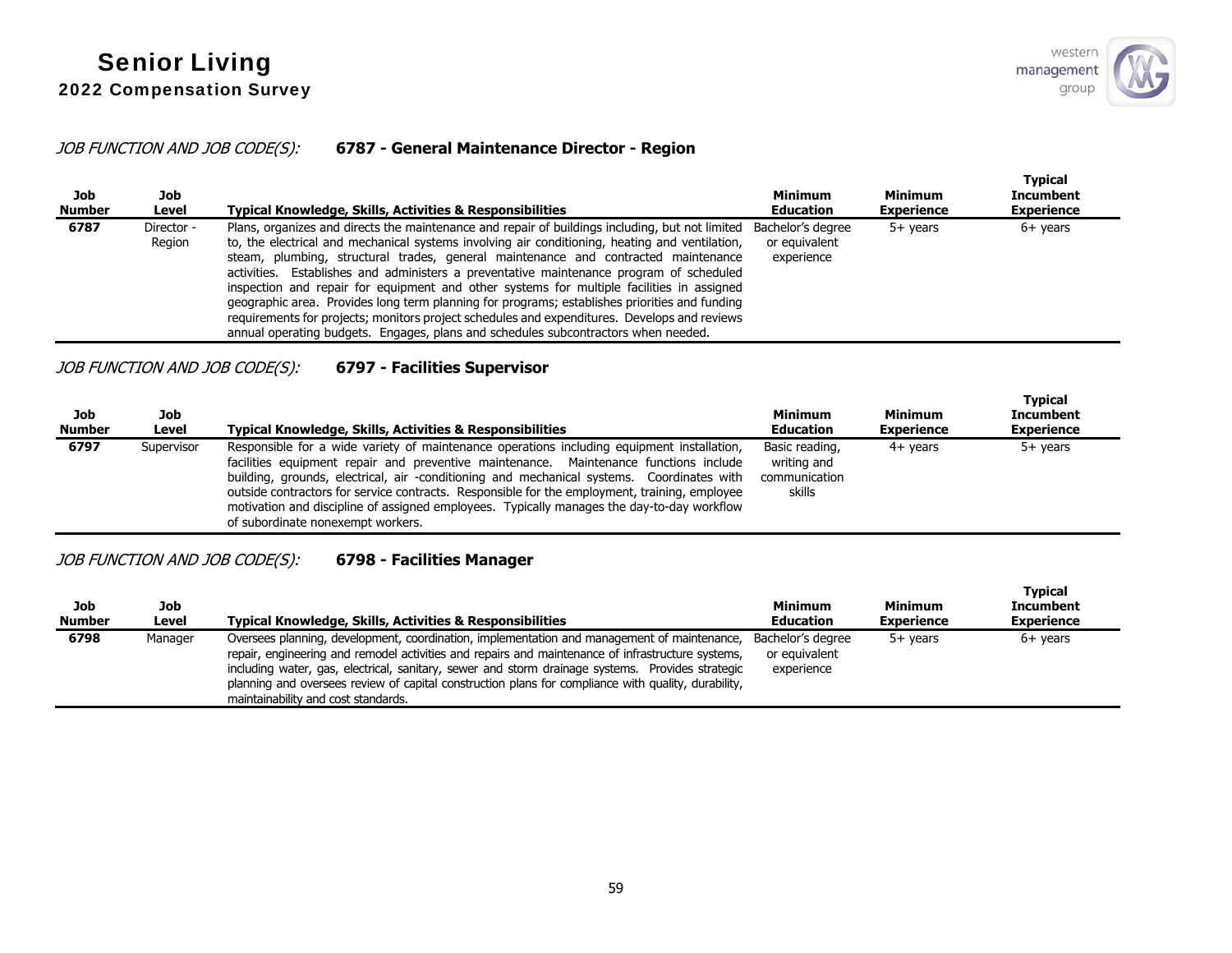### JOB FUNCTION AND JOB CODE(S): **6787 - General Maintenance Director - Region**

| Job<br><b>Number</b> | Job<br>Level         | <b>Typical Knowledge, Skills, Activities &amp; Responsibilities</b>                                                                                                                                                                                                                                                                                                                                                                                                                                                                                                                                                                                                                                                                                                    | <b>Minimum</b><br>Education                      | Minimum<br><b>Experience</b> | <b>Typical</b><br><b>Incumbent</b><br><b>Experience</b> |
|----------------------|----------------------|------------------------------------------------------------------------------------------------------------------------------------------------------------------------------------------------------------------------------------------------------------------------------------------------------------------------------------------------------------------------------------------------------------------------------------------------------------------------------------------------------------------------------------------------------------------------------------------------------------------------------------------------------------------------------------------------------------------------------------------------------------------------|--------------------------------------------------|------------------------------|---------------------------------------------------------|
| 6787                 | Director -<br>Region | Plans, organizes and directs the maintenance and repair of buildings including, but not limited<br>to, the electrical and mechanical systems involving air conditioning, heating and ventilation,<br>steam, plumbing, structural trades, general maintenance and contracted maintenance<br>activities. Establishes and administers a preventative maintenance program of scheduled<br>inspection and repair for equipment and other systems for multiple facilities in assigned<br>geographic area. Provides long term planning for programs; establishes priorities and funding<br>requirements for projects; monitors project schedules and expenditures. Develops and reviews<br>annual operating budgets. Engages, plans and schedules subcontractors when needed. | Bachelor's degree<br>or equivalent<br>experience | $5+$ years                   | $6+$ years                                              |

## JOB FUNCTION AND JOB CODE(S): **6797 - Facilities Supervisor**

| Job<br><b>Number</b> | Job<br>Level | Typical Knowledge, Skills, Activities & Responsibilities                                                                                                                                                                                                                                                                                                                                                                                                                                                             | Minimum<br><b>Education</b>                              | Minimum<br><b>Experience</b> | Typical<br><b>Incumbent</b><br><b>Experience</b> |
|----------------------|--------------|----------------------------------------------------------------------------------------------------------------------------------------------------------------------------------------------------------------------------------------------------------------------------------------------------------------------------------------------------------------------------------------------------------------------------------------------------------------------------------------------------------------------|----------------------------------------------------------|------------------------------|--------------------------------------------------|
| 6797                 | Supervisor   | Responsible for a wide variety of maintenance operations including equipment installation,<br>facilities equipment repair and preventive maintenance. Maintenance functions include<br>building, grounds, electrical, air -conditioning and mechanical systems. Coordinates with<br>outside contractors for service contracts. Responsible for the employment, training, employee<br>motivation and discipline of assigned employees. Typically manages the day-to-day workflow<br>of subordinate nonexempt workers. | Basic reading,<br>writing and<br>communication<br>skills | $4+$ vears                   | 5+ years                                         |

### JOB FUNCTION AND JOB CODE(S): **6798 - Facilities Manager**

| Job<br><b>Number</b> | Job<br>Level | <b>Typical Knowledge, Skills, Activities &amp; Responsibilities</b>                                                                                                                                                                                                                                                                                                                                                                                | Minimum<br><b>Education</b>                      | <b>Minimum</b><br><b>Experience</b> | <b>Typical</b><br><b>Incumbent</b><br><b>Experience</b> |
|----------------------|--------------|----------------------------------------------------------------------------------------------------------------------------------------------------------------------------------------------------------------------------------------------------------------------------------------------------------------------------------------------------------------------------------------------------------------------------------------------------|--------------------------------------------------|-------------------------------------|---------------------------------------------------------|
| 6798                 | Manager      | Oversees planning, development, coordination, implementation and management of maintenance,<br>repair, engineering and remodel activities and repairs and maintenance of infrastructure systems,<br>including water, gas, electrical, sanitary, sewer and storm drainage systems. Provides strategic<br>planning and oversees review of capital construction plans for compliance with quality, durability,<br>maintainability and cost standards. | Bachelor's degree<br>or equivalent<br>experience | $5+$ years                          | $6+$ years                                              |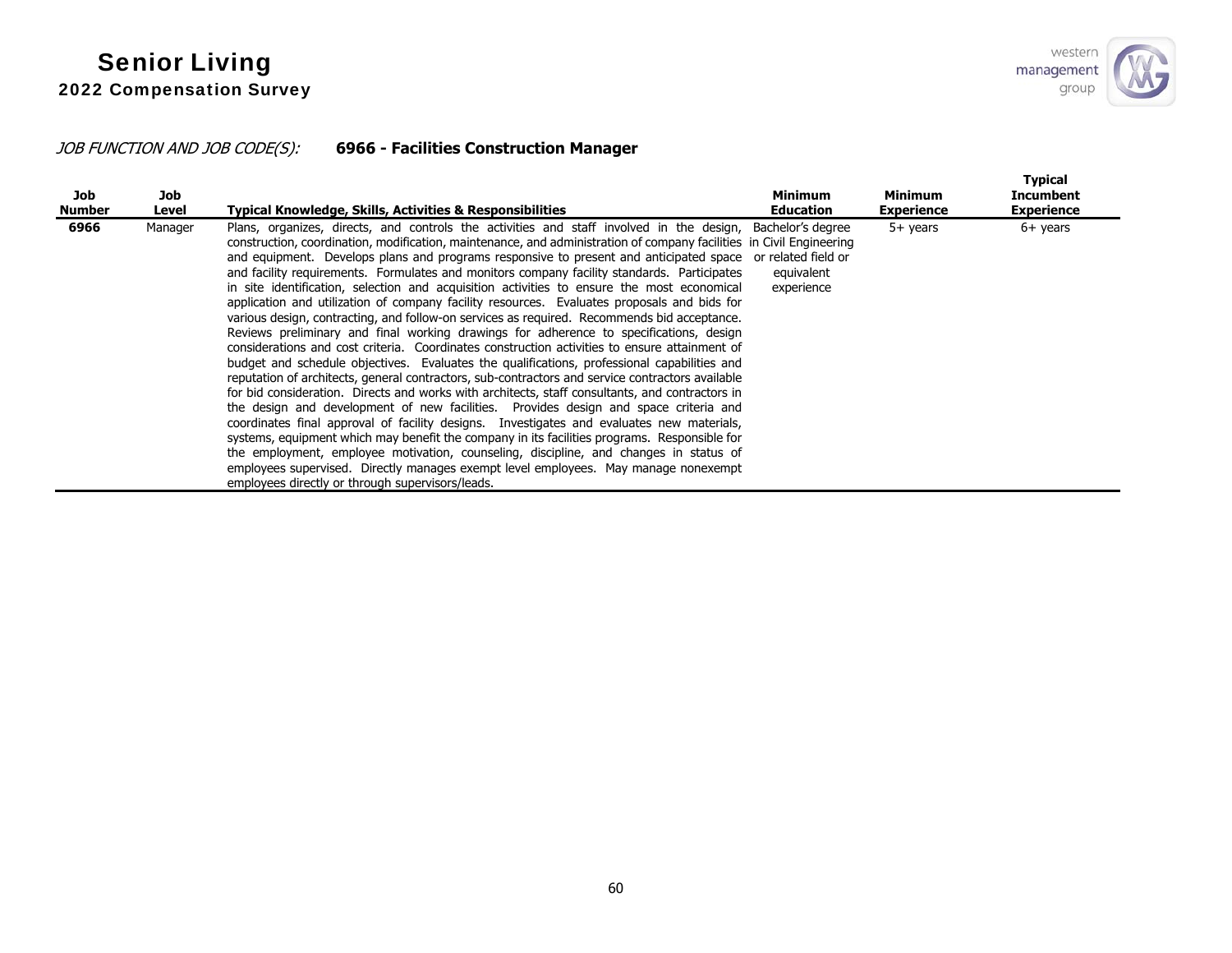# JOB FUNCTION AND JOB CODE(S): **6966 - Facilities Construction Manager**

| Job<br>Number | Job<br>Level | Typical Knowledge, Skills, Activities & Responsibilities                                                                                                                                                                                                                                                                                                                                                                                                                                                                                                                                                                                                                                                                                                                                                                                                                                                                                                                                                                                                                                                                                                                                                                                                                                                                                                                                                                                                                                                                                                                                                                                                                                                                                                              | <b>Minimum</b><br>Education | <b>Minimum</b><br><b>Experience</b> | <b>Typical</b><br><b>Incumbent</b><br><b>Experience</b> |
|---------------|--------------|-----------------------------------------------------------------------------------------------------------------------------------------------------------------------------------------------------------------------------------------------------------------------------------------------------------------------------------------------------------------------------------------------------------------------------------------------------------------------------------------------------------------------------------------------------------------------------------------------------------------------------------------------------------------------------------------------------------------------------------------------------------------------------------------------------------------------------------------------------------------------------------------------------------------------------------------------------------------------------------------------------------------------------------------------------------------------------------------------------------------------------------------------------------------------------------------------------------------------------------------------------------------------------------------------------------------------------------------------------------------------------------------------------------------------------------------------------------------------------------------------------------------------------------------------------------------------------------------------------------------------------------------------------------------------------------------------------------------------------------------------------------------------|-----------------------------|-------------------------------------|---------------------------------------------------------|
| 6966          | Manager      | Plans, organizes, directs, and controls the activities and staff involved in the design, Bachelor's degree<br>construction, coordination, modification, maintenance, and administration of company facilities in Civil Engineering<br>and equipment. Develops plans and programs responsive to present and anticipated space or related field or<br>and facility requirements. Formulates and monitors company facility standards. Participates<br>in site identification, selection and acquisition activities to ensure the most economical<br>application and utilization of company facility resources. Evaluates proposals and bids for<br>various design, contracting, and follow-on services as required. Recommends bid acceptance.<br>Reviews preliminary and final working drawings for adherence to specifications, design<br>considerations and cost criteria. Coordinates construction activities to ensure attainment of<br>budget and schedule objectives. Evaluates the qualifications, professional capabilities and<br>reputation of architects, general contractors, sub-contractors and service contractors available<br>for bid consideration. Directs and works with architects, staff consultants, and contractors in<br>the design and development of new facilities. Provides design and space criteria and<br>coordinates final approval of facility designs. Investigates and evaluates new materials,<br>systems, equipment which may benefit the company in its facilities programs. Responsible for<br>the employment, employee motivation, counseling, discipline, and changes in status of<br>employees supervised. Directly manages exempt level employees. May manage nonexempt<br>employees directly or through supervisors/leads. | equivalent<br>experience    | $5+$ years                          | $6+$ years                                              |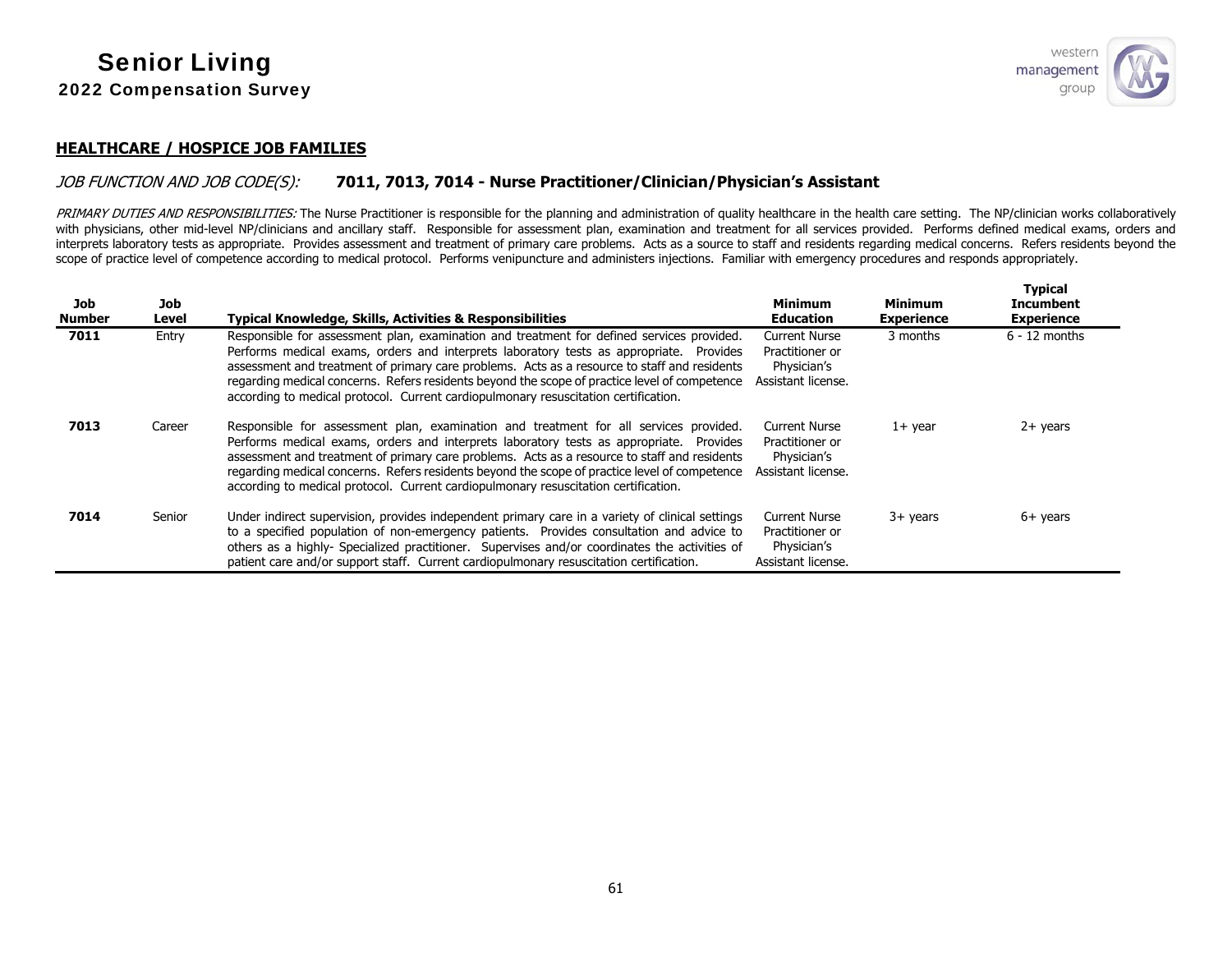

**Typical** 

### **HEALTHCARE / HOSPICE JOB FAMILIES**

### JOB FUNCTION AND JOB CODE(S): **7011, 7013, 7014 - Nurse Practitioner/Clinician/Physician's Assistant**

PRIMARY DUTIES AND RESPONSIBILITIES: The Nurse Practitioner is responsible for the planning and administration of quality healthcare in the health care setting. The NP/clinician works collaboratively with physicians, other mid-level NP/clinicians and ancillary staff. Responsible for assessment plan, examination and treatment for all services provided. Performs defined medical exams, orders and interprets laboratory tests as appropriate. Provides assessment and treatment of primary care problems. Acts as a source to staff and residents regarding medical concerns. Refers residents beyond the scope of practice level of competence according to medical protocol. Performs venipuncture and administers injections. Familiar with emergency procedures and responds appropriately.

| Job<br><b>Number</b> | Job<br>Level | <b>Typical Knowledge, Skills, Activities &amp; Responsibilities</b>                                                                                                                                                                                                                                                                                                                                                                                                          | <b>Minimum</b><br><b>Education</b>                                           | <b>Minimum</b><br><b>Experience</b> | I ypical<br><b>Incumbent</b><br><b>Experience</b> |
|----------------------|--------------|------------------------------------------------------------------------------------------------------------------------------------------------------------------------------------------------------------------------------------------------------------------------------------------------------------------------------------------------------------------------------------------------------------------------------------------------------------------------------|------------------------------------------------------------------------------|-------------------------------------|---------------------------------------------------|
| 7011                 | Entry        | Responsible for assessment plan, examination and treatment for defined services provided.<br>Performs medical exams, orders and interprets laboratory tests as appropriate. Provides<br>assessment and treatment of primary care problems. Acts as a resource to staff and residents<br>regarding medical concerns. Refers residents beyond the scope of practice level of competence<br>according to medical protocol. Current cardiopulmonary resuscitation certification. | <b>Current Nurse</b><br>Practitioner or<br>Physician's<br>Assistant license. | 3 months                            | $6 - 12$ months                                   |
| 7013                 | Career       | Responsible for assessment plan, examination and treatment for all services provided.<br>Performs medical exams, orders and interprets laboratory tests as appropriate. Provides<br>assessment and treatment of primary care problems. Acts as a resource to staff and residents<br>regarding medical concerns. Refers residents beyond the scope of practice level of competence<br>according to medical protocol. Current cardiopulmonary resuscitation certification.     | <b>Current Nurse</b><br>Practitioner or<br>Physician's<br>Assistant license. | $1+$ year                           | $2+$ years                                        |
| 7014                 | Senior       | Under indirect supervision, provides independent primary care in a variety of clinical settings<br>to a specified population of non-emergency patients. Provides consultation and advice to<br>others as a highly- Specialized practitioner. Supervises and/or coordinates the activities of<br>patient care and/or support staff. Current cardiopulmonary resuscitation certification.                                                                                      | <b>Current Nurse</b><br>Practitioner or<br>Physician's<br>Assistant license. | $3+$ years                          | $6+$ years                                        |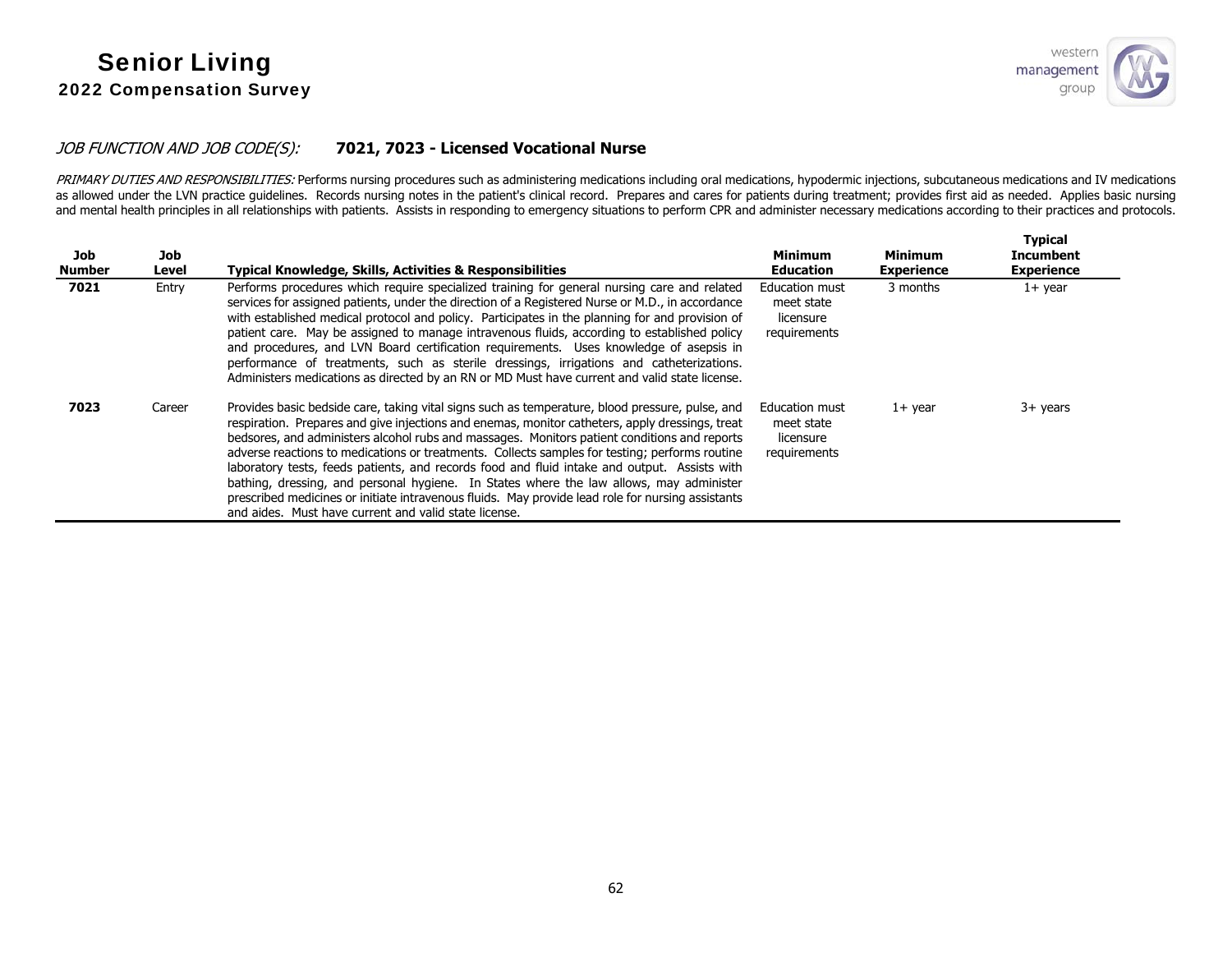### JOB FUNCTION AND JOB CODE(S): **7021, 7023 - Licensed Vocational Nurse**

PRIMARY DUTIES AND RESPONSIBILITIES: Performs nursing procedures such as administering medications including oral medications, hypodermic injections, subcutaneous medications and IV medications as allowed under the LVN practice quidelines. Records nursing notes in the patient's clinical record. Prepares and cares for patients during treatment; provides first aid as needed. Applies basic nursing and mental health principles in all relationships with patients. Assists in responding to emergency situations to perform CPR and administer necessary medications according to their practices and protocols.

| Job<br>Number | Job<br>Level | <b>Typical Knowledge, Skills, Activities &amp; Responsibilities</b>                                                                                                                                                                                                                                                                                                                                                                                                                                                                                                                                                                                                                                                                                           | <b>Minimum</b><br><b>Education</b>                        | <b>Minimum</b><br><b>Experience</b> | <b>Typical</b><br>Incumbent<br><b>Experience</b> |
|---------------|--------------|---------------------------------------------------------------------------------------------------------------------------------------------------------------------------------------------------------------------------------------------------------------------------------------------------------------------------------------------------------------------------------------------------------------------------------------------------------------------------------------------------------------------------------------------------------------------------------------------------------------------------------------------------------------------------------------------------------------------------------------------------------------|-----------------------------------------------------------|-------------------------------------|--------------------------------------------------|
| 7021          | Entry        | Performs procedures which require specialized training for general nursing care and related<br>services for assigned patients, under the direction of a Registered Nurse or M.D., in accordance<br>with established medical protocol and policy. Participates in the planning for and provision of<br>patient care. May be assigned to manage intravenous fluids, according to established policy<br>and procedures, and LVN Board certification requirements. Uses knowledge of asepsis in<br>performance of treatments, such as sterile dressings, irrigations and catheterizations.<br>Administers medications as directed by an RN or MD Must have current and valid state license.                                                                       | Education must<br>meet state<br>licensure<br>requirements | 3 months                            | $1+$ year                                        |
| 7023          | Career       | Provides basic bedside care, taking vital signs such as temperature, blood pressure, pulse, and<br>respiration. Prepares and give injections and enemas, monitor catheters, apply dressings, treat<br>bedsores, and administers alcohol rubs and massages. Monitors patient conditions and reports<br>adverse reactions to medications or treatments. Collects samples for testing; performs routine<br>laboratory tests, feeds patients, and records food and fluid intake and output. Assists with<br>bathing, dressing, and personal hygiene. In States where the law allows, may administer<br>prescribed medicines or initiate intravenous fluids. May provide lead role for nursing assistants<br>and aides. Must have current and valid state license. | Education must<br>meet state<br>licensure<br>requirements | $1+$ year                           | $3+$ years                                       |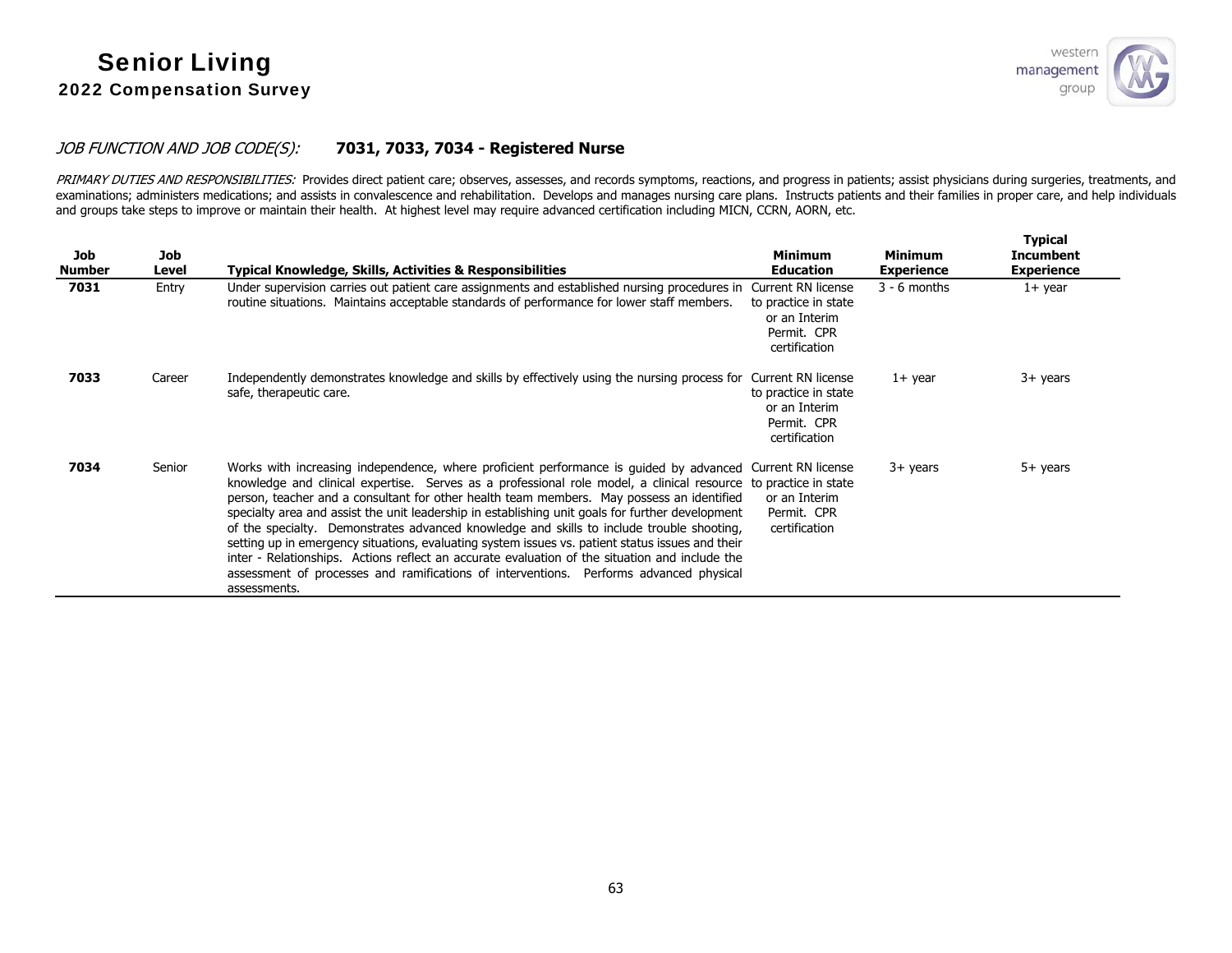

### JOB FUNCTION AND JOB CODE(S): **7031, 7033, 7034 - Registered Nurse**

PRIMARY DUTIES AND RESPONSIBILITIES: Provides direct patient care; observes, assesses, and records symptoms, reactions, and progress in patients; assist physicians during surgeries, treatments, and examinations; administers medications; and assists in convalescence and rehabilitation. Develops and manages nursing care plans. Instructs patients and their families in proper care, and help individuals and groups take steps to improve or maintain their health. At highest level may require advanced certification including MICN, CCRN, AORN, etc.

| <b>Job</b><br><b>Number</b> | <b>Job</b><br>Level | <b>Typical Knowledge, Skills, Activities &amp; Responsibilities</b>                                                                                                                                                                                                                                                                                                                                                                                                                                                                                                                                                                                                                                                                                                                                                                        | <b>Minimum</b><br><b>Education</b>                                                          | <b>Minimum</b><br><b>Experience</b> | <b>Typical</b><br><b>Incumbent</b><br><b>Experience</b> |
|-----------------------------|---------------------|--------------------------------------------------------------------------------------------------------------------------------------------------------------------------------------------------------------------------------------------------------------------------------------------------------------------------------------------------------------------------------------------------------------------------------------------------------------------------------------------------------------------------------------------------------------------------------------------------------------------------------------------------------------------------------------------------------------------------------------------------------------------------------------------------------------------------------------------|---------------------------------------------------------------------------------------------|-------------------------------------|---------------------------------------------------------|
| 7031                        | Entry               | Under supervision carries out patient care assignments and established nursing procedures in Current RN license<br>routine situations. Maintains acceptable standards of performance for lower staff members.                                                                                                                                                                                                                                                                                                                                                                                                                                                                                                                                                                                                                              | to practice in state<br>or an Interim<br>Permit. CPR<br>certification                       | $3 - 6$ months                      | $1+$ year                                               |
| 7033                        | Career              | Independently demonstrates knowledge and skills by effectively using the nursing process for<br>safe, therapeutic care.                                                                                                                                                                                                                                                                                                                                                                                                                                                                                                                                                                                                                                                                                                                    | Current RN license<br>to practice in state<br>or an Interim<br>Permit. CPR<br>certification | $1+$ year                           | 3+ years                                                |
| 7034                        | Senior              | Works with increasing independence, where proficient performance is quided by advanced Current RN license<br>knowledge and clinical expertise. Serves as a professional role model, a clinical resource to practice in state<br>person, teacher and a consultant for other health team members. May possess an identified<br>specialty area and assist the unit leadership in establishing unit goals for further development<br>of the specialty. Demonstrates advanced knowledge and skills to include trouble shooting,<br>setting up in emergency situations, evaluating system issues vs. patient status issues and their<br>inter - Relationships. Actions reflect an accurate evaluation of the situation and include the<br>assessment of processes and ramifications of interventions. Performs advanced physical<br>assessments. | or an Interim<br>Permit. CPR<br>certification                                               | $3+$ years                          | $5+$ years                                              |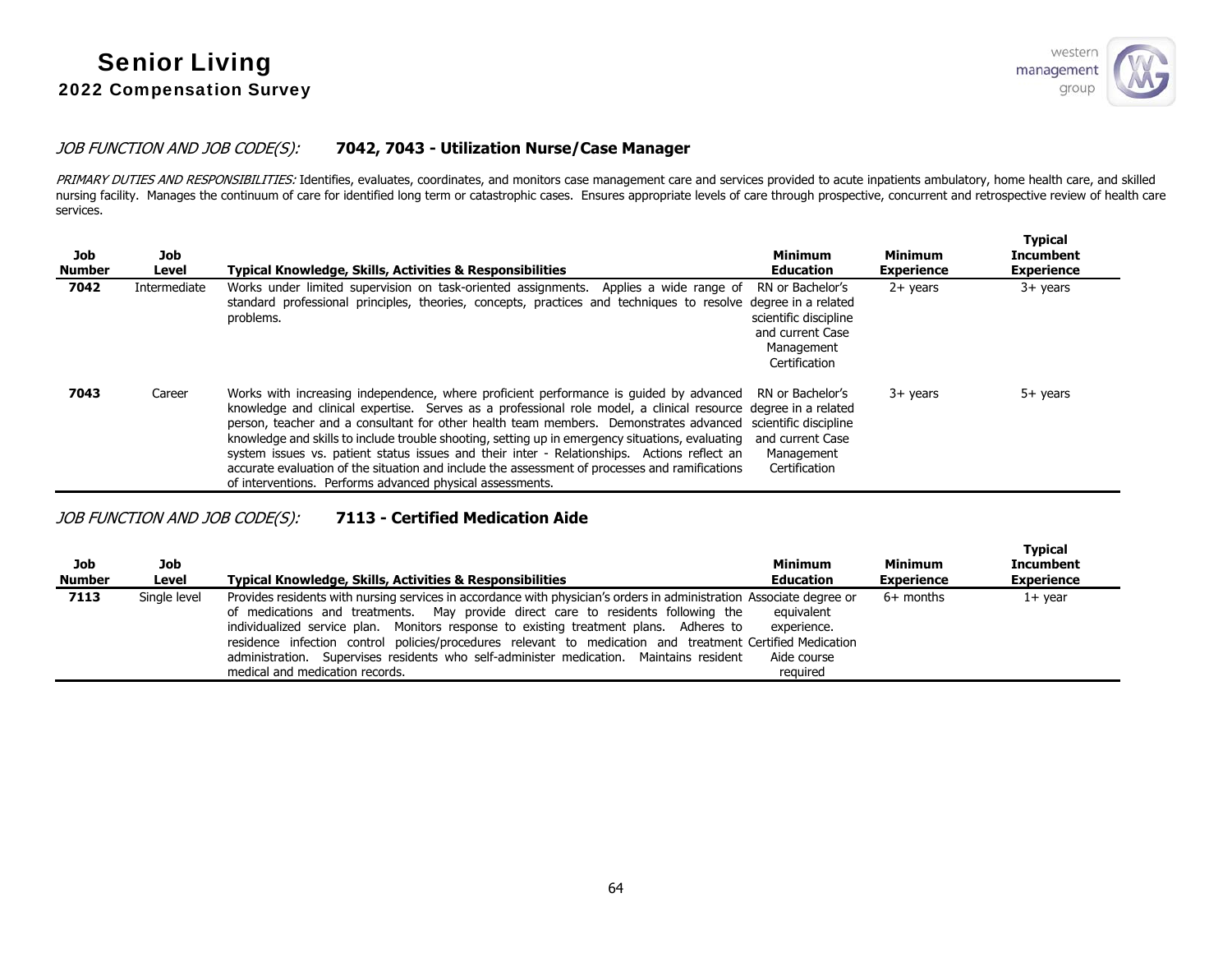

#### JOB FUNCTION AND JOB CODE(S): **7042, 7043 - Utilization Nurse/Case Manager**

PRIMARY DUTIES AND RESPONSIBILITIES: Identifies, evaluates, coordinates, and monitors case management care and services provided to acute inpatients ambulatory, home health care, and skilled nursing facility. Manages the continuum of care for identified long term or catastrophic cases. Ensures appropriate levels of care through prospective, concurrent and retrospective review of health care services.

| Job<br><b>Number</b> | Job<br>Level | Typical Knowledge, Skills, Activities & Responsibilities                                                                                                                                                                                                                                                                                                                                                                                                                                                                                                                                                                                                                                                   | <b>Minimum</b><br><b>Education</b>                                                           | <b>Minimum</b><br><b>Experience</b> | <b>Typical</b><br><b>Incumbent</b><br><b>Experience</b> |
|----------------------|--------------|------------------------------------------------------------------------------------------------------------------------------------------------------------------------------------------------------------------------------------------------------------------------------------------------------------------------------------------------------------------------------------------------------------------------------------------------------------------------------------------------------------------------------------------------------------------------------------------------------------------------------------------------------------------------------------------------------------|----------------------------------------------------------------------------------------------|-------------------------------------|---------------------------------------------------------|
| 7042                 | Intermediate | Works under limited supervision on task-oriented assignments. Applies a wide range of<br>standard professional principles, theories, concepts, practices and techniques to resolve degree in a related<br>problems.                                                                                                                                                                                                                                                                                                                                                                                                                                                                                        | RN or Bachelor's<br>scientific discipline<br>and current Case<br>Management<br>Certification | $2+$ years                          | $3+$ years                                              |
| 7043                 | Career       | Works with increasing independence, where proficient performance is quided by advanced RN or Bachelor's<br>knowledge and clinical expertise. Serves as a professional role model, a clinical resource degree in a related<br>person, teacher and a consultant for other health team members. Demonstrates advanced scientific discipline<br>knowledge and skills to include trouble shooting, setting up in emergency situations, evaluating<br>system issues vs. patient status issues and their inter - Relationships. Actions reflect an<br>accurate evaluation of the situation and include the assessment of processes and ramifications<br>of interventions. Performs advanced physical assessments. | and current Case<br>Management<br>Certification                                              | $3+$ years                          | $5+$ years                                              |

### JOB FUNCTION AND JOB CODE(S): **7113 - Certified Medication Aide**

| Job<br><b>Number</b> | Job<br>Level | Typical Knowledge, Skills, Activities & Responsibilities                                                                                                                                                                                                                                                                                                                                                                                                                                                                                       | <b>Minimum</b><br><b>Education</b>                   | Minimum<br><b>Experience</b> | <b>Typical</b><br><b>Incumbent</b><br><b>Experience</b> |
|----------------------|--------------|------------------------------------------------------------------------------------------------------------------------------------------------------------------------------------------------------------------------------------------------------------------------------------------------------------------------------------------------------------------------------------------------------------------------------------------------------------------------------------------------------------------------------------------------|------------------------------------------------------|------------------------------|---------------------------------------------------------|
| 7113                 | Single level | Provides residents with nursing services in accordance with physician's orders in administration Associate degree or<br>of medications and treatments. May provide direct care to residents following the<br>individualized service plan. Monitors response to existing treatment plans. Adheres to<br>residence infection control policies/procedures relevant to medication and treatment Certified Medication<br>administration. Supervises residents who self-administer medication. Maintains resident<br>medical and medication records. | equivalent<br>experience.<br>Aide course<br>reauired | $6+$ months                  | 1+ year                                                 |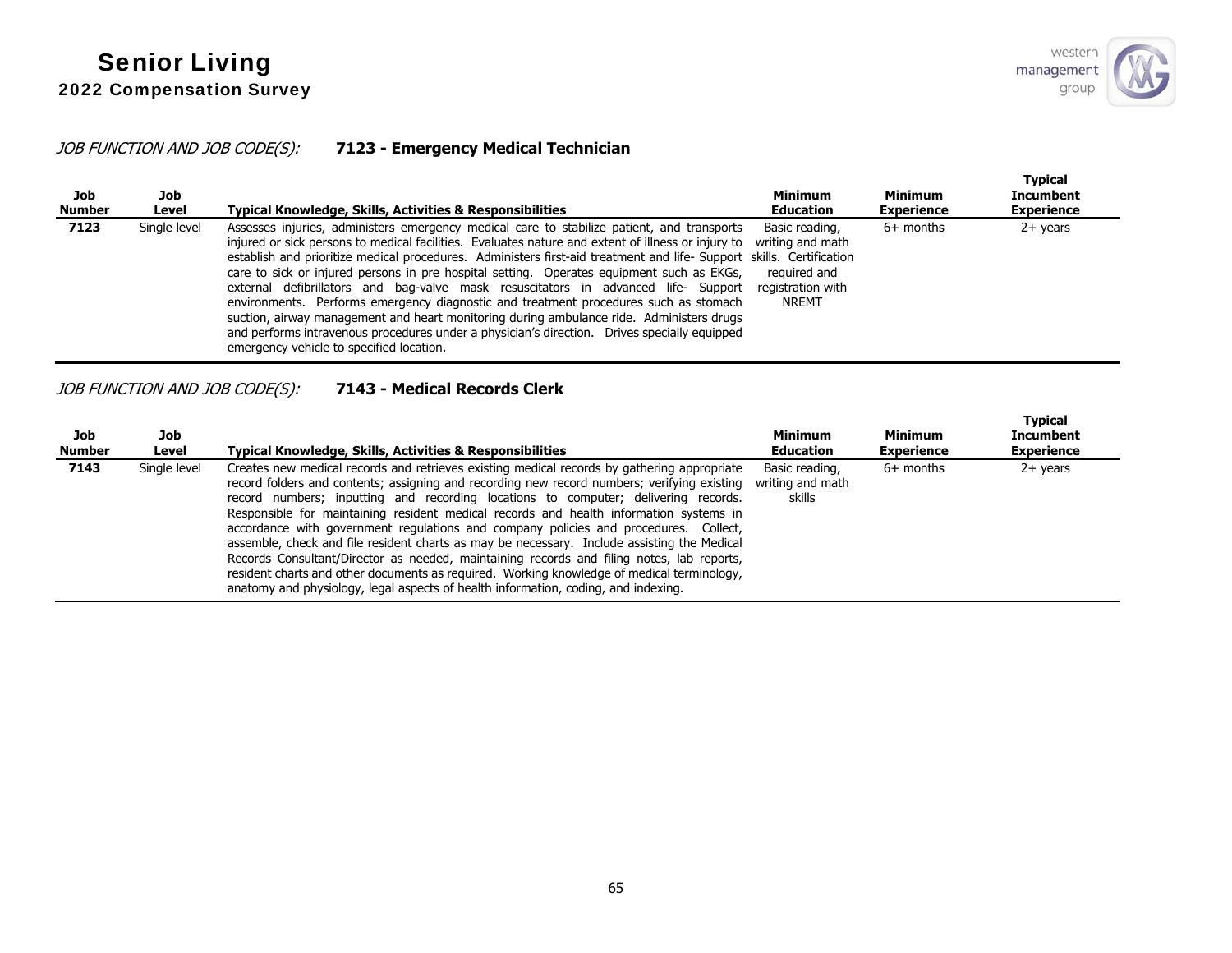## JOB FUNCTION AND JOB CODE(S): **7123 - Emergency Medical Technician**

| Job<br>Number | Job<br>Level | Typical Knowledge, Skills, Activities & Responsibilities                                                                                                                                                                                                                                                                                                                                                                                                                                                                                                                                                                                                                                                                                                                                                                                    | <b>Minimum</b><br><b>Education</b>                                               | <b>Minimum</b><br><b>Experience</b> | <b>Typical</b><br><b>Incumbent</b><br><b>Experience</b> |
|---------------|--------------|---------------------------------------------------------------------------------------------------------------------------------------------------------------------------------------------------------------------------------------------------------------------------------------------------------------------------------------------------------------------------------------------------------------------------------------------------------------------------------------------------------------------------------------------------------------------------------------------------------------------------------------------------------------------------------------------------------------------------------------------------------------------------------------------------------------------------------------------|----------------------------------------------------------------------------------|-------------------------------------|---------------------------------------------------------|
| 7123          | Single level | Assesses injuries, administers emergency medical care to stabilize patient, and transports<br>injured or sick persons to medical facilities. Evaluates nature and extent of illness or injury to<br>establish and prioritize medical procedures. Administers first-aid treatment and life- Support skills. Certification<br>care to sick or injured persons in pre hospital setting. Operates equipment such as EKGs,<br>external defibrillators and bag-valve mask resuscitators in advanced life- Support<br>environments. Performs emergency diagnostic and treatment procedures such as stomach<br>suction, airway management and heart monitoring during ambulance ride. Administers drugs<br>and performs intravenous procedures under a physician's direction. Drives specially equipped<br>emergency vehicle to specified location. | Basic reading,<br>writing and math<br>required and<br>registration with<br>NREMT | $6+$ months                         | $2+$ years                                              |

## JOB FUNCTION AND JOB CODE(S): **7143 - Medical Records Clerk**

| Job<br><b>Number</b> | Job<br>Level | Typical Knowledge, Skills, Activities & Responsibilities                                                                                                                                                                                                                                                                                                                                                                                                                                                                                                                                                                                                                                                                                                                                                                                           | <b>Minimum</b><br><b>Education</b>           | <b>Minimum</b><br><b>Experience</b> | <b>Typical</b><br><b>Incumbent</b><br><b>Experience</b> |
|----------------------|--------------|----------------------------------------------------------------------------------------------------------------------------------------------------------------------------------------------------------------------------------------------------------------------------------------------------------------------------------------------------------------------------------------------------------------------------------------------------------------------------------------------------------------------------------------------------------------------------------------------------------------------------------------------------------------------------------------------------------------------------------------------------------------------------------------------------------------------------------------------------|----------------------------------------------|-------------------------------------|---------------------------------------------------------|
| 7143                 | Single level | Creates new medical records and retrieves existing medical records by gathering appropriate<br>record folders and contents; assigning and recording new record numbers; verifying existing<br>record numbers; inputting and recording locations to computer; delivering records.<br>Responsible for maintaining resident medical records and health information systems in<br>accordance with government regulations and company policies and procedures. Collect,<br>assemble, check and file resident charts as may be necessary. Include assisting the Medical<br>Records Consultant/Director as needed, maintaining records and filing notes, lab reports,<br>resident charts and other documents as required. Working knowledge of medical terminology,<br>anatomy and physiology, legal aspects of health information, coding, and indexing. | Basic reading,<br>writing and math<br>skills | $6+$ months                         | $2+$ years                                              |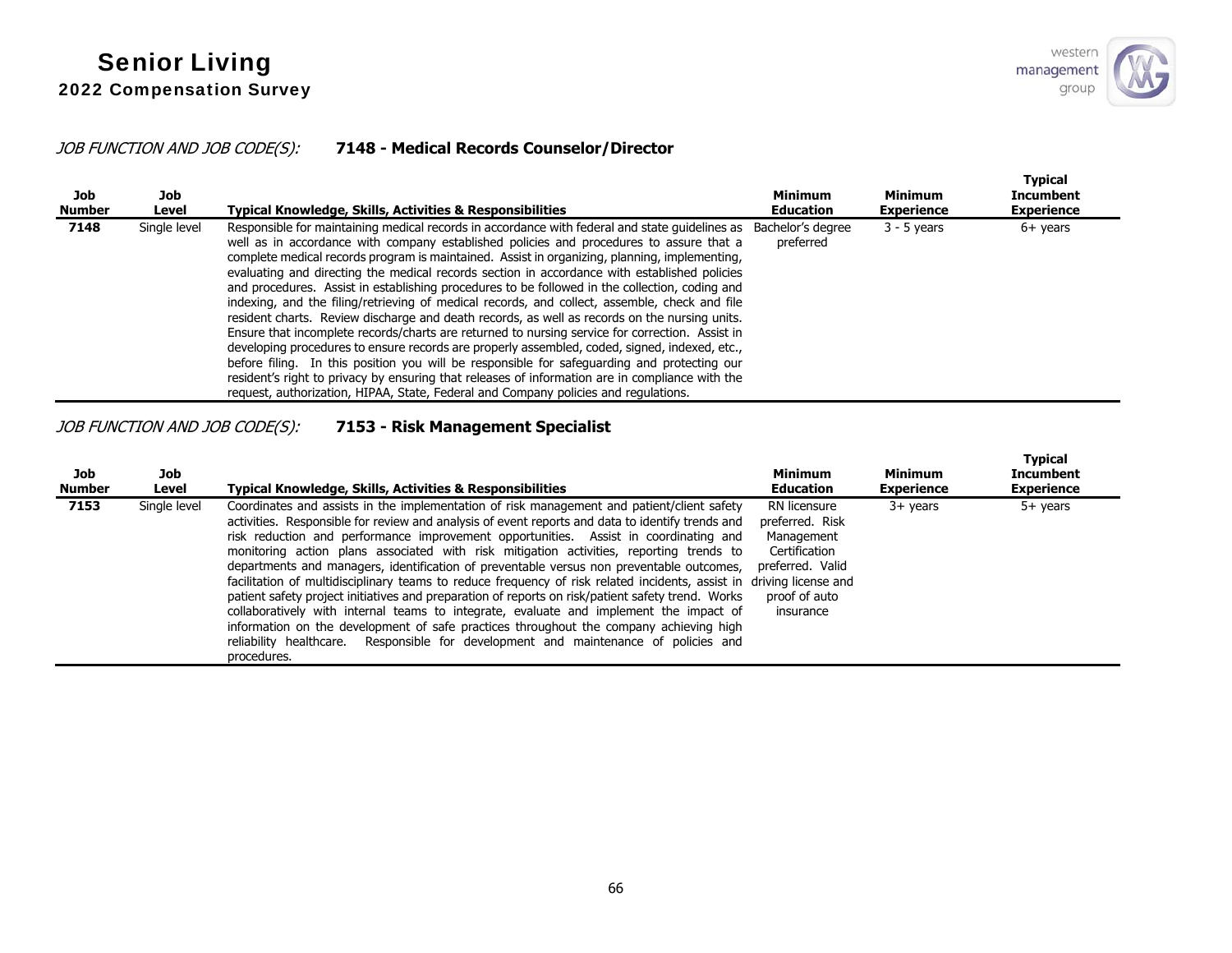# JOB FUNCTION AND JOB CODE(S): **7148 - Medical Records Counselor/Director**

| Job<br><b>Number</b> | Job<br>Level | Typical Knowledge, Skills, Activities & Responsibilities                                                                                                                                                                                                                                                                                                                                                                                                                                                                                                                                                                                                                                                                                                                                                                                                                                                                                                                                                                                                                                                                                                                                                      | <b>Minimum</b><br><b>Education</b> | <b>Minimum</b><br><b>Experience</b> | <b>Typical</b><br><b>Incumbent</b><br><b>Experience</b> |
|----------------------|--------------|---------------------------------------------------------------------------------------------------------------------------------------------------------------------------------------------------------------------------------------------------------------------------------------------------------------------------------------------------------------------------------------------------------------------------------------------------------------------------------------------------------------------------------------------------------------------------------------------------------------------------------------------------------------------------------------------------------------------------------------------------------------------------------------------------------------------------------------------------------------------------------------------------------------------------------------------------------------------------------------------------------------------------------------------------------------------------------------------------------------------------------------------------------------------------------------------------------------|------------------------------------|-------------------------------------|---------------------------------------------------------|
| 7148                 | Single level | Responsible for maintaining medical records in accordance with federal and state quidelines as Bachelor's degree<br>well as in accordance with company established policies and procedures to assure that a<br>complete medical records program is maintained. Assist in organizing, planning, implementing,<br>evaluating and directing the medical records section in accordance with established policies<br>and procedures. Assist in establishing procedures to be followed in the collection, coding and<br>indexing, and the filing/retrieving of medical records, and collect, assemble, check and file<br>resident charts. Review discharge and death records, as well as records on the nursing units.<br>Ensure that incomplete records/charts are returned to nursing service for correction. Assist in<br>developing procedures to ensure records are properly assembled, coded, signed, indexed, etc.,<br>before filing. In this position you will be responsible for safeguarding and protecting our<br>resident's right to privacy by ensuring that releases of information are in compliance with the<br>request, authorization, HIPAA, State, Federal and Company policies and regulations. | preferred                          | $3 - 5$ years                       | $6+$ years                                              |

# JOB FUNCTION AND JOB CODE(S): **7153 - Risk Management Specialist**

| Job<br><b>Number</b> | Job<br>Level | Typical Knowledge, Skills, Activities & Responsibilities                                                                                                                                                                                                                                                                                                                                                                                                                                                                                                                                                                                                                                                                                                                                                                                                                                                                                                                                             | <b>Minimum</b><br><b>Education</b>                                                                               | <b>Minimum</b><br><b>Experience</b> | <b>Typical</b><br><b>Incumbent</b><br><b>Experience</b> |
|----------------------|--------------|------------------------------------------------------------------------------------------------------------------------------------------------------------------------------------------------------------------------------------------------------------------------------------------------------------------------------------------------------------------------------------------------------------------------------------------------------------------------------------------------------------------------------------------------------------------------------------------------------------------------------------------------------------------------------------------------------------------------------------------------------------------------------------------------------------------------------------------------------------------------------------------------------------------------------------------------------------------------------------------------------|------------------------------------------------------------------------------------------------------------------|-------------------------------------|---------------------------------------------------------|
| 7153                 | Single level | Coordinates and assists in the implementation of risk management and patient/client safety<br>activities. Responsible for review and analysis of event reports and data to identify trends and<br>risk reduction and performance improvement opportunities. Assist in coordinating and<br>monitoring action plans associated with risk mitigation activities, reporting trends to<br>departments and managers, identification of preventable versus non preventable outcomes,<br>facilitation of multidisciplinary teams to reduce frequency of risk related incidents, assist in driving license and<br>patient safety project initiatives and preparation of reports on risk/patient safety trend. Works<br>collaboratively with internal teams to integrate, evaluate and implement the impact of<br>information on the development of safe practices throughout the company achieving high<br>reliability healthcare. Responsible for development and maintenance of policies and<br>procedures. | RN licensure<br>preferred. Risk<br>Management<br>Certification<br>preferred. Valid<br>proof of auto<br>insurance | $3+$ years                          | $5+$ years                                              |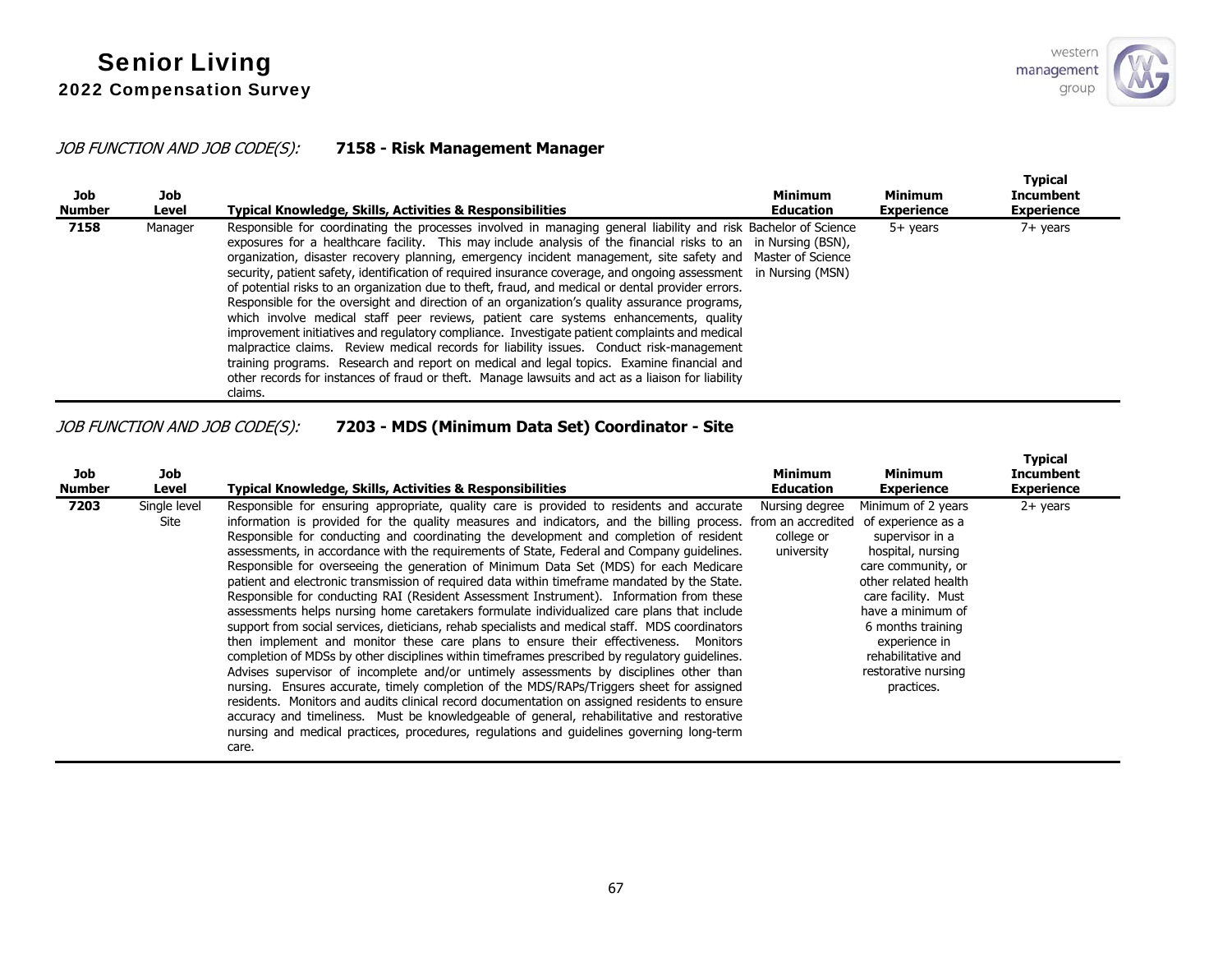## JOB FUNCTION AND JOB CODE(S): **7158 - Risk Management Manager**

| Job<br><b>Number</b> | Job<br>Level | <b>Typical Knowledge, Skills, Activities &amp; Responsibilities</b>                                                                                                                                                                                                                                                                                                                                                                                                                                                                                                                                                                                                                                                                                                                                                                                                                                                                                                                                                                                                                                                                                                      | <b>Minimum</b><br><b>Education</b> | Minimum<br><b>Experience</b> | <b>Typical</b><br><b>Incumbent</b><br><b>Experience</b> |
|----------------------|--------------|--------------------------------------------------------------------------------------------------------------------------------------------------------------------------------------------------------------------------------------------------------------------------------------------------------------------------------------------------------------------------------------------------------------------------------------------------------------------------------------------------------------------------------------------------------------------------------------------------------------------------------------------------------------------------------------------------------------------------------------------------------------------------------------------------------------------------------------------------------------------------------------------------------------------------------------------------------------------------------------------------------------------------------------------------------------------------------------------------------------------------------------------------------------------------|------------------------------------|------------------------------|---------------------------------------------------------|
| 7158                 | Manager      | Responsible for coordinating the processes involved in managing general liability and risk Bachelor of Science<br>exposures for a healthcare facility. This may include analysis of the financial risks to an in Nursing (BSN),<br>organization, disaster recovery planning, emergency incident management, site safety and Master of Science<br>security, patient safety, identification of required insurance coverage, and ongoing assessment in Nursing (MSN)<br>of potential risks to an organization due to theft, fraud, and medical or dental provider errors.<br>Responsible for the oversight and direction of an organization's quality assurance programs,<br>which involve medical staff peer reviews, patient care systems enhancements, quality<br>improvement initiatives and regulatory compliance. Investigate patient complaints and medical<br>malpractice claims. Review medical records for liability issues. Conduct risk-management<br>training programs. Research and report on medical and legal topics. Examine financial and<br>other records for instances of fraud or theft. Manage lawsuits and act as a liaison for liability<br>claims. |                                    | $5+$ vears                   | $7+$ years                                              |

# JOB FUNCTION AND JOB CODE(S): **7203 - MDS (Minimum Data Set) Coordinator - Site**

| Job<br><b>Number</b> | Job<br>Level         | Typical Knowledge, Skills, Activities & Responsibilities                                                                                                                                                                                                                                                                                                                                                                                                                                                                                                                                                                                                                                                                                                                                                                                                                                                                                                                                                                                                                                                                                                                                                                                                                                                                                                                                                                                                                                                                                                                | <b>Minimum</b><br><b>Education</b>         | <b>Minimum</b><br><b>Experience</b>                                                                                                                                                                                                                                         | Typical<br>Incumbent<br><b>Experience</b> |
|----------------------|----------------------|-------------------------------------------------------------------------------------------------------------------------------------------------------------------------------------------------------------------------------------------------------------------------------------------------------------------------------------------------------------------------------------------------------------------------------------------------------------------------------------------------------------------------------------------------------------------------------------------------------------------------------------------------------------------------------------------------------------------------------------------------------------------------------------------------------------------------------------------------------------------------------------------------------------------------------------------------------------------------------------------------------------------------------------------------------------------------------------------------------------------------------------------------------------------------------------------------------------------------------------------------------------------------------------------------------------------------------------------------------------------------------------------------------------------------------------------------------------------------------------------------------------------------------------------------------------------------|--------------------------------------------|-----------------------------------------------------------------------------------------------------------------------------------------------------------------------------------------------------------------------------------------------------------------------------|-------------------------------------------|
| 7203                 | Single level<br>Site | Responsible for ensuring appropriate, quality care is provided to residents and accurate<br>information is provided for the quality measures and indicators, and the billing process. from an accredited<br>Responsible for conducting and coordinating the development and completion of resident<br>assessments, in accordance with the requirements of State, Federal and Company quidelines.<br>Responsible for overseeing the generation of Minimum Data Set (MDS) for each Medicare<br>patient and electronic transmission of required data within timeframe mandated by the State.<br>Responsible for conducting RAI (Resident Assessment Instrument). Information from these<br>assessments helps nursing home caretakers formulate individualized care plans that include<br>support from social services, dieticians, rehab specialists and medical staff. MDS coordinators<br>then implement and monitor these care plans to ensure their effectiveness. Monitors<br>completion of MDSs by other disciplines within timeframes prescribed by regulatory quidelines.<br>Advises supervisor of incomplete and/or untimely assessments by disciplines other than<br>nursing. Ensures accurate, timely completion of the MDS/RAPs/Triggers sheet for assigned<br>residents. Monitors and audits clinical record documentation on assigned residents to ensure<br>accuracy and timeliness. Must be knowledgeable of general, rehabilitative and restorative<br>nursing and medical practices, procedures, regulations and quidelines governing long-term<br>care. | Nursing degree<br>college or<br>university | Minimum of 2 years<br>of experience as a<br>supervisor in a<br>hospital, nursing<br>care community, or<br>other related health<br>care facility. Must<br>have a minimum of<br>6 months training<br>experience in<br>rehabilitative and<br>restorative nursing<br>practices. | $2+$ years                                |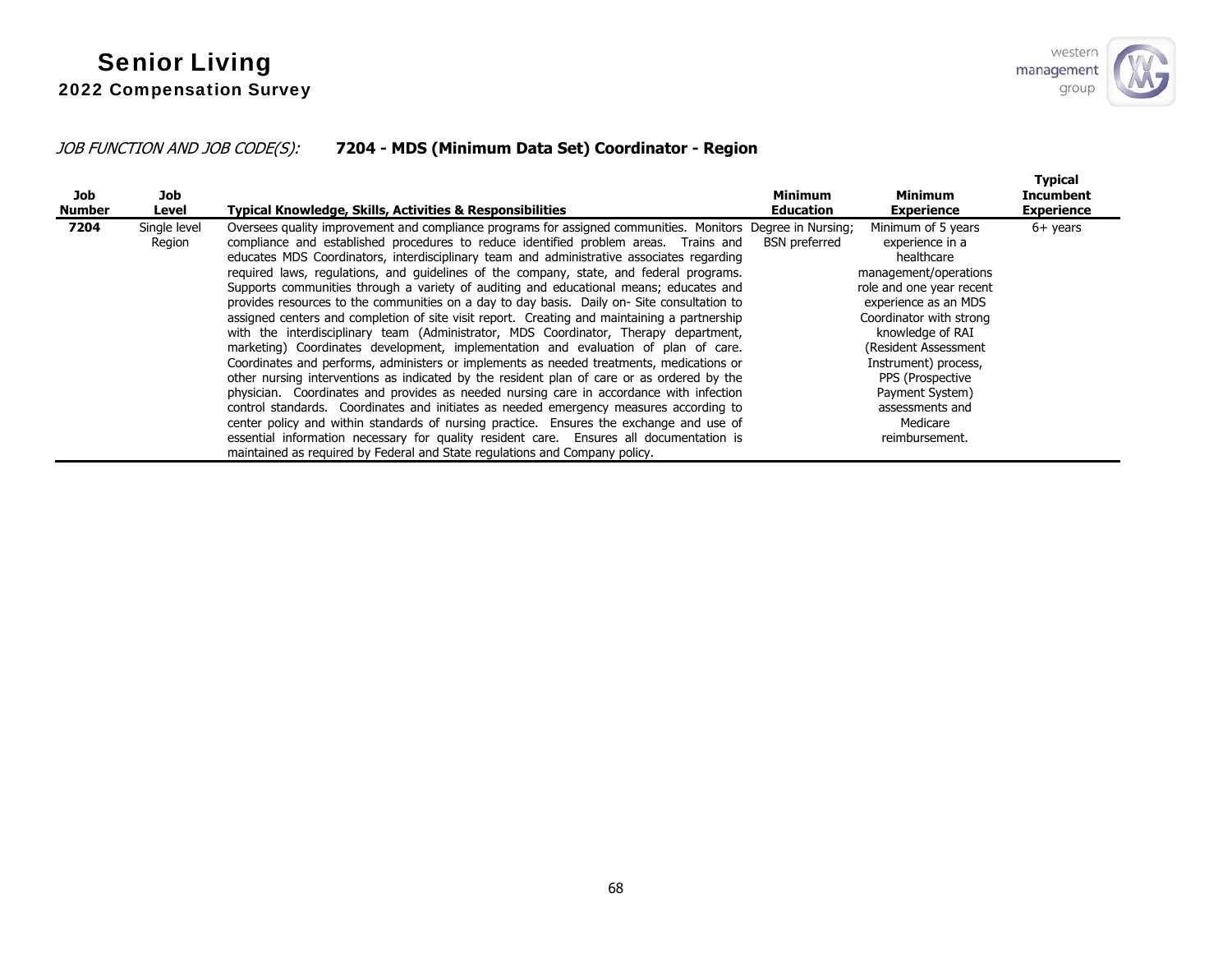# JOB FUNCTION AND JOB CODE(S): **7204 - MDS (Minimum Data Set) Coordinator - Region**

| Job<br><b>Number</b> | Job<br>Level           | Typical Knowledge, Skills, Activities & Responsibilities                                                                                                                                                                                                                                                                                                                                                                                                                                                                                                                                                                                                                                                                                                                                                                                                                                                                                                                                                                                                                                                                                                                                                                                                                                                                                                                                                                                                                                                             | <b>Minimum</b><br><b>Education</b> | <b>Minimum</b><br><b>Experience</b>                                                                                                                                                                                                                                                                                      | <b>Typical</b><br>Incumbent<br><b>Experience</b> |
|----------------------|------------------------|----------------------------------------------------------------------------------------------------------------------------------------------------------------------------------------------------------------------------------------------------------------------------------------------------------------------------------------------------------------------------------------------------------------------------------------------------------------------------------------------------------------------------------------------------------------------------------------------------------------------------------------------------------------------------------------------------------------------------------------------------------------------------------------------------------------------------------------------------------------------------------------------------------------------------------------------------------------------------------------------------------------------------------------------------------------------------------------------------------------------------------------------------------------------------------------------------------------------------------------------------------------------------------------------------------------------------------------------------------------------------------------------------------------------------------------------------------------------------------------------------------------------|------------------------------------|--------------------------------------------------------------------------------------------------------------------------------------------------------------------------------------------------------------------------------------------------------------------------------------------------------------------------|--------------------------------------------------|
| 7204                 | Single level<br>Region | Oversees quality improvement and compliance programs for assigned communities. Monitors Degree in Nursing;<br>compliance and established procedures to reduce identified problem areas. Trains and<br>educates MDS Coordinators, interdisciplinary team and administrative associates regarding<br>required laws, requiations, and quidelines of the company, state, and federal programs.<br>Supports communities through a variety of auditing and educational means; educates and<br>provides resources to the communities on a day to day basis. Daily on-Site consultation to<br>assigned centers and completion of site visit report. Creating and maintaining a partnership<br>with the interdisciplinary team (Administrator, MDS Coordinator, Therapy department,<br>marketing) Coordinates development, implementation and evaluation of plan of care.<br>Coordinates and performs, administers or implements as needed treatments, medications or<br>other nursing interventions as indicated by the resident plan of care or as ordered by the<br>physician. Coordinates and provides as needed nursing care in accordance with infection<br>control standards. Coordinates and initiates as needed emergency measures according to<br>center policy and within standards of nursing practice. Ensures the exchange and use of<br>essential information necessary for quality resident care. Ensures all documentation is<br>maintained as required by Federal and State regulations and Company policy. | <b>BSN</b> preferred               | Minimum of 5 years<br>experience in a<br>healthcare<br>management/operations<br>role and one year recent<br>experience as an MDS<br>Coordinator with strong<br>knowledge of RAI<br>(Resident Assessment)<br>Instrument) process,<br>PPS (Prospective<br>Payment System)<br>assessments and<br>Medicare<br>reimbursement. | $6+$ years                                       |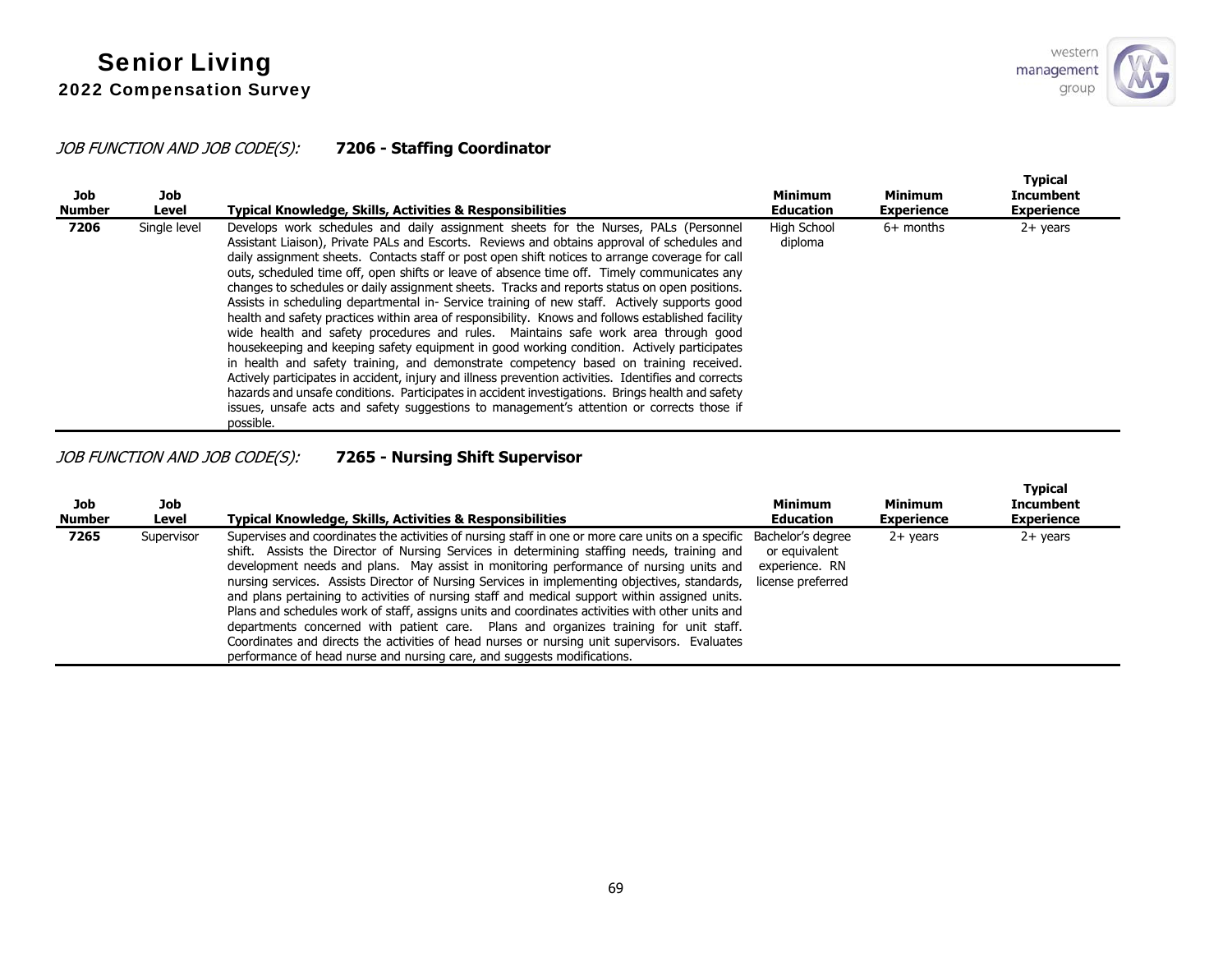

## JOB FUNCTION AND JOB CODE(S): **7206 - Staffing Coordinator**

| Job<br><b>Number</b> | Job<br>Level | Typical Knowledge, Skills, Activities & Responsibilities                                                                                                                                                                                                                                                                                                                                                                                                                                                                                                                                                                                                                                                                                                                                                                                                                                                                                                                                                                                                                                                                                                                                                                                                                                     | <b>Minimum</b><br><b>Education</b> | <b>Minimum</b><br><b>Experience</b> | <b>Typical</b><br><b>Incumbent</b><br><b>Experience</b> |
|----------------------|--------------|----------------------------------------------------------------------------------------------------------------------------------------------------------------------------------------------------------------------------------------------------------------------------------------------------------------------------------------------------------------------------------------------------------------------------------------------------------------------------------------------------------------------------------------------------------------------------------------------------------------------------------------------------------------------------------------------------------------------------------------------------------------------------------------------------------------------------------------------------------------------------------------------------------------------------------------------------------------------------------------------------------------------------------------------------------------------------------------------------------------------------------------------------------------------------------------------------------------------------------------------------------------------------------------------|------------------------------------|-------------------------------------|---------------------------------------------------------|
| 7206                 | Single level | Develops work schedules and daily assignment sheets for the Nurses, PALs (Personnel<br>Assistant Liaison), Private PALs and Escorts. Reviews and obtains approval of schedules and<br>daily assignment sheets. Contacts staff or post open shift notices to arrange coverage for call<br>outs, scheduled time off, open shifts or leave of absence time off. Timely communicates any<br>changes to schedules or daily assignment sheets. Tracks and reports status on open positions.<br>Assists in scheduling departmental in-Service training of new staff. Actively supports good<br>health and safety practices within area of responsibility. Knows and follows established facility<br>wide health and safety procedures and rules. Maintains safe work area through good<br>housekeeping and keeping safety equipment in good working condition. Actively participates<br>in health and safety training, and demonstrate competency based on training received.<br>Actively participates in accident, injury and illness prevention activities. Identifies and corrects<br>hazards and unsafe conditions. Participates in accident investigations. Brings health and safety<br>issues, unsafe acts and safety suggestions to management's attention or corrects those if<br>possible. | High School<br>diploma             | $6+$ months                         | $2+$ years                                              |

JOB FUNCTION AND JOB CODE(S): **7265 - Nursing Shift Supervisor** 

| Job<br><b>Number</b> | Job<br>Level | <b>Typical Knowledge, Skills, Activities &amp; Responsibilities</b>                                                                                                                                                                                                                                                                                                                                                                                                                                                                                                                                                                                                                                                                                                                                                                                                                      | <b>Minimum</b><br><b>Education</b>                   | Minimum<br><b>Experience</b> | <b>Typical</b><br><b>Incumbent</b><br><b>Experience</b> |
|----------------------|--------------|------------------------------------------------------------------------------------------------------------------------------------------------------------------------------------------------------------------------------------------------------------------------------------------------------------------------------------------------------------------------------------------------------------------------------------------------------------------------------------------------------------------------------------------------------------------------------------------------------------------------------------------------------------------------------------------------------------------------------------------------------------------------------------------------------------------------------------------------------------------------------------------|------------------------------------------------------|------------------------------|---------------------------------------------------------|
| 7265                 | Supervisor   | Supervises and coordinates the activities of nursing staff in one or more care units on a specific Bachelor's degree<br>shift. Assists the Director of Nursing Services in determining staffing needs, training and<br>development needs and plans. May assist in monitoring performance of nursing units and<br>nursing services. Assists Director of Nursing Services in implementing objectives, standards,<br>and plans pertaining to activities of nursing staff and medical support within assigned units.<br>Plans and schedules work of staff, assigns units and coordinates activities with other units and<br>departments concerned with patient care. Plans and organizes training for unit staff.<br>Coordinates and directs the activities of head nurses or nursing unit supervisors. Evaluates<br>performance of head nurse and nursing care, and suggests modifications. | or equivalent<br>experience. RN<br>license preferred | $2+$ years                   | $2+$ years                                              |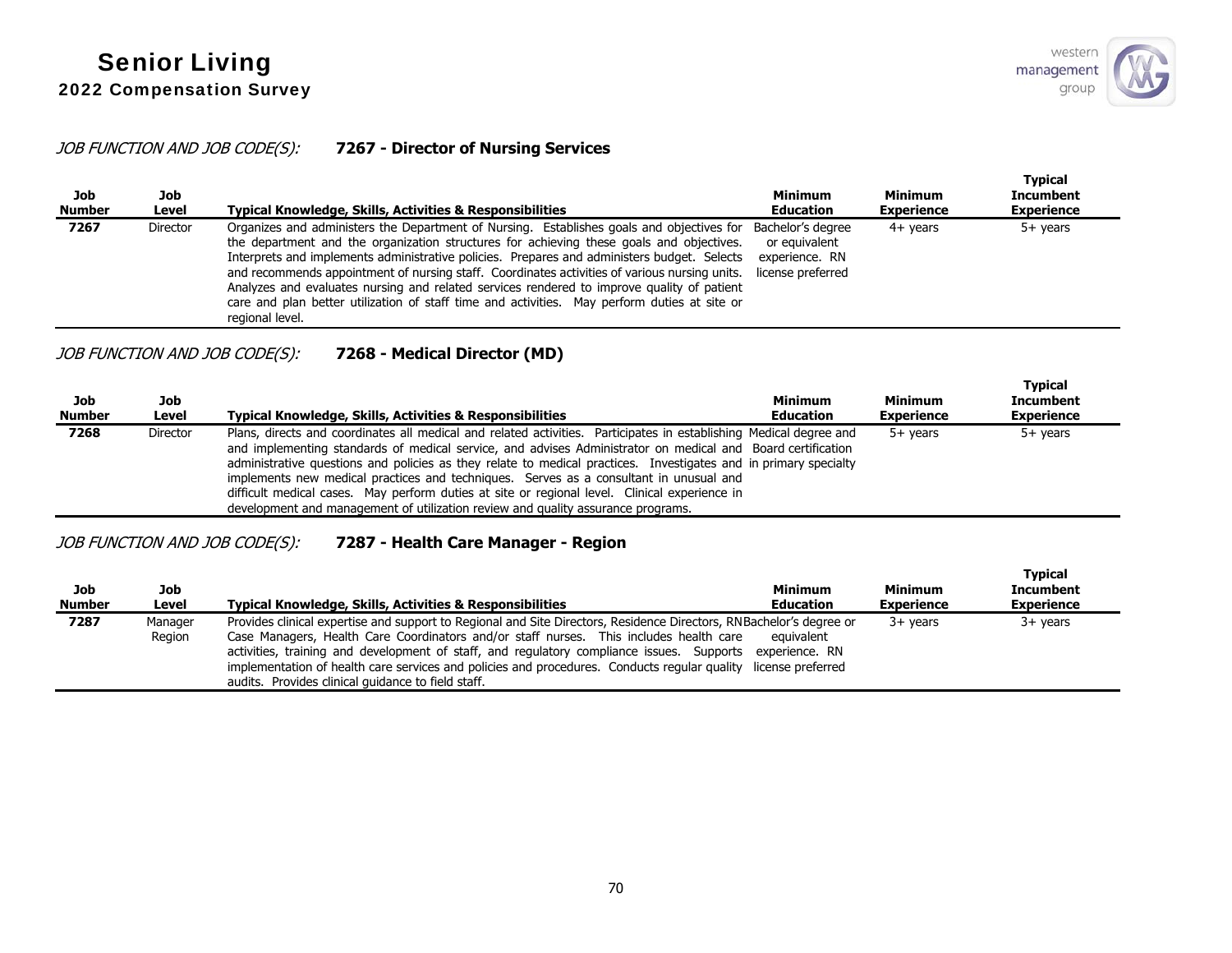# JOB FUNCTION AND JOB CODE(S): **7267 - Director of Nursing Services**

| Job<br><b>Number</b> | Job<br>Level    | <b>Typical Knowledge, Skills, Activities &amp; Responsibilities</b>                                                                                                                                                                                                                                                                                                                                                                                                                                                                                                                                    | <b>Minimum</b><br><b>Education</b>                                        | <b>Minimum</b><br><b>Experience</b> | <b>Typical</b><br><b>Incumbent</b><br><b>Experience</b> |
|----------------------|-----------------|--------------------------------------------------------------------------------------------------------------------------------------------------------------------------------------------------------------------------------------------------------------------------------------------------------------------------------------------------------------------------------------------------------------------------------------------------------------------------------------------------------------------------------------------------------------------------------------------------------|---------------------------------------------------------------------------|-------------------------------------|---------------------------------------------------------|
| 7267                 | <b>Director</b> | Organizes and administers the Department of Nursing. Establishes goals and objectives for<br>the department and the organization structures for achieving these goals and objectives.<br>Interprets and implements administrative policies. Prepares and administers budget. Selects<br>and recommends appointment of nursing staff. Coordinates activities of various nursing units.<br>Analyzes and evaluates nursing and related services rendered to improve quality of patient<br>care and plan better utilization of staff time and activities. May perform duties at site or<br>regional level. | Bachelor's degree<br>or equivalent<br>experience, RN<br>license preferred | $4+$ vears                          | $5+$ years                                              |

## JOB FUNCTION AND JOB CODE(S): **7268 - Medical Director (MD)**

| Job<br><b>Number</b> | Job<br>Level    | Typical Knowledge, Skills, Activities & Responsibilities                                                                                                                                                                                                                                                                                                                                                                                                                                                                                                                                                                             | <b>Minimum</b><br><b>Education</b> | Minimum<br><b>Experience</b> | <b>Typical</b><br><b>Incumbent</b><br><b>Experience</b> |
|----------------------|-----------------|--------------------------------------------------------------------------------------------------------------------------------------------------------------------------------------------------------------------------------------------------------------------------------------------------------------------------------------------------------------------------------------------------------------------------------------------------------------------------------------------------------------------------------------------------------------------------------------------------------------------------------------|------------------------------------|------------------------------|---------------------------------------------------------|
| 7268                 | <b>Director</b> | Plans, directs and coordinates all medical and related activities. Participates in establishing Medical degree and<br>and implementing standards of medical service, and advises Administrator on medical and Board certification<br>administrative questions and policies as they relate to medical practices. Investigates and in primary specialty<br>implements new medical practices and techniques. Serves as a consultant in unusual and<br>difficult medical cases. May perform duties at site or regional level. Clinical experience in<br>development and management of utilization review and quality assurance programs. |                                    | $5+$ vears                   | 5+ vears                                                |

# JOB FUNCTION AND JOB CODE(S): **7287 - Health Care Manager - Region**

| Job<br><b>Number</b> | Job<br>Level      | <b>Typical Knowledge, Skills, Activities &amp; Responsibilities</b>                                                                                                                                                                                                                                                                                                                                                                                                                               | <b>Minimum</b><br><b>Education</b> | <b>Minimum</b><br><b>Experience</b> | <b>Typical</b><br><b>Incumbent</b><br><b>Experience</b> |
|----------------------|-------------------|---------------------------------------------------------------------------------------------------------------------------------------------------------------------------------------------------------------------------------------------------------------------------------------------------------------------------------------------------------------------------------------------------------------------------------------------------------------------------------------------------|------------------------------------|-------------------------------------|---------------------------------------------------------|
| 7287                 | Manager<br>Region | Provides clinical expertise and support to Regional and Site Directors, Residence Directors, RNBachelor's degree or<br>Case Managers, Health Care Coordinators and/or staff nurses. This includes health care<br>activities, training and development of staff, and regulatory compliance issues. Supports experience. RN<br>implementation of health care services and policies and procedures. Conducts regular quality license preferred<br>audits. Provides clinical quidance to field staff. | equivalent                         | $3+$ vears                          | $3+$ vears                                              |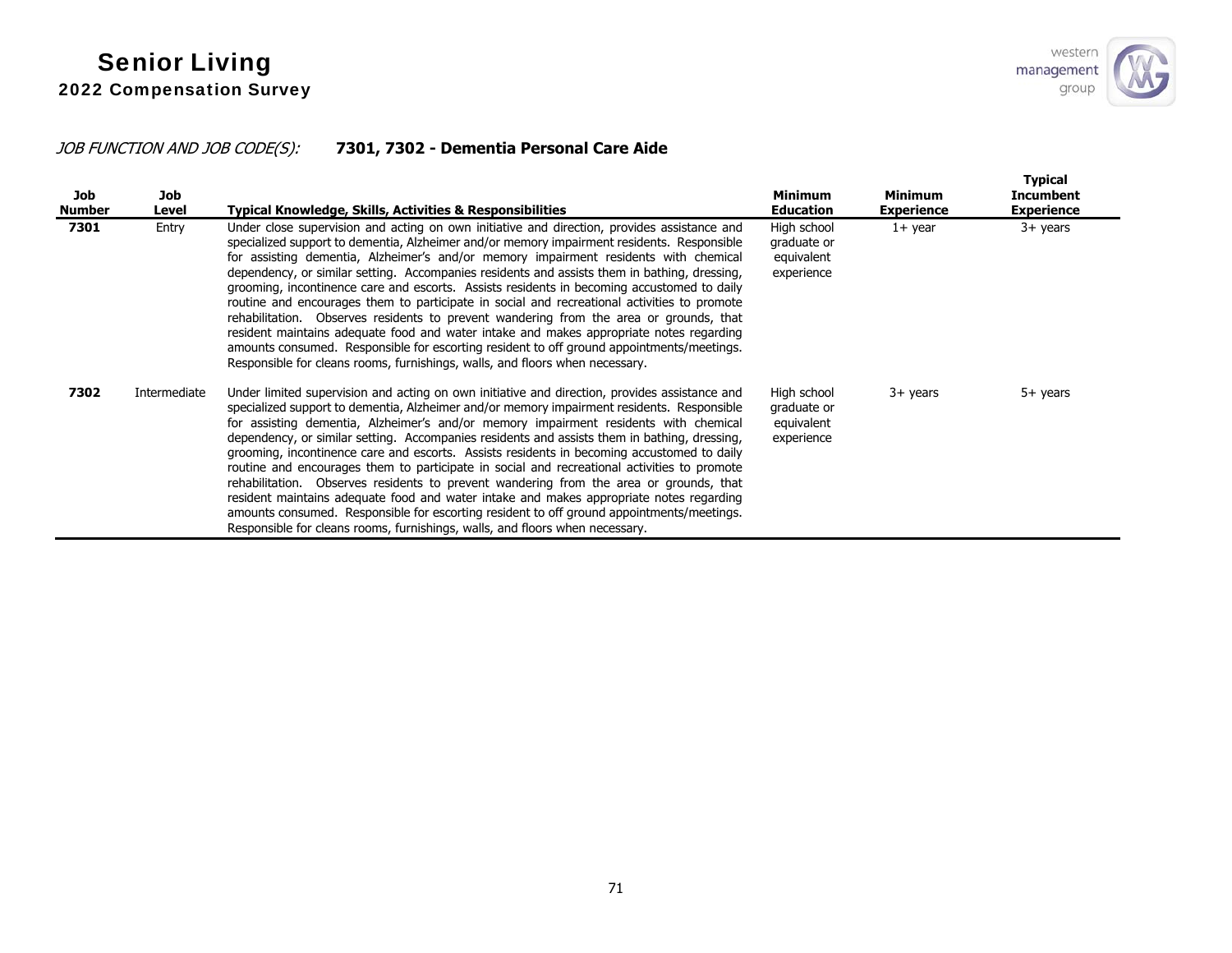# JOB FUNCTION AND JOB CODE(S): **7301, 7302 - Dementia Personal Care Aide**

| Job<br>Number | Job<br>Level | Typical Knowledge, Skills, Activities & Responsibilities                                                                                                                                                                                                                                                                                                                                                                                                                                                                                                                                                                                                                                                                                                                                                                                                                                                                                           | <b>Minimum</b><br><b>Education</b>                     | <b>Minimum</b><br><b>Experience</b> | <b>Typical</b><br><b>Incumbent</b><br><b>Experience</b> |
|---------------|--------------|----------------------------------------------------------------------------------------------------------------------------------------------------------------------------------------------------------------------------------------------------------------------------------------------------------------------------------------------------------------------------------------------------------------------------------------------------------------------------------------------------------------------------------------------------------------------------------------------------------------------------------------------------------------------------------------------------------------------------------------------------------------------------------------------------------------------------------------------------------------------------------------------------------------------------------------------------|--------------------------------------------------------|-------------------------------------|---------------------------------------------------------|
| 7301          | Entry        | Under close supervision and acting on own initiative and direction, provides assistance and<br>specialized support to dementia, Alzheimer and/or memory impairment residents. Responsible<br>for assisting dementia, Alzheimer's and/or memory impairment residents with chemical<br>dependency, or similar setting. Accompanies residents and assists them in bathing, dressing,<br>grooming, incontinence care and escorts. Assists residents in becoming accustomed to daily<br>routine and encourages them to participate in social and recreational activities to promote<br>rehabilitation. Observes residents to prevent wandering from the area or grounds, that<br>resident maintains adequate food and water intake and makes appropriate notes regarding<br>amounts consumed. Responsible for escorting resident to off ground appointments/meetings.<br>Responsible for cleans rooms, furnishings, walls, and floors when necessary.   | High school<br>graduate or<br>equivalent<br>experience | $1+$ year                           | $3+$ years                                              |
| 7302          | Intermediate | Under limited supervision and acting on own initiative and direction, provides assistance and<br>specialized support to dementia, Alzheimer and/or memory impairment residents. Responsible<br>for assisting dementia, Alzheimer's and/or memory impairment residents with chemical<br>dependency, or similar setting. Accompanies residents and assists them in bathing, dressing,<br>grooming, incontinence care and escorts. Assists residents in becoming accustomed to daily<br>routine and encourages them to participate in social and recreational activities to promote<br>rehabilitation. Observes residents to prevent wandering from the area or grounds, that<br>resident maintains adequate food and water intake and makes appropriate notes regarding<br>amounts consumed. Responsible for escorting resident to off ground appointments/meetings.<br>Responsible for cleans rooms, furnishings, walls, and floors when necessary. | High school<br>graduate or<br>equivalent<br>experience | 3+ years                            | $5+$ years                                              |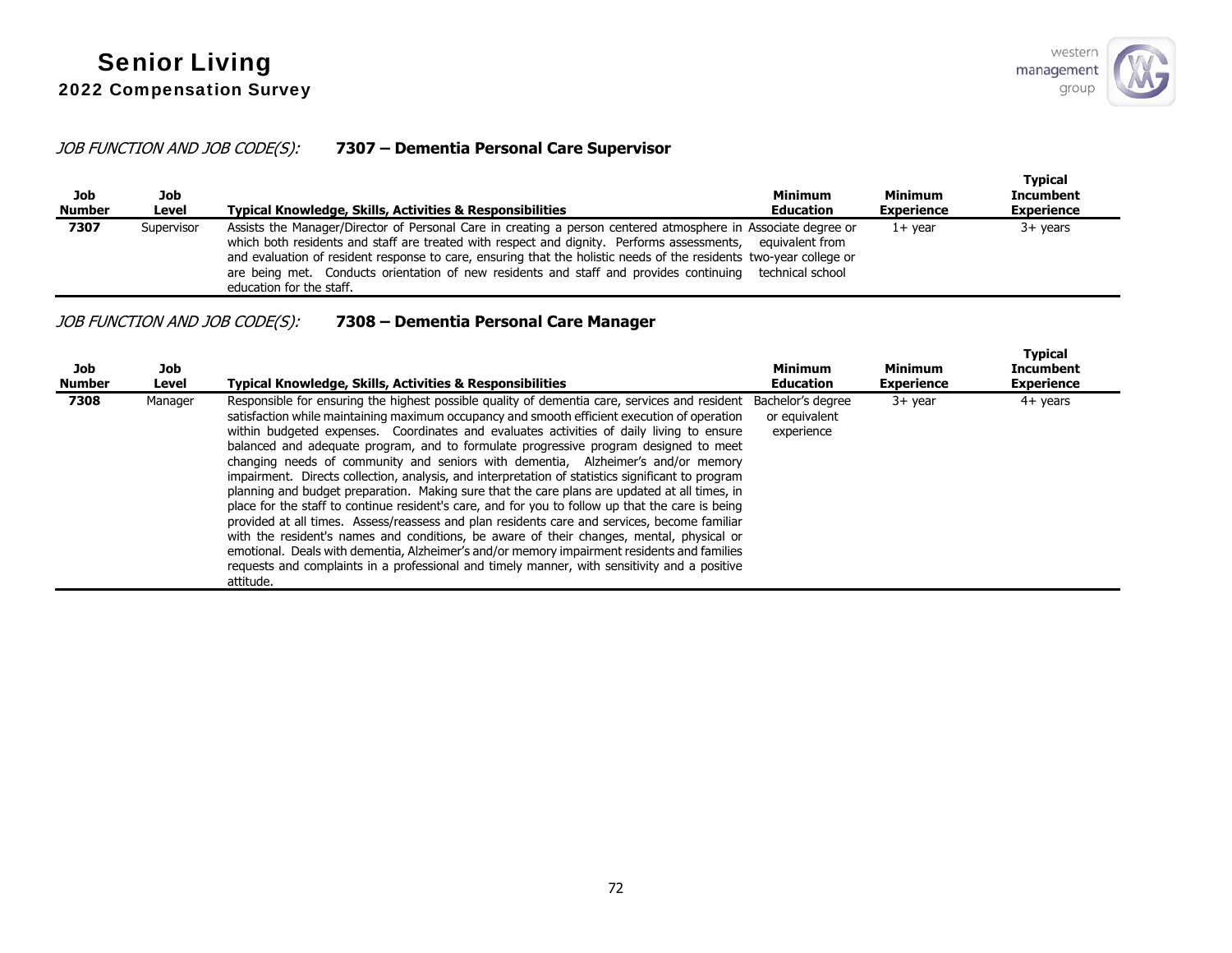# JOB FUNCTION AND JOB CODE(S): **7307 – Dementia Personal Care Supervisor**

| Job<br><b>Number</b> | Job<br>Level | Typical Knowledge, Skills, Activities & Responsibilities                                                                                                                                                                                                                                                                                                                                                                                                                                 | <b>Minimum</b><br><b>Education</b> | <b>Minimum</b><br><b>Experience</b> | <b>Typical</b><br><b>Incumbent</b><br><b>Experience</b> |
|----------------------|--------------|------------------------------------------------------------------------------------------------------------------------------------------------------------------------------------------------------------------------------------------------------------------------------------------------------------------------------------------------------------------------------------------------------------------------------------------------------------------------------------------|------------------------------------|-------------------------------------|---------------------------------------------------------|
| 7307                 | Supervisor   | Assists the Manager/Director of Personal Care in creating a person centered atmosphere in Associate degree or<br>which both residents and staff are treated with respect and dignity. Performs assessments, equivalent from<br>and evaluation of resident response to care, ensuring that the holistic needs of the residents two-year college or<br>are being met. Conducts orientation of new residents and staff and provides continuing technical school<br>education for the staff. |                                    | $1+$ vear                           | $3+$ years                                              |

# JOB FUNCTION AND JOB CODE(S): **7308 – Dementia Personal Care Manager**

| Job<br><b>Number</b> | Job<br>Level | <b>Typical Knowledge, Skills, Activities &amp; Responsibilities</b>                                                                                                                                                                                                                                                                                                                                                                                                                                                                                                                                                                                                                                                                                                                                                                                                                                                                                                                                                                                                                                                                                                                                       | Minimum<br><b>Education</b> | <b>Minimum</b><br><b>Experience</b> | <b>Typical</b><br>Incumbent<br><b>Experience</b> |
|----------------------|--------------|-----------------------------------------------------------------------------------------------------------------------------------------------------------------------------------------------------------------------------------------------------------------------------------------------------------------------------------------------------------------------------------------------------------------------------------------------------------------------------------------------------------------------------------------------------------------------------------------------------------------------------------------------------------------------------------------------------------------------------------------------------------------------------------------------------------------------------------------------------------------------------------------------------------------------------------------------------------------------------------------------------------------------------------------------------------------------------------------------------------------------------------------------------------------------------------------------------------|-----------------------------|-------------------------------------|--------------------------------------------------|
| 7308                 | Manager      | Responsible for ensuring the highest possible quality of dementia care, services and resident Bachelor's degree<br>satisfaction while maintaining maximum occupancy and smooth efficient execution of operation<br>within budgeted expenses. Coordinates and evaluates activities of daily living to ensure<br>balanced and adequate program, and to formulate progressive program designed to meet<br>changing needs of community and seniors with dementia, Alzheimer's and/or memory<br>impairment. Directs collection, analysis, and interpretation of statistics significant to program<br>planning and budget preparation. Making sure that the care plans are updated at all times, in<br>place for the staff to continue resident's care, and for you to follow up that the care is being<br>provided at all times. Assess/reassess and plan residents care and services, become familiar<br>with the resident's names and conditions, be aware of their changes, mental, physical or<br>emotional. Deals with dementia, Alzheimer's and/or memory impairment residents and families<br>requests and complaints in a professional and timely manner, with sensitivity and a positive<br>attitude. | or equivalent<br>experience | $3+$ year                           | $4+$ years                                       |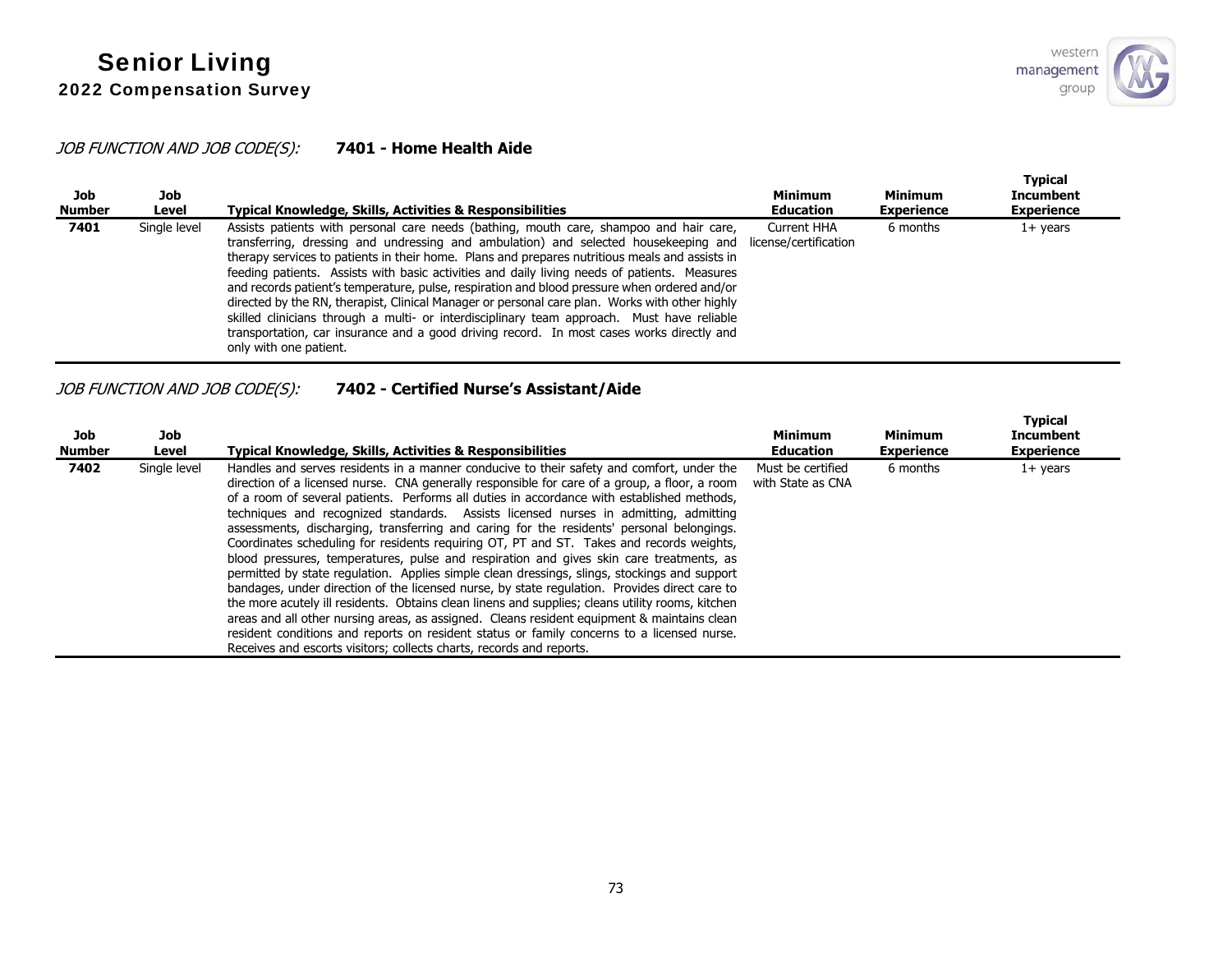#### JOB FUNCTION AND JOB CODE(S): **7401 - Home Health Aide**

| Job<br><b>Number</b> | Job<br>Level | Typical Knowledge, Skills, Activities & Responsibilities                                                                                                                                                                                                                                                                                                                                                                                                                                                                                                                                                                                                                                                                                                                                               | <b>Minimum</b><br><b>Education</b>   | <b>Minimum</b><br><b>Experience</b> | <b>Typical</b><br><b>Incumbent</b><br><b>Experience</b> |
|----------------------|--------------|--------------------------------------------------------------------------------------------------------------------------------------------------------------------------------------------------------------------------------------------------------------------------------------------------------------------------------------------------------------------------------------------------------------------------------------------------------------------------------------------------------------------------------------------------------------------------------------------------------------------------------------------------------------------------------------------------------------------------------------------------------------------------------------------------------|--------------------------------------|-------------------------------------|---------------------------------------------------------|
| 7401                 | Single level | Assists patients with personal care needs (bathing, mouth care, shampoo and hair care,<br>transferring, dressing and undressing and ambulation) and selected housekeeping and<br>therapy services to patients in their home. Plans and prepares nutritious meals and assists in<br>feeding patients. Assists with basic activities and daily living needs of patients. Measures<br>and records patient's temperature, pulse, respiration and blood pressure when ordered and/or<br>directed by the RN, therapist, Clinical Manager or personal care plan. Works with other highly<br>skilled clinicians through a multi- or interdisciplinary team approach. Must have reliable<br>transportation, car insurance and a good driving record. In most cases works directly and<br>only with one patient. | Current HHA<br>license/certification | 6 months                            | $1+$ years                                              |

## JOB FUNCTION AND JOB CODE(S): **7402 - Certified Nurse's Assistant/Aide**

| Job<br><b>Number</b> | Job<br>Level | <b>Typical Knowledge, Skills, Activities &amp; Responsibilities</b>                                                                                                                                                                                                                                                                                                                                                                                                                                                                                                                                                                                                                                                                                                                                                                                                                                                                                                                                                                                                                                                                                                                                                                            | <b>Minimum</b><br><b>Education</b>     | <b>Minimum</b><br><b>Experience</b> | <b>Typical</b><br><b>Incumbent</b><br><b>Experience</b> |
|----------------------|--------------|------------------------------------------------------------------------------------------------------------------------------------------------------------------------------------------------------------------------------------------------------------------------------------------------------------------------------------------------------------------------------------------------------------------------------------------------------------------------------------------------------------------------------------------------------------------------------------------------------------------------------------------------------------------------------------------------------------------------------------------------------------------------------------------------------------------------------------------------------------------------------------------------------------------------------------------------------------------------------------------------------------------------------------------------------------------------------------------------------------------------------------------------------------------------------------------------------------------------------------------------|----------------------------------------|-------------------------------------|---------------------------------------------------------|
| 7402                 | Single level | Handles and serves residents in a manner conducive to their safety and comfort, under the<br>direction of a licensed nurse. CNA generally responsible for care of a group, a floor, a room<br>of a room of several patients. Performs all duties in accordance with established methods.<br>techniques and recognized standards. Assists licensed nurses in admitting, admitting<br>assessments, discharging, transferring and caring for the residents' personal belongings.<br>Coordinates scheduling for residents requiring OT, PT and ST. Takes and records weights,<br>blood pressures, temperatures, pulse and respiration and gives skin care treatments, as<br>permitted by state regulation. Applies simple clean dressings, slings, stockings and support<br>bandages, under direction of the licensed nurse, by state regulation. Provides direct care to<br>the more acutely ill residents. Obtains clean linens and supplies; cleans utility rooms, kitchen<br>areas and all other nursing areas, as assigned. Cleans resident equipment & maintains clean<br>resident conditions and reports on resident status or family concerns to a licensed nurse.<br>Receives and escorts visitors; collects charts, records and reports. | Must be certified<br>with State as CNA | 6 months                            | $1+$ years                                              |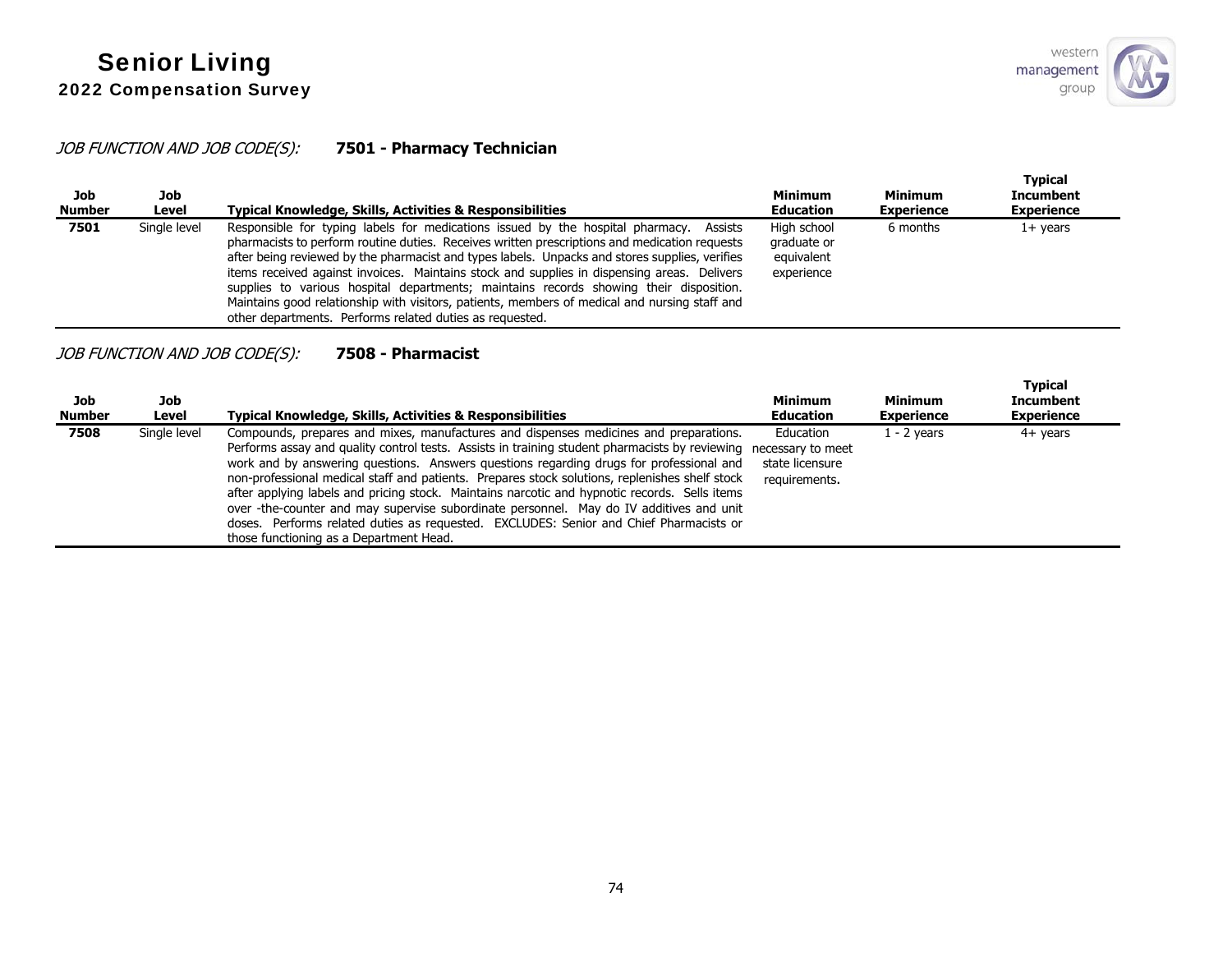#### JOB FUNCTION AND JOB CODE(S): **7501 - Pharmacy Technician**

| Job<br><b>Number</b> | Job<br>Level | Typical Knowledge, Skills, Activities & Responsibilities                                                                                                                                                                                                                                                                                                                                                                                                                                                                                                                                                                                        | <b>Minimum</b><br><b>Education</b>                     | <b>Minimum</b><br><b>Experience</b> | <b>Typical</b><br><b>Incumbent</b><br><b>Experience</b> |
|----------------------|--------------|-------------------------------------------------------------------------------------------------------------------------------------------------------------------------------------------------------------------------------------------------------------------------------------------------------------------------------------------------------------------------------------------------------------------------------------------------------------------------------------------------------------------------------------------------------------------------------------------------------------------------------------------------|--------------------------------------------------------|-------------------------------------|---------------------------------------------------------|
| 7501                 | Single level | Responsible for typing labels for medications issued by the hospital pharmacy. Assists<br>pharmacists to perform routine duties. Receives written prescriptions and medication requests<br>after being reviewed by the pharmacist and types labels. Unpacks and stores supplies, verifies<br>items received against invoices. Maintains stock and supplies in dispensing areas. Delivers<br>supplies to various hospital departments; maintains records showing their disposition.<br>Maintains good relationship with visitors, patients, members of medical and nursing staff and<br>other departments. Performs related duties as requested. | High school<br>graduate or<br>equivalent<br>experience | 6 months                            | 1+ years                                                |

#### JOB FUNCTION AND JOB CODE(S): **7508 - Pharmacist**

| Job<br><b>Number</b> | Job<br>Level | <b>Typical Knowledge, Skills, Activities &amp; Responsibilities</b>                                                                                                                                                                                                                                                                                                                                                                                                                                                                                                                                                                                                                                                   | <b>Minimum</b><br><b>Education</b>                                 | <b>Minimum</b><br><b>Experience</b> | <b>Typical</b><br><b>Incumbent</b><br><b>Experience</b> |
|----------------------|--------------|-----------------------------------------------------------------------------------------------------------------------------------------------------------------------------------------------------------------------------------------------------------------------------------------------------------------------------------------------------------------------------------------------------------------------------------------------------------------------------------------------------------------------------------------------------------------------------------------------------------------------------------------------------------------------------------------------------------------------|--------------------------------------------------------------------|-------------------------------------|---------------------------------------------------------|
| 7508                 | Single level | Compounds, prepares and mixes, manufactures and dispenses medicines and preparations.<br>Performs assay and quality control tests. Assists in training student pharmacists by reviewing<br>work and by answering questions. Answers questions regarding drugs for professional and<br>non-professional medical staff and patients. Prepares stock solutions, replenishes shelf stock<br>after applying labels and pricing stock. Maintains narcotic and hypnotic records. Sells items<br>over -the-counter and may supervise subordinate personnel. May do IV additives and unit<br>doses. Performs related duties as requested. EXCLUDES: Senior and Chief Pharmacists or<br>those functioning as a Department Head. | Education<br>necessary to meet<br>state licensure<br>requirements. | 1 - 2 vears                         | 4+ years                                                |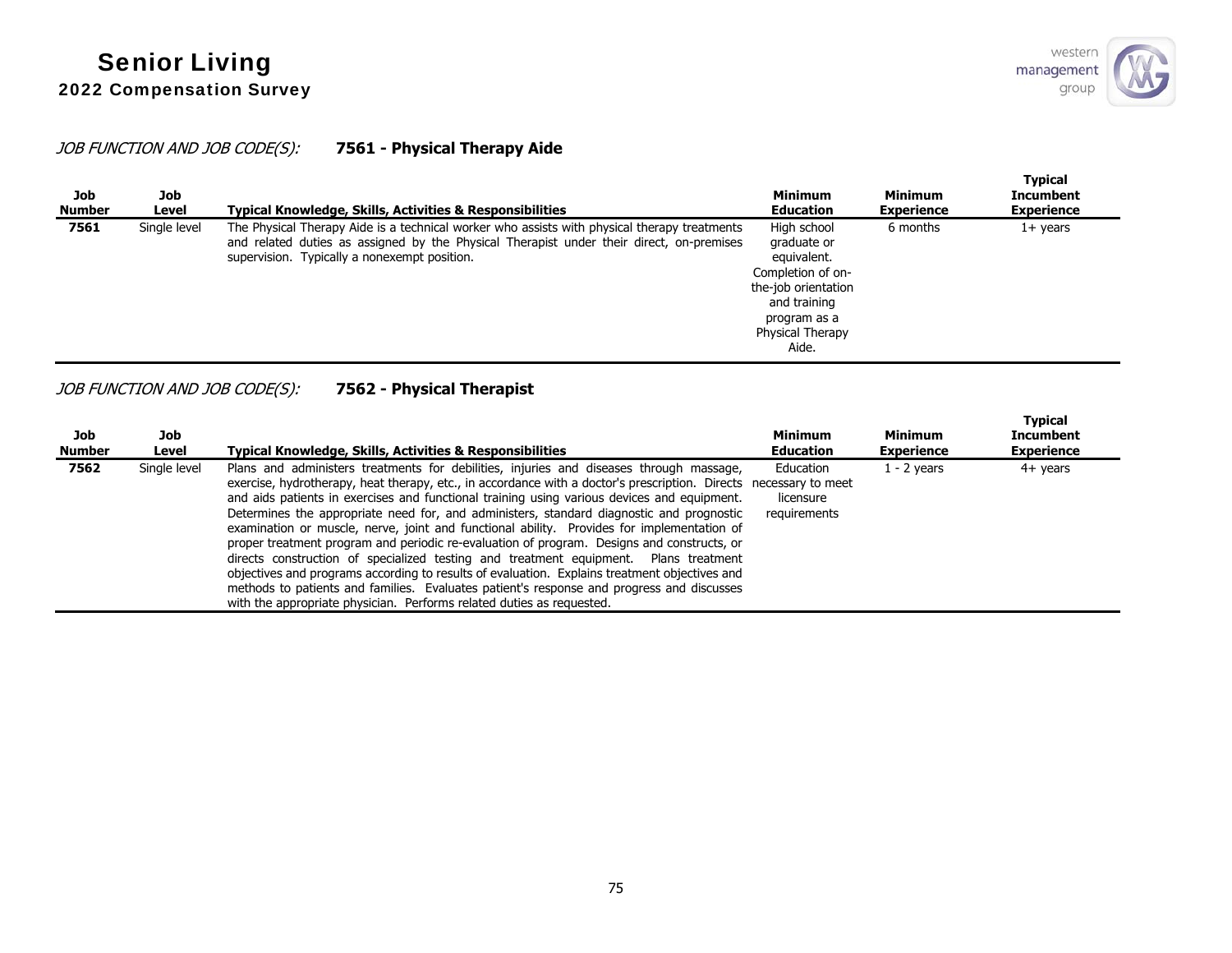## JOB FUNCTION AND JOB CODE(S): **7561 - Physical Therapy Aide**

| Job<br><b>Number</b> | Job<br>Level | Typical Knowledge, Skills, Activities & Responsibilities                                                                                                                                                                                 | <b>Minimum</b><br><b>Education</b>                                                                                                                 | <b>Minimum</b><br><b>Experience</b> | <b>Typical</b><br><b>Incumbent</b><br><b>Experience</b> |
|----------------------|--------------|------------------------------------------------------------------------------------------------------------------------------------------------------------------------------------------------------------------------------------------|----------------------------------------------------------------------------------------------------------------------------------------------------|-------------------------------------|---------------------------------------------------------|
| 7561                 | Single level | The Physical Therapy Aide is a technical worker who assists with physical therapy treatments<br>and related duties as assigned by the Physical Therapist under their direct, on-premises<br>supervision. Typically a nonexempt position. | High school<br>graduate or<br>equivalent.<br>Completion of on-<br>the-job orientation<br>and training<br>program as a<br>Physical Therapy<br>Aide. | 6 months                            | 1+ years                                                |

## JOB FUNCTION AND JOB CODE(S): **7562 - Physical Therapist**

| Job<br><b>Number</b> | Job<br>Level | Typical Knowledge, Skills, Activities & Responsibilities                                                                                                                                                                                                                                                                                                                                                                                                                                                                                                                                                                                                                                                                                                                                                                                                                                                                                                           | <b>Minimum</b><br><b>Education</b>     | Minimum<br><b>Experience</b> | <b>Typical</b><br><b>Incumbent</b><br><b>Experience</b> |
|----------------------|--------------|--------------------------------------------------------------------------------------------------------------------------------------------------------------------------------------------------------------------------------------------------------------------------------------------------------------------------------------------------------------------------------------------------------------------------------------------------------------------------------------------------------------------------------------------------------------------------------------------------------------------------------------------------------------------------------------------------------------------------------------------------------------------------------------------------------------------------------------------------------------------------------------------------------------------------------------------------------------------|----------------------------------------|------------------------------|---------------------------------------------------------|
| 7562                 | Single level | Plans and administers treatments for debilities, injuries and diseases through massage,<br>exercise, hydrotherapy, heat therapy, etc., in accordance with a doctor's prescription. Directs necessary to meet<br>and aids patients in exercises and functional training using various devices and equipment.<br>Determines the appropriate need for, and administers, standard diagnostic and prognostic<br>examination or muscle, nerve, joint and functional ability. Provides for implementation of<br>proper treatment program and periodic re-evaluation of program. Designs and constructs, or<br>directs construction of specialized testing and treatment equipment. Plans treatment<br>objectives and programs according to results of evaluation. Explains treatment objectives and<br>methods to patients and families. Evaluates patient's response and progress and discusses<br>with the appropriate physician. Performs related duties as requested. | Education<br>licensure<br>requirements | $1 - 2$ years                | 4+ years                                                |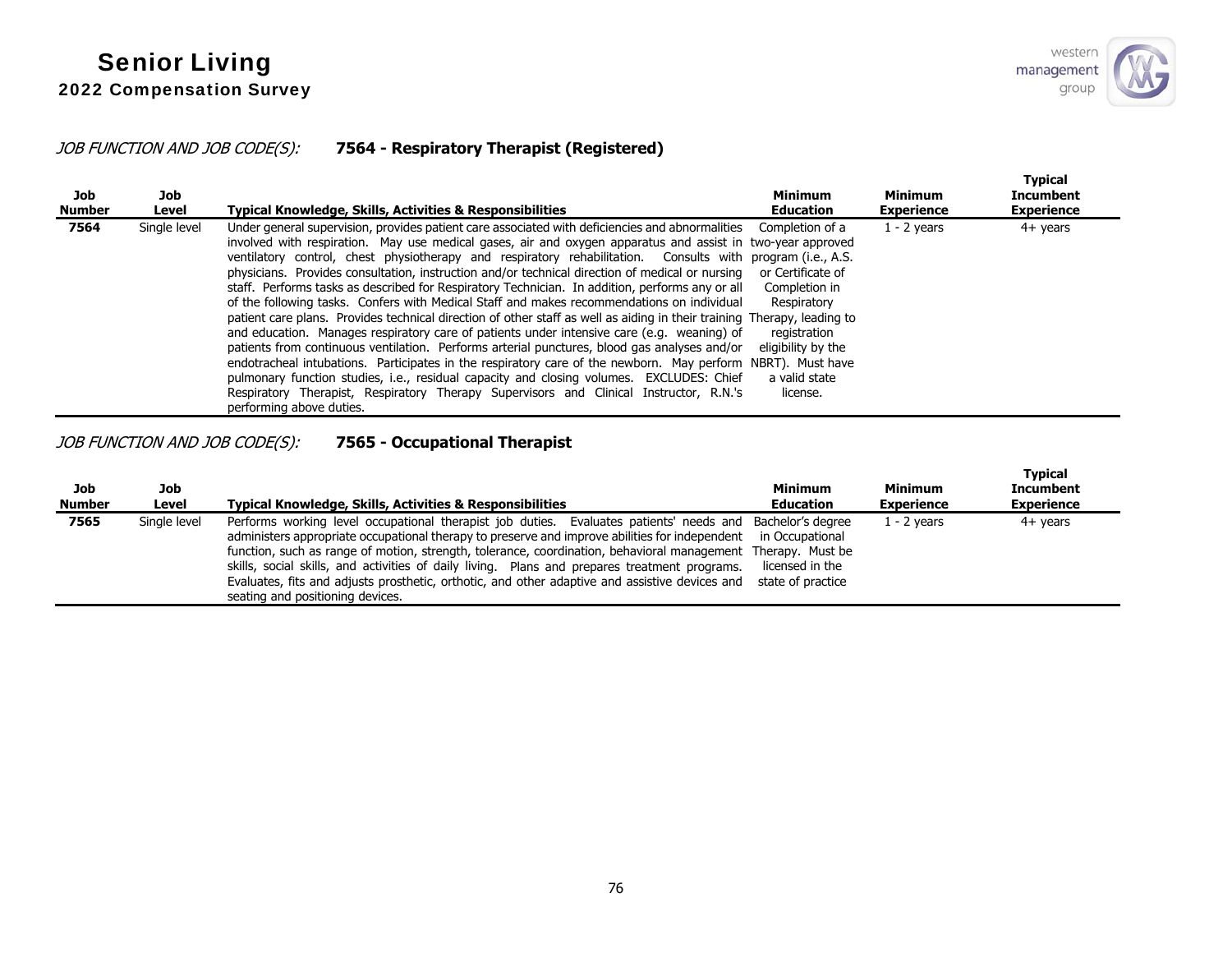**Typical** 

#### JOB FUNCTION AND JOB CODE(S): **7564 - Respiratory Therapist (Registered)**

| Job<br>Number | Job<br>Level | <b>Typical Knowledge, Skills, Activities &amp; Responsibilities</b>                                                                                                                                                                                                                                                                                                                                                                                                                                                                                                                                                                                                                                                                                                                                                                                                                                                                                                                                                                                                                                                                                                                                                                                                                       | <b>Minimum</b><br><b>Education</b>                                                                                                      | Minimum<br><b>Experience</b> | <b>Typical</b><br><b>Incumbent</b><br><b>Experience</b> |
|---------------|--------------|-------------------------------------------------------------------------------------------------------------------------------------------------------------------------------------------------------------------------------------------------------------------------------------------------------------------------------------------------------------------------------------------------------------------------------------------------------------------------------------------------------------------------------------------------------------------------------------------------------------------------------------------------------------------------------------------------------------------------------------------------------------------------------------------------------------------------------------------------------------------------------------------------------------------------------------------------------------------------------------------------------------------------------------------------------------------------------------------------------------------------------------------------------------------------------------------------------------------------------------------------------------------------------------------|-----------------------------------------------------------------------------------------------------------------------------------------|------------------------------|---------------------------------------------------------|
| 7564          | Single level | Under general supervision, provides patient care associated with deficiencies and abnormalities<br>involved with respiration. May use medical gases, air and oxygen apparatus and assist in two-year approved<br>ventilatory control, chest physiotherapy and respiratory rehabilitation. Consults with program (i.e., A.S.<br>physicians. Provides consultation, instruction and/or technical direction of medical or nursing<br>staff. Performs tasks as described for Respiratory Technician. In addition, performs any or all<br>of the following tasks. Confers with Medical Staff and makes recommendations on individual<br>patient care plans. Provides technical direction of other staff as well as aiding in their training Therapy, leading to<br>and education. Manages respiratory care of patients under intensive care (e.g. weaning) of<br>patients from continuous ventilation. Performs arterial punctures, blood gas analyses and/or<br>endotracheal intubations. Participates in the respiratory care of the newborn. May perform NBRT). Must have<br>pulmonary function studies, i.e., residual capacity and closing volumes. EXCLUDES: Chief<br>Respiratory Therapist, Respiratory Therapy Supervisors and Clinical Instructor, R.N.'s<br>performing above duties. | Completion of a<br>or Certificate of<br>Completion in<br>Respiratory<br>registration<br>eligibility by the<br>a valid state<br>license. | $1 - 2$ years                | $4+$ years                                              |

## JOB FUNCTION AND JOB CODE(S): **7565 - Occupational Therapist**

| Job<br><b>Number</b> | Job<br>Level | <b>Typical Knowledge, Skills, Activities &amp; Responsibilities</b>                                                                                                                                                                                                                                                                                                                                                                                                                                                                                                | <b>Minimum</b><br><b>Education</b>                      | <b>Minimum</b><br><b>Experience</b> | i ypical<br><b>Incumbent</b><br><b>Experience</b> |
|----------------------|--------------|--------------------------------------------------------------------------------------------------------------------------------------------------------------------------------------------------------------------------------------------------------------------------------------------------------------------------------------------------------------------------------------------------------------------------------------------------------------------------------------------------------------------------------------------------------------------|---------------------------------------------------------|-------------------------------------|---------------------------------------------------|
| 7565                 | Single level | Performs working level occupational therapist job duties. Evaluates patients' needs and Bachelor's degree<br>administers appropriate occupational therapy to preserve and improve abilities for independent<br>function, such as range of motion, strength, tolerance, coordination, behavioral management Therapy. Must be<br>skills, social skills, and activities of daily living. Plans and prepares treatment programs.<br>Evaluates, fits and adjusts prosthetic, orthotic, and other adaptive and assistive devices and<br>seating and positioning devices. | in Occupational<br>licensed in the<br>state of practice | 1 - 2 vears                         | $4+$ vears                                        |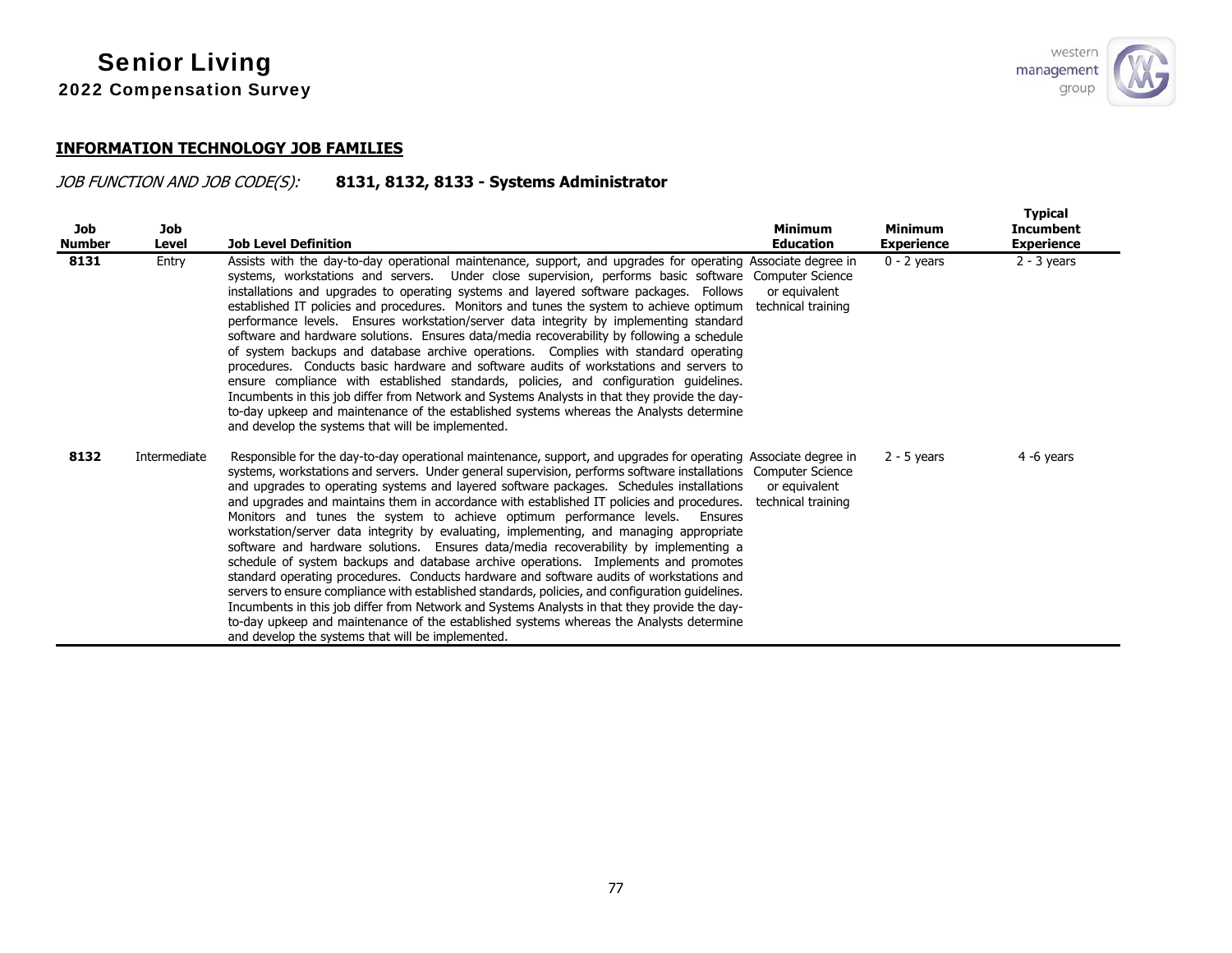#### **INFORMATION TECHNOLOGY JOB FAMILIES**

# JOB FUNCTION AND JOB CODE(S): **8131, 8132, 8133 - Systems Administrator**

| <b>Job</b><br><b>Number</b> | <b>Job</b><br>Level | <b>Job Level Definition</b>                                                                                                                                                                                                                                                                                                                                                                                                                                                                                                                                                                                                                                                                                                                                                                                                                                                                                                                                                                                                                                                                                                                                                                                                            | <b>Minimum</b><br><b>Education</b>  | <b>Minimum</b><br><b>Experience</b> | <b>Typical</b><br><b>Incumbent</b><br><b>Experience</b> |
|-----------------------------|---------------------|----------------------------------------------------------------------------------------------------------------------------------------------------------------------------------------------------------------------------------------------------------------------------------------------------------------------------------------------------------------------------------------------------------------------------------------------------------------------------------------------------------------------------------------------------------------------------------------------------------------------------------------------------------------------------------------------------------------------------------------------------------------------------------------------------------------------------------------------------------------------------------------------------------------------------------------------------------------------------------------------------------------------------------------------------------------------------------------------------------------------------------------------------------------------------------------------------------------------------------------|-------------------------------------|-------------------------------------|---------------------------------------------------------|
| 8131                        | Entry               | Assists with the day-to-day operational maintenance, support, and upgrades for operating Associate degree in<br>systems, workstations and servers. Under close supervision, performs basic software Computer Science<br>installations and upgrades to operating systems and layered software packages. Follows<br>established IT policies and procedures. Monitors and tunes the system to achieve optimum<br>performance levels. Ensures workstation/server data integrity by implementing standard<br>software and hardware solutions. Ensures data/media recoverability by following a schedule<br>of system backups and database archive operations. Complies with standard operating<br>procedures. Conducts basic hardware and software audits of workstations and servers to<br>ensure compliance with established standards, policies, and configuration guidelines.<br>Incumbents in this job differ from Network and Systems Analysts in that they provide the day-<br>to-day upkeep and maintenance of the established systems whereas the Analysts determine<br>and develop the systems that will be implemented.                                                                                                          | or equivalent<br>technical training | $0 - 2$ years                       | $2 - 3$ years                                           |
| 8132                        | Intermediate        | Responsible for the day-to-day operational maintenance, support, and upgrades for operating Associate degree in<br>systems, workstations and servers. Under general supervision, performs software installations Computer Science<br>and upgrades to operating systems and layered software packages. Schedules installations<br>and upgrades and maintains them in accordance with established IT policies and procedures.<br>Monitors and tunes the system to achieve optimum performance levels. Ensures<br>workstation/server data integrity by evaluating, implementing, and managing appropriate<br>software and hardware solutions. Ensures data/media recoverability by implementing a<br>schedule of system backups and database archive operations. Implements and promotes<br>standard operating procedures. Conducts hardware and software audits of workstations and<br>servers to ensure compliance with established standards, policies, and configuration quidelines.<br>Incumbents in this job differ from Network and Systems Analysts in that they provide the day-<br>to-day upkeep and maintenance of the established systems whereas the Analysts determine<br>and develop the systems that will be implemented. | or equivalent<br>technical training | $2 - 5$ years                       | 4 -6 years                                              |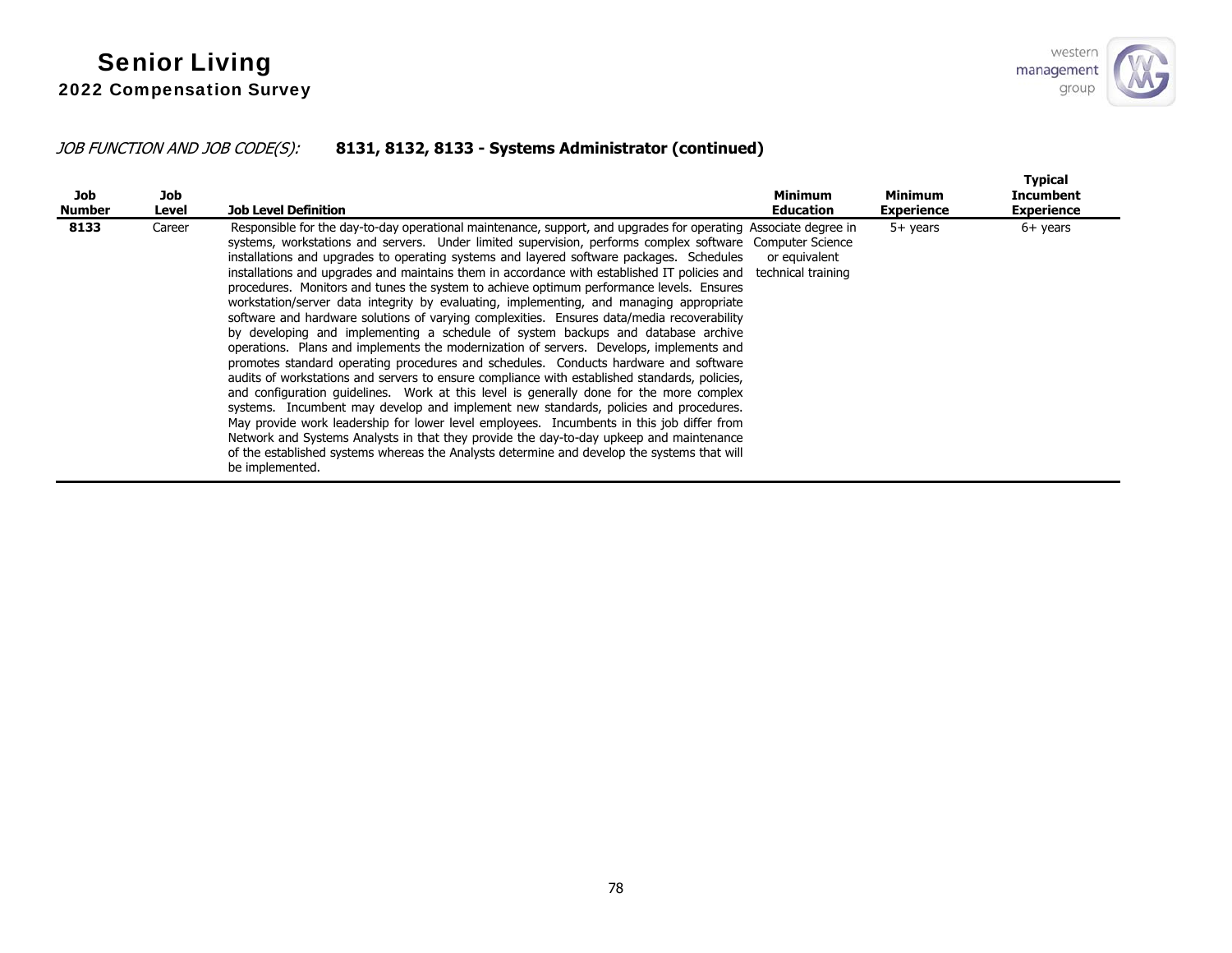## JOB FUNCTION AND JOB CODE(S): **8131, 8132, 8133 - Systems Administrator (continued)**

| Job<br>Number | Job<br>Level | <b>Job Level Definition</b>                                                                                                                                                                                                                                                                                                                                                                                                                                                                                                                                                                                                                                                                                                                                                                                                                                                                                                                                                                                                                                                                                                                                                                                                                                                                                                                                                                                                                                                                                                                                                       | <b>Minimum</b><br><b>Education</b>  | <b>Minimum</b><br><b>Experience</b> | <b>Typical</b><br><b>Incumbent</b><br><b>Experience</b> |
|---------------|--------------|-----------------------------------------------------------------------------------------------------------------------------------------------------------------------------------------------------------------------------------------------------------------------------------------------------------------------------------------------------------------------------------------------------------------------------------------------------------------------------------------------------------------------------------------------------------------------------------------------------------------------------------------------------------------------------------------------------------------------------------------------------------------------------------------------------------------------------------------------------------------------------------------------------------------------------------------------------------------------------------------------------------------------------------------------------------------------------------------------------------------------------------------------------------------------------------------------------------------------------------------------------------------------------------------------------------------------------------------------------------------------------------------------------------------------------------------------------------------------------------------------------------------------------------------------------------------------------------|-------------------------------------|-------------------------------------|---------------------------------------------------------|
| 8133          | Career       | Responsible for the day-to-day operational maintenance, support, and upgrades for operating Associate degree in<br>systems, workstations and servers. Under limited supervision, performs complex software Computer Science<br>installations and upgrades to operating systems and layered software packages. Schedules<br>installations and upgrades and maintains them in accordance with established IT policies and<br>procedures. Monitors and tunes the system to achieve optimum performance levels. Ensures<br>workstation/server data integrity by evaluating, implementing, and managing appropriate<br>software and hardware solutions of varying complexities. Ensures data/media recoverability<br>by developing and implementing a schedule of system backups and database archive<br>operations. Plans and implements the modernization of servers. Develops, implements and<br>promotes standard operating procedures and schedules. Conducts hardware and software<br>audits of workstations and servers to ensure compliance with established standards, policies,<br>and configuration guidelines. Work at this level is generally done for the more complex<br>systems. Incumbent may develop and implement new standards, policies and procedures.<br>May provide work leadership for lower level employees. Incumbents in this job differ from<br>Network and Systems Analysts in that they provide the day-to-day upkeep and maintenance<br>of the established systems whereas the Analysts determine and develop the systems that will<br>be implemented. | or equivalent<br>technical training | 5+ years                            | $6+$ years                                              |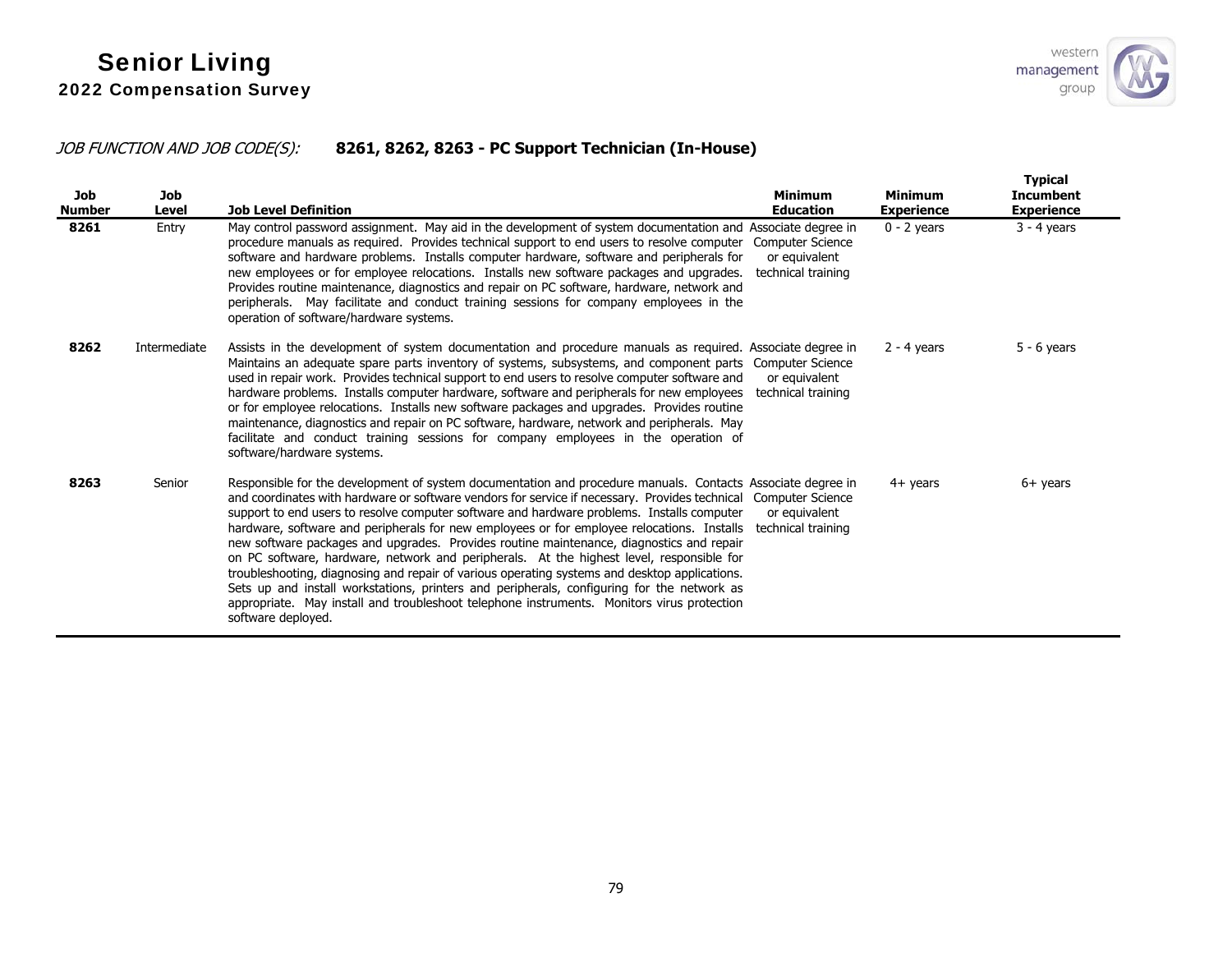## JOB FUNCTION AND JOB CODE(S): **8261, 8262, 8263 - PC Support Technician (In-House)**

| <b>Job</b><br><b>Number</b> | <b>Job</b><br>Level | <b>Job Level Definition</b>                                                                                                                                                                                                                                                                                                                                                                                                                                                                                                                                                                                                                                                                                                                                                                                                                                                                                          | <b>Minimum</b><br><b>Education</b>                             | <b>Minimum</b><br>Experience | <b>Typical</b><br><b>Incumbent</b><br><b>Experience</b> |
|-----------------------------|---------------------|----------------------------------------------------------------------------------------------------------------------------------------------------------------------------------------------------------------------------------------------------------------------------------------------------------------------------------------------------------------------------------------------------------------------------------------------------------------------------------------------------------------------------------------------------------------------------------------------------------------------------------------------------------------------------------------------------------------------------------------------------------------------------------------------------------------------------------------------------------------------------------------------------------------------|----------------------------------------------------------------|------------------------------|---------------------------------------------------------|
| 8261                        | Entry               | May control password assignment. May aid in the development of system documentation and Associate degree in<br>procedure manuals as required. Provides technical support to end users to resolve computer<br>software and hardware problems. Installs computer hardware, software and peripherals for<br>new employees or for employee relocations. Installs new software packages and upgrades.<br>Provides routine maintenance, diagnostics and repair on PC software, hardware, network and<br>peripherals. May facilitate and conduct training sessions for company employees in the<br>operation of software/hardware systems.                                                                                                                                                                                                                                                                                  | <b>Computer Science</b><br>or equivalent<br>technical training | $0 - 2$ vears                | $3 - 4$ years                                           |
| 8262                        | Intermediate        | Assists in the development of system documentation and procedure manuals as required. Associate degree in<br>Maintains an adequate spare parts inventory of systems, subsystems, and component parts<br>used in repair work. Provides technical support to end users to resolve computer software and<br>hardware problems. Installs computer hardware, software and peripherals for new employees<br>or for employee relocations. Installs new software packages and upgrades. Provides routine<br>maintenance, diagnostics and repair on PC software, hardware, network and peripherals. May<br>facilitate and conduct training sessions for company employees in the operation of<br>software/hardware systems.                                                                                                                                                                                                   | <b>Computer Science</b><br>or equivalent<br>technical training | $2 - 4$ years                | $5 - 6$ years                                           |
| 8263                        | Senior              | Responsible for the development of system documentation and procedure manuals. Contacts Associate degree in<br>and coordinates with hardware or software vendors for service if necessary. Provides technical<br>support to end users to resolve computer software and hardware problems. Installs computer<br>hardware, software and peripherals for new employees or for employee relocations. Installs<br>new software packages and upgrades. Provides routine maintenance, diagnostics and repair<br>on PC software, hardware, network and peripherals. At the highest level, responsible for<br>troubleshooting, diagnosing and repair of various operating systems and desktop applications.<br>Sets up and install workstations, printers and peripherals, configuring for the network as<br>appropriate. May install and troubleshoot telephone instruments. Monitors virus protection<br>software deployed. | Computer Science<br>or equivalent<br>technical training        | $4+$ years                   | $6+$ years                                              |